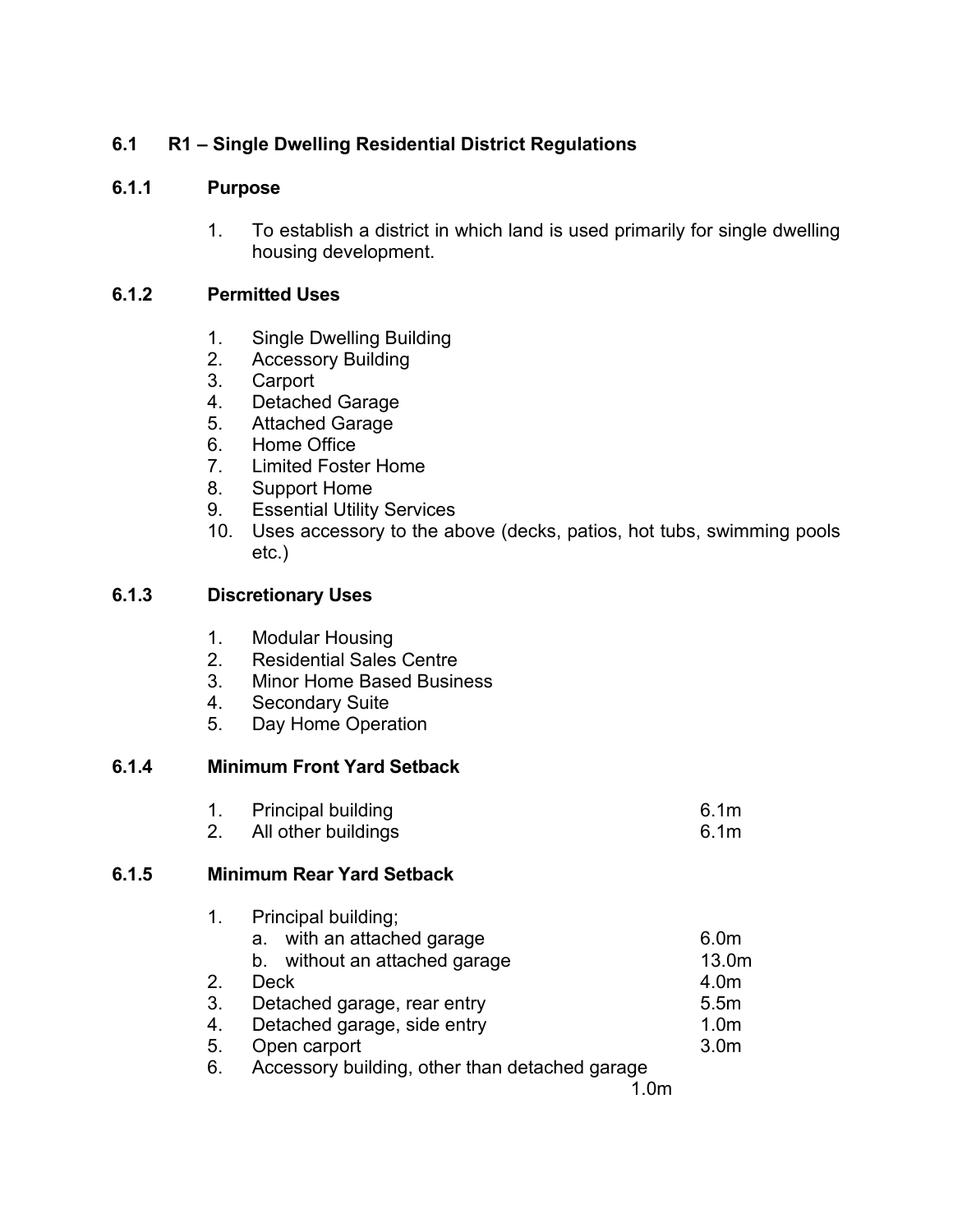# **6.1 R1 – Single Dwelling Residential District Regulations**

# **6.1.1 Purpose**

1. To establish a district in which land is used primarily for single dwelling housing development.

# **6.1.2 Permitted Uses**

- 1. Single Dwelling Building
- 2. Accessory Building
- 3. Carport
- 4. Detached Garage
- 5. Attached Garage
- 6. Home Office
- 7. Limited Foster Home
- 8. Support Home
- 9. Essential Utility Services
- 10. Uses accessory to the above (decks, patios, hot tubs, swimming pools etc.)

# **6.1.3 Discretionary Uses**

- 1. Modular Housing
- 2. Residential Sales Centre
- 3. Minor Home Based Business
- 4. Secondary Suite
- 5. Day Home Operation

# **6.1.4 Minimum Front Yard Setback**

| <b>Principal building</b> | 6.1 <sub>m</sub> |
|---------------------------|------------------|
| All other buildings       | 6.1 <sub>m</sub> |

# **6.1.5 Minimum Rear Yard Setback**

| $\mathbf{1}$ . | Principal building;                            |                  |
|----------------|------------------------------------------------|------------------|
|                | a. with an attached garage                     | 6.0 <sub>m</sub> |
|                | b. without an attached garage                  | 13.0m            |
| 2.             | Deck                                           | 4.0m             |
| 3.             | Detached garage, rear entry                    | 5.5m             |
| 4.             | Detached garage, side entry                    | 1.0 <sub>m</sub> |
| 5.             | Open carport                                   | 3.0m             |
| 6.             | Accessory building, other than detached garage |                  |
|                |                                                |                  |

1.0m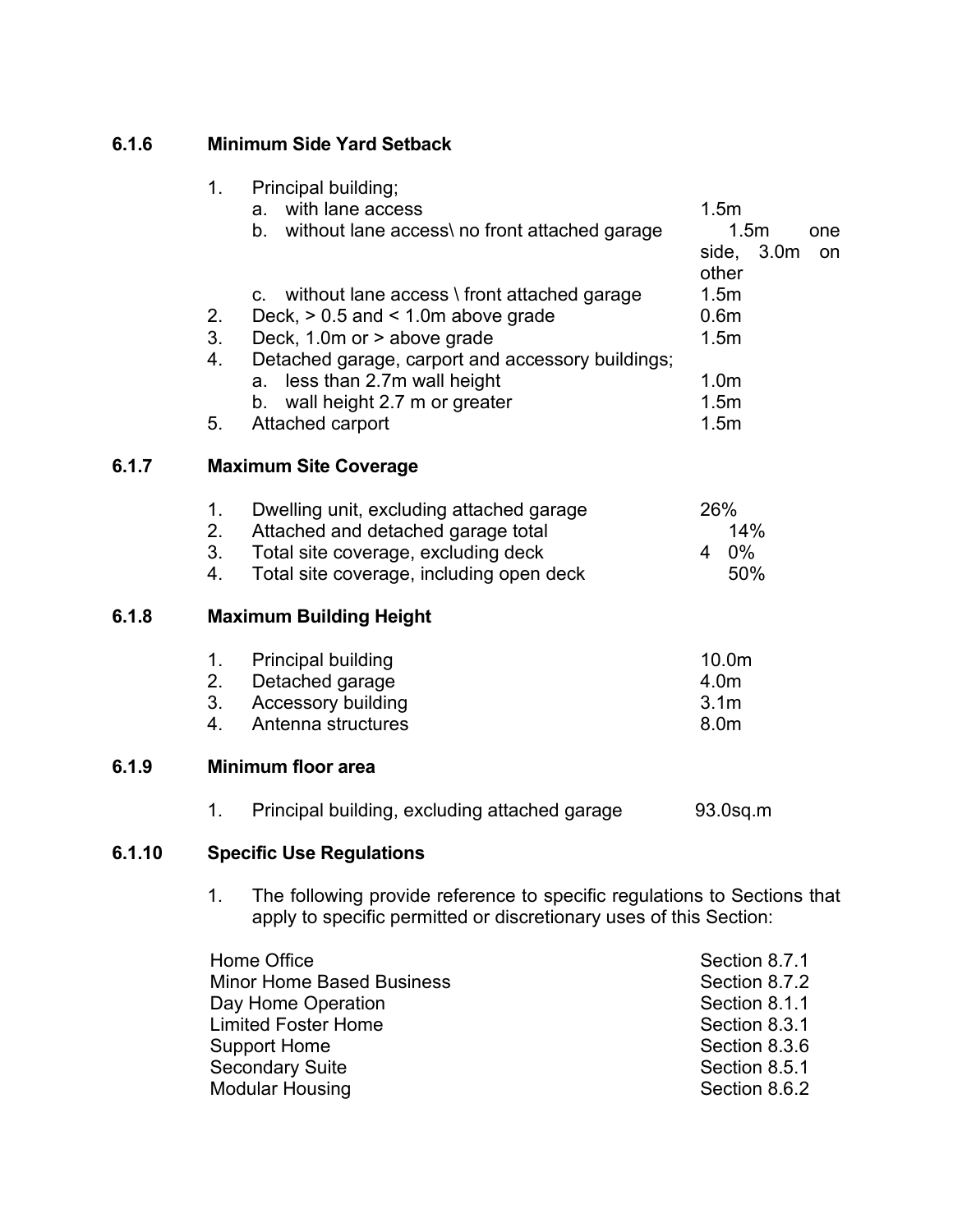| 6.1.6                              | <b>Minimum Side Yard Setback</b> |                                                                                                                                                                               |                                                                                   |
|------------------------------------|----------------------------------|-------------------------------------------------------------------------------------------------------------------------------------------------------------------------------|-----------------------------------------------------------------------------------|
|                                    | 1 <sub>1</sub>                   | Principal building;<br>a. with lane access<br>b. without lane access\ no front attached garage                                                                                | 1.5m<br>1.5m<br>one<br>side,<br>3.0 <sub>m</sub><br>on<br>other                   |
|                                    | 2.<br>3.<br>4.                   | c. without lane access \ front attached garage<br>Deck, $> 0.5$ and $< 1.0$ m above grade<br>Deck, 1.0m or > above grade<br>Detached garage, carport and accessory buildings; | 1.5m<br>0.6 <sub>m</sub><br>1.5m                                                  |
|                                    | 5.                               | a. less than 2.7m wall height<br>wall height 2.7 m or greater<br>b.<br>Attached carport                                                                                       | 1.0 <sub>m</sub><br>1.5m<br>1.5m                                                  |
| 6.1.7                              |                                  | <b>Maximum Site Coverage</b>                                                                                                                                                  |                                                                                   |
|                                    | 1.<br>2.<br>3.<br>4.             | Dwelling unit, excluding attached garage<br>Attached and detached garage total<br>Total site coverage, excluding deck<br>Total site coverage, including open deck             | 26%<br>14%<br>4 0%<br>50%                                                         |
| 6.1.8                              |                                  | <b>Maximum Building Height</b>                                                                                                                                                |                                                                                   |
|                                    | 1.<br>2.<br>3.<br>4.             | <b>Principal building</b><br>Detached garage<br><b>Accessory building</b><br>Antenna structures                                                                               | 10.0m<br>4.0m<br>3.1 <sub>m</sub><br>8.0m                                         |
| <b>Minimum floor area</b><br>6.1.9 |                                  |                                                                                                                                                                               |                                                                                   |
|                                    | 1.                               | Principal building, excluding attached garage                                                                                                                                 | 93.0sq.m                                                                          |
| 6.1.10                             |                                  | <b>Specific Use Regulations</b>                                                                                                                                               |                                                                                   |
|                                    | 1.                               | The following provide reference to specific regulations to Sections that<br>apply to specific permitted or discretionary uses of this Section:                                |                                                                                   |
|                                    |                                  | Home Office<br><b>Minor Home Based Business</b><br>Day Home Operation<br><b>Limited Foster Home</b><br><b>Support Home</b>                                                    | Section 8.7.1<br>Section 8.7.2<br>Section 8.1.1<br>Section 8.3.1<br>Section 8.3.6 |

Secondary Suite Section 8.5.1 Modular Housing Section 8.6.2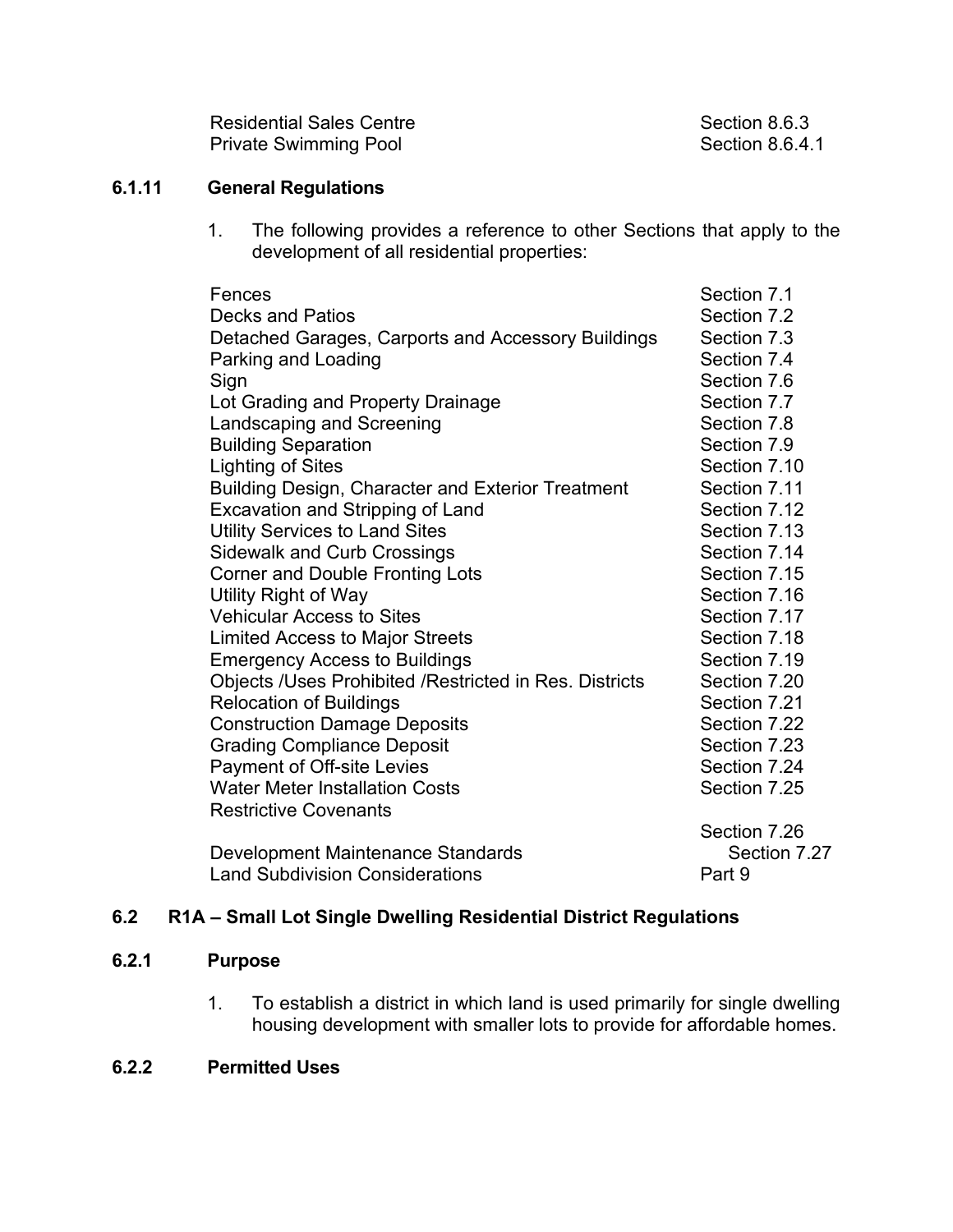| <b>Residential Sales Centre</b> |
|---------------------------------|
| <b>Private Swimming Pool</b>    |

Section 8.6.3 Section 8.6.4.1

# **6.1.11 General Regulations**

1. The following provides a reference to other Sections that apply to the development of all residential properties:

| Fences                                                 | Section 7.1  |
|--------------------------------------------------------|--------------|
| <b>Decks and Patios</b>                                | Section 7.2  |
| Detached Garages, Carports and Accessory Buildings     | Section 7.3  |
| Parking and Loading                                    | Section 7.4  |
| Sign                                                   | Section 7.6  |
| Lot Grading and Property Drainage                      | Section 7.7  |
| Landscaping and Screening                              | Section 7.8  |
| <b>Building Separation</b>                             | Section 7.9  |
| <b>Lighting of Sites</b>                               | Section 7.10 |
| Building Design, Character and Exterior Treatment      | Section 7.11 |
| <b>Excavation and Stripping of Land</b>                | Section 7.12 |
| <b>Utility Services to Land Sites</b>                  | Section 7.13 |
| <b>Sidewalk and Curb Crossings</b>                     | Section 7.14 |
| <b>Corner and Double Fronting Lots</b>                 | Section 7.15 |
| Utility Right of Way                                   | Section 7.16 |
| <b>Vehicular Access to Sites</b>                       | Section 7.17 |
| <b>Limited Access to Major Streets</b>                 | Section 7.18 |
| <b>Emergency Access to Buildings</b>                   | Section 7.19 |
| Objects /Uses Prohibited /Restricted in Res. Districts | Section 7.20 |
| <b>Relocation of Buildings</b>                         | Section 7.21 |
| <b>Construction Damage Deposits</b>                    | Section 7.22 |
| <b>Grading Compliance Deposit</b>                      | Section 7.23 |
| Payment of Off-site Levies                             | Section 7.24 |
| <b>Water Meter Installation Costs</b>                  | Section 7.25 |
| <b>Restrictive Covenants</b>                           |              |
|                                                        | Section 7.26 |
| Development Maintenance Standards                      | Section 7.27 |
| <b>Land Subdivision Considerations</b>                 | Part 9       |

# **6.2 R1A – Small Lot Single Dwelling Residential District Regulations**

### **6.2.1 Purpose**

1. To establish a district in which land is used primarily for single dwelling housing development with smaller lots to provide for affordable homes.

# **6.2.2 Permitted Uses**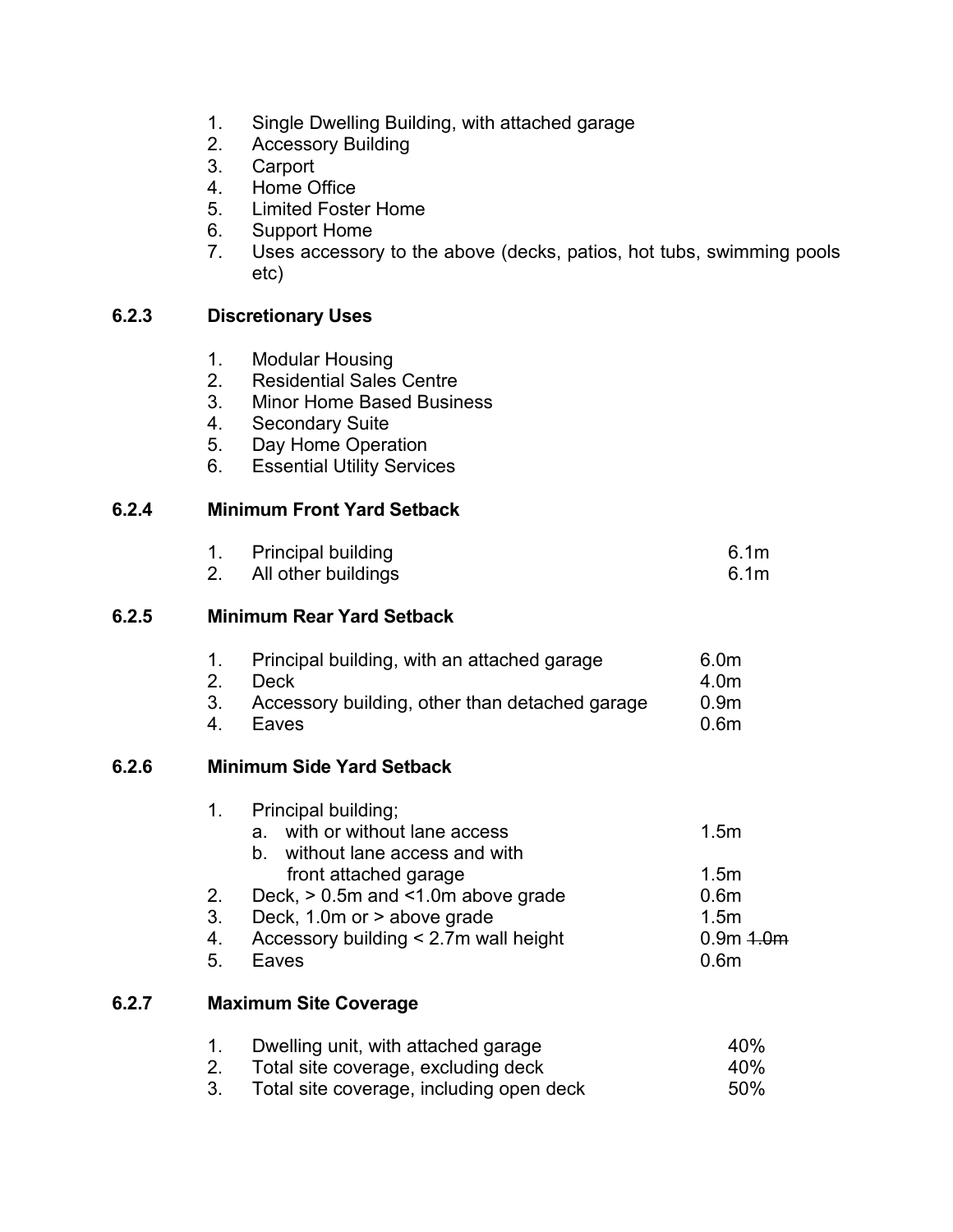- 1. Single Dwelling Building, with attached garage
- 2. Accessory Building
- 3. Carport
- 4. Home Office
- 5. Limited Foster Home
- 6. Support Home
- 7. Uses accessory to the above (decks, patios, hot tubs, swimming pools etc)

### **6.2.3 Discretionary Uses**

- 1. Modular Housing
- 2. Residential Sales Centre
- 3. Minor Home Based Business
- 4. Secondary Suite
- 5. Day Home Operation
- 6. Essential Utility Services

# **6.2.4 Minimum Front Yard Setback**

| 1. Principal building<br>2. All other buildings | 6.1 <sub>m</sub><br>6.1 <sub>m</sub> |
|-------------------------------------------------|--------------------------------------|
|                                                 |                                      |

### **6.2.5 Minimum Rear Yard Setback**

|    | Principal building, with an attached garage    | 6.0m             |
|----|------------------------------------------------|------------------|
|    | 2. Deck                                        | 4.0m             |
| 3. | Accessory building, other than detached garage | 0.9 <sub>m</sub> |

4. Eaves 0.6m

#### **6.2.6 Minimum Side Yard Setback**

|       | 1. | Principal building;<br>with or without lane access<br>a<br>without lane access and with<br>b. | 1.5 <sub>m</sub> |
|-------|----|-----------------------------------------------------------------------------------------------|------------------|
|       |    | front attached garage                                                                         | 1.5 <sub>m</sub> |
|       | 2. | Deck, $> 0.5$ m and $< 1.0$ m above grade                                                     | 0.6 <sub>m</sub> |
|       | 3. | Deck, 1.0m or > above grade                                                                   | 1.5 <sub>m</sub> |
|       | 4. | Accessory building < 2.7m wall height                                                         | $0.9m + 0.0m$    |
|       | 5. | Eaves                                                                                         | 0.6 <sub>m</sub> |
| 6.2.7 |    | <b>Maximum Site Coverage</b>                                                                  |                  |
|       | 1. | Dwelling unit, with attached garage                                                           | 40%              |
|       | 2. | Total site coverage, excluding deck                                                           | 40%              |
|       |    |                                                                                               | - - - '          |

3. Total site coverage, including open deck 50%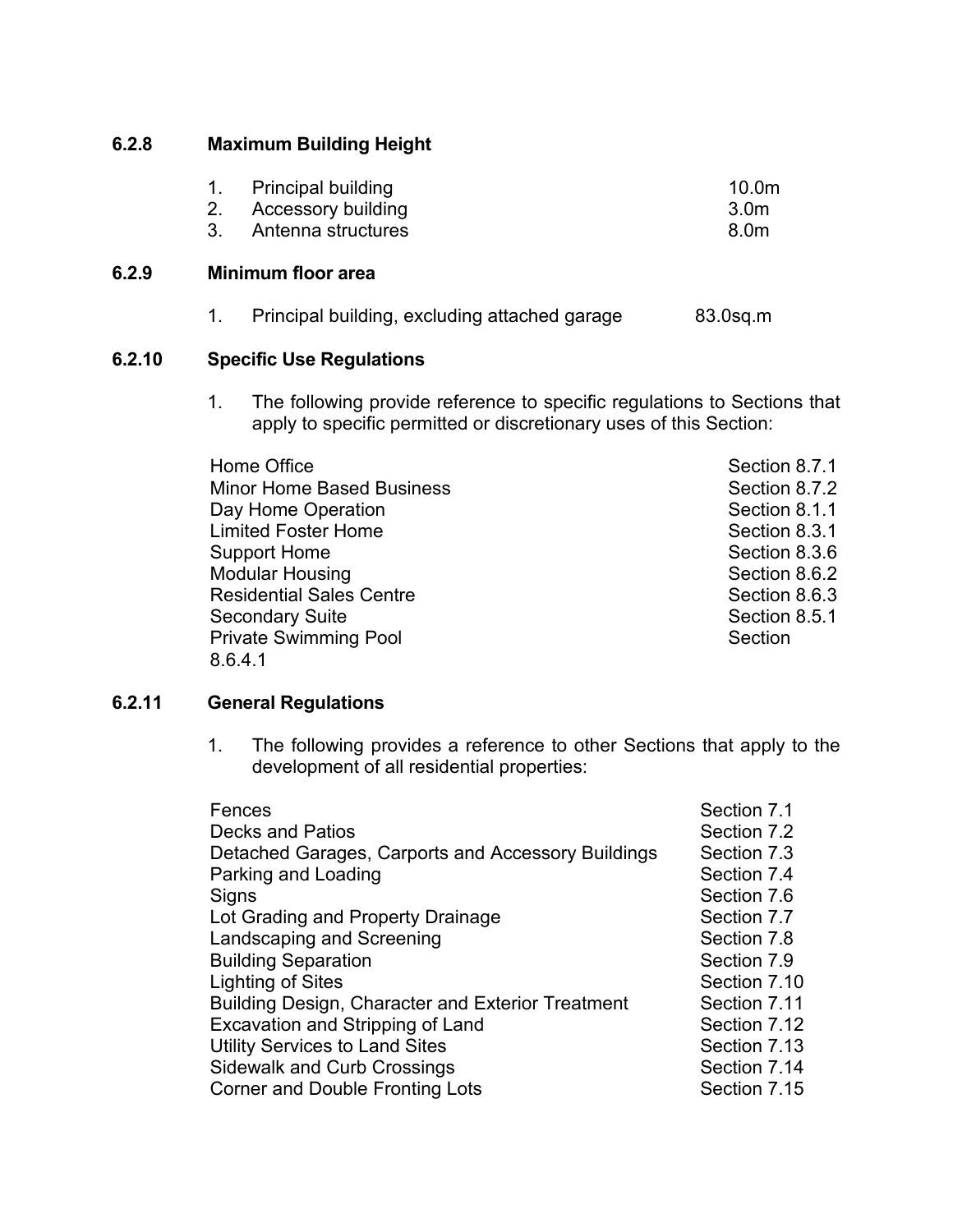# **6.2.8 Maximum Building Height**

| Principal building | 10.0 <sub>m</sub> |
|--------------------|-------------------|
| Accessory building | 3.0 <sub>m</sub>  |

3. Antenna structures and the structure of the structure of the structure of the structure of the structure of the structure of the structure of the structure of the structure of the structure of the structure of the struc

#### **6.2.9 Minimum floor area**

|  |  | Principal building, excluding attached garage | 83.0sq.m |
|--|--|-----------------------------------------------|----------|
|--|--|-----------------------------------------------|----------|

# **6.2.10 Specific Use Regulations**

1. The following provide reference to specific regulations to Sections that apply to specific permitted or discretionary uses of this Section:

| Section 8.7.1 |
|---------------|
| Section 8.7.2 |
| Section 8.1.1 |
| Section 8.3.1 |
| Section 8.3.6 |
| Section 8.6.2 |
| Section 8.6.3 |
| Section 8.5.1 |
| Section       |
|               |
|               |

### **6.2.11 General Regulations**

1. The following provides a reference to other Sections that apply to the development of all residential properties:

| Fences                                             | Section 7.1  |
|----------------------------------------------------|--------------|
| <b>Decks and Patios</b>                            | Section 7.2  |
| Detached Garages, Carports and Accessory Buildings | Section 7.3  |
| Parking and Loading                                | Section 7.4  |
| Signs                                              | Section 7.6  |
| Lot Grading and Property Drainage                  | Section 7.7  |
| Landscaping and Screening                          | Section 7.8  |
| <b>Building Separation</b>                         | Section 7.9  |
| Lighting of Sites                                  | Section 7.10 |
| Building Design, Character and Exterior Treatment  | Section 7.11 |
| Excavation and Stripping of Land                   | Section 7.12 |
| <b>Utility Services to Land Sites</b>              | Section 7.13 |
| <b>Sidewalk and Curb Crossings</b>                 | Section 7.14 |
| Corner and Double Fronting Lots                    | Section 7.15 |
|                                                    |              |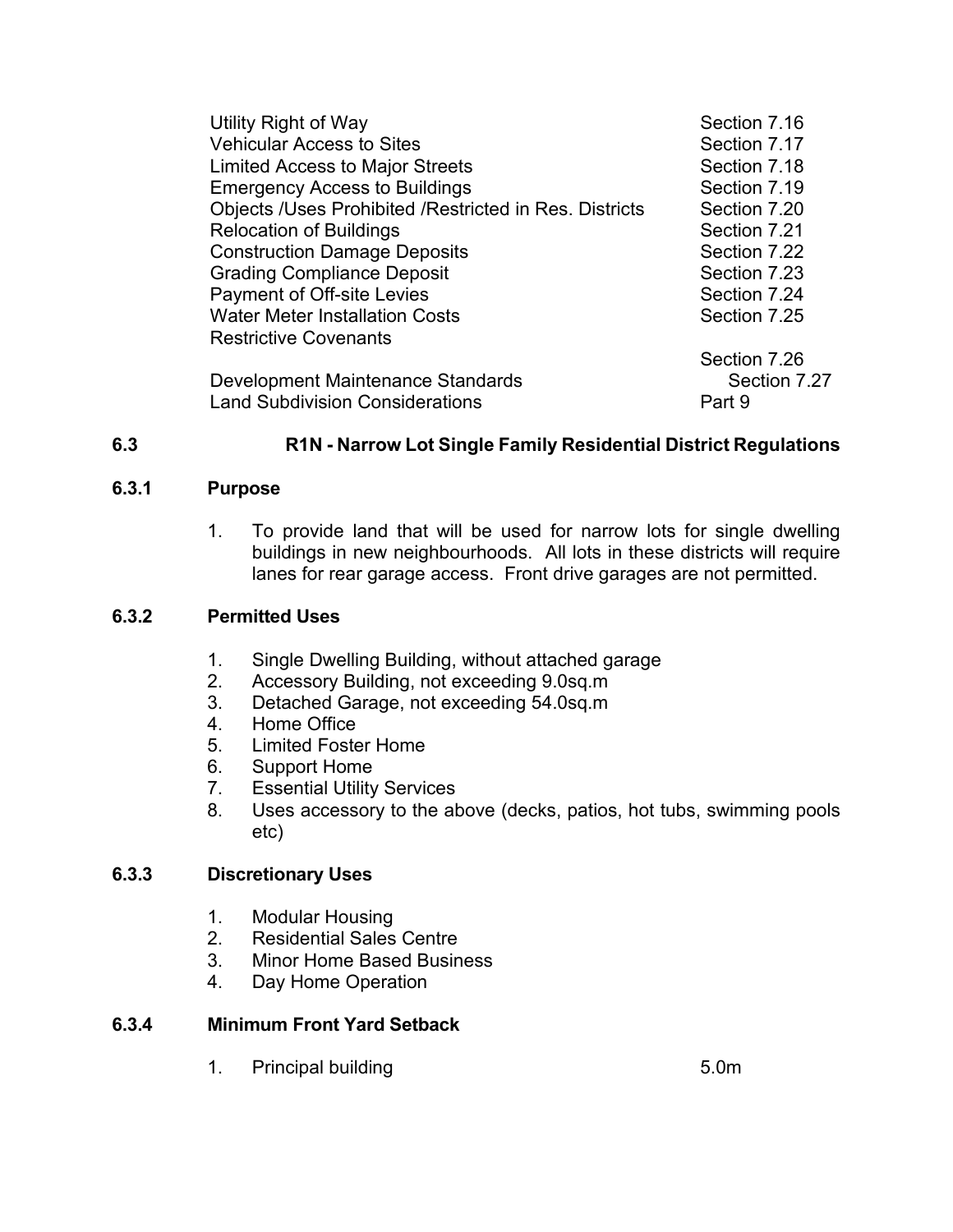| Utility Right of Way                                          | Section 7.16 |
|---------------------------------------------------------------|--------------|
| <b>Vehicular Access to Sites</b>                              | Section 7.17 |
| <b>Limited Access to Major Streets</b>                        | Section 7.18 |
| <b>Emergency Access to Buildings</b>                          | Section 7.19 |
| <b>Objects /Uses Prohibited /Restricted in Res. Districts</b> | Section 7.20 |
| <b>Relocation of Buildings</b>                                | Section 7.21 |
| <b>Construction Damage Deposits</b>                           | Section 7.22 |
| <b>Grading Compliance Deposit</b>                             | Section 7.23 |
| <b>Payment of Off-site Levies</b>                             | Section 7.24 |
| <b>Water Meter Installation Costs</b>                         | Section 7.25 |
| <b>Restrictive Covenants</b>                                  |              |
|                                                               | Section 7.26 |
| Development Maintenance Standards                             | Section 7.27 |
| <b>Land Subdivision Considerations</b>                        | Part 9       |
|                                                               |              |

# **6.3 R1N - Narrow Lot Single Family Residential District Regulations**

#### **6.3.1 Purpose**

1. To provide land that will be used for narrow lots for single dwelling buildings in new neighbourhoods. All lots in these districts will require lanes for rear garage access. Front drive garages are not permitted.

### **6.3.2 Permitted Uses**

- 1. Single Dwelling Building, without attached garage
- 2. Accessory Building, not exceeding 9.0sq.m
- 3. Detached Garage, not exceeding 54.0sq.m
- 4. Home Office
- 5. Limited Foster Home
- 6. Support Home<br>7. Essential Utility
- **Essential Utility Services**
- 8. Uses accessory to the above (decks, patios, hot tubs, swimming pools etc)

# **6.3.3 Discretionary Uses**

- 1. Modular Housing
- 2. Residential Sales Centre<br>3. Minor Home Based Busin
- **Minor Home Based Business**
- 4. Day Home Operation

### **6.3.4 Minimum Front Yard Setback**

1. Principal building 1. Solution 1. Solution 1. Solution 1. Solution 1. Solution 1. Solution 1. Solution 1. Solution 1. Solution 1. Solution 1. Solution 1. Solution 1. Solution 1. Solution 1. Solution 1. Solution 1. Solut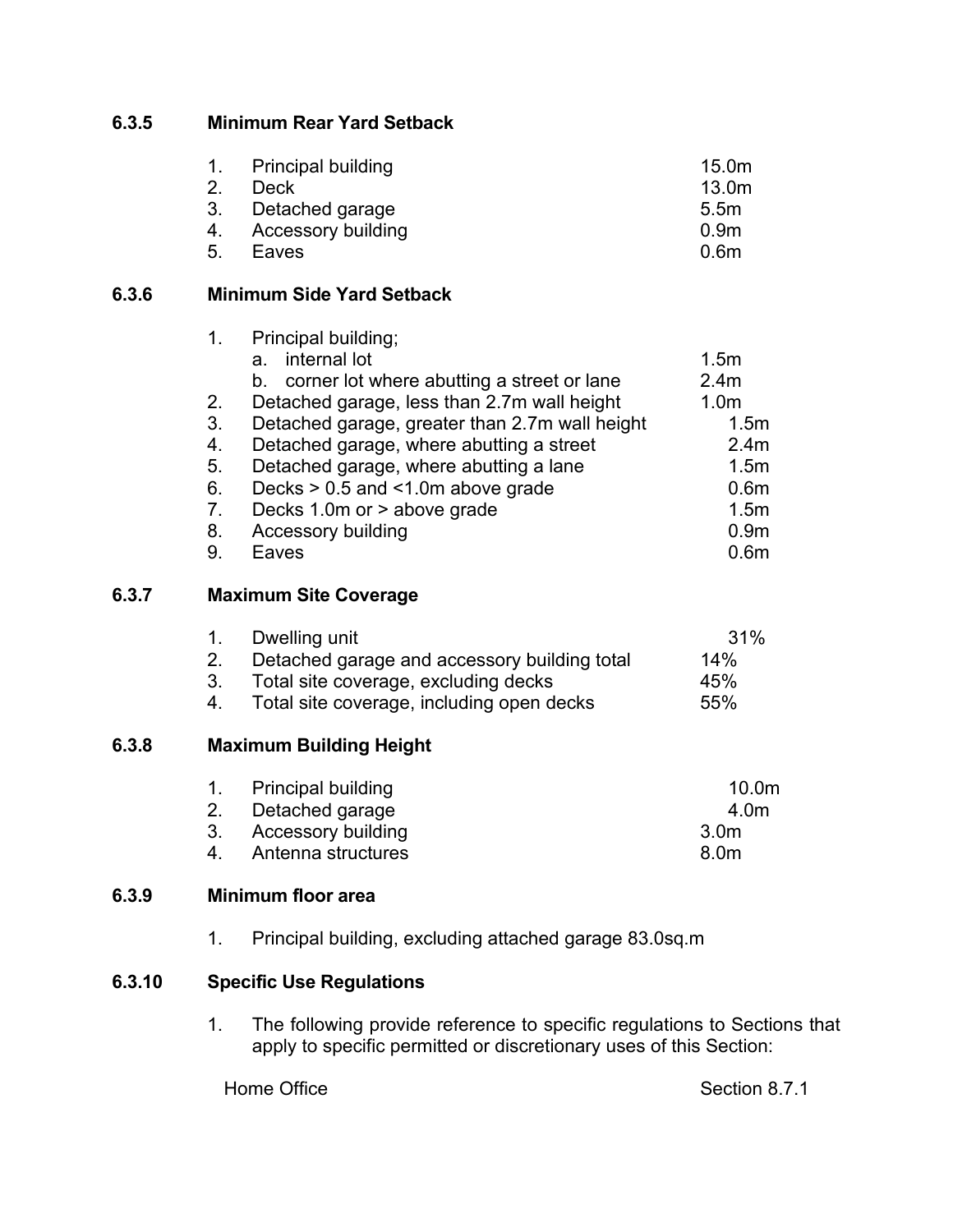# **6.3.5 Minimum Rear Yard Setback**

|    | 1. Principal building | 15.0 <sub>m</sub> |
|----|-----------------------|-------------------|
| 2. | Deck                  | 13.0 <sub>m</sub> |
|    | 3. Detached garage    | 5.5 <sub>m</sub>  |
|    | 4. Accessory building | 0.9 <sub>m</sub>  |
| 5. | Eaves                 | 0.6 <sub>m</sub>  |

### **6.3.6 Minimum Side Yard Setback**

|       | 1.             | Principal building;                              |                  |
|-------|----------------|--------------------------------------------------|------------------|
|       |                | internal lot<br>a.                               | 1.5 <sub>m</sub> |
|       |                | corner lot where abutting a street or lane<br>b. | 2.4 <sub>m</sub> |
|       | 2.             | Detached garage, less than 2.7m wall height      | 1.0 <sub>m</sub> |
|       | 3 <sub>1</sub> | Detached garage, greater than 2.7m wall height   | 1.5 <sub>m</sub> |
|       | 4.             | Detached garage, where abutting a street         | 2.4 <sub>m</sub> |
|       | 5.             | Detached garage, where abutting a lane           | 1.5 <sub>m</sub> |
|       | 6.             | Decks $> 0.5$ and $< 1.0$ m above grade          | 0.6 <sub>m</sub> |
|       | 7.             | Decks 1.0m or > above grade                      | 1.5 <sub>m</sub> |
|       | 8.             | <b>Accessory building</b>                        | 0.9 <sub>m</sub> |
|       | 9.             | Eaves                                            | 0.6 <sub>m</sub> |
| 6.3.7 |                | <b>Maximum Site Coverage</b>                     |                  |
|       | 1.             | Dwelling unit                                    | 31%              |
|       | 2.             | Detached garage and accessory building total     | 14%              |
|       | 3.             | Total site coverage, excluding decks             | 45%              |
|       | 4.             | Total site coverage, including open decks        | 55%              |
| 6.3.8 |                | <b>Maximum Building Height</b>                   |                  |
|       |                |                                                  |                  |

| 1. Principal building | 10.0 <sub>m</sub> |
|-----------------------|-------------------|
| 2. Detached garage    | 4.0m              |
| 3. Accessory building | 3.0m              |
| 4. Antenna structures | 8.0m              |

# **6.3.9 Minimum floor area**

1. Principal building, excluding attached garage 83.0sq.m

# **6.3.10 Specific Use Regulations**

1. The following provide reference to specific regulations to Sections that apply to specific permitted or discretionary uses of this Section:

Home Office Section 8.7.1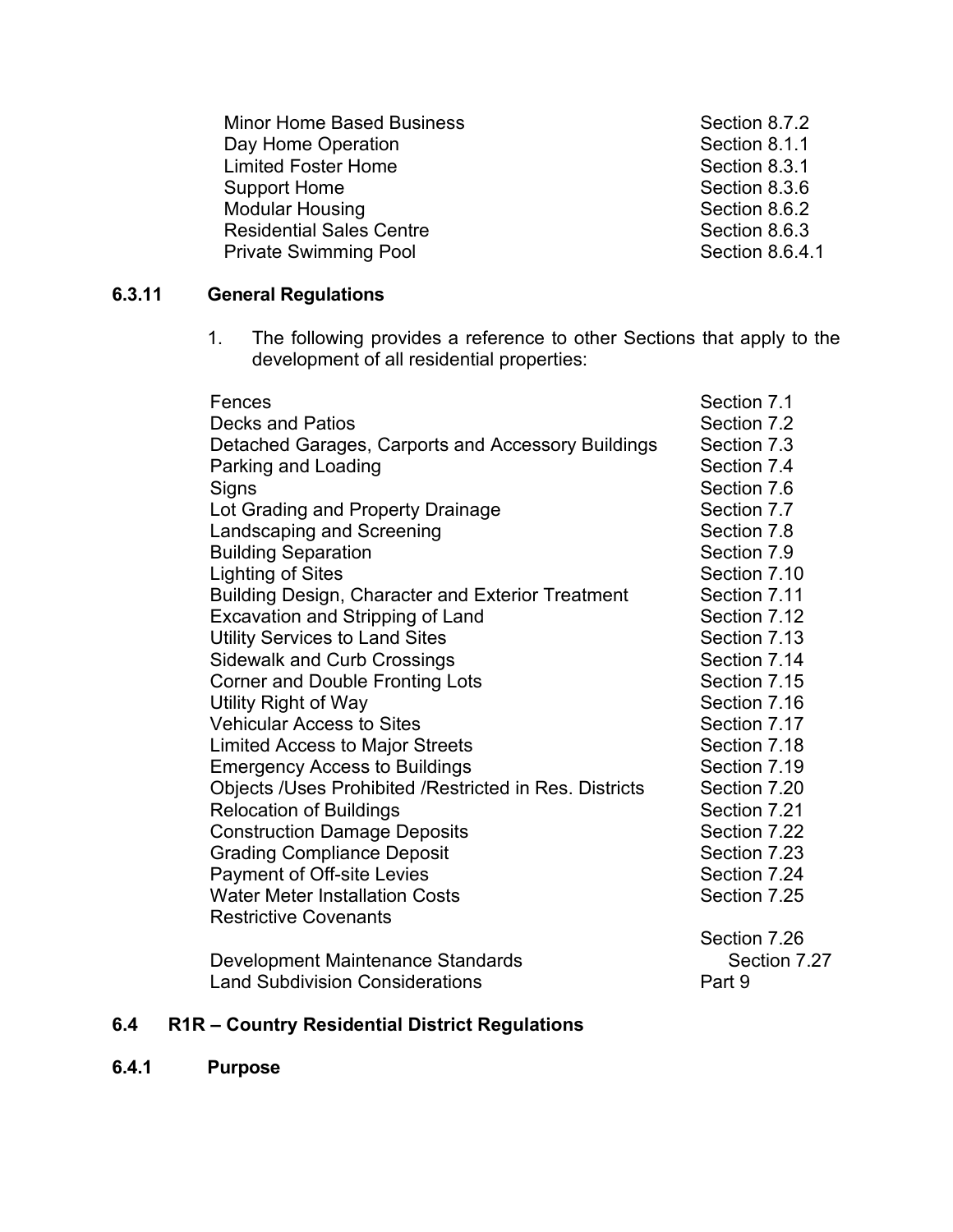Minor Home Based Business Section 8.7.2 Day Home Operation **Section 8.1.1** Section 8.1.1 Limited Foster Home **Section 8.3.1** Support Home Support Home Support Home Section 8.3.6 Modular Housing Residential Sales Centre<br>
Private Swimming Pool Section 8.6.4.1 Private Swimming Pool

# **6.3.11 General Regulations**

1. The following provides a reference to other Sections that apply to the development of all residential properties:

| Fences                                                 | Section 7.1  |
|--------------------------------------------------------|--------------|
| <b>Decks and Patios</b>                                | Section 7.2  |
| Detached Garages, Carports and Accessory Buildings     | Section 7.3  |
| Parking and Loading                                    | Section 7.4  |
| Signs                                                  | Section 7.6  |
| Lot Grading and Property Drainage                      | Section 7.7  |
| Landscaping and Screening                              | Section 7.8  |
| <b>Building Separation</b>                             | Section 7.9  |
| <b>Lighting of Sites</b>                               | Section 7.10 |
| Building Design, Character and Exterior Treatment      | Section 7.11 |
| Excavation and Stripping of Land                       | Section 7.12 |
| <b>Utility Services to Land Sites</b>                  | Section 7.13 |
| <b>Sidewalk and Curb Crossings</b>                     | Section 7.14 |
| <b>Corner and Double Fronting Lots</b>                 | Section 7.15 |
| Utility Right of Way                                   | Section 7.16 |
| <b>Vehicular Access to Sites</b>                       | Section 7.17 |
| <b>Limited Access to Major Streets</b>                 | Section 7.18 |
| <b>Emergency Access to Buildings</b>                   | Section 7.19 |
| Objects /Uses Prohibited /Restricted in Res. Districts | Section 7.20 |
| <b>Relocation of Buildings</b>                         | Section 7.21 |
| <b>Construction Damage Deposits</b>                    | Section 7.22 |
| <b>Grading Compliance Deposit</b>                      | Section 7.23 |
| <b>Payment of Off-site Levies</b>                      | Section 7.24 |
| <b>Water Meter Installation Costs</b>                  | Section 7.25 |
| <b>Restrictive Covenants</b>                           |              |
|                                                        | Section 7.26 |
| Development Maintenance Standards                      | Section 7.27 |
| <b>Land Subdivision Considerations</b>                 | Part 9       |

# **6.4 R1R – Country Residential District Regulations**

**6.4.1 Purpose**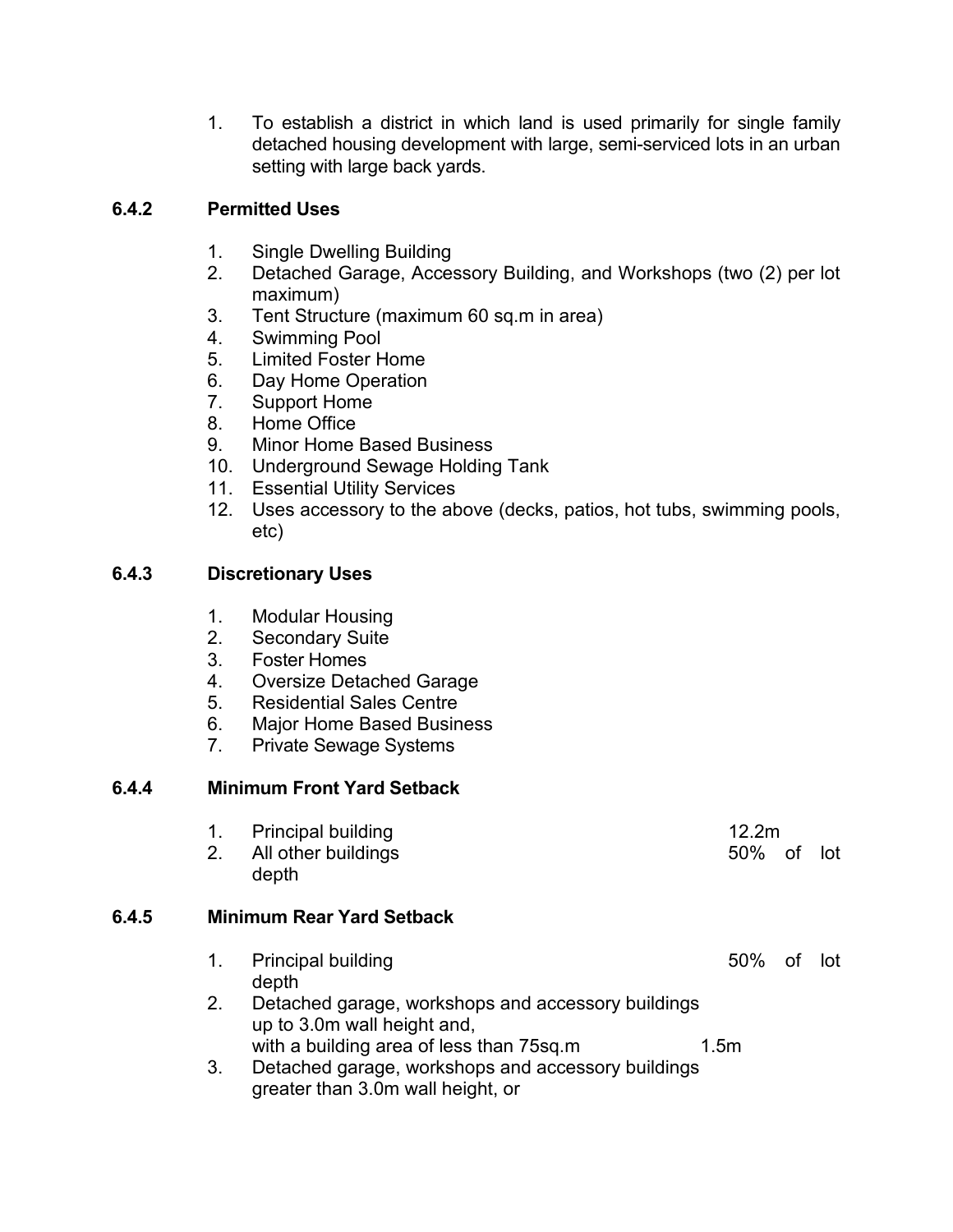1. To establish a district in which land is used primarily for single family detached housing development with large, semi-serviced lots in an urban setting with large back yards.

# **6.4.2 Permitted Uses**

- 1. Single Dwelling Building
- 2. Detached Garage, Accessory Building, and Workshops (two (2) per lot maximum)
- 3. Tent Structure (maximum 60 sq.m in area)
- 4. Swimming Pool
- 5. Limited Foster Home
- 6. Day Home Operation
- 7. Support Home
- 8. Home Office
- 9. Minor Home Based Business
- 10. Underground Sewage Holding Tank
- 11. Essential Utility Services
- 12. Uses accessory to the above (decks, patios, hot tubs, swimming pools, etc)

# **6.4.3 Discretionary Uses**

- 1. Modular Housing
- 2. Secondary Suite
- 3. Foster Homes
- 4. Oversize Detached Garage
- 5. Residential Sales Centre
- 6. Major Home Based Business
- 7. Private Sewage Systems

# **6.4.4 Minimum Front Yard Setback**

|       | 2. | <b>Principal building</b><br>All other buildings<br>depth                                                                           | 12.2m<br>50%     | of | – lot |
|-------|----|-------------------------------------------------------------------------------------------------------------------------------------|------------------|----|-------|
| 6.4.5 |    | <b>Minimum Rear Yard Setback</b>                                                                                                    |                  |    |       |
|       | 1. | <b>Principal building</b><br>depth                                                                                                  | 50%              | οt | lot.  |
|       | 2. | Detached garage, workshops and accessory buildings<br>up to 3.0m wall height and,                                                   |                  |    |       |
|       | 3. | with a building area of less than 75sq.m<br>Detached garage, workshops and accessory buildings<br>greater than 3.0m wall height, or | 1.5 <sub>m</sub> |    |       |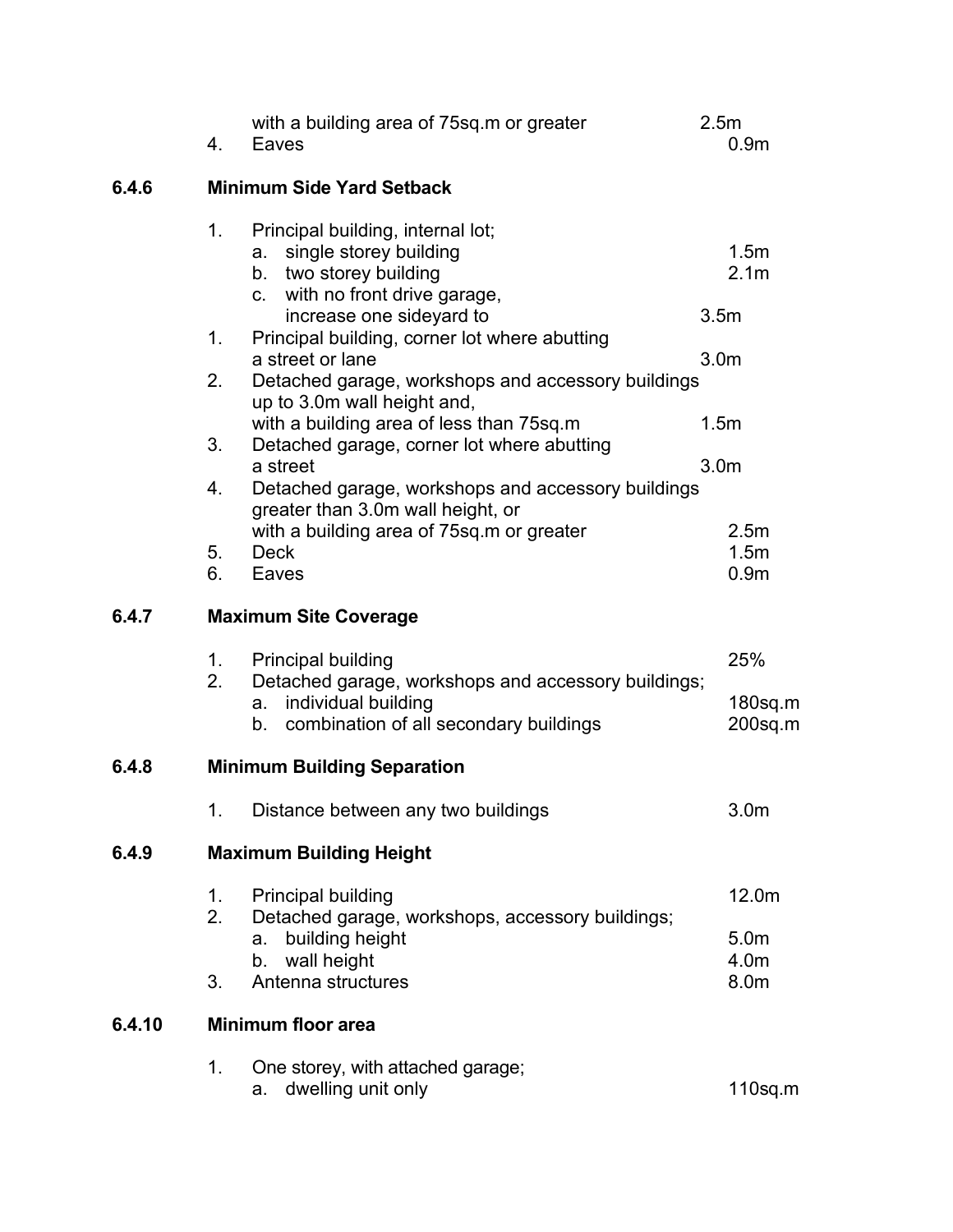|        | with a building area of 75sq m or greater<br>4.<br>Eaves                                                                                                                                | 2.5m<br>0.9 <sub>m</sub>                     |
|--------|-----------------------------------------------------------------------------------------------------------------------------------------------------------------------------------------|----------------------------------------------|
| 6.4.6  | <b>Minimum Side Yard Setback</b>                                                                                                                                                        |                                              |
|        | 1.<br>Principal building, internal lot;<br>single storey building<br>a.<br>b. two storey building<br>c. with no front drive garage,                                                     | 1.5m<br>2.1 <sub>m</sub>                     |
|        | increase one sideyard to<br>Principal building, corner lot where abutting<br>1.<br>a street or lane                                                                                     | 3.5 <sub>m</sub><br>3.0 <sub>m</sub>         |
|        | Detached garage, workshops and accessory buildings<br>2.<br>up to 3.0m wall height and,<br>with a building area of less than 75sq.m<br>Detached garage, corner lot where abutting<br>3. | 1.5m                                         |
|        | a street<br>4.<br>Detached garage, workshops and accessory buildings<br>greater than 3.0m wall height, or                                                                               | 3.0 <sub>m</sub>                             |
|        | with a building area of 75sq.m or greater<br>5.<br><b>Deck</b><br>6.<br>Eaves                                                                                                           | 2.5 <sub>m</sub><br>1.5m<br>0.9 <sub>m</sub> |
| 6.4.7  | <b>Maximum Site Coverage</b>                                                                                                                                                            |                                              |
|        | <b>Principal building</b><br>1.<br>2.<br>Detached garage, workshops and accessory buildings;<br>individual building<br>а.<br>combination of all secondary buildings<br>b.               | 25%<br>180sq.m<br>$200$ sq.m                 |
| 6.4.8  | <b>Minimum Building Separation</b>                                                                                                                                                      |                                              |
|        | Distance between any two buildings<br>1.                                                                                                                                                | 3.0 <sub>m</sub>                             |
| 6.4.9  | <b>Maximum Building Height</b>                                                                                                                                                          |                                              |
|        | <b>Principal building</b><br>1.<br>2.<br>Detached garage, workshops, accessory buildings;                                                                                               | 12.0m                                        |
|        | building height<br>a.<br>wall height<br>b.<br>3.<br>Antenna structures                                                                                                                  | 5.0 <sub>m</sub><br>4.0m<br>8.0m             |
| 6.4.10 | <b>Minimum floor area</b>                                                                                                                                                               |                                              |
|        | 1.<br>One storey, with attached garage;<br>dwelling unit only<br>a.                                                                                                                     | $110$ sq.m                                   |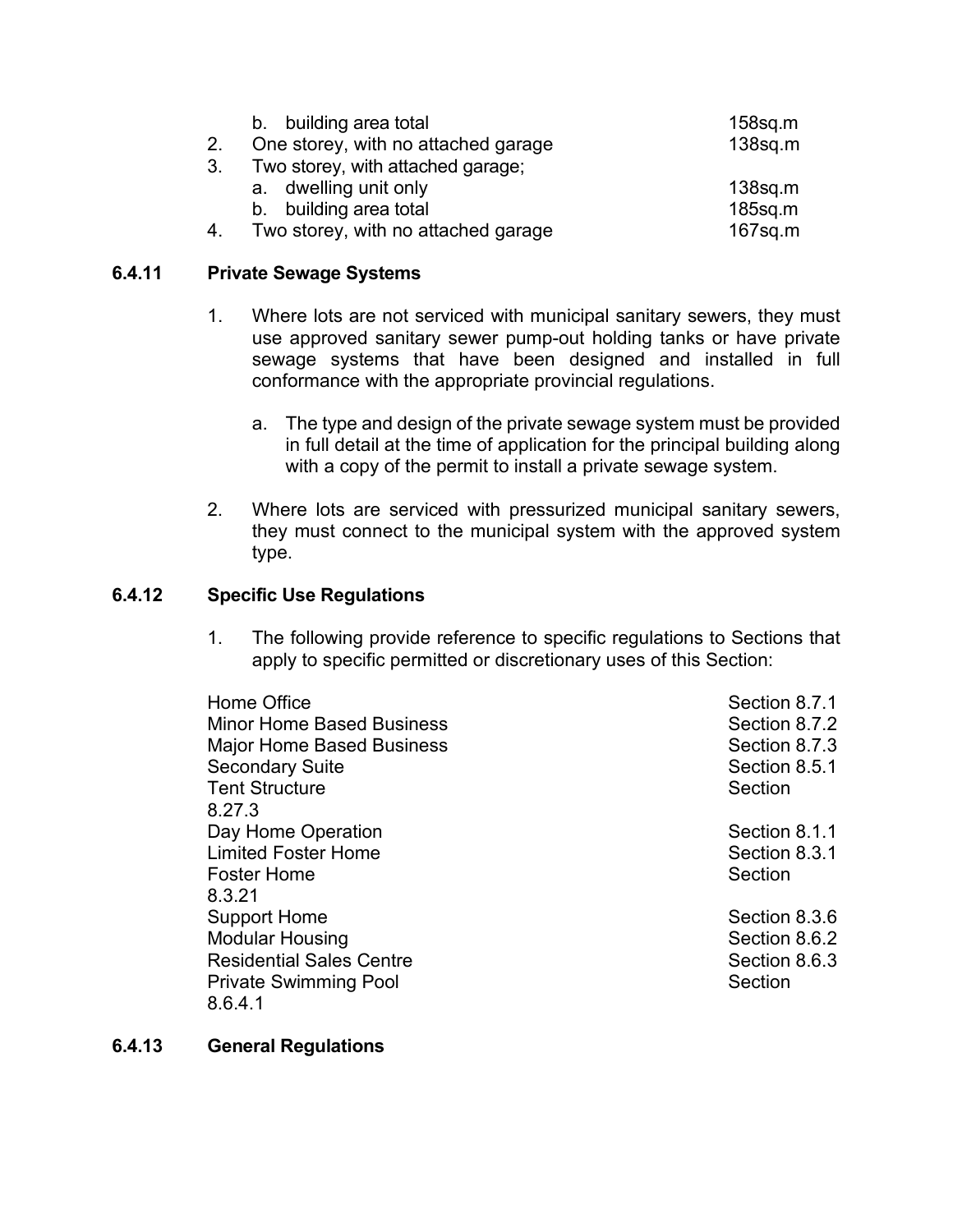|    | b. building area total              | $158$ sq.m |
|----|-------------------------------------|------------|
|    | One storey, with no attached garage | $138$ sq.m |
| 3. | Two storey, with attached garage;   |            |
|    | a. dwelling unit only               | $138$ sq.m |
|    | b. building area total              | $185$ sq.m |
|    | Two storey, with no attached garage | $167$ sq.m |

# **6.4.11 Private Sewage Systems**

- 1. Where lots are not serviced with municipal sanitary sewers, they must use approved sanitary sewer pump-out holding tanks or have private sewage systems that have been designed and installed in full conformance with the appropriate provincial regulations.
	- a. The type and design of the private sewage system must be provided in full detail at the time of application for the principal building along with a copy of the permit to install a private sewage system.
- 2. Where lots are serviced with pressurized municipal sanitary sewers, they must connect to the municipal system with the approved system type.

# **6.4.12 Specific Use Regulations**

1. The following provide reference to specific regulations to Sections that apply to specific permitted or discretionary uses of this Section:

| Home Office<br><b>Minor Home Based Business</b><br><b>Major Home Based Business</b><br><b>Secondary Suite</b><br><b>Tent Structure</b> | Section 8.7.1<br>Section 8.7.2<br>Section 8.7.3<br>Section 8.5.1<br>Section |
|----------------------------------------------------------------------------------------------------------------------------------------|-----------------------------------------------------------------------------|
| 8.27.3<br>Day Home Operation<br><b>Limited Foster Home</b><br><b>Foster Home</b><br>8.3.21                                             | Section 8.1.1<br>Section 8.3.1<br>Section                                   |
| <b>Support Home</b><br><b>Modular Housing</b><br><b>Residential Sales Centre</b><br><b>Private Swimming Pool</b><br>8.6.4.1            | Section 8.3.6<br>Section 8.6.2<br>Section 8.6.3<br>Section                  |

# **6.4.13 General Regulations**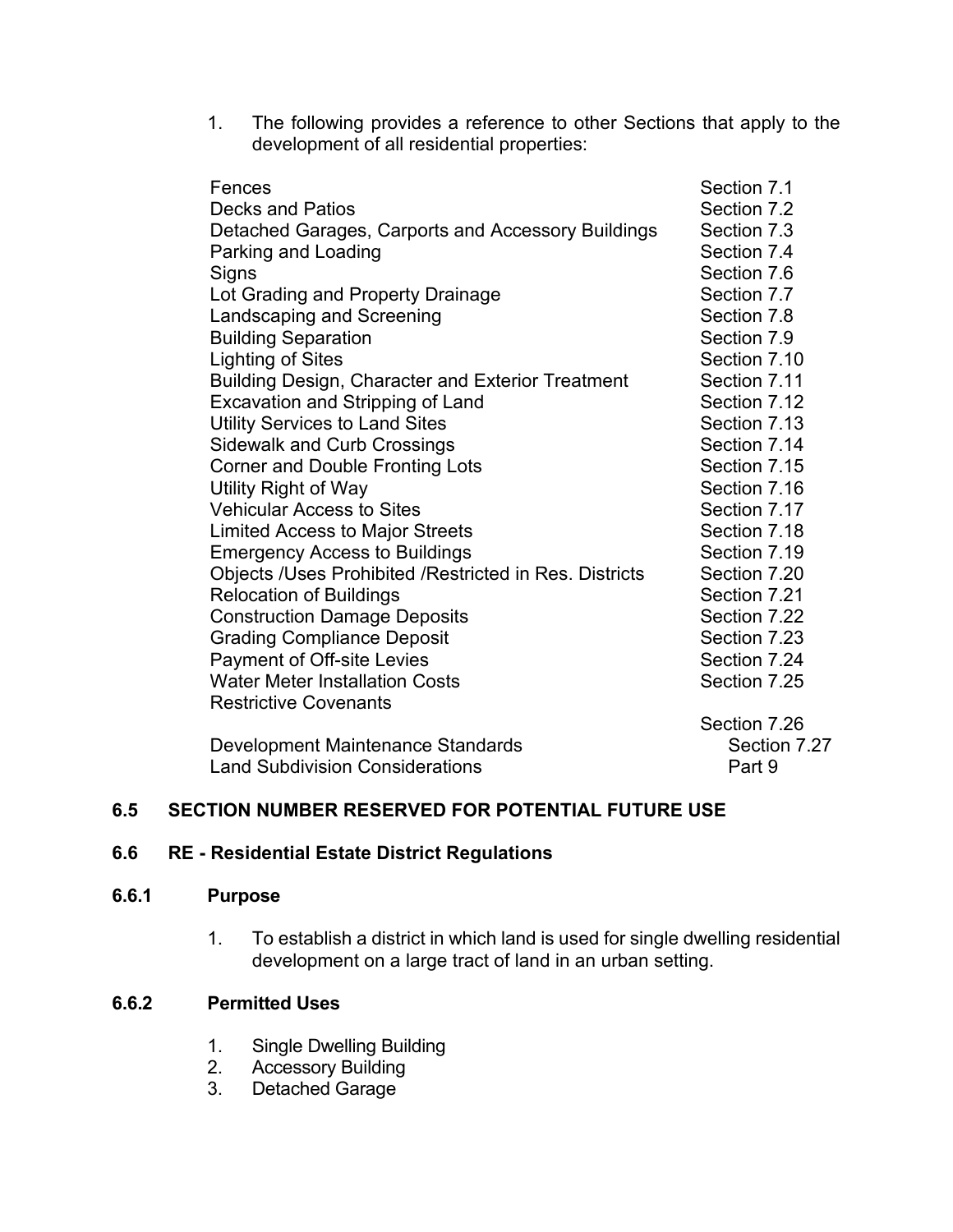1. The following provides a reference to other Sections that apply to the development of all residential properties:

| Fences                                                 | Section 7.1  |
|--------------------------------------------------------|--------------|
| <b>Decks and Patios</b>                                | Section 7.2  |
| Detached Garages, Carports and Accessory Buildings     | Section 7.3  |
| Parking and Loading                                    | Section 7.4  |
| Signs                                                  | Section 7.6  |
| Lot Grading and Property Drainage                      | Section 7.7  |
| <b>Landscaping and Screening</b>                       | Section 7.8  |
| <b>Building Separation</b>                             | Section 7.9  |
| <b>Lighting of Sites</b>                               | Section 7.10 |
| Building Design, Character and Exterior Treatment      | Section 7.11 |
| Excavation and Stripping of Land                       | Section 7.12 |
| <b>Utility Services to Land Sites</b>                  | Section 7.13 |
| <b>Sidewalk and Curb Crossings</b>                     | Section 7.14 |
| <b>Corner and Double Fronting Lots</b>                 | Section 7.15 |
| Utility Right of Way                                   | Section 7.16 |
| <b>Vehicular Access to Sites</b>                       | Section 7.17 |
| <b>Limited Access to Major Streets</b>                 | Section 7.18 |
| <b>Emergency Access to Buildings</b>                   | Section 7.19 |
| Objects /Uses Prohibited /Restricted in Res. Districts | Section 7.20 |
| <b>Relocation of Buildings</b>                         | Section 7.21 |
| <b>Construction Damage Deposits</b>                    | Section 7.22 |
| <b>Grading Compliance Deposit</b>                      | Section 7.23 |
| Payment of Off-site Levies                             | Section 7.24 |
| <b>Water Meter Installation Costs</b>                  | Section 7.25 |
| <b>Restrictive Covenants</b>                           |              |
|                                                        | Section 7.26 |
| Development Maintenance Standards                      | Section 7.27 |

Land Subdivision Considerations **Part 9** Part 9

### **6.5 SECTION NUMBER RESERVED FOR POTENTIAL FUTURE USE**

### **6.6 RE - Residential Estate District Regulations**

### **6.6.1 Purpose**

1. To establish a district in which land is used for single dwelling residential development on a large tract of land in an urban setting.

# **6.6.2 Permitted Uses**

- 1. Single Dwelling Building
- 2. Accessory Building
- 3. Detached Garage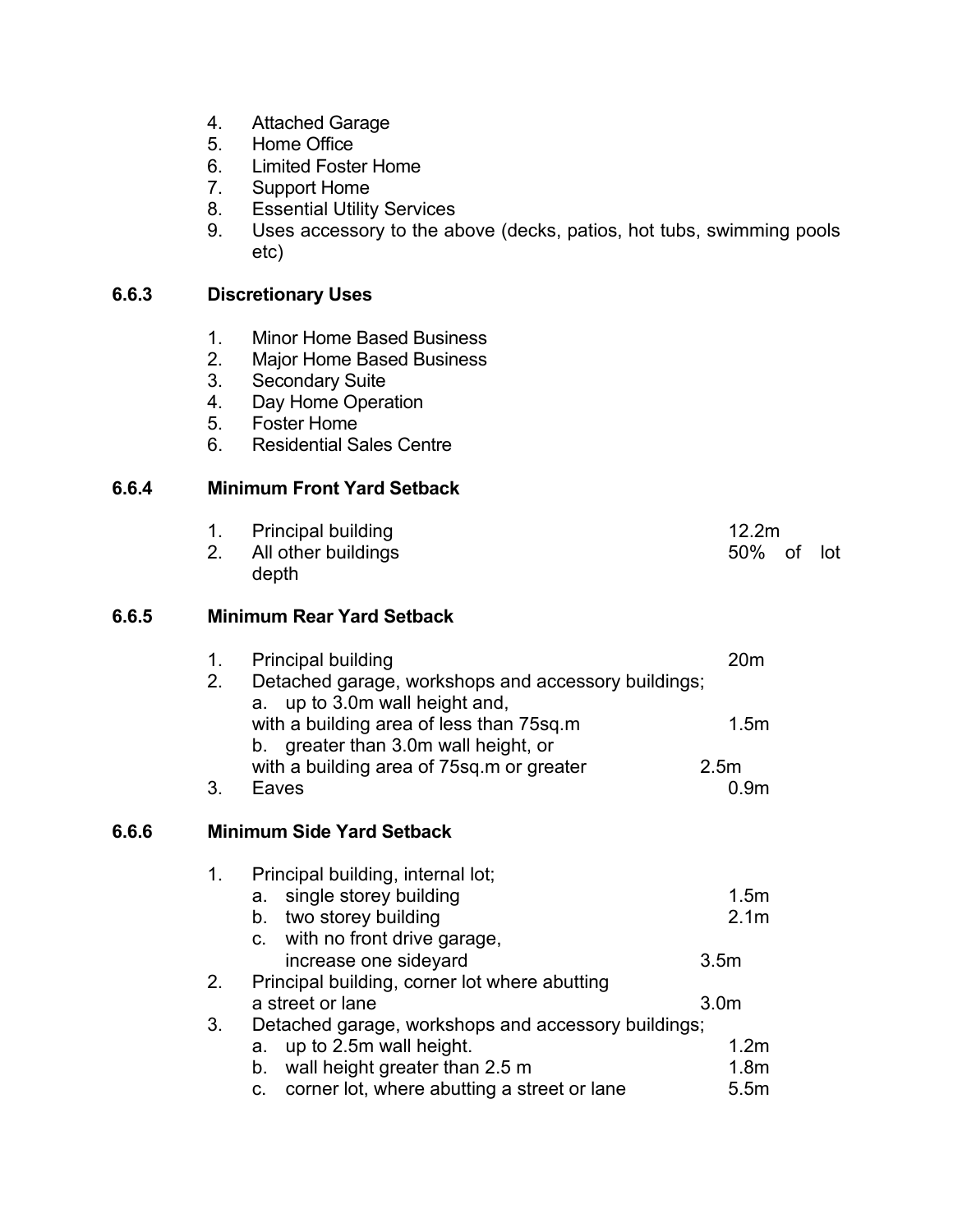- 4. Attached Garage
- 5. Home Office
- 6. Limited Foster Home
- 7. Support Home
- 8. Essential Utility Services
- 9. Uses accessory to the above (decks, patios, hot tubs, swimming pools etc)

# **6.6.3 Discretionary Uses**

- 1. Minor Home Based Business
- 2. Major Home Based Business
- 3. Secondary Suite<br>4. Day Home Opera
- Day Home Operation
- 5. Foster Home
- 6. Residential Sales Centre

#### **6.6.4 Minimum Front Yard Setback**

1. Principal building 12.2m 2. All other buildings and the state of state of lot state of lot state of lot state of lot state of lot state of lot state of lot state of lot state of lot state of lot state of lot state of lot state of lot state of lot depth

### **6.6.5 Minimum Rear Yard Setback**

| 1. | <b>Principal building</b>                           | 20m              |
|----|-----------------------------------------------------|------------------|
| 2. | Detached garage, workshops and accessory buildings; |                  |
|    | a. up to 3.0m wall height and,                      |                  |
|    | with a building area of less than 75sq.m            | 1.5 <sub>m</sub> |
|    | b. greater than 3.0m wall height, or                |                  |
|    | with a building area of 75sq.m or greater           | 2.5 <sub>m</sub> |
|    | Faves                                               |                  |

#### **6.6.6 Minimum Side Yard Setback**

| 1. | Principal building, internal lot;                   |                  |
|----|-----------------------------------------------------|------------------|
|    | a. single storey building                           | 1.5 <sub>m</sub> |
|    | b. two storey building                              | 2.1 <sub>m</sub> |
|    | c. with no front drive garage,                      |                  |
|    | increase one sideyard                               | 3.5 <sub>m</sub> |
| 2. | Principal building, corner lot where abutting       |                  |
|    | a street or lane                                    | 3.0 <sub>m</sub> |
| 3. | Detached garage, workshops and accessory buildings; |                  |
|    | a. up to 2.5m wall height.                          | 1.2 <sub>m</sub> |
|    | wall height greater than 2.5 m<br>b.                | 1.8 <sub>m</sub> |
|    | c. corner lot, where abutting a street or lane      | 5.5 <sub>m</sub> |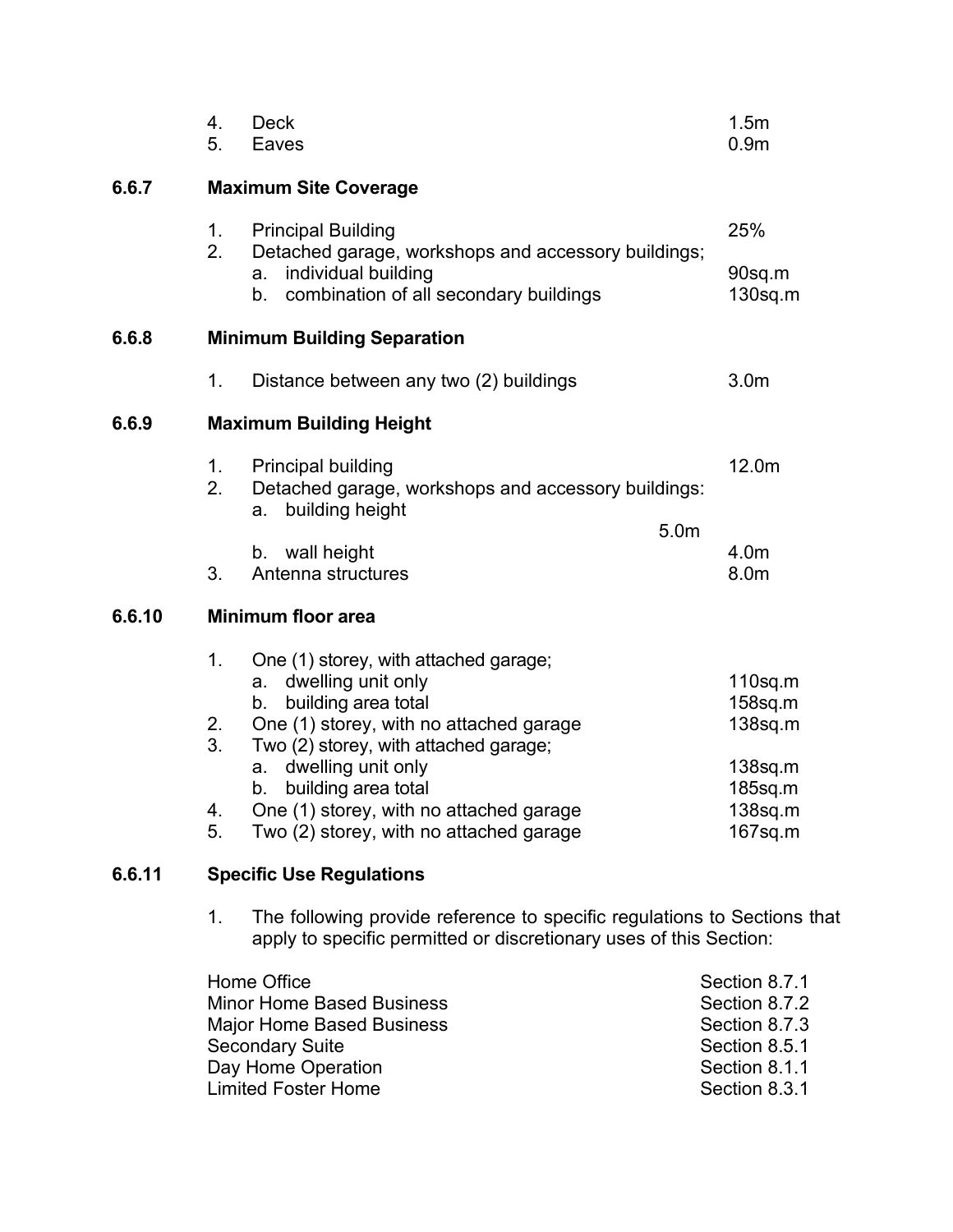|        | 4.<br>5.                   | <b>Deck</b><br>Eaves                                                                                                                                                                                                                                                                                                              | 1.5 <sub>m</sub><br>0.9 <sub>m</sub>                                                           |
|--------|----------------------------|-----------------------------------------------------------------------------------------------------------------------------------------------------------------------------------------------------------------------------------------------------------------------------------------------------------------------------------|------------------------------------------------------------------------------------------------|
| 6.6.7  |                            | <b>Maximum Site Coverage</b>                                                                                                                                                                                                                                                                                                      |                                                                                                |
|        | 1.<br>2.                   | <b>Principal Building</b><br>Detached garage, workshops and accessory buildings;<br>individual building<br>a.<br>combination of all secondary buildings<br>b.                                                                                                                                                                     | 25%<br>90sq.m<br>$130$ sq.m                                                                    |
| 6.6.8  |                            | <b>Minimum Building Separation</b>                                                                                                                                                                                                                                                                                                |                                                                                                |
|        | 1.                         | Distance between any two (2) buildings                                                                                                                                                                                                                                                                                            | 3.0 <sub>m</sub>                                                                               |
| 6.6.9  |                            | <b>Maximum Building Height</b>                                                                                                                                                                                                                                                                                                    |                                                                                                |
|        | 1.<br>2.                   | <b>Principal building</b><br>Detached garage, workshops and accessory buildings:<br>building height<br>a.                                                                                                                                                                                                                         | 12.0m                                                                                          |
|        | 3.                         | 5.0m<br>b. wall height<br>Antenna structures                                                                                                                                                                                                                                                                                      | 4.0m<br>8.0m                                                                                   |
| 6.6.10 |                            | <b>Minimum floor area</b>                                                                                                                                                                                                                                                                                                         |                                                                                                |
|        | 1.<br>2.<br>3.<br>4.<br>5. | One (1) storey, with attached garage;<br>dwelling unit only<br>а.<br>building area total<br>b.<br>One (1) storey, with no attached garage<br>Two (2) storey, with attached garage;<br>dwelling unit only<br>a.<br>building area total<br>b.<br>One (1) storey, with no attached garage<br>Two (2) storey, with no attached garage | $110$ sq.m<br>$158$ sq.m<br>$138$ sq.m<br>$138$ sq.m<br>$185$ sq.m<br>$138$ sq.m<br>$167$ sq.m |
| 6.6.11 |                            | <b>Specific Use Regulations</b>                                                                                                                                                                                                                                                                                                   |                                                                                                |
|        |                            |                                                                                                                                                                                                                                                                                                                                   |                                                                                                |

1. The following provide reference to specific regulations to Sections that apply to specific permitted or discretionary uses of this Section:

| Home Office                      | Section 8.7.1 |
|----------------------------------|---------------|
| <b>Minor Home Based Business</b> | Section 8.7.2 |
| <b>Major Home Based Business</b> | Section 8.7.3 |
| <b>Secondary Suite</b>           | Section 8.5.1 |
| Day Home Operation               | Section 8.1.1 |
| <b>Limited Foster Home</b>       | Section 8.3.1 |
|                                  |               |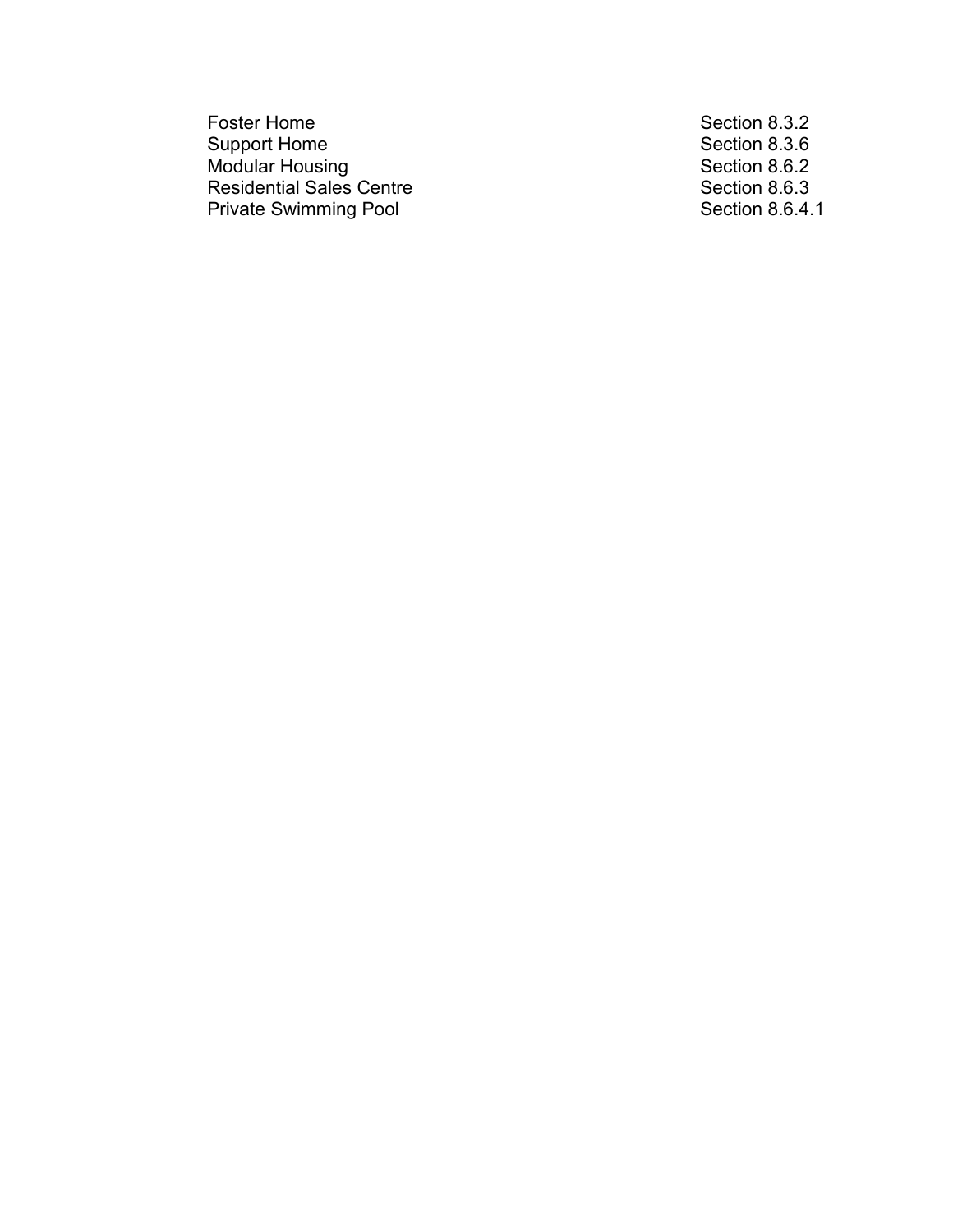Foster Home<br>
Support Home<br>
Support Home<br>
Section 8.3.6 Support Home<br>
Modular Housing<br>
Modular Housing<br>
Section 8.6.2 Modular Housing Section 8.6.2 Residential Sales Centre Section 8.6.3 Private Swimming Pool **Section 8.6.4.1** Section 8.6.4.1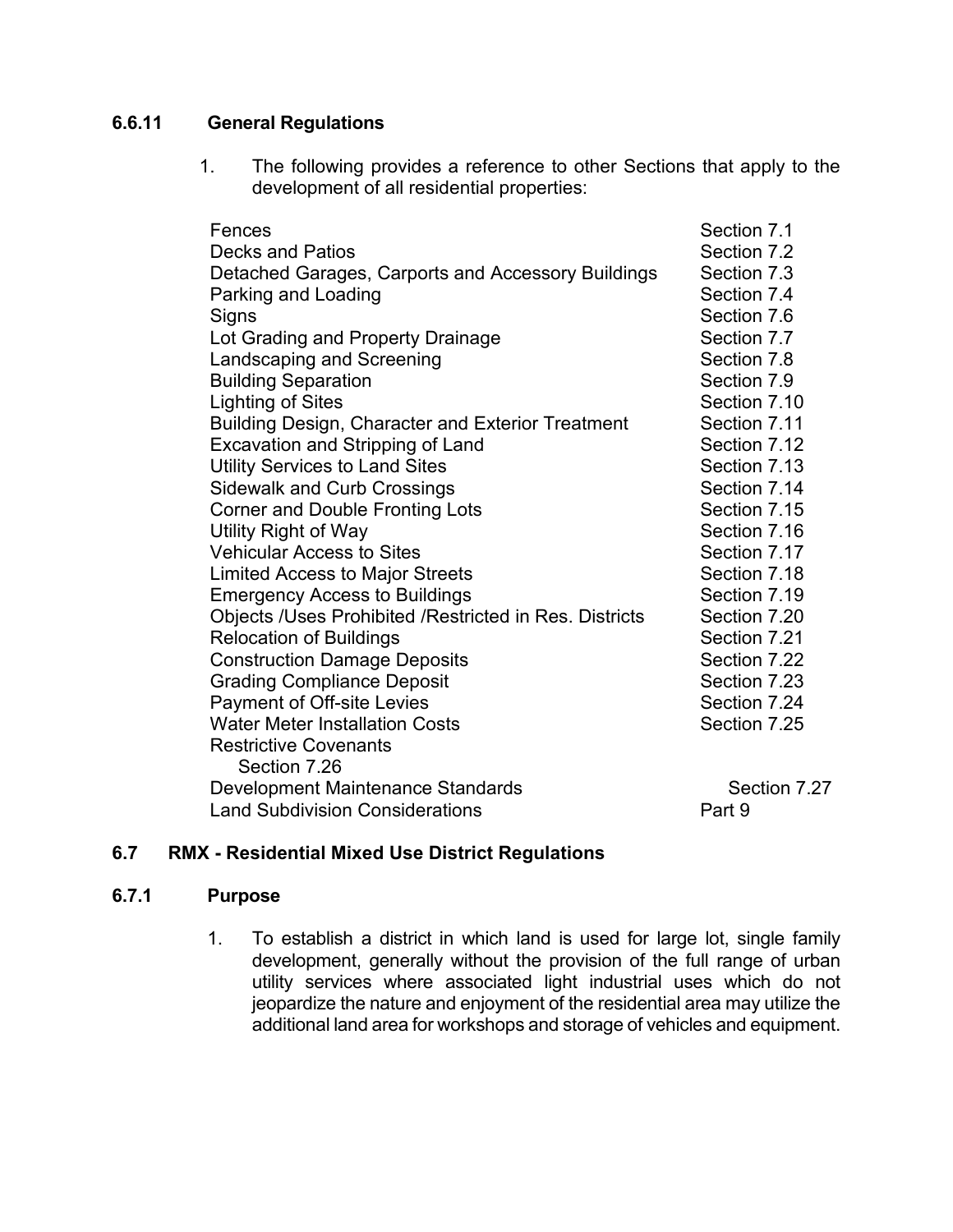# **6.6.11 General Regulations**

1. The following provides a reference to other Sections that apply to the development of all residential properties:

| Section 7.1  |
|--------------|
| Section 7.2  |
| Section 7.3  |
| Section 7.4  |
| Section 7.6  |
| Section 7.7  |
| Section 7.8  |
| Section 7.9  |
| Section 7.10 |
| Section 7.11 |
| Section 7.12 |
| Section 7.13 |
| Section 7.14 |
| Section 7.15 |
| Section 7.16 |
| Section 7.17 |
| Section 7.18 |
| Section 7.19 |
| Section 7.20 |
| Section 7.21 |
| Section 7.22 |
| Section 7.23 |
| Section 7.24 |
| Section 7.25 |
|              |
|              |
| Section 7.27 |
| Part 9       |
|              |

# **6.7 RMX - Residential Mixed Use District Regulations**

### **6.7.1 Purpose**

1. To establish a district in which land is used for large lot, single family development, generally without the provision of the full range of urban utility services where associated light industrial uses which do not jeopardize the nature and enjoyment of the residential area may utilize the additional land area for workshops and storage of vehicles and equipment.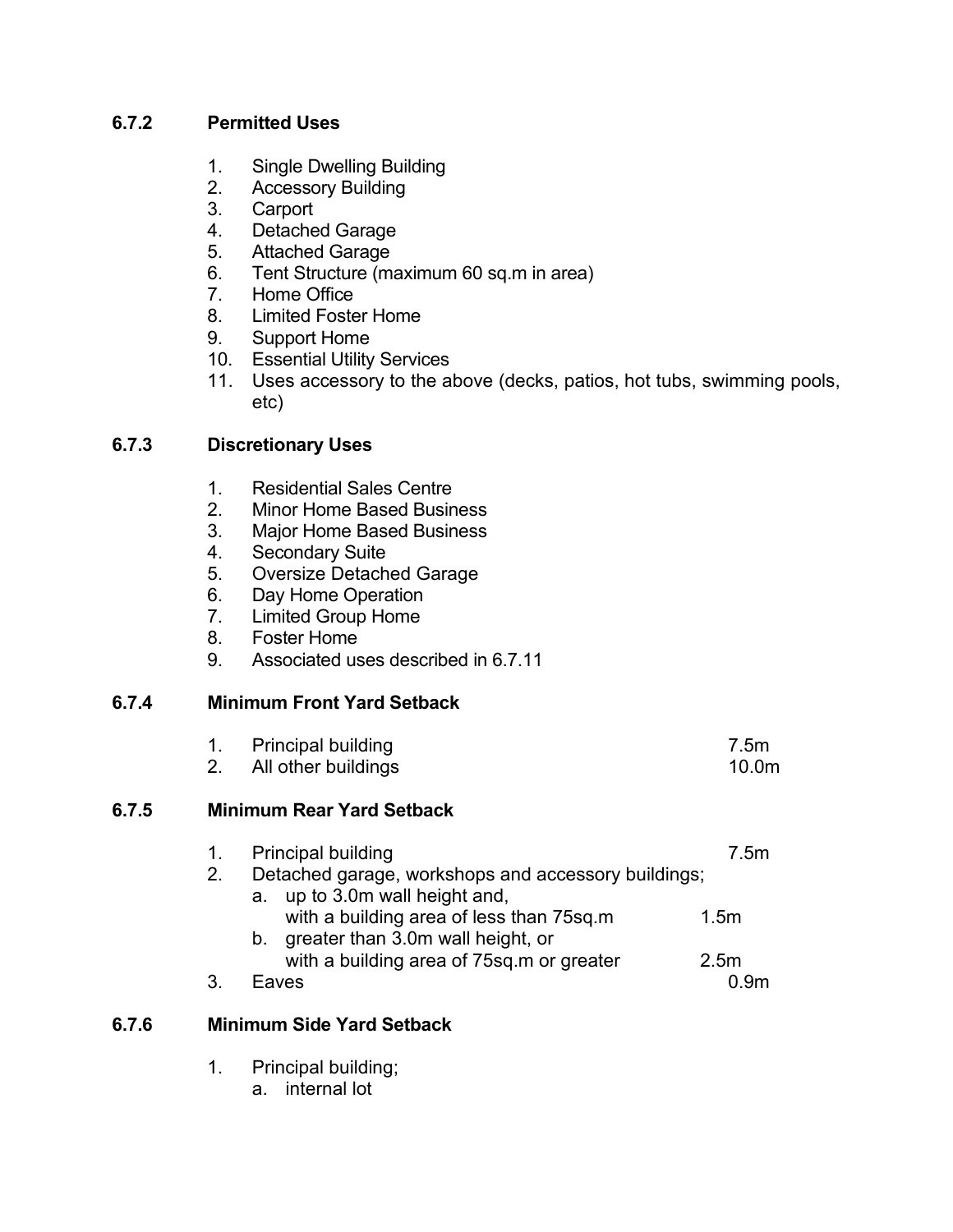# **6.7.2 Permitted Uses**

- 1. Single Dwelling Building
- 2. Accessory Building
- 3. Carport
- 4. Detached Garage
- 5. Attached Garage
- 6. Tent Structure (maximum 60 sq.m in area)
- 7. Home Office
- 8. Limited Foster Home
- 9. Support Home
- 10. Essential Utility Services
- 11. Uses accessory to the above (decks, patios, hot tubs, swimming pools, etc)

# **6.7.3 Discretionary Uses**

- 1. Residential Sales Centre
- 2. Minor Home Based Business
- 3. Major Home Based Business
- Secondary Suite
- 5. Oversize Detached Garage
- 6. Day Home Operation
- 7. Limited Group Home
- 8. Foster Home
- 9. Associated uses described in 6.7.11

# **6.7.4 Minimum Front Yard Setback**

- 1. Principal building and the contract of the Taurus of T.5m
- 2. All other buildings 10.0m

### **6.7.5 Minimum Rear Yard Setback**

| $1_{\cdot}$ | <b>Principal building</b>                                                             | 7.5m             |
|-------------|---------------------------------------------------------------------------------------|------------------|
| 2.          | Detached garage, workshops and accessory buildings;<br>a. up to 3.0m wall height and, |                  |
|             |                                                                                       |                  |
|             | with a building area of less than 75sq.m                                              | 1.5m             |
|             | b. greater than 3.0m wall height, or                                                  |                  |
|             | with a building area of 75sq.m or greater                                             | 2.5 <sub>m</sub> |
|             | Faves                                                                                 |                  |

### **6.7.6 Minimum Side Yard Setback**

- 1. Principal building;
	- a. internal lot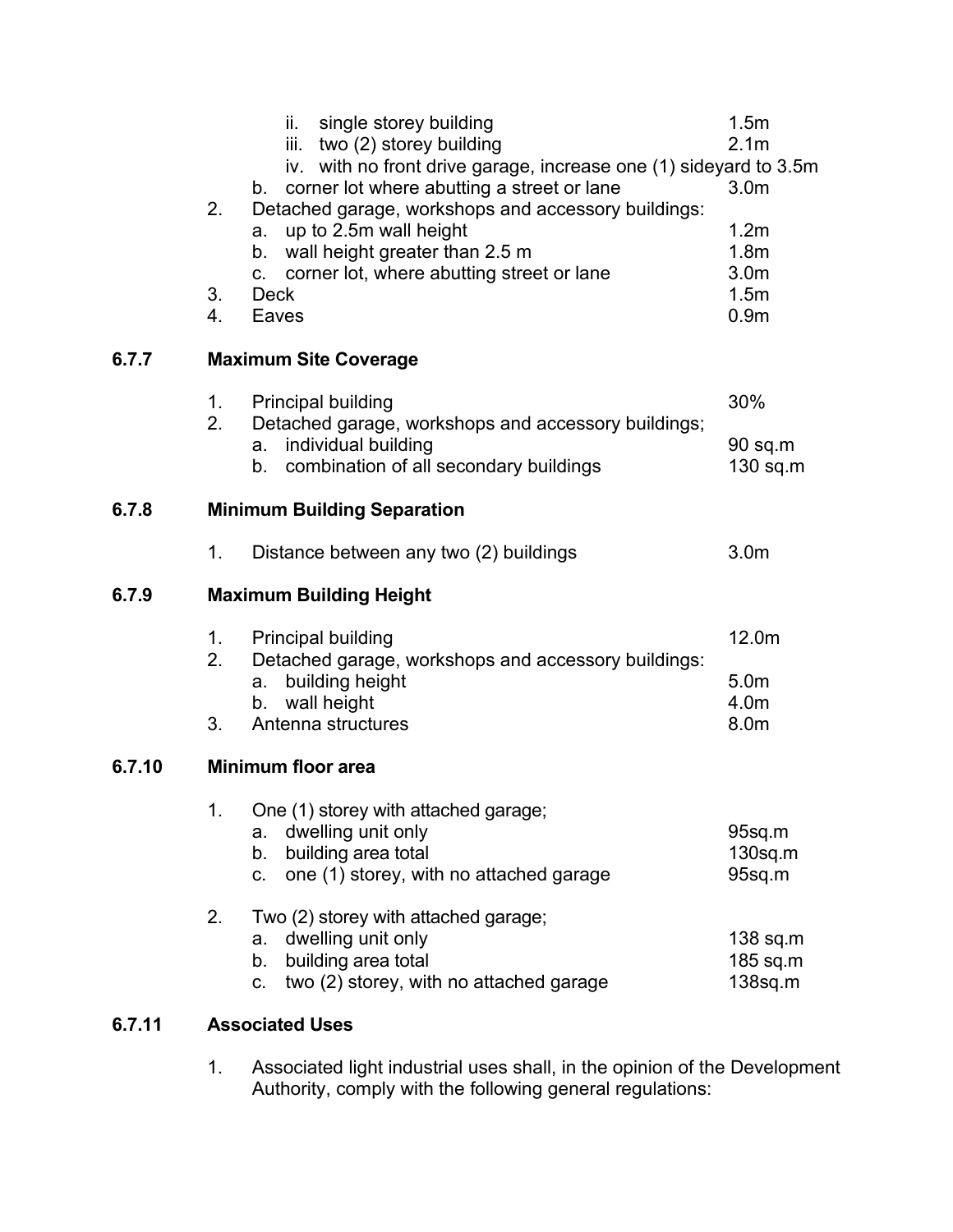|                                                                                                                                                                           | 0.9 <sub>m</sub>                     |  |  |  |  |  |
|---------------------------------------------------------------------------------------------------------------------------------------------------------------------------|--------------------------------------|--|--|--|--|--|
| 6.7.7                                                                                                                                                                     | <b>Maximum Site Coverage</b>         |  |  |  |  |  |
| <b>Principal building</b><br>1.<br>2.<br>Detached garage, workshops and accessory buildings;<br>individual building<br>a.<br>combination of all secondary buildings<br>b. | 30%<br>$90$ sq.m<br>$130$ sq.m       |  |  |  |  |  |
| <b>Minimum Building Separation</b><br>6.7.8                                                                                                                               |                                      |  |  |  |  |  |
| Distance between any two (2) buildings<br>1.                                                                                                                              | 3.0 <sub>m</sub>                     |  |  |  |  |  |
| 6.7.9<br><b>Maximum Building Height</b>                                                                                                                                   |                                      |  |  |  |  |  |
| <b>Principal building</b><br>$1_{-}$<br>2.<br>Detached garage, workshops and accessory buildings:<br>building height<br>a.<br>b. wall height<br>3.<br>Antenna structures  | 12.0m<br>5.0m<br>4.0m<br>8.0m        |  |  |  |  |  |
| <b>Minimum floor area</b><br>6.7.10                                                                                                                                       |                                      |  |  |  |  |  |
| One (1) storey with attached garage;<br>1.<br>dwelling unit only<br>a.<br>building area total<br>b.<br>one (1) storey, with no attached garage<br>C.                      | 95sq.m<br>$130$ sq.m<br>95sq.m       |  |  |  |  |  |
| 2.<br>Two (2) storey with attached garage;<br>dwelling unit only<br>a.<br>building area total<br>b.                                                                       | $138$ sq.m<br>185 sq.m<br>$138$ sq.m |  |  |  |  |  |
| two (2) storey, with no attached garage<br>C.                                                                                                                             |                                      |  |  |  |  |  |

1. Associated light industrial uses shall, in the opinion of the Development Authority, comply with the following general regulations: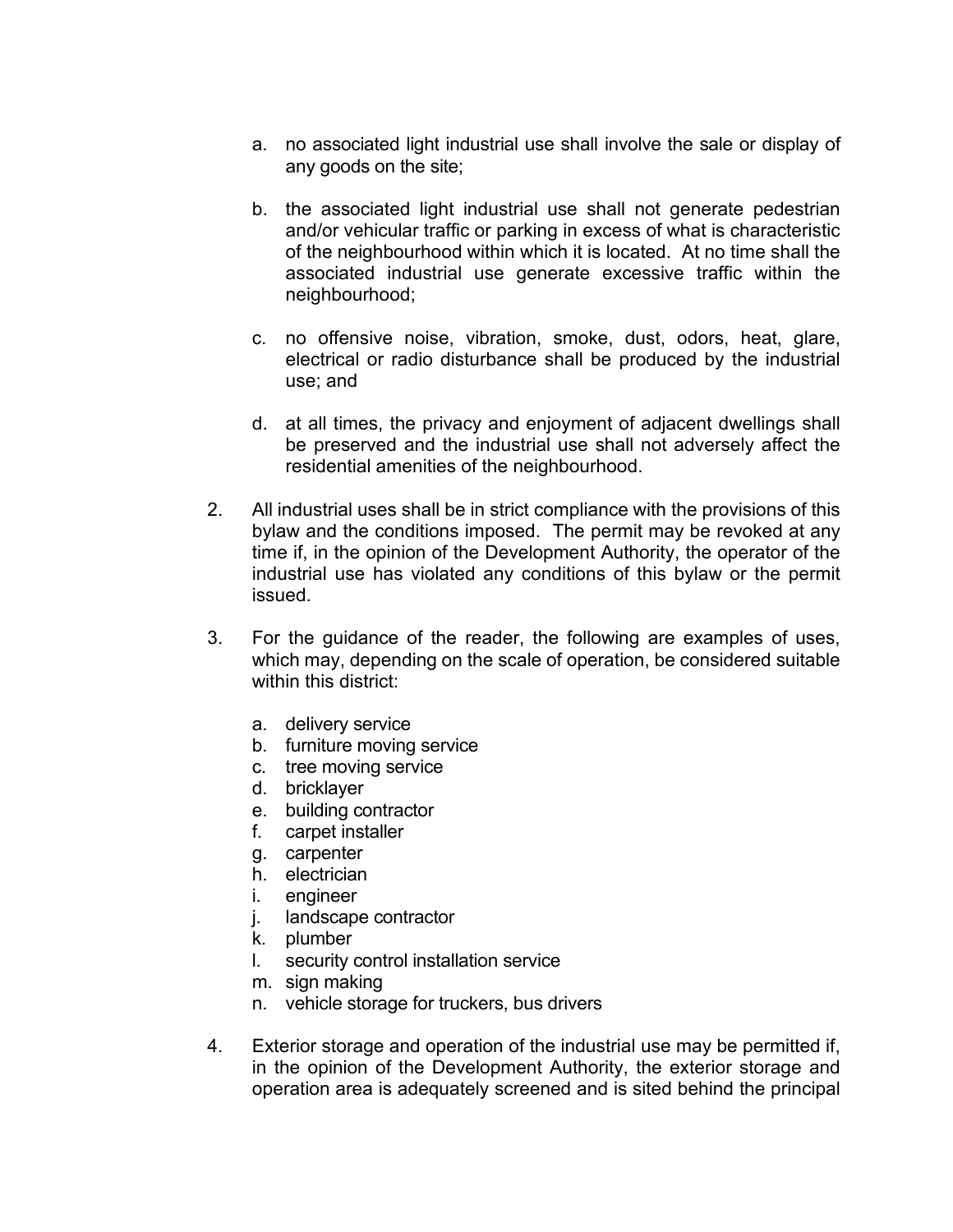- a. no associated light industrial use shall involve the sale or display of any goods on the site;
- b. the associated light industrial use shall not generate pedestrian and/or vehicular traffic or parking in excess of what is characteristic of the neighbourhood within which it is located. At no time shall the associated industrial use generate excessive traffic within the neighbourhood;
- c. no offensive noise, vibration, smoke, dust, odors, heat, glare, electrical or radio disturbance shall be produced by the industrial use; and
- d. at all times, the privacy and enjoyment of adjacent dwellings shall be preserved and the industrial use shall not adversely affect the residential amenities of the neighbourhood.
- 2. All industrial uses shall be in strict compliance with the provisions of this bylaw and the conditions imposed. The permit may be revoked at any time if, in the opinion of the Development Authority, the operator of the industrial use has violated any conditions of this bylaw or the permit issued.
- 3. For the guidance of the reader, the following are examples of uses, which may, depending on the scale of operation, be considered suitable within this district:
	- a. delivery service
	- b. furniture moving service
	- c. tree moving service
	- d. bricklayer
	- e. building contractor
	- f. carpet installer
	- g. carpenter
	- h. electrician
	- i. engineer
	- j. landscape contractor
	- k. plumber
	- l. security control installation service
	- m. sign making
	- n. vehicle storage for truckers, bus drivers
- 4. Exterior storage and operation of the industrial use may be permitted if, in the opinion of the Development Authority, the exterior storage and operation area is adequately screened and is sited behind the principal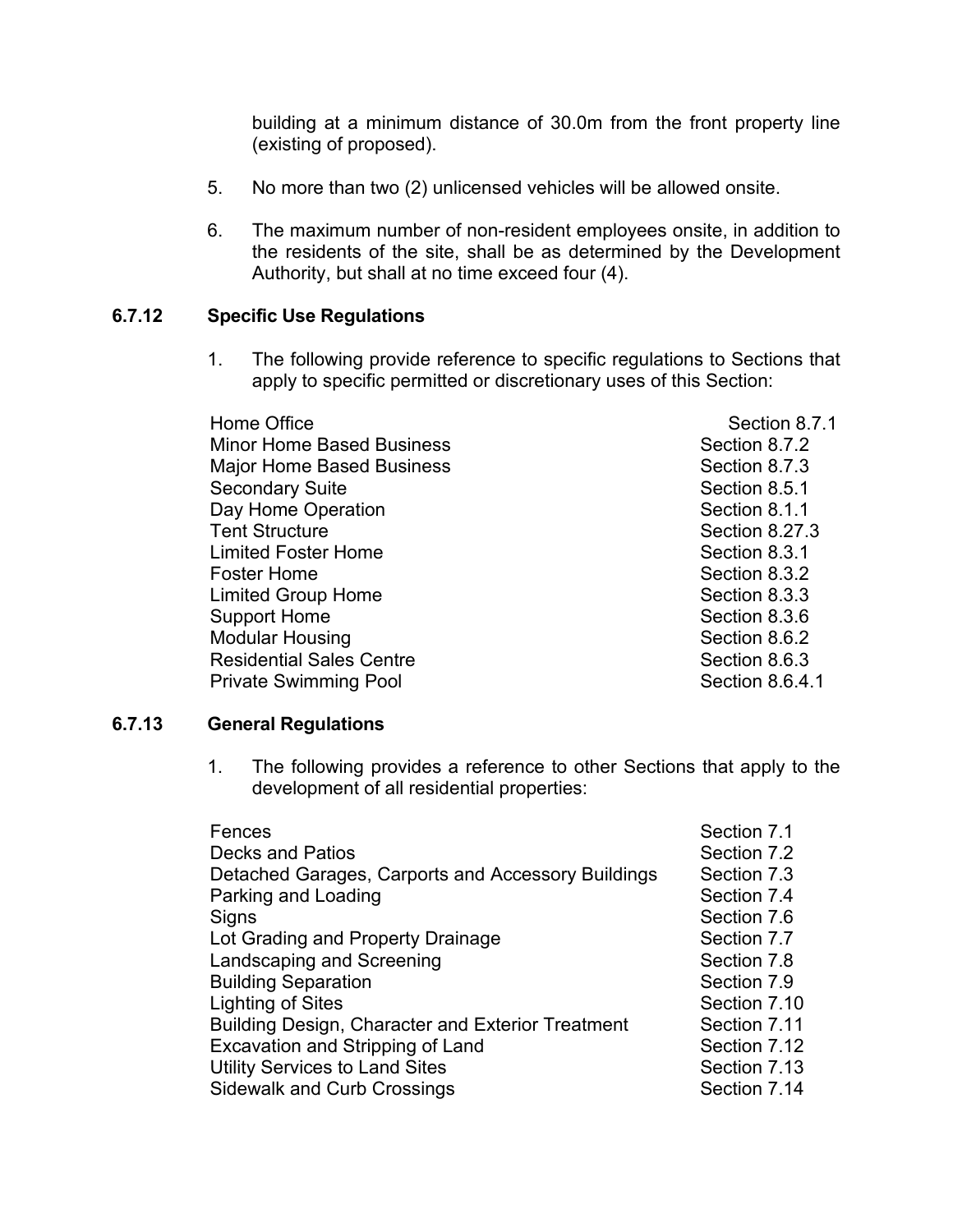building at a minimum distance of 30.0m from the front property line (existing of proposed).

- 5. No more than two (2) unlicensed vehicles will be allowed onsite.
- 6. The maximum number of non-resident employees onsite, in addition to the residents of the site, shall be as determined by the Development Authority, but shall at no time exceed four (4).

# **6.7.12 Specific Use Regulations**

1. The following provide reference to specific regulations to Sections that apply to specific permitted or discretionary uses of this Section:

| Home Office                      | Section 8.7.1   |
|----------------------------------|-----------------|
| <b>Minor Home Based Business</b> | Section 8.7.2   |
| Major Home Based Business        | Section 8.7.3   |
| Secondary Suite                  | Section 8.5.1   |
| Day Home Operation               | Section 8.1.1   |
| <b>Tent Structure</b>            | Section 8.27.3  |
| <b>Limited Foster Home</b>       | Section 8.3.1   |
| Foster Home                      | Section 8.3.2   |
| <b>Limited Group Home</b>        | Section 8.3.3   |
| <b>Support Home</b>              | Section 8.3.6   |
| Modular Housing                  | Section 8.6.2   |
| <b>Residential Sales Centre</b>  | Section 8.6.3   |
| <b>Private Swimming Pool</b>     | Section 8.6.4.1 |
|                                  |                 |

#### **6.7.13 General Regulations**

1. The following provides a reference to other Sections that apply to the development of all residential properties:

| Fences                                             | Section 7.1  |
|----------------------------------------------------|--------------|
| <b>Decks and Patios</b>                            | Section 7.2  |
| Detached Garages, Carports and Accessory Buildings | Section 7.3  |
| Parking and Loading                                | Section 7.4  |
| Signs                                              | Section 7.6  |
| Lot Grading and Property Drainage                  | Section 7.7  |
| Landscaping and Screening                          | Section 7.8  |
| <b>Building Separation</b>                         | Section 7.9  |
| Lighting of Sites                                  | Section 7.10 |
| Building Design, Character and Exterior Treatment  | Section 7.11 |
| Excavation and Stripping of Land                   | Section 7.12 |
| <b>Utility Services to Land Sites</b>              | Section 7.13 |
| <b>Sidewalk and Curb Crossings</b>                 | Section 7.14 |
|                                                    |              |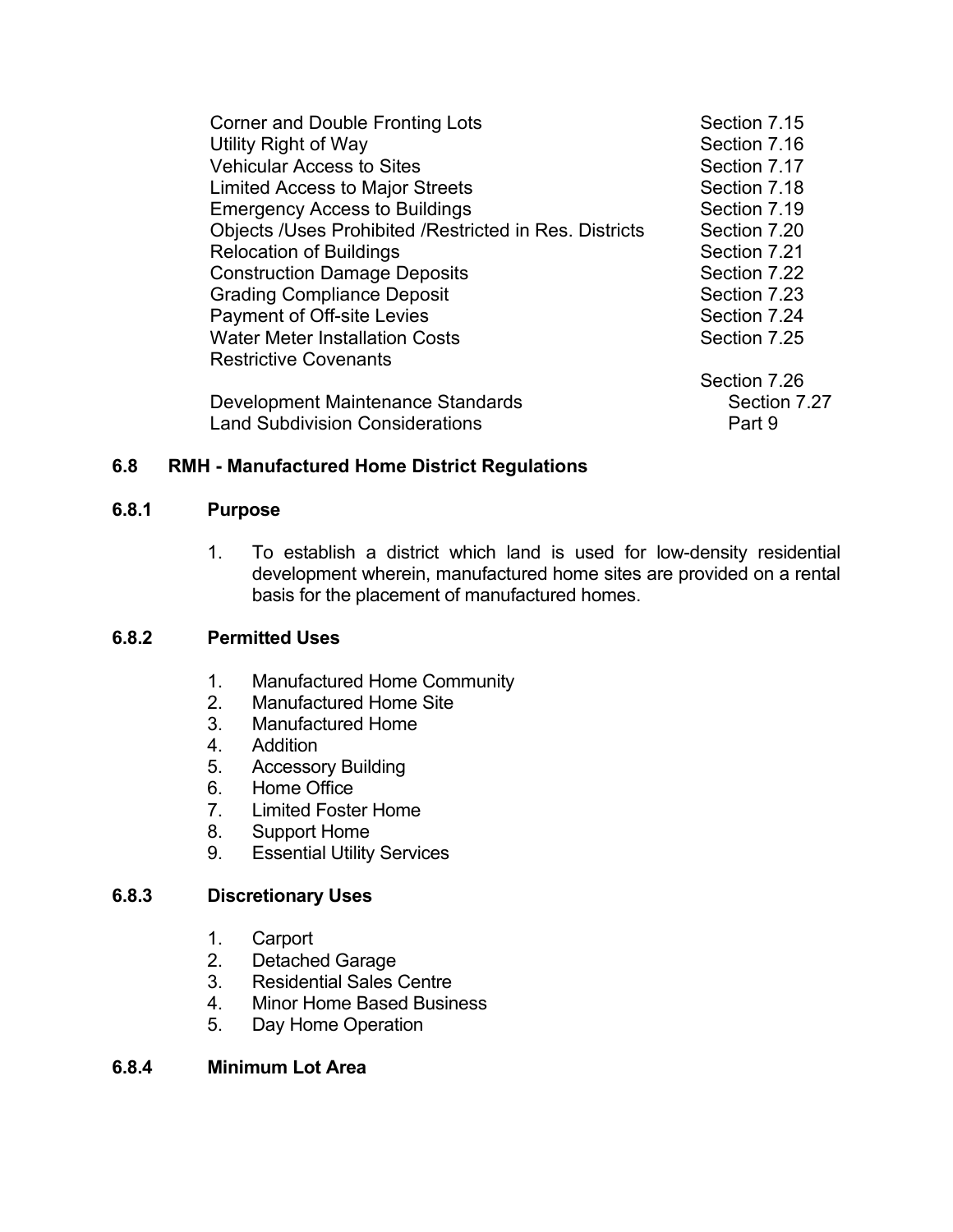| Corner and Double Fronting Lots                               | Section 7.15 |
|---------------------------------------------------------------|--------------|
| Utility Right of Way                                          | Section 7.16 |
| <b>Vehicular Access to Sites</b>                              | Section 7.17 |
| <b>Limited Access to Major Streets</b>                        | Section 7.18 |
| <b>Emergency Access to Buildings</b>                          | Section 7.19 |
| <b>Objects /Uses Prohibited /Restricted in Res. Districts</b> | Section 7.20 |
| <b>Relocation of Buildings</b>                                | Section 7.21 |
| <b>Construction Damage Deposits</b>                           | Section 7.22 |
| <b>Grading Compliance Deposit</b>                             | Section 7.23 |
| Payment of Off-site Levies                                    | Section 7.24 |
| <b>Water Meter Installation Costs</b>                         | Section 7.25 |
| <b>Restrictive Covenants</b>                                  |              |
|                                                               | Section 7.26 |
| Development Maintenance Standards                             | Section 7.27 |
| <b>Land Subdivision Considerations</b>                        | Part 9       |
|                                                               |              |

# **6.8 RMH - Manufactured Home District Regulations**

# **6.8.1 Purpose**

1. To establish a district which land is used for low-density residential development wherein, manufactured home sites are provided on a rental basis for the placement of manufactured homes.

### **6.8.2 Permitted Uses**

- 1. Manufactured Home Community<br>2. Manufactured Home Site
- Manufactured Home Site
- 3. Manufactured Home
- 4. Addition
- 5. Accessory Building
- 6. Home Office
- 7. Limited Foster Home
- 8. Support Home
- 9. Essential Utility Services

### **6.8.3 Discretionary Uses**

- 1. Carport<br>2. Detache
- Detached Garage
- 3. Residential Sales Centre
- 4. Minor Home Based Business
- 5. Day Home Operation

# **6.8.4 Minimum Lot Area**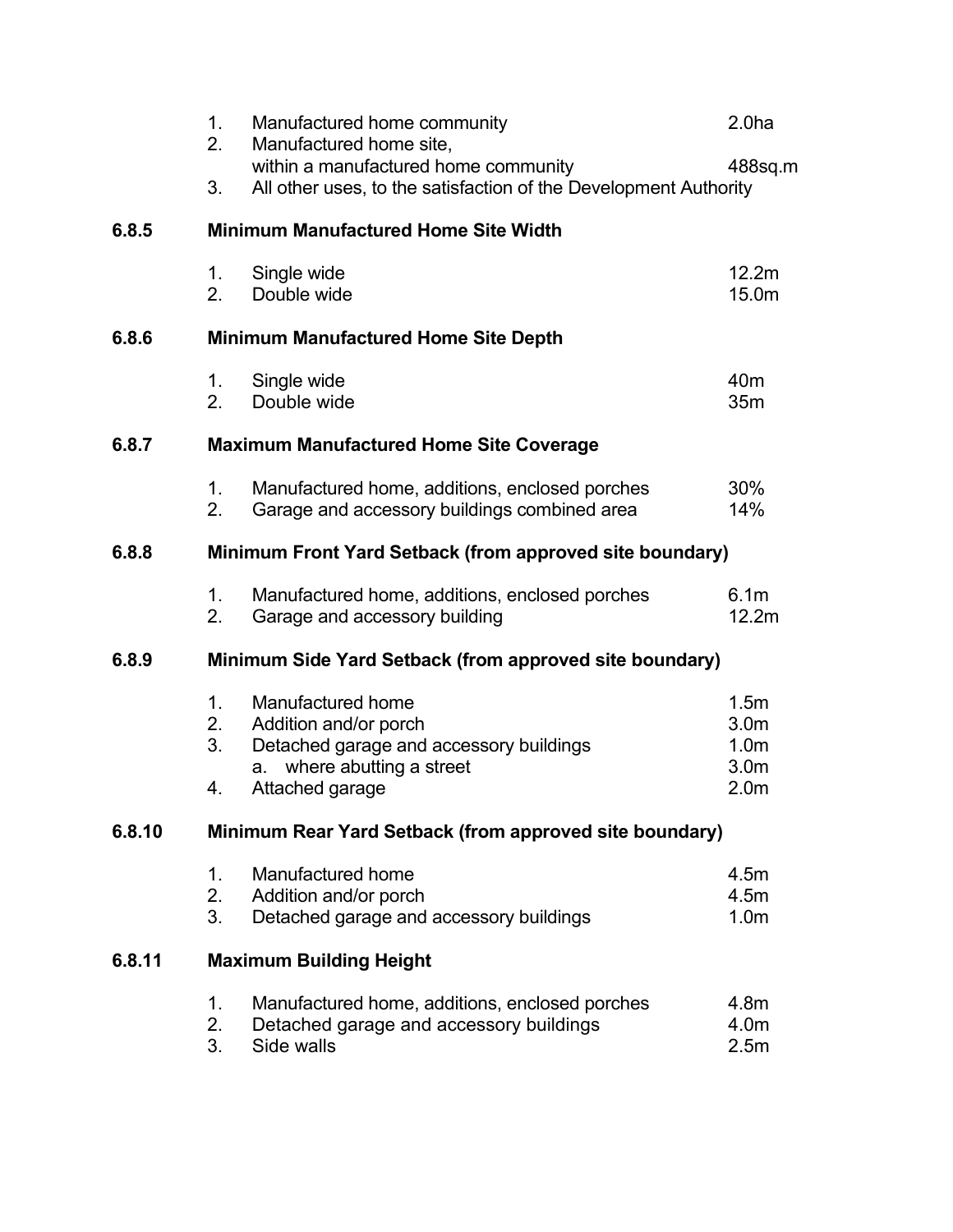|                                                                   | 1.<br>2.<br>3.                                          | Manufactured home community<br>Manufactured home site,<br>within a manufactured home community<br>All other uses, to the satisfaction of the Development Authority | 2.0 <sub>ha</sub><br>488sq.m                                                                     |  |  |
|-------------------------------------------------------------------|---------------------------------------------------------|--------------------------------------------------------------------------------------------------------------------------------------------------------------------|--------------------------------------------------------------------------------------------------|--|--|
| 6.8.5                                                             |                                                         | <b>Minimum Manufactured Home Site Width</b>                                                                                                                        |                                                                                                  |  |  |
|                                                                   | 1.<br>2.                                                | Single wide<br>Double wide                                                                                                                                         | 12.2m<br>15.0m                                                                                   |  |  |
| 6.8.6                                                             |                                                         | <b>Minimum Manufactured Home Site Depth</b>                                                                                                                        |                                                                                                  |  |  |
|                                                                   | 1.<br>2.                                                | Single wide<br>Double wide                                                                                                                                         | 40 <sub>m</sub><br>35m                                                                           |  |  |
| 6.8.7                                                             | <b>Maximum Manufactured Home Site Coverage</b>          |                                                                                                                                                                    |                                                                                                  |  |  |
|                                                                   | 1 <sub>1</sub><br>2.                                    | Manufactured home, additions, enclosed porches<br>Garage and accessory buildings combined area                                                                     | 30%<br>14%                                                                                       |  |  |
| 6.8.8<br>Minimum Front Yard Setback (from approved site boundary) |                                                         |                                                                                                                                                                    |                                                                                                  |  |  |
|                                                                   | 1.<br>2.                                                | Manufactured home, additions, enclosed porches<br>Garage and accessory building                                                                                    | 6.1 <sub>m</sub><br>12.2m                                                                        |  |  |
| 6.8.9                                                             |                                                         | Minimum Side Yard Setback (from approved site boundary)                                                                                                            |                                                                                                  |  |  |
|                                                                   | 1 <sub>1</sub><br>2.<br>3.<br>4.                        | Manufactured home<br>Addition and/or porch<br>Detached garage and accessory buildings<br>a. where abutting a street<br>Attached garage                             | 1.5 <sub>m</sub><br>3.0 <sub>m</sub><br>1.0 <sub>m</sub><br>3.0 <sub>m</sub><br>2.0 <sub>m</sub> |  |  |
| 6.8.10                                                            | Minimum Rear Yard Setback (from approved site boundary) |                                                                                                                                                                    |                                                                                                  |  |  |
|                                                                   | 1.<br>2.<br>3.                                          | Manufactured home<br>Addition and/or porch<br>Detached garage and accessory buildings                                                                              | 4.5m<br>4.5m<br>1.0 <sub>m</sub>                                                                 |  |  |
| 6.8.11                                                            | <b>Maximum Building Height</b>                          |                                                                                                                                                                    |                                                                                                  |  |  |
|                                                                   | 1.<br>2.<br>3.                                          | Manufactured home, additions, enclosed porches<br>Detached garage and accessory buildings<br>Side walls                                                            | 4.8m<br>4.0m<br>2.5m                                                                             |  |  |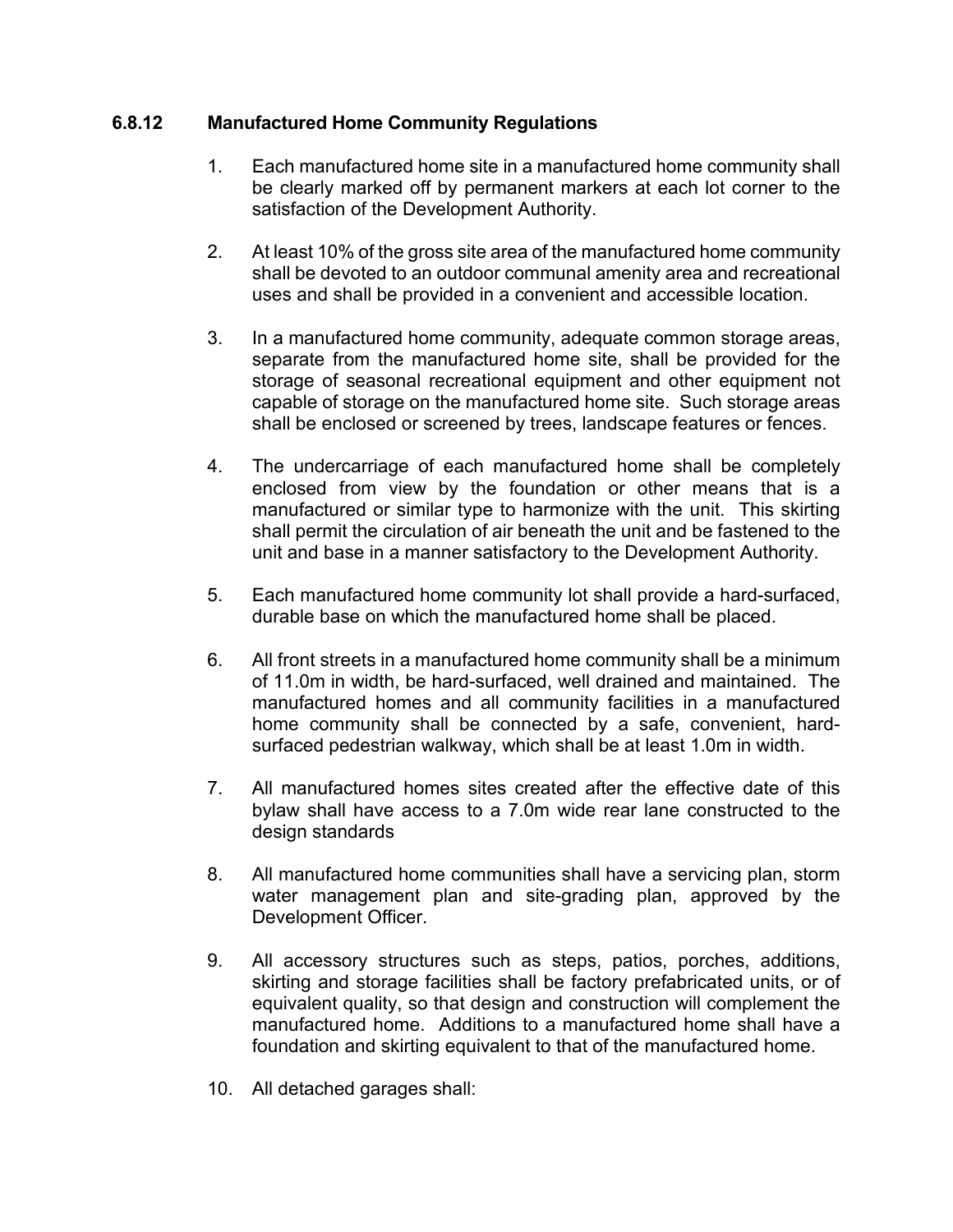### **6.8.12 Manufactured Home Community Regulations**

- 1. Each manufactured home site in a manufactured home community shall be clearly marked off by permanent markers at each lot corner to the satisfaction of the Development Authority.
- 2. At least 10% of the gross site area of the manufactured home community shall be devoted to an outdoor communal amenity area and recreational uses and shall be provided in a convenient and accessible location.
- 3. In a manufactured home community, adequate common storage areas, separate from the manufactured home site, shall be provided for the storage of seasonal recreational equipment and other equipment not capable of storage on the manufactured home site. Such storage areas shall be enclosed or screened by trees, landscape features or fences.
- 4. The undercarriage of each manufactured home shall be completely enclosed from view by the foundation or other means that is a manufactured or similar type to harmonize with the unit. This skirting shall permit the circulation of air beneath the unit and be fastened to the unit and base in a manner satisfactory to the Development Authority.
- 5. Each manufactured home community lot shall provide a hard-surfaced, durable base on which the manufactured home shall be placed.
- 6. All front streets in a manufactured home community shall be a minimum of 11.0m in width, be hard-surfaced, well drained and maintained. The manufactured homes and all community facilities in a manufactured home community shall be connected by a safe, convenient, hardsurfaced pedestrian walkway, which shall be at least 1.0m in width.
- 7. All manufactured homes sites created after the effective date of this bylaw shall have access to a 7.0m wide rear lane constructed to the design standards
- 8. All manufactured home communities shall have a servicing plan, storm water management plan and site-grading plan, approved by the Development Officer.
- 9. All accessory structures such as steps, patios, porches, additions, skirting and storage facilities shall be factory prefabricated units, or of equivalent quality, so that design and construction will complement the manufactured home. Additions to a manufactured home shall have a foundation and skirting equivalent to that of the manufactured home.
- 10. All detached garages shall: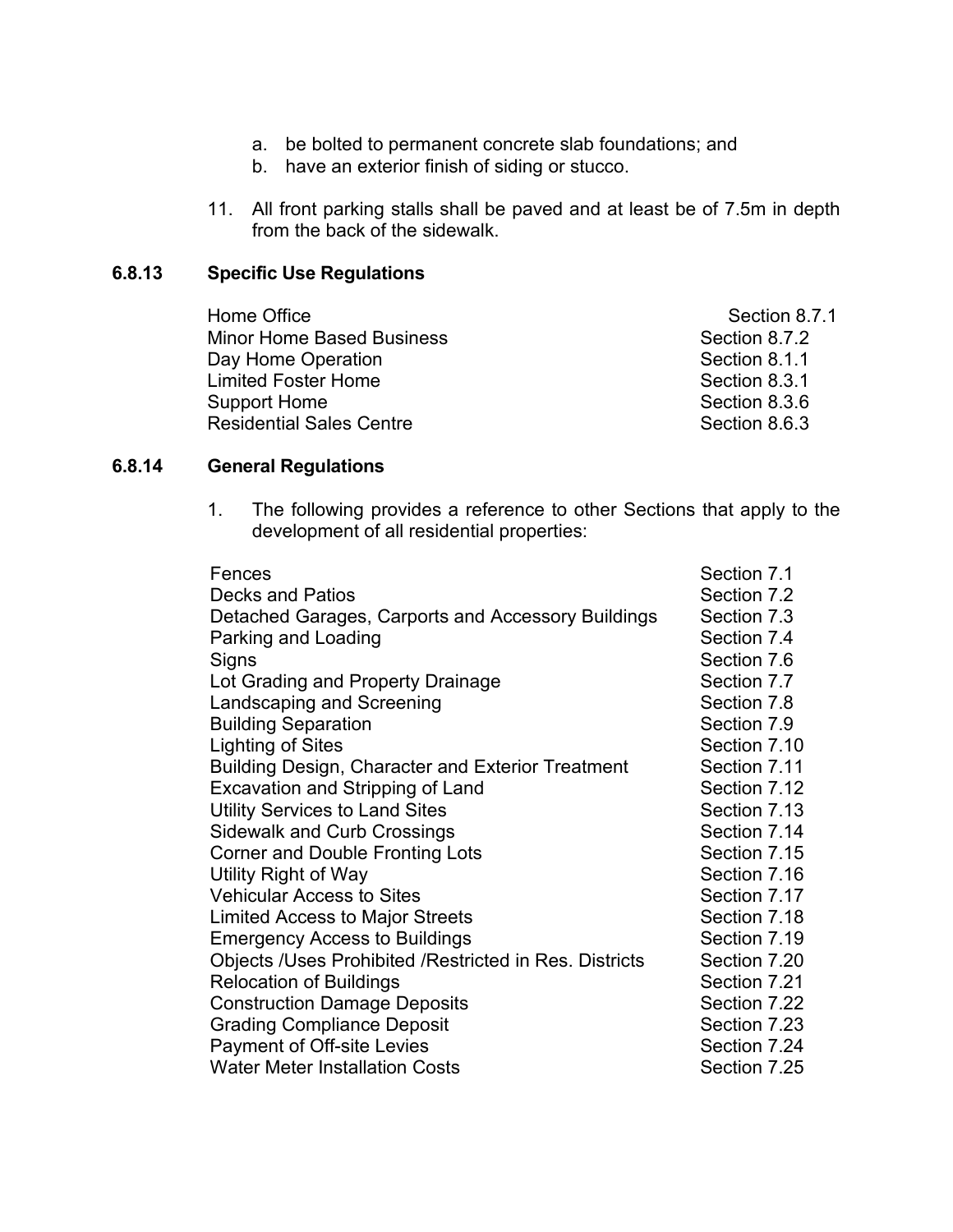- a. be bolted to permanent concrete slab foundations; and
- b. have an exterior finish of siding or stucco.
- 11. All front parking stalls shall be paved and at least be of 7.5m in depth from the back of the sidewalk.

#### **6.8.13 Specific Use Regulations**

| Home Office                      | Section 8.7.1 |
|----------------------------------|---------------|
| <b>Minor Home Based Business</b> | Section 8.7.2 |
| Day Home Operation               | Section 8.1.1 |
| <b>Limited Foster Home</b>       | Section 8.3.1 |
| <b>Support Home</b>              | Section 8.3.6 |
| <b>Residential Sales Centre</b>  | Section 8.6.3 |

# **6.8.14 General Regulations**

1. The following provides a reference to other Sections that apply to the development of all residential properties:

| Fences                                                   | Section 7.1  |
|----------------------------------------------------------|--------------|
| Decks and Patios                                         | Section 7.2  |
| Detached Garages, Carports and Accessory Buildings       | Section 7.3  |
| Parking and Loading                                      | Section 7.4  |
| Signs                                                    | Section 7.6  |
| Lot Grading and Property Drainage                        | Section 7.7  |
| Landscaping and Screening                                | Section 7.8  |
| <b>Building Separation</b>                               | Section 7.9  |
| Lighting of Sites                                        | Section 7.10 |
| <b>Building Design, Character and Exterior Treatment</b> | Section 7.11 |
| <b>Excavation and Stripping of Land</b>                  | Section 7.12 |
| <b>Utility Services to Land Sites</b>                    | Section 7.13 |
| <b>Sidewalk and Curb Crossings</b>                       | Section 7.14 |
| <b>Corner and Double Fronting Lots</b>                   | Section 7.15 |
| Utility Right of Way                                     | Section 7.16 |
| <b>Vehicular Access to Sites</b>                         | Section 7.17 |
| <b>Limited Access to Major Streets</b>                   | Section 7.18 |
| <b>Emergency Access to Buildings</b>                     | Section 7.19 |
| Objects /Uses Prohibited /Restricted in Res. Districts   | Section 7.20 |
| <b>Relocation of Buildings</b>                           | Section 7.21 |
| <b>Construction Damage Deposits</b>                      | Section 7.22 |
| <b>Grading Compliance Deposit</b>                        | Section 7.23 |
| Payment of Off-site Levies                               | Section 7.24 |
| <b>Water Meter Installation Costs</b>                    | Section 7.25 |
|                                                          |              |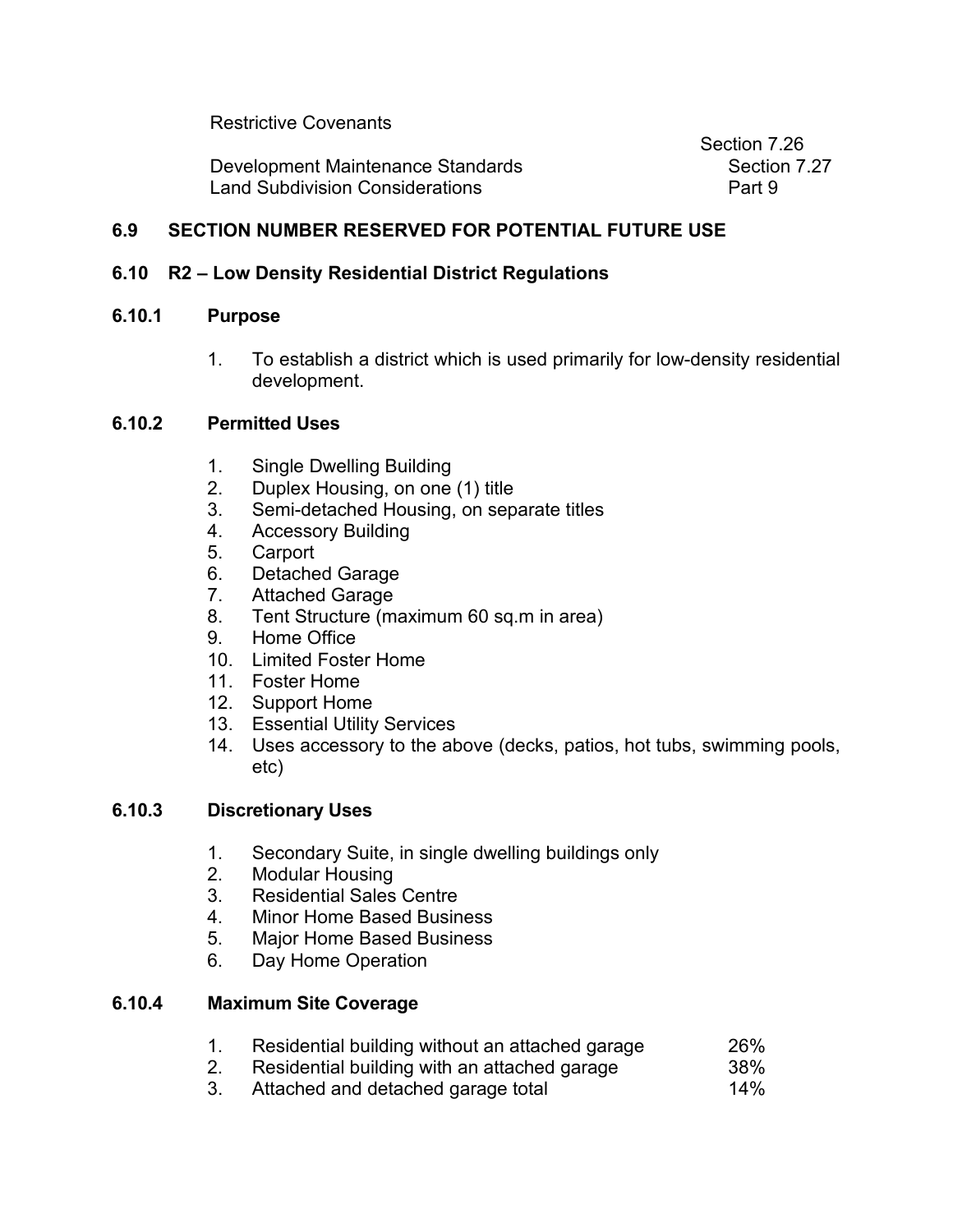Restrictive Covenants

Development Maintenance Standards Section 7.27 Land Subdivision Considerations **Part 9** Part 9

Section 7.26

# **6.9 SECTION NUMBER RESERVED FOR POTENTIAL FUTURE USE**

# **6.10 R2 – Low Density Residential District Regulations**

# **6.10.1 Purpose**

1. To establish a district which is used primarily for low-density residential development.

# **6.10.2 Permitted Uses**

- 1. Single Dwelling Building
- 2. Duplex Housing, on one (1) title
- 3. Semi-detached Housing, on separate titles
- 4. Accessory Building
- 5. Carport
- 6. Detached Garage
- 7. Attached Garage
- 8. Tent Structure (maximum 60 sq.m in area)
- 9. Home Office
- 10. Limited Foster Home
- 11. Foster Home
- 12. Support Home
- 13. Essential Utility Services
- 14. Uses accessory to the above (decks, patios, hot tubs, swimming pools, etc)

### **6.10.3 Discretionary Uses**

- 1. Secondary Suite, in single dwelling buildings only
- 2. Modular Housing
- 3. Residential Sales Centre
- 4. Minor Home Based Business
- 5. Major Home Based Business
- 6. Day Home Operation

### **6.10.4 Maximum Site Coverage**

- 1. Residential building without an attached garage  $26\%$ <br>2. Residential building with an attached garage  $38\%$
- Residential building with an attached garage 38%<br>Attached and detached garage total 34%
- 3. Attached and detached garage total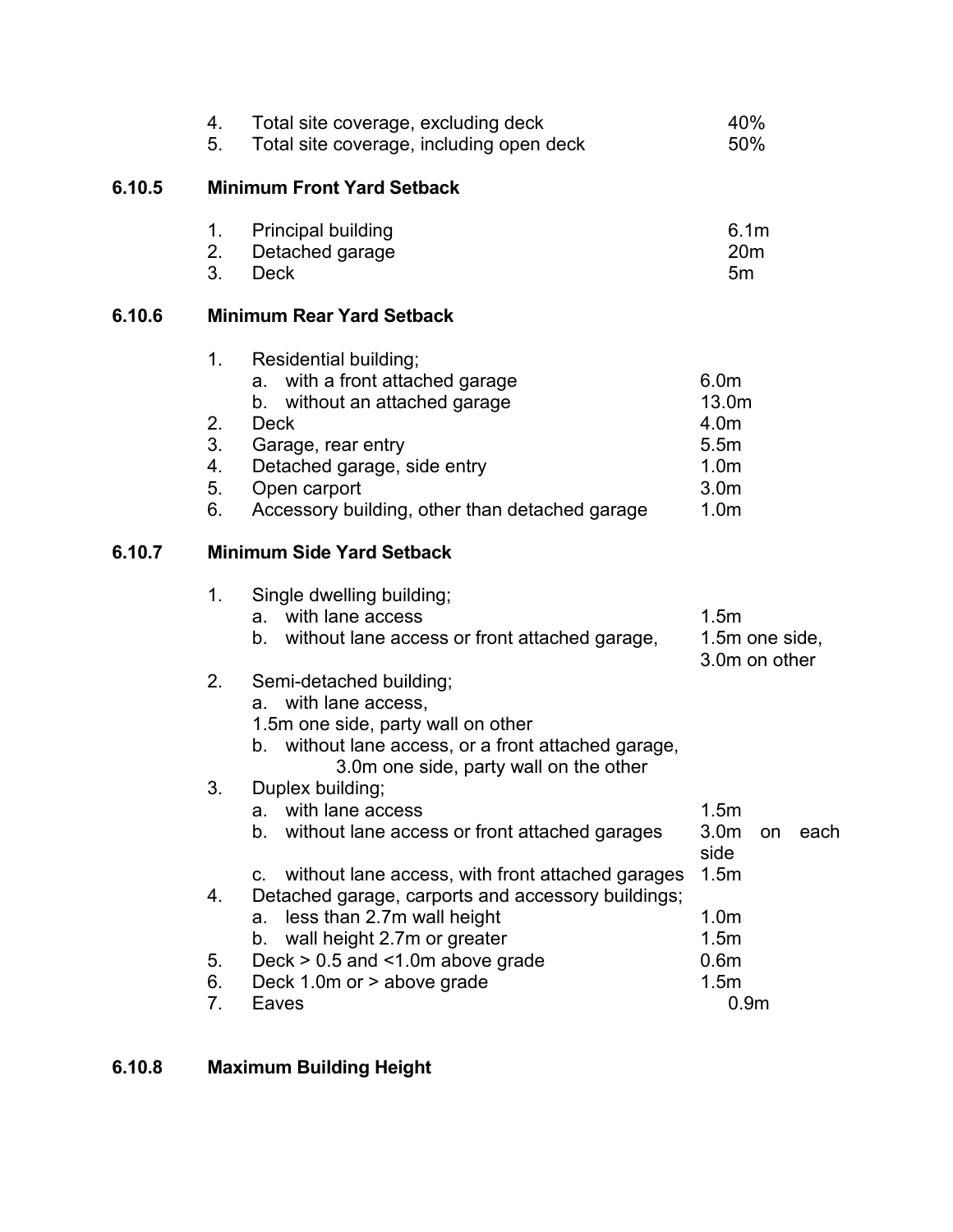|        | 4.<br>5.                         | Total site coverage, excluding deck<br>Total site coverage, including open deck                                                                                                                                                       | 40%<br>50%                                                                                            |    |      |
|--------|----------------------------------|---------------------------------------------------------------------------------------------------------------------------------------------------------------------------------------------------------------------------------------|-------------------------------------------------------------------------------------------------------|----|------|
| 6.10.5 |                                  | <b>Minimum Front Yard Setback</b>                                                                                                                                                                                                     |                                                                                                       |    |      |
|        | 1.<br>2.<br>3.                   | <b>Principal building</b><br>Detached garage<br><b>Deck</b>                                                                                                                                                                           | 6.1 <sub>m</sub><br>20 <sub>m</sub><br>5m                                                             |    |      |
| 6.10.6 |                                  | <b>Minimum Rear Yard Setback</b>                                                                                                                                                                                                      |                                                                                                       |    |      |
|        | 1.<br>2.<br>3.<br>4.<br>5.<br>6. | Residential building;<br>with a front attached garage<br>a.<br>without an attached garage<br>b.<br><b>Deck</b><br>Garage, rear entry<br>Detached garage, side entry<br>Open carport<br>Accessory building, other than detached garage | 6.0 <sub>m</sub><br>13.0m<br>4.0m<br>5.5m<br>1.0 <sub>m</sub><br>3.0 <sub>m</sub><br>1.0 <sub>m</sub> |    |      |
| 6.10.7 |                                  | <b>Minimum Side Yard Setback</b>                                                                                                                                                                                                      |                                                                                                       |    |      |
|        | 1 <sub>1</sub>                   | Single dwelling building;<br>with lane access<br>a.<br>without lane access or front attached garage,<br>b.                                                                                                                            | 1.5m<br>1.5m one side,<br>3.0m on other                                                               |    |      |
|        | 2.                               | Semi-detached building;<br>with lane access,<br>a.<br>1.5m one side, party wall on other<br>b. without lane access, or a front attached garage,<br>3.0m one side, party wall on the other                                             |                                                                                                       |    |      |
|        | 3.                               | Duplex building;<br>with lane access<br>a.<br>$b_{\cdot}$<br>without lane access or front attached garages                                                                                                                            | 1.5m<br>3.0 <sub>m</sub><br>side                                                                      | on | each |
|        | 4.                               | without lane access, with front attached garages<br>C.<br>Detached garage, carports and accessory buildings;<br>less than 2.7m wall height<br>a.                                                                                      | 1.5m<br>1.0 <sub>m</sub>                                                                              |    |      |
|        | 5.<br>6.<br>7.                   | wall height 2.7m or greater<br>b.<br>Deck $> 0.5$ and $< 1.0$ m above grade<br>Deck 1.0m or > above grade<br>Eaves                                                                                                                    | 1.5m<br>0.6 <sub>m</sub><br>1.5m<br>0.9 <sub>m</sub>                                                  |    |      |

# **6.10.8 Maximum Building Height**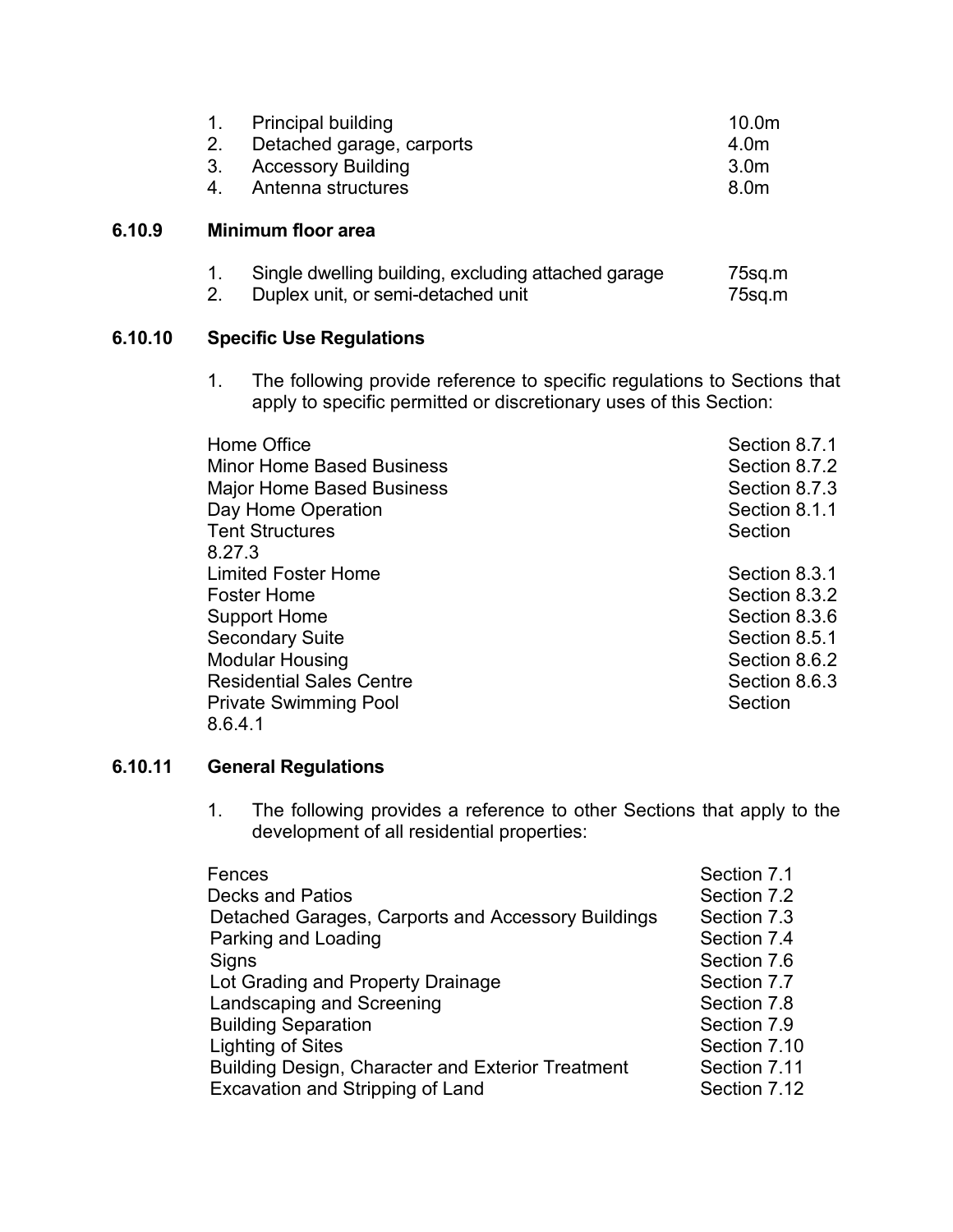| 1. Principal building        | 10.0 <sub>m</sub> |
|------------------------------|-------------------|
| 2. Detached garage, carports | 4.0m              |
| 3. Accessory Building        | 3.0m              |
| 4. Antenna structures        | 8.0m              |

# **6.10.9 Minimum floor area**

|  | Single dwelling building, excluding attached garage |  |  |  |  |  | 75sq.m |
|--|-----------------------------------------------------|--|--|--|--|--|--------|
|--|-----------------------------------------------------|--|--|--|--|--|--------|

2. Duplex unit, or semi-detached unit T5sq.m

# **6.10.10 Specific Use Regulations**

1. The following provide reference to specific regulations to Sections that apply to specific permitted or discretionary uses of this Section:

| Home Office                      | Section 8.7.1 |
|----------------------------------|---------------|
| <b>Minor Home Based Business</b> | Section 8.7.2 |
| <b>Major Home Based Business</b> | Section 8.7.3 |
| Day Home Operation               | Section 8.1.1 |
| <b>Tent Structures</b>           | Section       |
| 8.27.3                           |               |
| <b>Limited Foster Home</b>       | Section 8.3.1 |
| <b>Foster Home</b>               | Section 8.3.2 |
| <b>Support Home</b>              | Section 8.3.6 |
| <b>Secondary Suite</b>           | Section 8.5.1 |
| <b>Modular Housing</b>           | Section 8.6.2 |
| <b>Residential Sales Centre</b>  | Section 8.6.3 |
| <b>Private Swimming Pool</b>     | Section       |
| 8.6.4.1                          |               |

# **6.10.11 General Regulations**

1. The following provides a reference to other Sections that apply to the development of all residential properties:

| Fences                                                   | Section 7.1  |
|----------------------------------------------------------|--------------|
| <b>Decks and Patios</b>                                  | Section 7.2  |
| Detached Garages, Carports and Accessory Buildings       | Section 7.3  |
| Parking and Loading                                      | Section 7.4  |
| Signs                                                    | Section 7.6  |
| Lot Grading and Property Drainage                        | Section 7.7  |
| Landscaping and Screening                                | Section 7.8  |
| <b>Building Separation</b>                               | Section 7.9  |
| <b>Lighting of Sites</b>                                 | Section 7.10 |
| <b>Building Design, Character and Exterior Treatment</b> | Section 7.11 |
| Excavation and Stripping of Land                         | Section 7.12 |
|                                                          |              |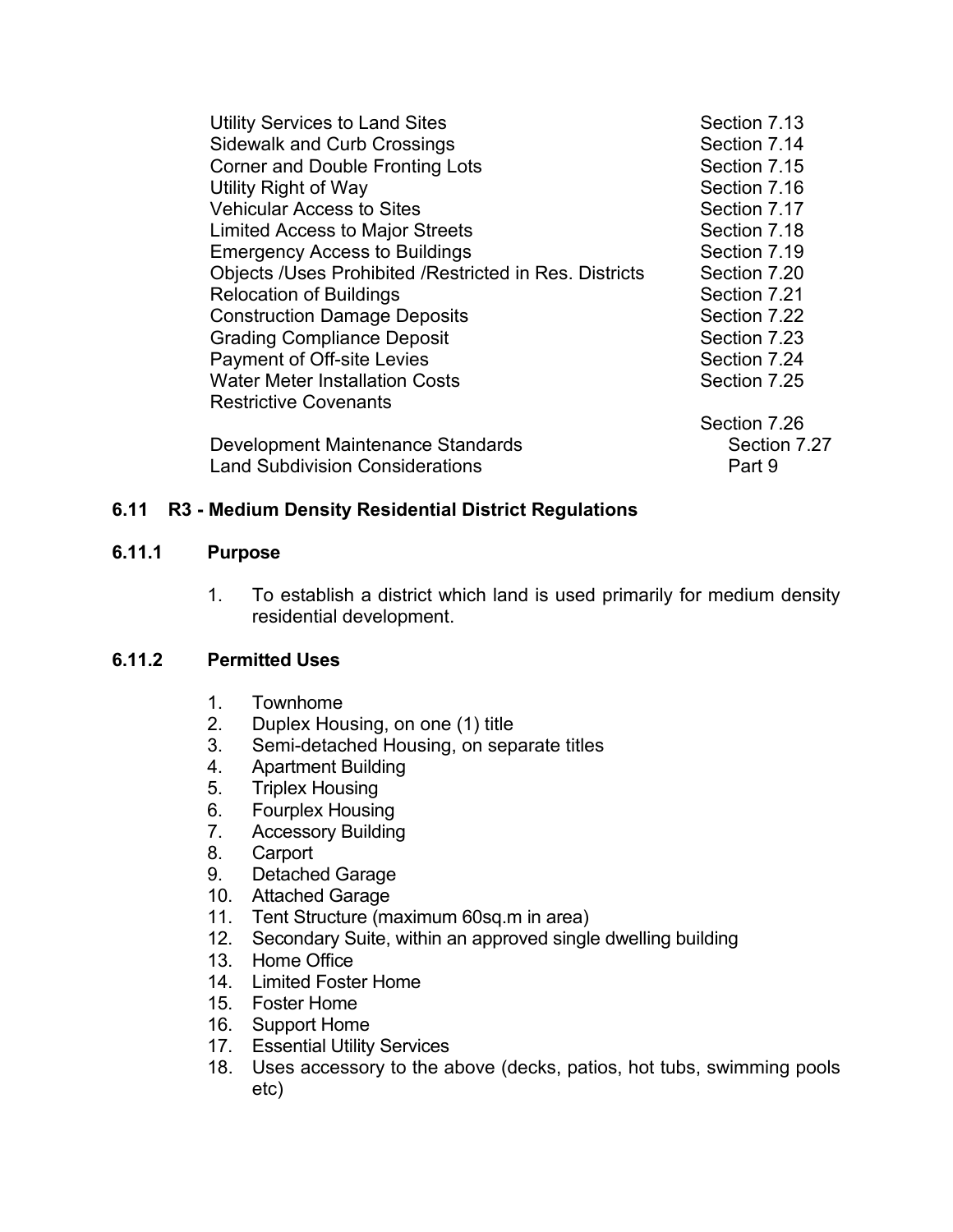| <b>Utility Services to Land Sites</b>                         | Section 7.13 |
|---------------------------------------------------------------|--------------|
| <b>Sidewalk and Curb Crossings</b>                            | Section 7.14 |
| <b>Corner and Double Fronting Lots</b>                        | Section 7.15 |
| Utility Right of Way                                          | Section 7.16 |
| <b>Vehicular Access to Sites</b>                              | Section 7.17 |
| <b>Limited Access to Major Streets</b>                        | Section 7.18 |
| <b>Emergency Access to Buildings</b>                          | Section 7.19 |
| <b>Objects /Uses Prohibited /Restricted in Res. Districts</b> | Section 7.20 |
| <b>Relocation of Buildings</b>                                | Section 7.21 |
| <b>Construction Damage Deposits</b>                           | Section 7.22 |
| <b>Grading Compliance Deposit</b>                             | Section 7.23 |
| <b>Payment of Off-site Levies</b>                             | Section 7.24 |
| <b>Water Meter Installation Costs</b>                         | Section 7.25 |
| <b>Restrictive Covenants</b>                                  |              |
|                                                               | Section 7.26 |
| Development Maintenance Standards                             | Section 7.27 |
| <b>Land Subdivision Considerations</b>                        | Part 9       |

# **6.11 R3 - Medium Density Residential District Regulations**

### **6.11.1 Purpose**

1. To establish a district which land is used primarily for medium density residential development.

# **6.11.2 Permitted Uses**

- 1. Townhome
- 2. Duplex Housing, on one (1) title
- 3. Semi-detached Housing, on separate titles
- 4. Apartment Building
- 5. Triplex Housing
- 6. Fourplex Housing
- 7. Accessory Building
- 8. Carport
- 9. Detached Garage
- 10. Attached Garage
- 11. Tent Structure (maximum 60sq.m in area)
- 12. Secondary Suite, within an approved single dwelling building
- 13. Home Office
- 14. Limited Foster Home
- 15. Foster Home
- 16. Support Home
- 17. Essential Utility Services
- 18. Uses accessory to the above (decks, patios, hot tubs, swimming pools etc)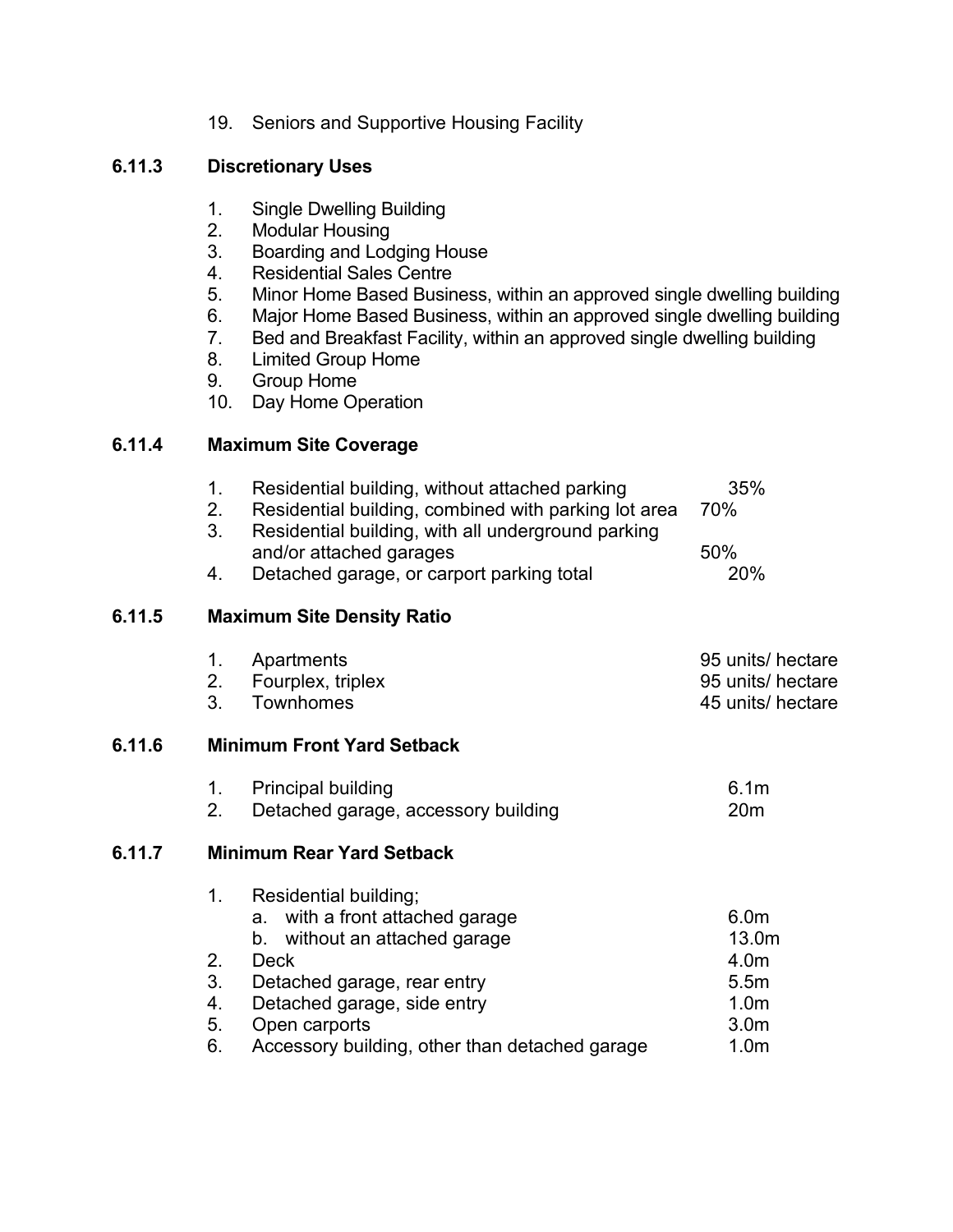19. Seniors and Supportive Housing Facility

# **6.11.3 Discretionary Uses**

- 1. Single Dwelling Building
- 2. Modular Housing
- 3. Boarding and Lodging House
- 4. Residential Sales Centre
- 5. Minor Home Based Business, within an approved single dwelling building
- 6. Major Home Based Business, within an approved single dwelling building
- 7. Bed and Breakfast Facility, within an approved single dwelling building
- 8. Limited Group Home
- 9. Group Home
- 10. Day Home Operation

# **6.11.4 Maximum Site Coverage**

| 1 <sub>1</sub><br>2.                   | Residential building, without attached parking<br>Residential building, combined with parking lot area                                                                                     | 35%<br>70%                                                                                                                                                                                                         |
|----------------------------------------|--------------------------------------------------------------------------------------------------------------------------------------------------------------------------------------------|--------------------------------------------------------------------------------------------------------------------------------------------------------------------------------------------------------------------|
| 4.                                     | and/or attached garages<br>Detached garage, or carport parking total                                                                                                                       | 50%<br>20%                                                                                                                                                                                                         |
|                                        |                                                                                                                                                                                            |                                                                                                                                                                                                                    |
| 1.<br>2.<br>3 <sub>1</sub>             | Apartments<br>Fourplex, triplex<br>Townhomes                                                                                                                                               | 95 units/ hectare<br>95 units/ hectare<br>45 units/ hectare                                                                                                                                                        |
|                                        |                                                                                                                                                                                            |                                                                                                                                                                                                                    |
| 1.<br>2.                               | <b>Principal building</b><br>Detached garage, accessory building                                                                                                                           | 6.1 <sub>m</sub><br>20 <sub>m</sub>                                                                                                                                                                                |
|                                        |                                                                                                                                                                                            |                                                                                                                                                                                                                    |
| 1 <sub>1</sub><br>2.<br>3.<br>4.<br>5. | Residential building;<br>with a front attached garage<br>а.<br>b. without an attached garage<br><b>Deck</b><br>Detached garage, rear entry<br>Detached garage, side entry<br>Open carports | 6.0 <sub>m</sub><br>13.0m<br>4.0m<br>5.5m<br>1.0 <sub>m</sub><br>3.0 <sub>m</sub><br>1.0 <sub>m</sub>                                                                                                              |
|                                        | 3.<br>6.                                                                                                                                                                                   | Residential building, with all underground parking<br><b>Maximum Site Density Ratio</b><br><b>Minimum Front Yard Setback</b><br><b>Minimum Rear Yard Setback</b><br>Accessory building, other than detached garage |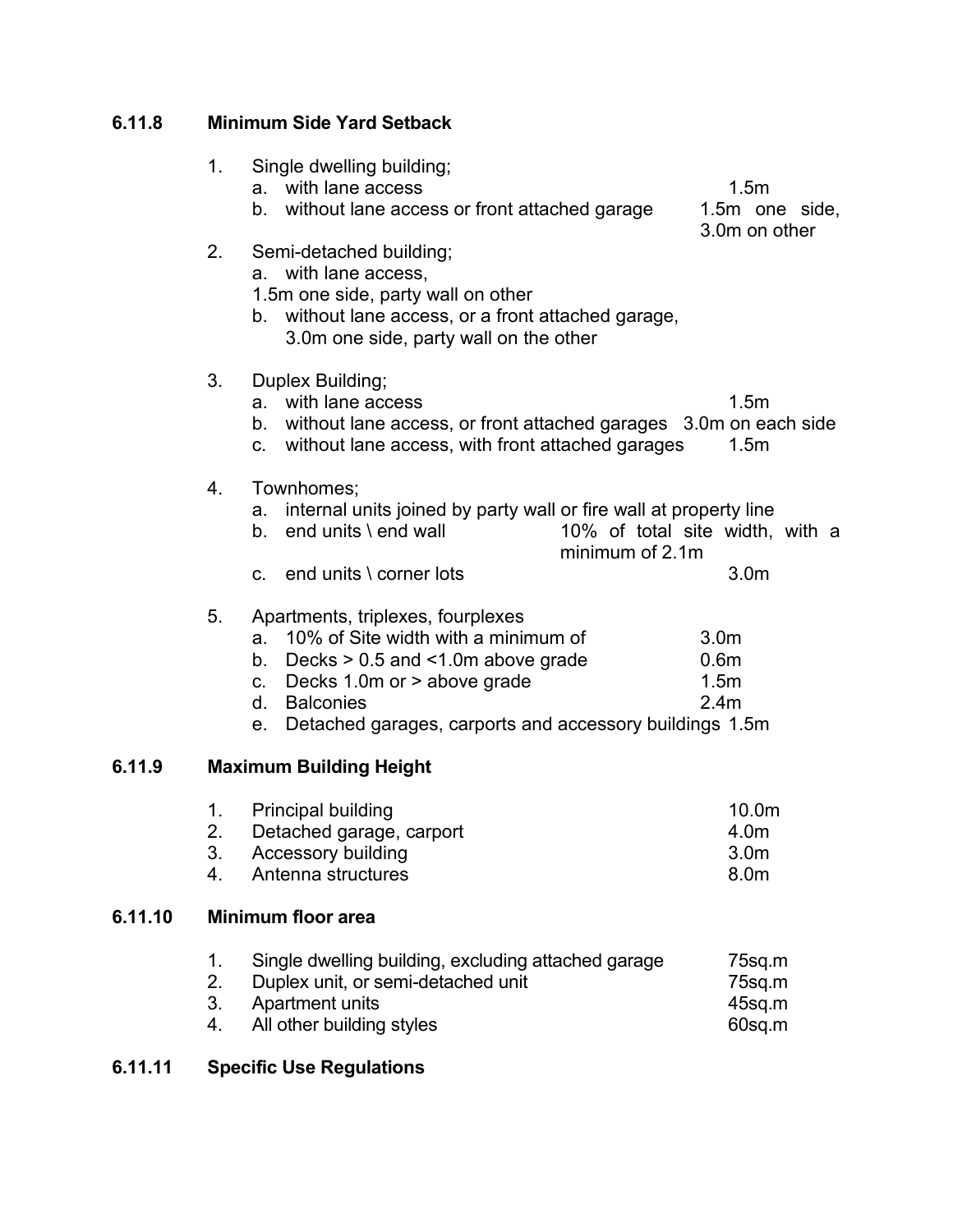# **6.11.8 Minimum Side Yard Setback**

|         | 1.                   | Single dwelling building;<br>with lane access<br>a.<br>b. without lane access or front attached garage                                                                                                                                                                      | 1.5 <sub>m</sub><br>1.5m one side,<br>3.0m on other              |
|---------|----------------------|-----------------------------------------------------------------------------------------------------------------------------------------------------------------------------------------------------------------------------------------------------------------------------|------------------------------------------------------------------|
|         | 2.                   | Semi-detached building;<br>a. with lane access,<br>1.5m one side, party wall on other<br>b. without lane access, or a front attached garage,<br>3.0m one side, party wall on the other                                                                                      |                                                                  |
|         | 3.                   | Duplex Building;<br>with lane access<br>a.<br>b. without lane access, or front attached garages 3.0m on each side<br>without lane access, with front attached garages<br>C.                                                                                                 | 1.5m<br>1.5 <sub>m</sub>                                         |
|         | 4.                   | Townhomes;<br>internal units joined by party wall or fire wall at property line<br>a.<br>end units \ end wall<br>b.<br>minimum of 2.1m                                                                                                                                      | 10% of total site width, with a                                  |
|         |                      | c. end units $\sqrt{ }$ corner lots                                                                                                                                                                                                                                         | 3.0 <sub>m</sub>                                                 |
|         | 5.                   | Apartments, triplexes, fourplexes<br>10% of Site width with a minimum of<br>a.<br>Decks $> 0.5$ and $< 1.0$ m above grade<br>b.<br>Decks 1.0m or > above grade<br>$\mathbf{C}$ .<br><b>Balconies</b><br>d.<br>Detached garages, carports and accessory buildings 1.5m<br>е. | 3.0 <sub>m</sub><br>0.6 <sub>m</sub><br>1.5m<br>2.4 <sub>m</sub> |
| 6.11.9  |                      | <b>Maximum Building Height</b>                                                                                                                                                                                                                                              |                                                                  |
|         | 1.<br>2.<br>3.<br>4. | <b>Principal building</b><br>Detached garage, carport<br>Accessory building<br>Antenna structures                                                                                                                                                                           | 10.0m<br>4.0m<br>3.0 <sub>m</sub><br>8.0m                        |
| 6.11.10 |                      | <b>Minimum floor area</b>                                                                                                                                                                                                                                                   |                                                                  |
|         | 1.<br>2.<br>3.<br>4. | Single dwelling building, excluding attached garage<br>Duplex unit, or semi-detached unit<br>Apartment units<br>All other building styles                                                                                                                                   | 75sq.m<br>75sq.m<br>45sq.m<br>60sq.m                             |

# **6.11.11 Specific Use Regulations**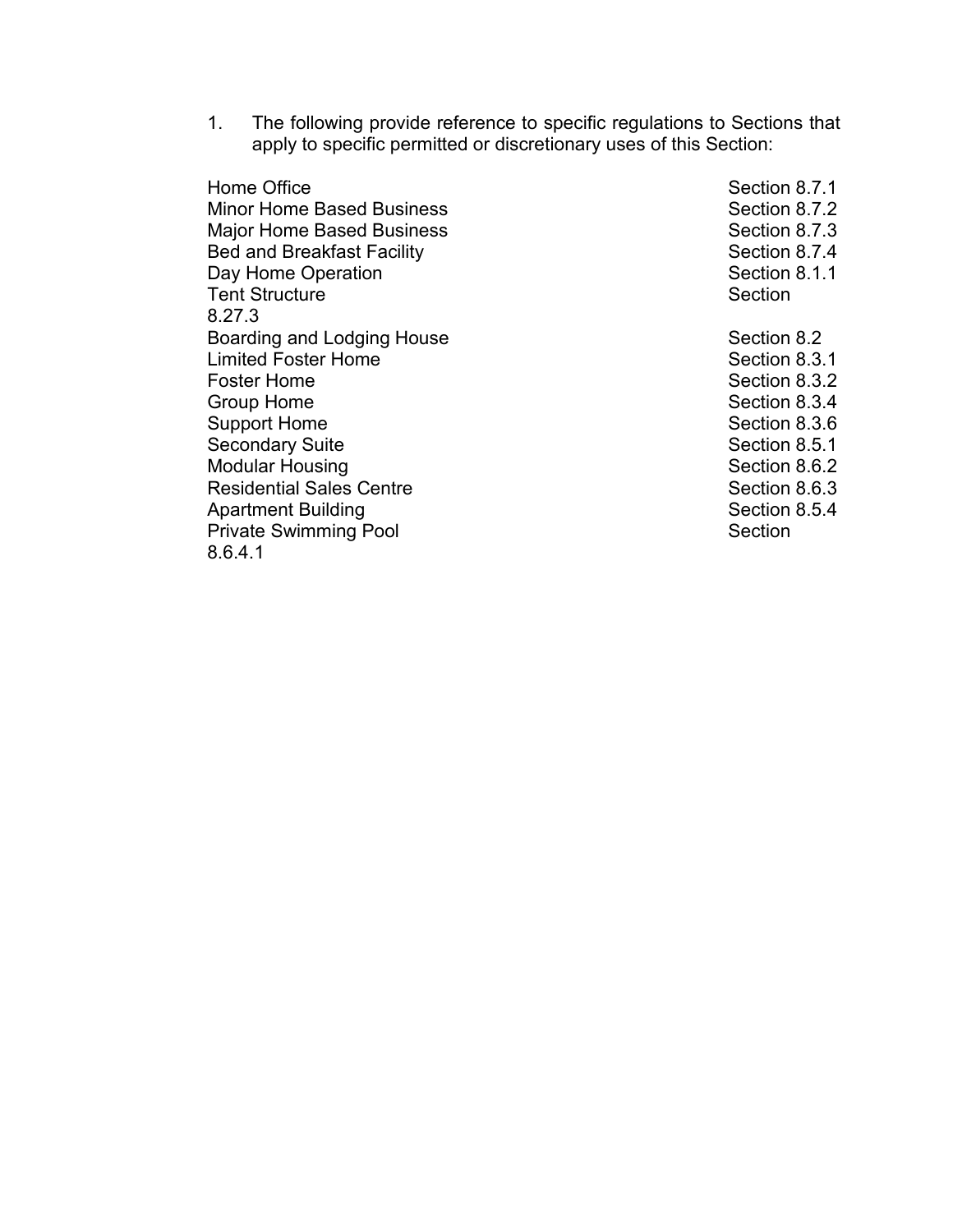1. The following provide reference to specific regulations to Sections that apply to specific permitted or discretionary uses of this Section:

Home Office Section 8.7.1 Minor Home Based Business<br>
Maior Home Based Business<br>
Section 8.7.3 Major Home Based Business Bed and Breakfast Facility Section 8.7.4 Day Home Operation **Section 8.1.1** Section 8.1.1 Tent Structure Section 8.27.3 Boarding and Lodging House Section 8.2 Limited Foster Home **Section 8.3.1** Section 8.3.1 Foster Home **Section 8.3.2** Group Home Section 8.3.4 Support Home Support Home Section 8.3.6 Secondary Suite Section 8.5.1 Modular Housing Section 8.6.2 **Residential Sales Centre** Apartment Building **Section 8.5.4** Section 8.5.4 Private Swimming Pool Section 8.6.4.1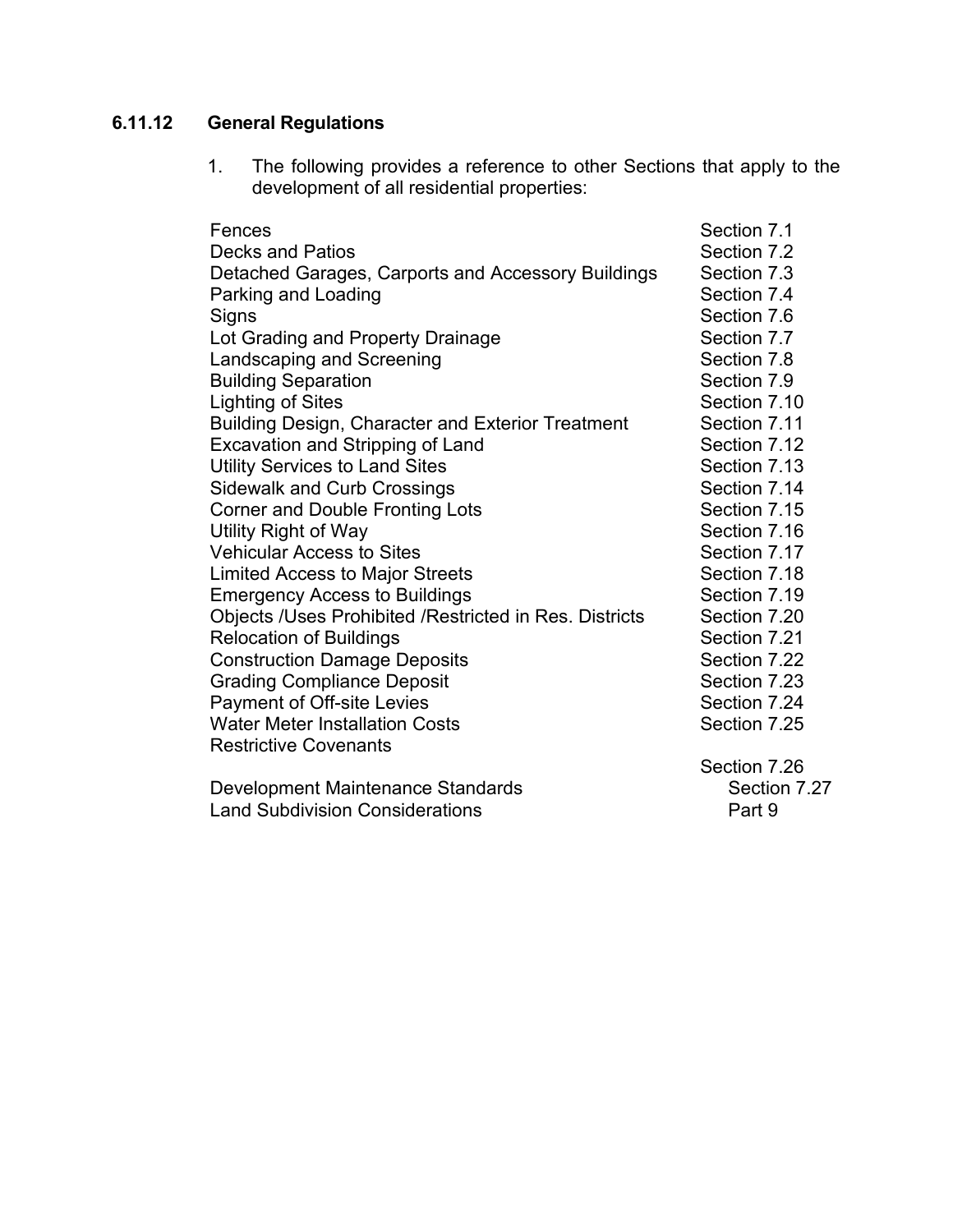# **6.11.12 General Regulations**

1. The following provides a reference to other Sections that apply to the development of all residential properties:

| Fences                                                   | Section 7.1  |
|----------------------------------------------------------|--------------|
| <b>Decks and Patios</b>                                  | Section 7.2  |
| Detached Garages, Carports and Accessory Buildings       | Section 7.3  |
| Parking and Loading                                      | Section 7.4  |
| Signs                                                    | Section 7.6  |
| Lot Grading and Property Drainage                        | Section 7.7  |
| Landscaping and Screening                                | Section 7.8  |
| <b>Building Separation</b>                               | Section 7.9  |
| <b>Lighting of Sites</b>                                 | Section 7.10 |
| <b>Building Design, Character and Exterior Treatment</b> | Section 7.11 |
| Excavation and Stripping of Land                         | Section 7.12 |
| <b>Utility Services to Land Sites</b>                    | Section 7.13 |
| <b>Sidewalk and Curb Crossings</b>                       | Section 7.14 |
| <b>Corner and Double Fronting Lots</b>                   | Section 7.15 |
| Utility Right of Way                                     | Section 7.16 |
| <b>Vehicular Access to Sites</b>                         | Section 7.17 |
| <b>Limited Access to Major Streets</b>                   | Section 7.18 |
| <b>Emergency Access to Buildings</b>                     | Section 7.19 |
| Objects /Uses Prohibited /Restricted in Res. Districts   | Section 7.20 |
| <b>Relocation of Buildings</b>                           | Section 7.21 |
| <b>Construction Damage Deposits</b>                      | Section 7.22 |
| <b>Grading Compliance Deposit</b>                        | Section 7.23 |
| <b>Payment of Off-site Levies</b>                        | Section 7.24 |
| <b>Water Meter Installation Costs</b>                    | Section 7.25 |
| <b>Restrictive Covenants</b>                             |              |
|                                                          | Section 7.26 |
| Development Maintenance Standards                        | Section 7.27 |
| <b>Land Subdivision Considerations</b>                   | Part 9       |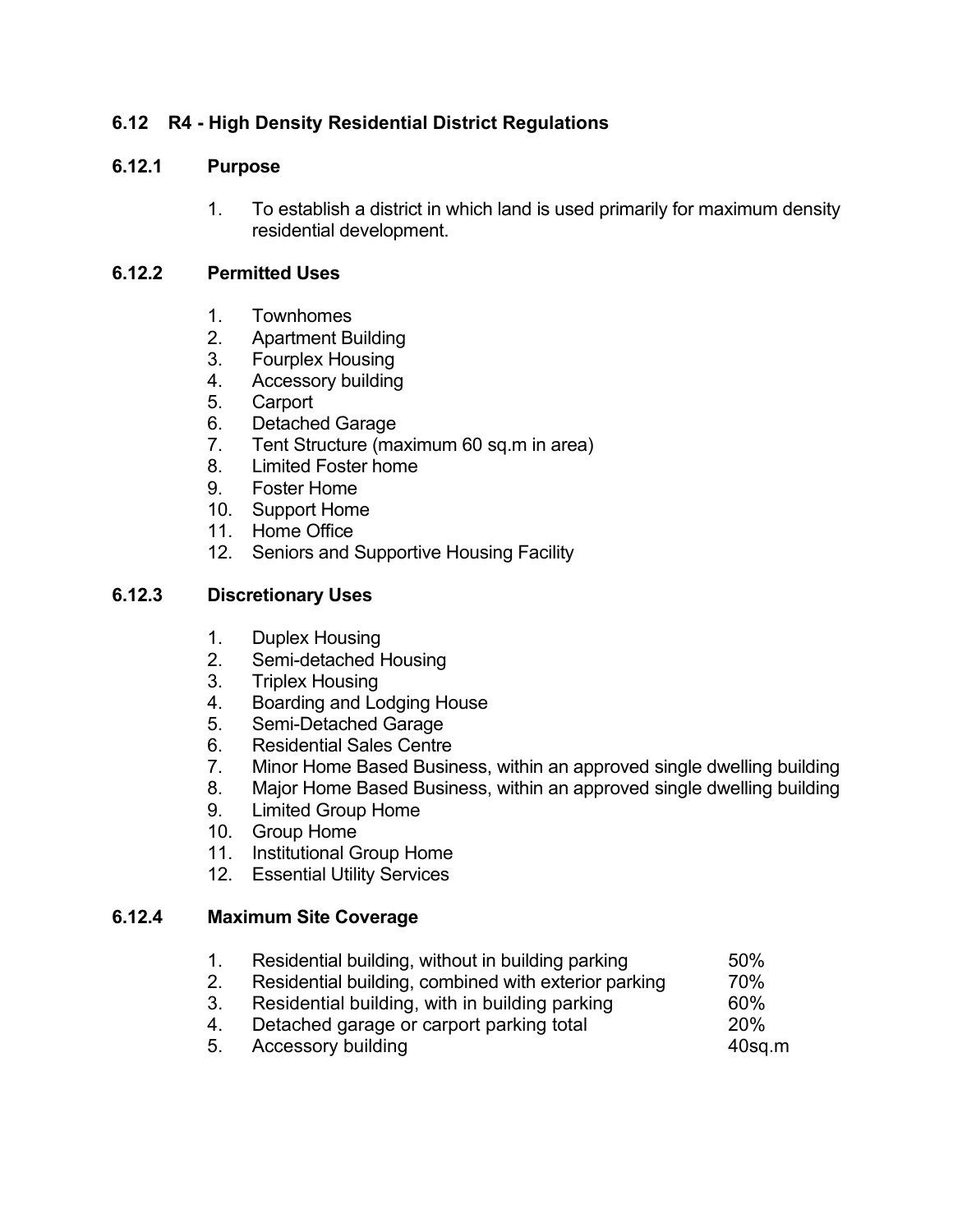# **6.12 R4 - High Density Residential District Regulations**

# **6.12.1 Purpose**

1. To establish a district in which land is used primarily for maximum density residential development.

# **6.12.2 Permitted Uses**

- 1. Townhomes
- 2. Apartment Building
- 3. Fourplex Housing
- 4. Accessory building
- 5. Carport
- 6. Detached Garage
- 7. Tent Structure (maximum 60 sq.m in area)
- 8. Limited Foster home
- 9. Foster Home
- 10. Support Home
- 11. Home Office
- 12. Seniors and Supportive Housing Facility

# **6.12.3 Discretionary Uses**

- 1. Duplex Housing
- 2. Semi-detached Housing
- 3. Triplex Housing
- 4. Boarding and Lodging House
- 5. Semi-Detached Garage
- 6. Residential Sales Centre
- 7. Minor Home Based Business, within an approved single dwelling building
- 8. Major Home Based Business, within an approved single dwelling building
- 9. Limited Group Home
- 10. Group Home
- 11. Institutional Group Home
- 12. Essential Utility Services

### **6.12.4 Maximum Site Coverage**

- 1. Residential building, without in building parking 50% 2. Residential building, combined with exterior parking 70%
- 3. Residential building, with in building parking 60%
- 4. Detached garage or carport parking total 20%
- 5. Accessory building and the state of the 40sq.m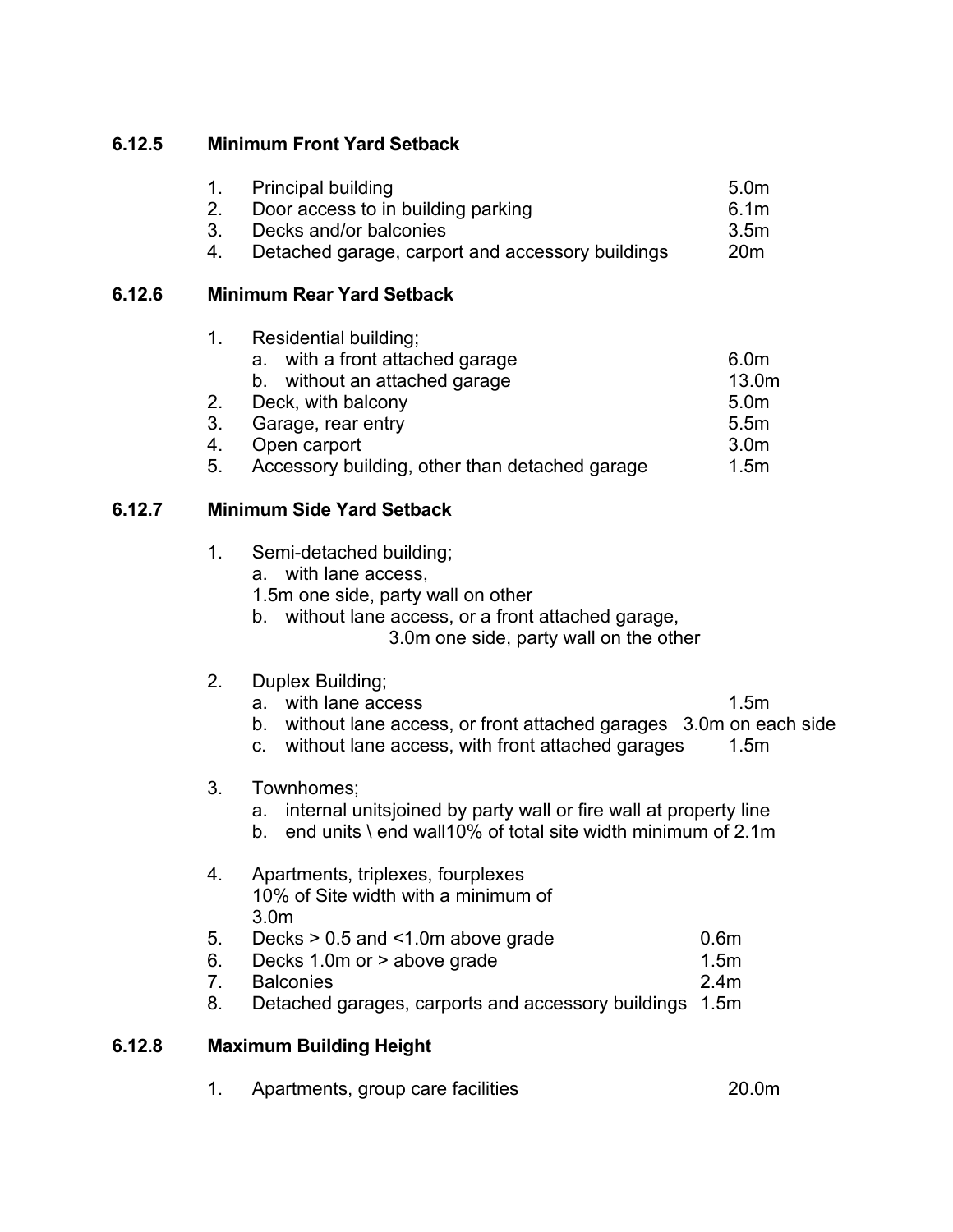# **6.12.5 Minimum Front Yard Setback**

| 1. Principal building                            | 5.0 <sub>m</sub> |
|--------------------------------------------------|------------------|
| 2. Door access to in building parking            | 6.1m             |
| 3. Decks and/or balconies                        | 3.5m             |
| Detached garage, carport and accessory buildings | 20 <sub>m</sub>  |

# **6.12.6 Minimum Rear Yard Setback**

|    | Residential building;                          |                  |
|----|------------------------------------------------|------------------|
|    | with a front attached garage<br>a.             | 6.0 <sub>m</sub> |
|    | b. without an attached garage                  | 13.0m            |
| 2. | Deck, with balcony                             | 5.0 <sub>m</sub> |
| 3. | Garage, rear entry                             | 5.5m             |
| 4. | Open carport                                   | 3.0 <sub>m</sub> |
| 5. | Accessory building, other than detached garage | 1.5 <sub>m</sub> |

# **6.12.7 Minimum Side Yard Setback**

| 1. | Semi-detached building; |  |
|----|-------------------------|--|
|----|-------------------------|--|

- a. with lane access,
- 1.5m one side, party wall on other
- b. without lane access, or a front attached garage,

3.0m one side, party wall on the other

# 2. Duplex Building;

- a. with lane access 1.5m
	-
- b. without lane access, or front attached garages 3.0m on each side
- c. without lane access, with front attached garages 1.5m

# 3. Townhomes;

- a. internal unitsjoined by party wall or fire wall at property line
- b. end units \ end wall10% of total site width minimum of 2.1m
- 4. Apartments, triplexes, fourplexes 10% of Site width with a minimum of 3.0m

| 5. | Decks $> 0.5$ and $\leq 1.0$ m above grade | 0.6m |
|----|--------------------------------------------|------|
|----|--------------------------------------------|------|

- 6. Decks 1.0m or > above grade 1.5m
- 7. Balconies 2.4m
- 8. Detached garages, carports and accessory buildings 1.5m

# **6.12.8 Maximum Building Height**

1. Apartments, group care facilities 20.0m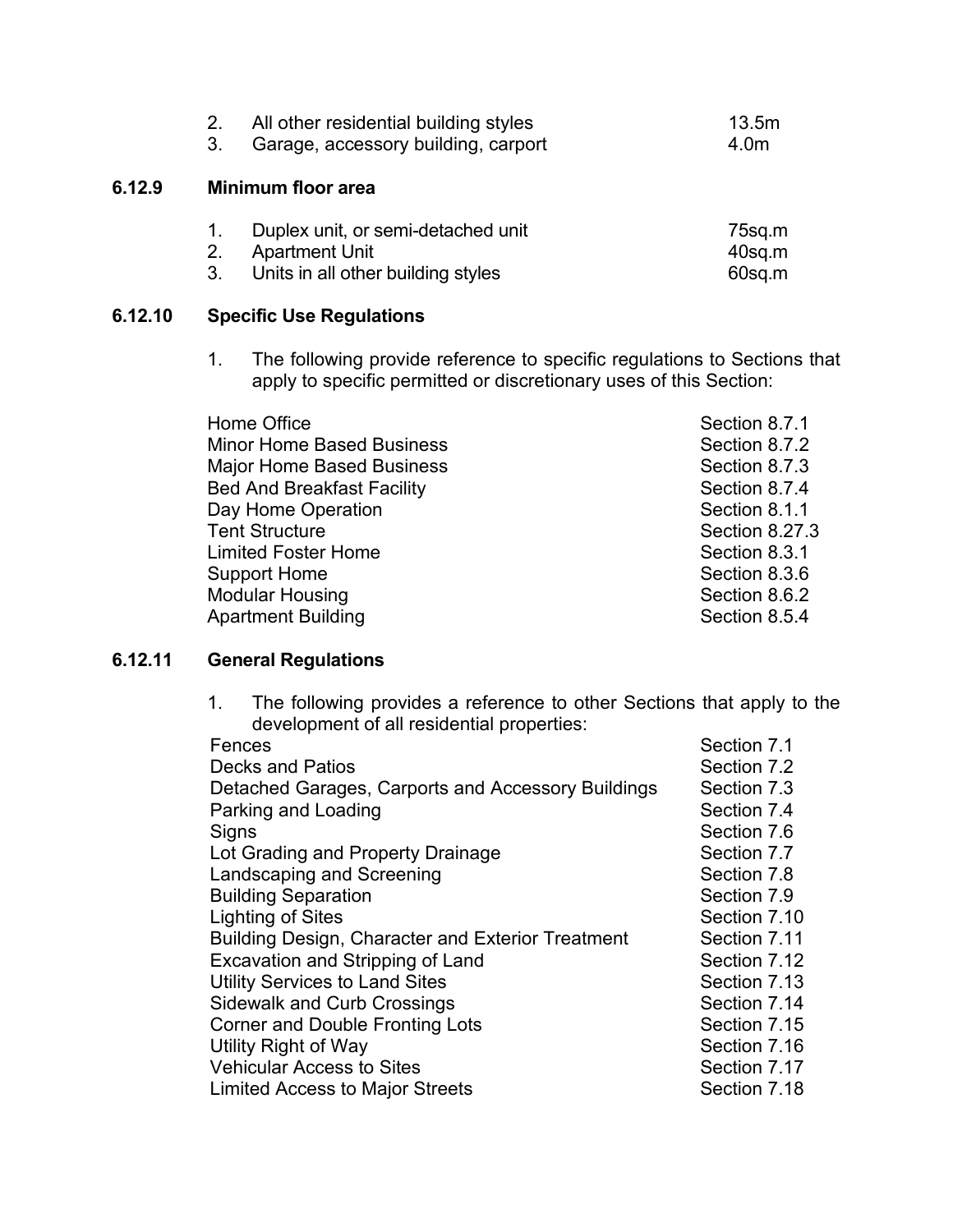|        | All other residential building styles<br>2.<br>Garage, accessory building, carport<br>3.                            | 13.5m<br>4.0m              |  |  |
|--------|---------------------------------------------------------------------------------------------------------------------|----------------------------|--|--|
| 6.12.9 | Minimum floor area                                                                                                  |                            |  |  |
|        | Duplex unit, or semi-detached unit<br>1.<br><b>Apartment Unit</b><br>2.<br>Units in all other building styles<br>3. | 75sq.m<br>40sq.m<br>60sq.m |  |  |

# **6.12.10 Specific Use Regulations**

1. The following provide reference to specific regulations to Sections that apply to specific permitted or discretionary uses of this Section:

| Home Office                       | Section 8.7.1  |
|-----------------------------------|----------------|
| <b>Minor Home Based Business</b>  | Section 8.7.2  |
| <b>Major Home Based Business</b>  | Section 8.7.3  |
| <b>Bed And Breakfast Facility</b> | Section 8.7.4  |
| Day Home Operation                | Section 8.1.1  |
| <b>Tent Structure</b>             | Section 8.27.3 |
| <b>Limited Foster Home</b>        | Section 8.3.1  |
| <b>Support Home</b>               | Section 8.3.6  |
| <b>Modular Housing</b>            | Section 8.6.2  |
| Apartment Building                | Section 8.5.4  |

# **6.12.11 General Regulations**

1. The following provides a reference to other Sections that apply to the development of all residential properties:

| Fences                                             | Section 7.1  |
|----------------------------------------------------|--------------|
| <b>Decks and Patios</b>                            | Section 7.2  |
| Detached Garages, Carports and Accessory Buildings | Section 7.3  |
| Parking and Loading                                | Section 7.4  |
| Signs                                              | Section 7.6  |
| Lot Grading and Property Drainage                  | Section 7.7  |
| Landscaping and Screening                          | Section 7.8  |
| <b>Building Separation</b>                         | Section 7.9  |
| Lighting of Sites                                  | Section 7.10 |
| Building Design, Character and Exterior Treatment  | Section 7.11 |
| Excavation and Stripping of Land                   | Section 7.12 |
| <b>Utility Services to Land Sites</b>              | Section 7.13 |
| <b>Sidewalk and Curb Crossings</b>                 | Section 7.14 |
| <b>Corner and Double Fronting Lots</b>             | Section 7.15 |
| Utility Right of Way                               | Section 7.16 |
| <b>Vehicular Access to Sites</b>                   | Section 7.17 |
| <b>Limited Access to Major Streets</b>             | Section 7.18 |
|                                                    |              |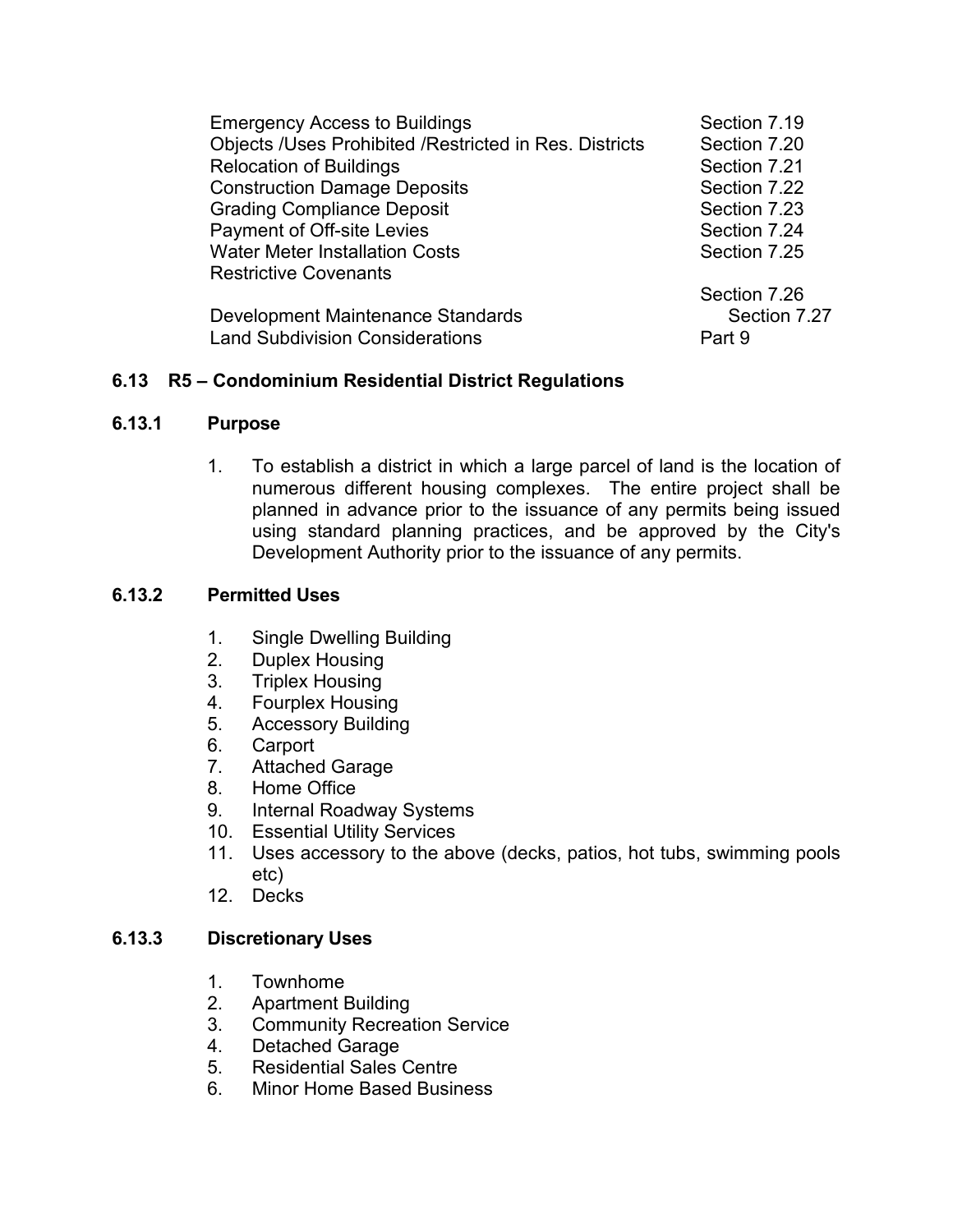| <b>Emergency Access to Buildings</b>                   | Section 7.19 |
|--------------------------------------------------------|--------------|
| Objects /Uses Prohibited /Restricted in Res. Districts | Section 7.20 |
| <b>Relocation of Buildings</b>                         | Section 7.21 |
| <b>Construction Damage Deposits</b>                    | Section 7.22 |
| <b>Grading Compliance Deposit</b>                      | Section 7.23 |
| Payment of Off-site Levies                             | Section 7.24 |
| <b>Water Meter Installation Costs</b>                  | Section 7.25 |
| <b>Restrictive Covenants</b>                           |              |
|                                                        | Section 7.26 |
| Development Maintenance Standards                      | Section 7.27 |
| <b>Land Subdivision Considerations</b>                 | Part 9       |

# **6.13 R5 – Condominium Residential District Regulations**

#### **6.13.1 Purpose**

1. To establish a district in which a large parcel of land is the location of numerous different housing complexes. The entire project shall be planned in advance prior to the issuance of any permits being issued using standard planning practices, and be approved by the City's Development Authority prior to the issuance of any permits.

### **6.13.2 Permitted Uses**

- 1. Single Dwelling Building
- 2. Duplex Housing
- 3. Triplex Housing
- 4. Fourplex Housing
- 5. Accessory Building
- 6. Carport
- 7. Attached Garage
- 8. Home Office
- 9. Internal Roadway Systems
- 10. Essential Utility Services
- 11. Uses accessory to the above (decks, patios, hot tubs, swimming pools etc)
- 12. Decks

### **6.13.3 Discretionary Uses**

- 1. Townhome
- 2. Apartment Building
- 3. Community Recreation Service
- 4. Detached Garage
- 5. Residential Sales Centre
- 6. Minor Home Based Business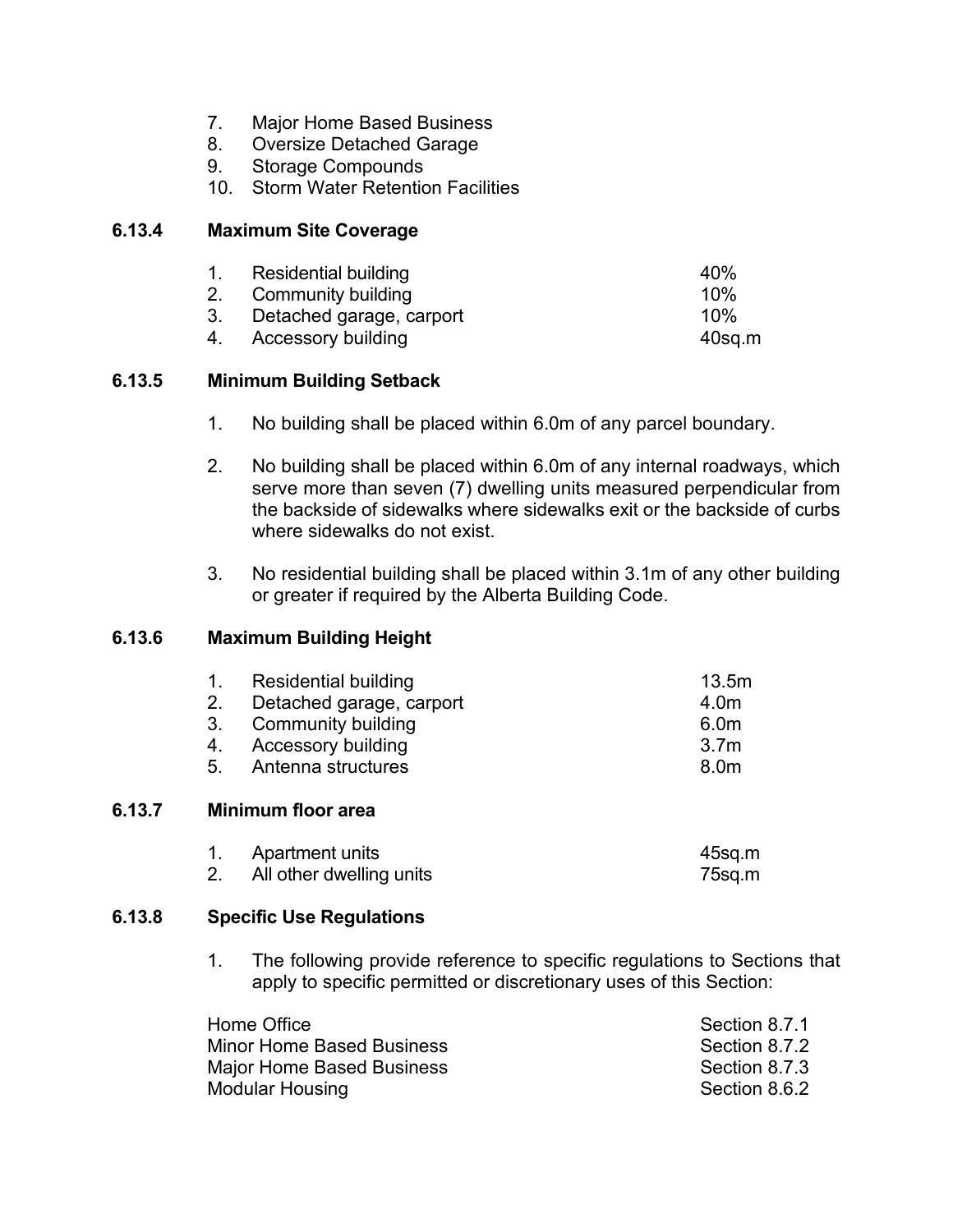- 7. Major Home Based Business
- 8. Oversize Detached Garage
- 9. Storage Compounds
- 10. Storm Water Retention Facilities

#### **6.13.4 Maximum Site Coverage**

| 1. Residential building     | 40%       |
|-----------------------------|-----------|
| 2. Community building       | 10%       |
| 3. Detached garage, carport | 10%       |
| 4. Accessory building       | $40$ sq.m |

## **6.13.5 Minimum Building Setback**

- 1. No building shall be placed within 6.0m of any parcel boundary.
- 2. No building shall be placed within 6.0m of any internal roadways, which serve more than seven (7) dwelling units measured perpendicular from the backside of sidewalks where sidewalks exit or the backside of curbs where sidewalks do not exist.
- 3. No residential building shall be placed within 3.1m of any other building or greater if required by the Alberta Building Code.

## **6.13.6 Maximum Building Height**

| 1.             | <b>Residential building</b> | 13.5m            |
|----------------|-----------------------------|------------------|
| 2.             | Detached garage, carport    | 4.0m             |
| 3.             | <b>Community building</b>   | 6.0m             |
| 4.             | <b>Accessory building</b>   | 3.7 <sub>m</sub> |
| 5 <sub>1</sub> | Antenna structures          | 8.0m             |
|                | Minimum floor area          |                  |
|                | Apartment units             | $45$ sq.m        |
| 2.             | All other dwelling units    | 75sq.m           |

#### **6.13.8 Specific Use Regulations**

**6.13.7** 

1. The following provide reference to specific regulations to Sections that apply to specific permitted or discretionary uses of this Section:

| Home Office                      | Section 8.7.1 |
|----------------------------------|---------------|
| <b>Minor Home Based Business</b> | Section 8.7.2 |
| Major Home Based Business        | Section 8.7.3 |
| <b>Modular Housing</b>           | Section 8.6.2 |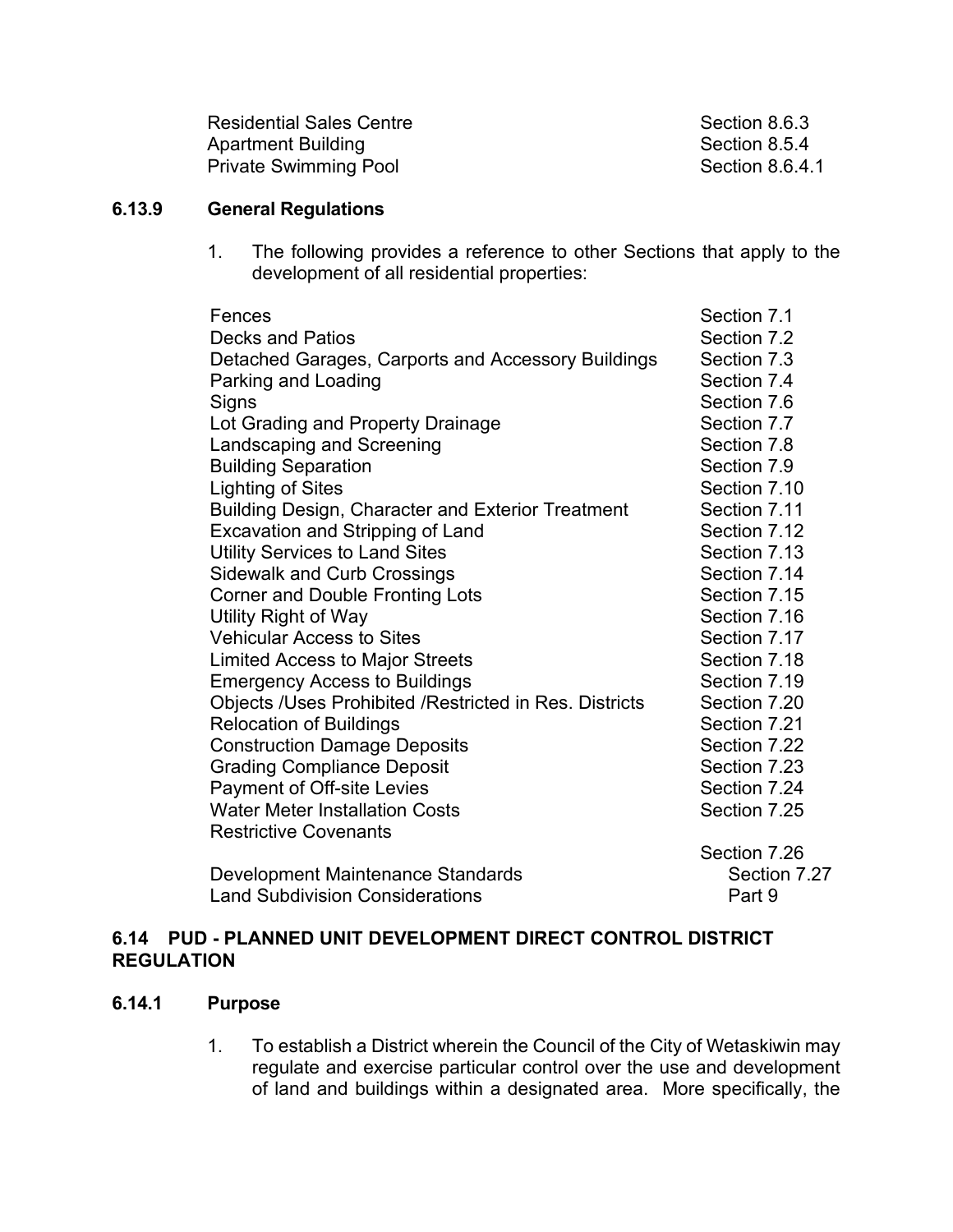| <b>Residential Sales Centre</b> |
|---------------------------------|
| <b>Apartment Building</b>       |
| <b>Private Swimming Pool</b>    |

Section 8.6.3 Section 8.5.4 Section 8.6.4.1

## **6.13.9 General Regulations**

1. The following provides a reference to other Sections that apply to the development of all residential properties:

| Fences                                                 | Section 7.1  |
|--------------------------------------------------------|--------------|
| <b>Decks and Patios</b>                                | Section 7.2  |
| Detached Garages, Carports and Accessory Buildings     | Section 7.3  |
| Parking and Loading                                    | Section 7.4  |
| Signs                                                  | Section 7.6  |
| Lot Grading and Property Drainage                      | Section 7.7  |
| <b>Landscaping and Screening</b>                       | Section 7.8  |
| <b>Building Separation</b>                             | Section 7.9  |
| <b>Lighting of Sites</b>                               | Section 7.10 |
| Building Design, Character and Exterior Treatment      | Section 7.11 |
| Excavation and Stripping of Land                       | Section 7.12 |
| <b>Utility Services to Land Sites</b>                  | Section 7.13 |
| <b>Sidewalk and Curb Crossings</b>                     | Section 7.14 |
| <b>Corner and Double Fronting Lots</b>                 | Section 7.15 |
| Utility Right of Way                                   | Section 7.16 |
| <b>Vehicular Access to Sites</b>                       | Section 7.17 |
| <b>Limited Access to Major Streets</b>                 | Section 7.18 |
| <b>Emergency Access to Buildings</b>                   | Section 7.19 |
| Objects /Uses Prohibited /Restricted in Res. Districts | Section 7.20 |
| <b>Relocation of Buildings</b>                         | Section 7.21 |
| <b>Construction Damage Deposits</b>                    | Section 7.22 |
| <b>Grading Compliance Deposit</b>                      | Section 7.23 |
| Payment of Off-site Levies                             | Section 7.24 |
| <b>Water Meter Installation Costs</b>                  | Section 7.25 |
| <b>Restrictive Covenants</b>                           |              |
|                                                        | Section 7.26 |
| Development Maintenance Standards                      | Section 7.27 |
| <b>Land Subdivision Considerations</b>                 | Part 9       |

## **6.14 PUD - PLANNED UNIT DEVELOPMENT DIRECT CONTROL DISTRICT REGULATION**

## **6.14.1 Purpose**

1. To establish a District wherein the Council of the City of Wetaskiwin may regulate and exercise particular control over the use and development of land and buildings within a designated area. More specifically, the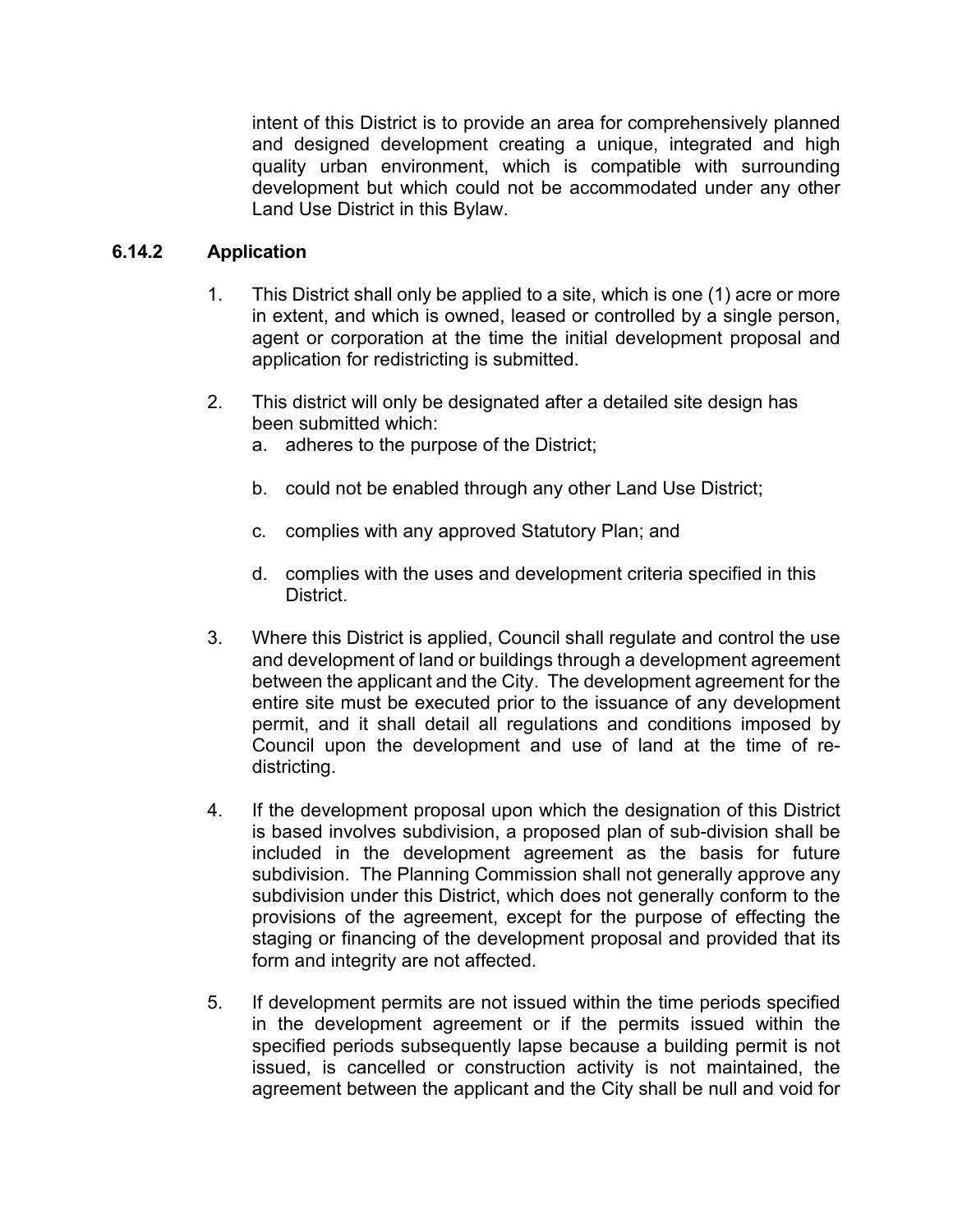intent of this District is to provide an area for comprehensively planned and designed development creating a unique, integrated and high quality urban environment, which is compatible with surrounding development but which could not be accommodated under any other Land Use District in this Bylaw.

## **6.14.2 Application**

- 1. This District shall only be applied to a site, which is one (1) acre or more in extent, and which is owned, leased or controlled by a single person, agent or corporation at the time the initial development proposal and application for redistricting is submitted.
- 2. This district will only be designated after a detailed site design has been submitted which:
	- a. adheres to the purpose of the District;
	- b. could not be enabled through any other Land Use District;
	- c. complies with any approved Statutory Plan; and
	- d. complies with the uses and development criteria specified in this District.
- 3. Where this District is applied, Council shall regulate and control the use and development of land or buildings through a development agreement between the applicant and the City. The development agreement for the entire site must be executed prior to the issuance of any development permit, and it shall detail all regulations and conditions imposed by Council upon the development and use of land at the time of redistricting.
- 4. If the development proposal upon which the designation of this District is based involves subdivision, a proposed plan of sub-division shall be included in the development agreement as the basis for future subdivision. The Planning Commission shall not generally approve any subdivision under this District, which does not generally conform to the provisions of the agreement, except for the purpose of effecting the staging or financing of the development proposal and provided that its form and integrity are not affected.
- 5. If development permits are not issued within the time periods specified in the development agreement or if the permits issued within the specified periods subsequently lapse because a building permit is not issued, is cancelled or construction activity is not maintained, the agreement between the applicant and the City shall be null and void for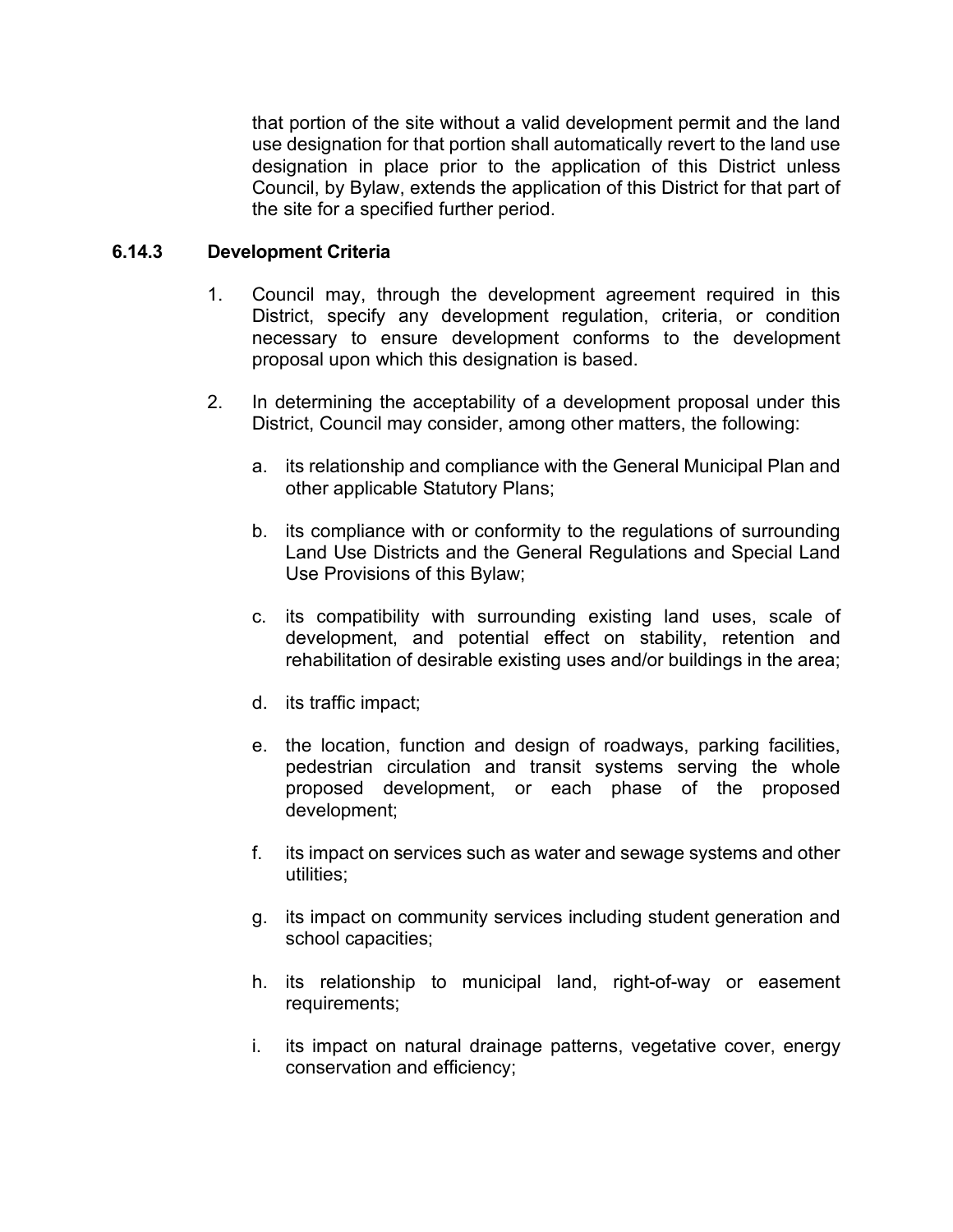that portion of the site without a valid development permit and the land use designation for that portion shall automatically revert to the land use designation in place prior to the application of this District unless Council, by Bylaw, extends the application of this District for that part of the site for a specified further period.

## **6.14.3 Development Criteria**

- 1. Council may, through the development agreement required in this District, specify any development regulation, criteria, or condition necessary to ensure development conforms to the development proposal upon which this designation is based.
- 2. In determining the acceptability of a development proposal under this District, Council may consider, among other matters, the following:
	- a. its relationship and compliance with the General Municipal Plan and other applicable Statutory Plans;
	- b. its compliance with or conformity to the regulations of surrounding Land Use Districts and the General Regulations and Special Land Use Provisions of this Bylaw;
	- c. its compatibility with surrounding existing land uses, scale of development, and potential effect on stability, retention and rehabilitation of desirable existing uses and/or buildings in the area;
	- d. its traffic impact;
	- e. the location, function and design of roadways, parking facilities, pedestrian circulation and transit systems serving the whole proposed development, or each phase of the proposed development;
	- f. its impact on services such as water and sewage systems and other utilities;
	- g. its impact on community services including student generation and school capacities;
	- h. its relationship to municipal land, right-of-way or easement requirements;
	- i. its impact on natural drainage patterns, vegetative cover, energy conservation and efficiency;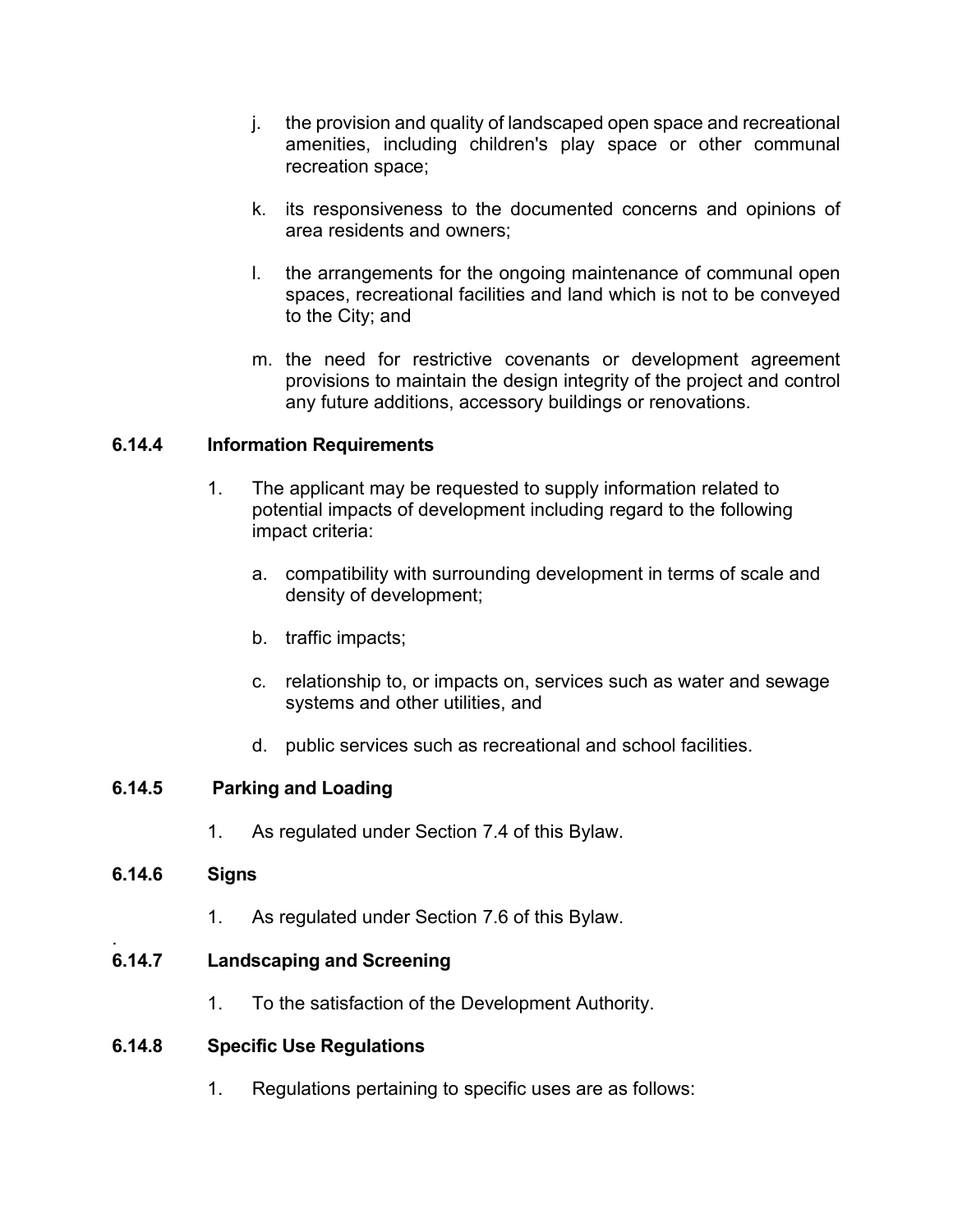- j. the provision and quality of landscaped open space and recreational amenities, including children's play space or other communal recreation space;
- k. its responsiveness to the documented concerns and opinions of area residents and owners;
- l. the arrangements for the ongoing maintenance of communal open spaces, recreational facilities and land which is not to be conveyed to the City; and
- m. the need for restrictive covenants or development agreement provisions to maintain the design integrity of the project and control any future additions, accessory buildings or renovations.

#### **6.14.4 Information Requirements**

- 1. The applicant may be requested to supply information related to potential impacts of development including regard to the following impact criteria:
	- a. compatibility with surrounding development in terms of scale and density of development;
	- b. traffic impacts;
	- c. relationship to, or impacts on, services such as water and sewage systems and other utilities, and
	- d. public services such as recreational and school facilities.

## **6.14.5 Parking and Loading**

1. As regulated under Section 7.4 of this Bylaw.

#### **6.14.6 Signs**

1. As regulated under Section 7.6 of this Bylaw.

#### . **6.14.7 Landscaping and Screening**

1. To the satisfaction of the Development Authority.

#### **6.14.8 Specific Use Regulations**

1. Regulations pertaining to specific uses are as follows: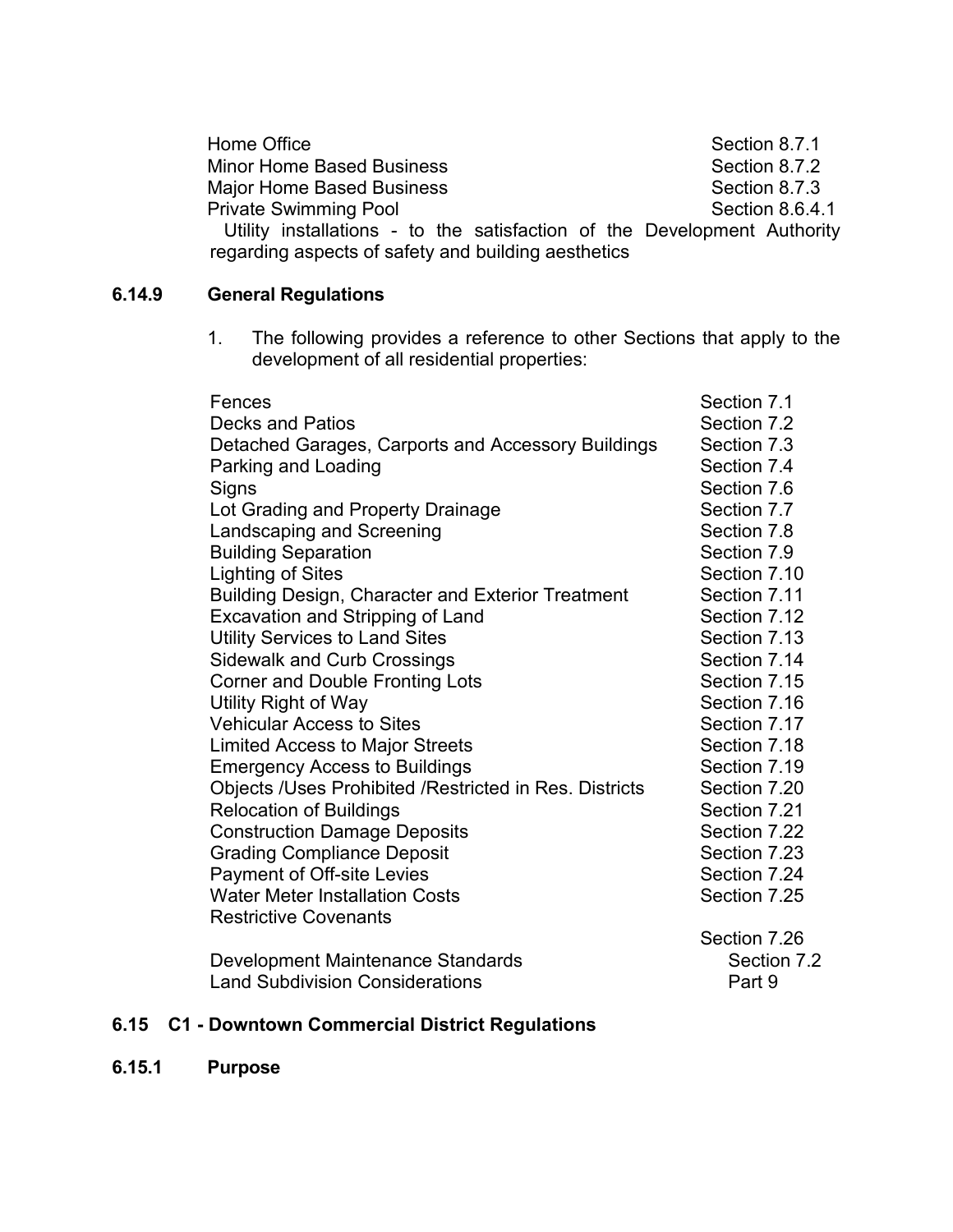| Home Office                                                              | Section 8.7.1   |
|--------------------------------------------------------------------------|-----------------|
| <b>Minor Home Based Business</b>                                         | Section 8.7.2   |
| <b>Major Home Based Business</b>                                         | Section 8.7.3   |
| <b>Private Swimming Pool</b>                                             | Section 8.6.4.1 |
| Utility installations - to the satisfaction of the Development Authority |                 |
| regarding aspects of safety and building aesthetics                      |                 |

# **6.14.9 General Regulations**

1. The following provides a reference to other Sections that apply to the development of all residential properties:

| Fences                                                 | Section 7.1  |
|--------------------------------------------------------|--------------|
| <b>Decks and Patios</b>                                | Section 7.2  |
| Detached Garages, Carports and Accessory Buildings     | Section 7.3  |
| Parking and Loading                                    | Section 7.4  |
| Signs                                                  | Section 7.6  |
| Lot Grading and Property Drainage                      | Section 7.7  |
| Landscaping and Screening                              | Section 7.8  |
| <b>Building Separation</b>                             | Section 7.9  |
| <b>Lighting of Sites</b>                               | Section 7.10 |
| Building Design, Character and Exterior Treatment      | Section 7.11 |
| <b>Excavation and Stripping of Land</b>                | Section 7.12 |
| <b>Utility Services to Land Sites</b>                  | Section 7.13 |
| <b>Sidewalk and Curb Crossings</b>                     | Section 7.14 |
| <b>Corner and Double Fronting Lots</b>                 | Section 7.15 |
| Utility Right of Way                                   | Section 7.16 |
| <b>Vehicular Access to Sites</b>                       | Section 7.17 |
| <b>Limited Access to Major Streets</b>                 | Section 7.18 |
| <b>Emergency Access to Buildings</b>                   | Section 7.19 |
| Objects /Uses Prohibited /Restricted in Res. Districts | Section 7.20 |
| <b>Relocation of Buildings</b>                         | Section 7.21 |
| <b>Construction Damage Deposits</b>                    | Section 7.22 |
| <b>Grading Compliance Deposit</b>                      | Section 7.23 |
| <b>Payment of Off-site Levies</b>                      | Section 7.24 |
| <b>Water Meter Installation Costs</b>                  | Section 7.25 |
| <b>Restrictive Covenants</b>                           |              |
|                                                        | Section 7.26 |
| Development Maintenance Standards                      | Section 7.2  |
| <b>Land Subdivision Considerations</b>                 | Part 9       |

## **6.15 C1 - Downtown Commercial District Regulations**

**6.15.1 Purpose**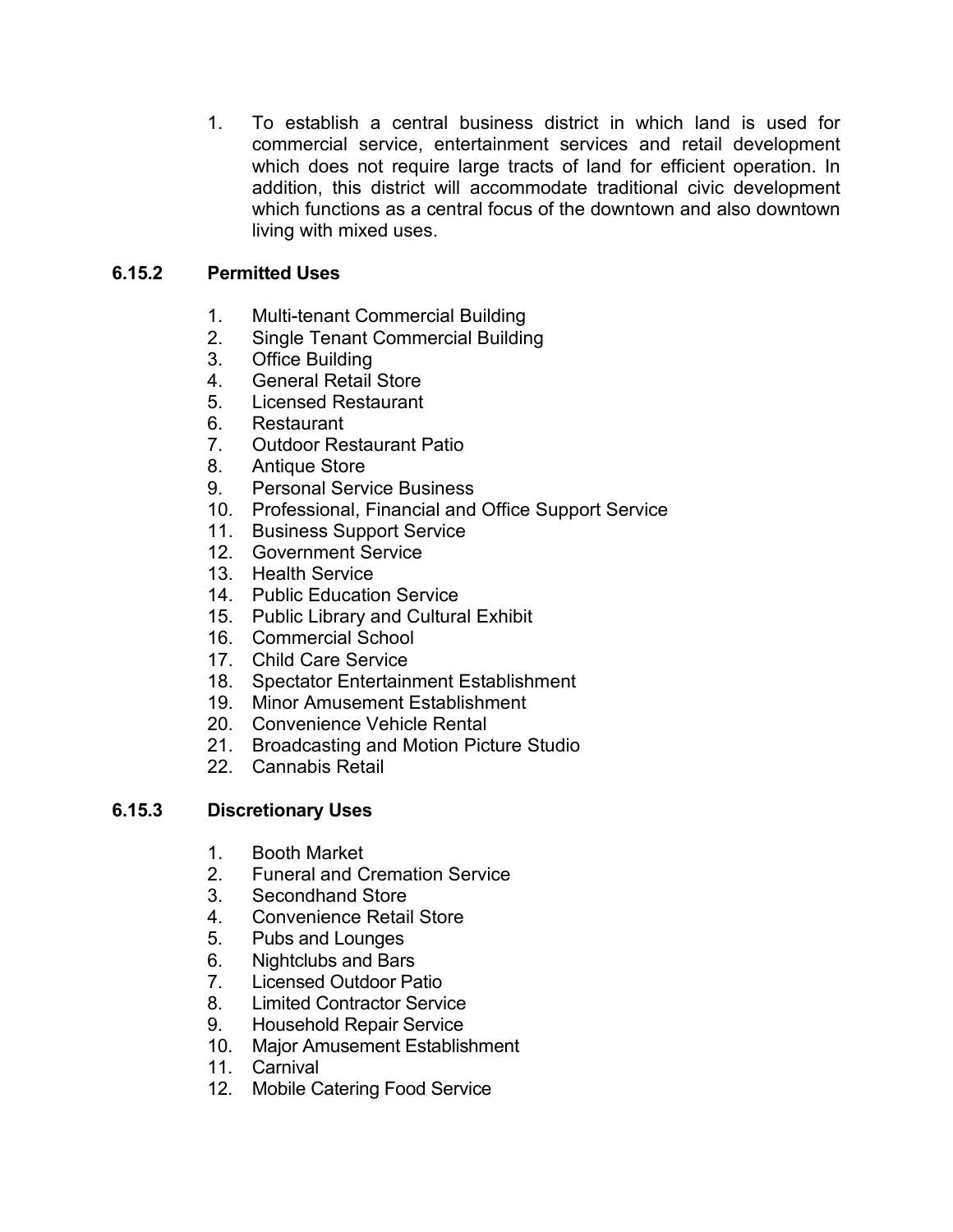1. To establish a central business district in which land is used for commercial service, entertainment services and retail development which does not require large tracts of land for efficient operation. In addition, this district will accommodate traditional civic development which functions as a central focus of the downtown and also downtown living with mixed uses.

## **6.15.2 Permitted Uses**

- 1. Multi-tenant Commercial Building
- 2. Single Tenant Commercial Building
- 3. Office Building
- 4. General Retail Store
- 5. Licensed Restaurant
- 6. Restaurant
- 7. Outdoor Restaurant Patio
- 8. Antique Store
- 9. Personal Service Business
- 10. Professional, Financial and Office Support Service
- 11. Business Support Service
- 12. Government Service
- 13. Health Service
- 14. Public Education Service
- 15. Public Library and Cultural Exhibit
- 16. Commercial School
- 17. Child Care Service
- 18. Spectator Entertainment Establishment
- 19. Minor Amusement Establishment
- 20. Convenience Vehicle Rental
- 21. Broadcasting and Motion Picture Studio
- 22. Cannabis Retail

#### **6.15.3 Discretionary Uses**

- 1. Booth Market
- 2. Funeral and Cremation Service
- 3. Secondhand Store
- 4. Convenience Retail Store
- 5. Pubs and Lounges
- 6. Nightclubs and Bars
- 7. Licensed Outdoor Patio
- 8. Limited Contractor Service
- 9. Household Repair Service
- 10. Major Amusement Establishment
- 11. Carnival
- 12. Mobile Catering Food Service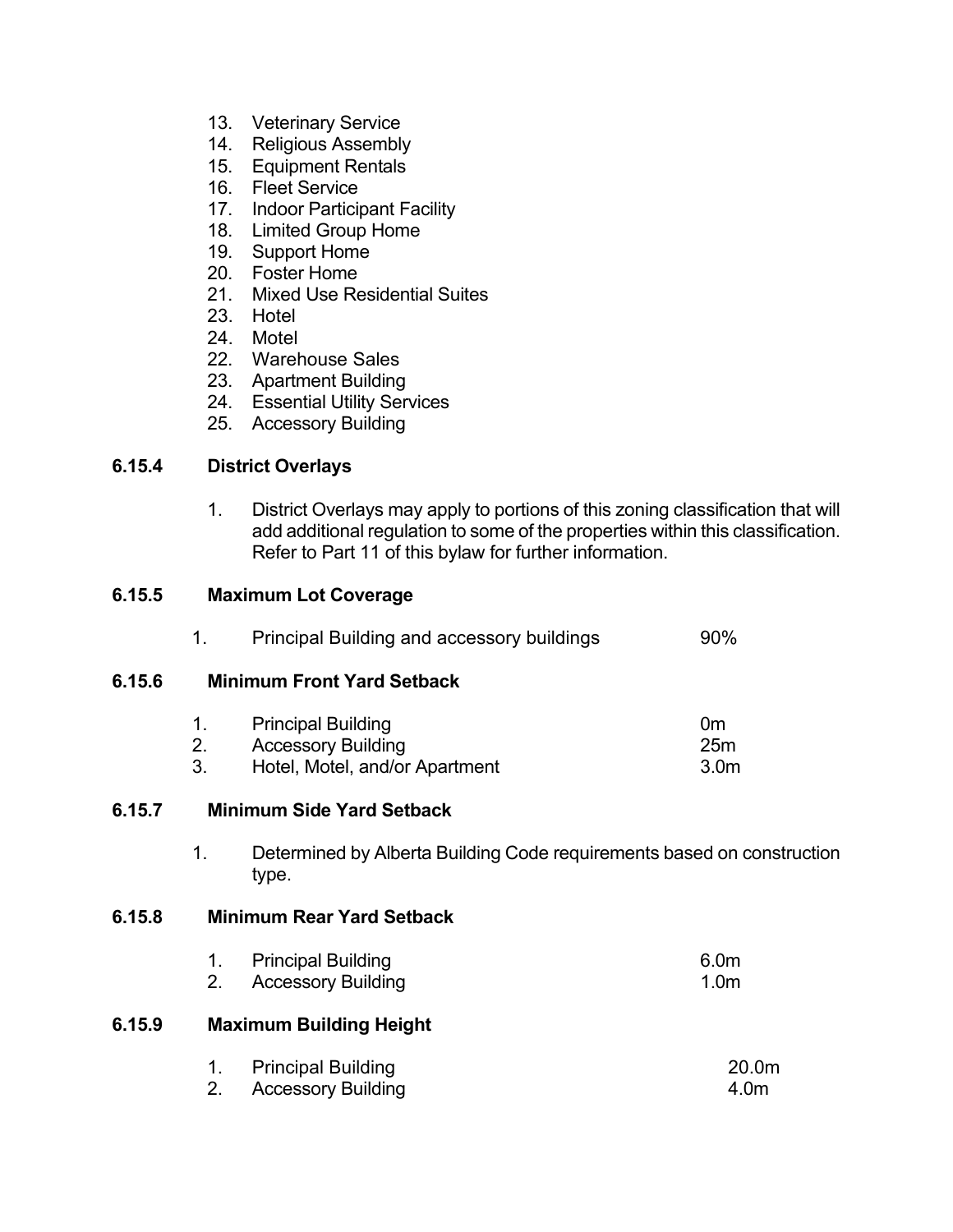- 13. Veterinary Service
- 14. Religious Assembly
- 15. Equipment Rentals
- 16. Fleet Service
- 17. Indoor Participant Facility
- 18. Limited Group Home
- 19. Support Home
- 20. Foster Home
- 21. Mixed Use Residential Suites
- 23. Hotel
- 24. Motel
- 22. Warehouse Sales
- 23. Apartment Building
- 24. Essential Utility Services
- 25. Accessory Building

#### **6.15.4 District Overlays**

1. District Overlays may apply to portions of this zoning classification that will add additional regulation to some of the properties within this classification. Refer to Part 11 of this bylaw for further information.

#### **6.15.5 Maximum Lot Coverage**

|        | 1.                                | Principal Building and accessory buildings                                               | 90%                                       |  |
|--------|-----------------------------------|------------------------------------------------------------------------------------------|-------------------------------------------|--|
| 6.15.6 | <b>Minimum Front Yard Setback</b> |                                                                                          |                                           |  |
|        | 1.<br>2.<br>3.                    | <b>Principal Building</b><br><b>Accessory Building</b><br>Hotel, Motel, and/or Apartment | 0 <sub>m</sub><br>25m<br>3.0 <sub>m</sub> |  |
| 6.15.7 | <b>Minimum Side Yard Setback</b>  |                                                                                          |                                           |  |
|        | 1.                                | Determined by Alberta Building Code requirements based on construction<br>type.          |                                           |  |
| 6.15.8 |                                   | <b>Minimum Rear Yard Setback</b>                                                         |                                           |  |
|        | 1.<br>2.                          | <b>Principal Building</b><br><b>Accessory Building</b>                                   | 6.0m<br>1.0 <sub>m</sub>                  |  |
| 6.15.9 |                                   | <b>Maximum Building Height</b>                                                           |                                           |  |
|        | 1.<br>2.                          | <b>Principal Building</b><br><b>Accessory Building</b>                                   | 20.0m<br>4.0m                             |  |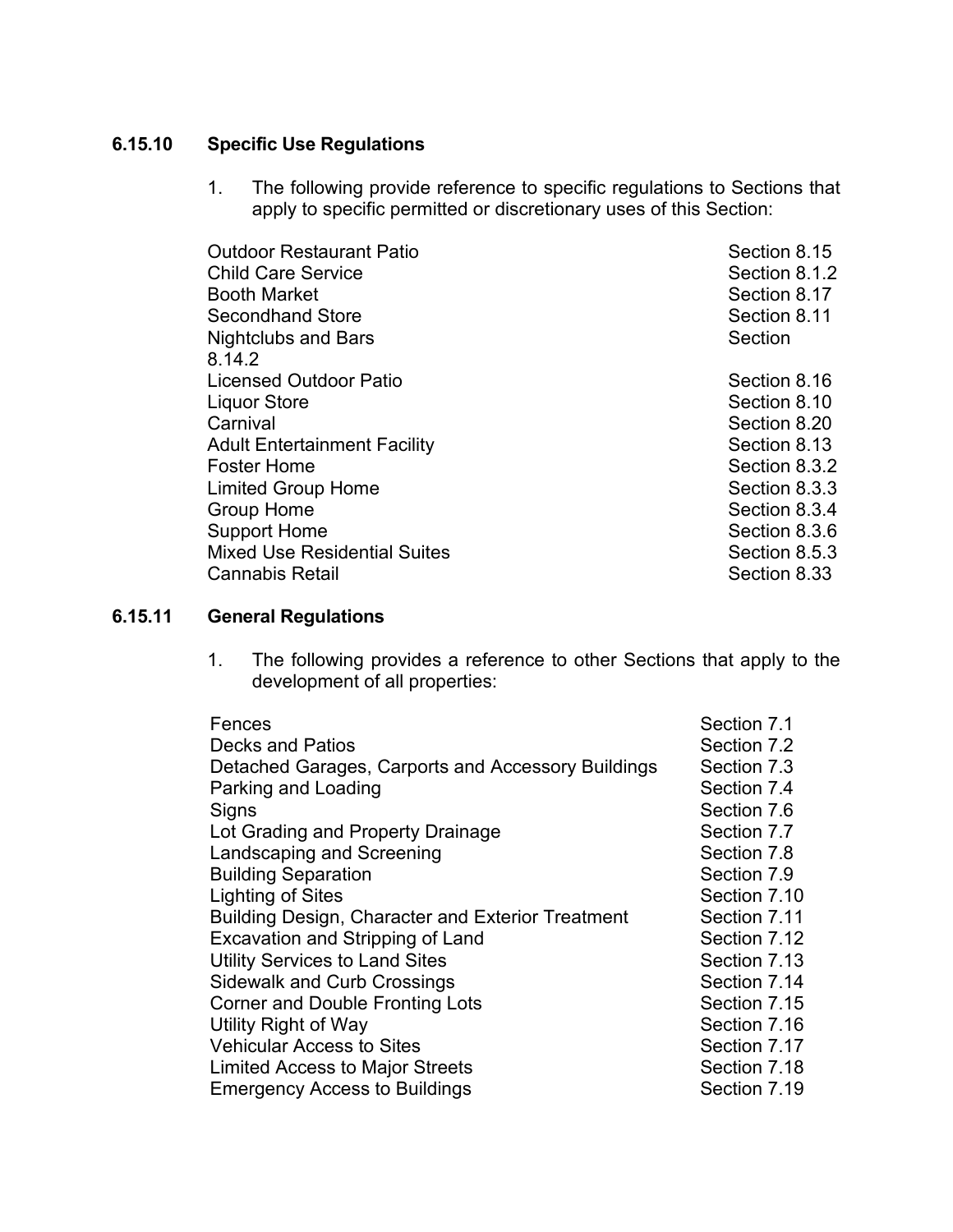## **6.15.10 Specific Use Regulations**

1. The following provide reference to specific regulations to Sections that apply to specific permitted or discretionary uses of this Section:

| <b>Outdoor Restaurant Patio</b><br><b>Child Care Service</b><br><b>Booth Market</b><br><b>Secondhand Store</b><br><b>Nightclubs and Bars</b><br>8.14.2 | Section 8.15<br>Section 8.1.2<br>Section 8.17<br>Section 8.11<br>Section |
|--------------------------------------------------------------------------------------------------------------------------------------------------------|--------------------------------------------------------------------------|
| <b>Licensed Outdoor Patio</b>                                                                                                                          | Section 8.16                                                             |
| <b>Liquor Store</b>                                                                                                                                    | Section 8.10                                                             |
| Carnival                                                                                                                                               | Section 8.20                                                             |
| <b>Adult Entertainment Facility</b>                                                                                                                    | Section 8.13                                                             |
| <b>Foster Home</b>                                                                                                                                     | Section 8.3.2                                                            |
| <b>Limited Group Home</b>                                                                                                                              | Section 8.3.3                                                            |
| <b>Group Home</b>                                                                                                                                      | Section 8.3.4                                                            |
| <b>Support Home</b>                                                                                                                                    | Section 8.3.6                                                            |
| <b>Mixed Use Residential Suites</b>                                                                                                                    | Section 8.5.3                                                            |
| <b>Cannabis Retail</b>                                                                                                                                 | Section 8.33                                                             |

## **6.15.11 General Regulations**

1. The following provides a reference to other Sections that apply to the development of all properties:

| Fences                                             | Section 7.1  |
|----------------------------------------------------|--------------|
| <b>Decks and Patios</b>                            | Section 7.2  |
| Detached Garages, Carports and Accessory Buildings | Section 7.3  |
| Parking and Loading                                | Section 7.4  |
| Signs                                              | Section 7.6  |
| Lot Grading and Property Drainage                  | Section 7.7  |
| Landscaping and Screening                          | Section 7.8  |
| <b>Building Separation</b>                         | Section 7.9  |
| <b>Lighting of Sites</b>                           | Section 7.10 |
| Building Design, Character and Exterior Treatment  | Section 7.11 |
| Excavation and Stripping of Land                   | Section 7.12 |
| <b>Utility Services to Land Sites</b>              | Section 7.13 |
| <b>Sidewalk and Curb Crossings</b>                 | Section 7.14 |
| <b>Corner and Double Fronting Lots</b>             | Section 7.15 |
| Utility Right of Way                               | Section 7.16 |
| <b>Vehicular Access to Sites</b>                   | Section 7.17 |
| <b>Limited Access to Major Streets</b>             | Section 7.18 |
| <b>Emergency Access to Buildings</b>               | Section 7.19 |
|                                                    |              |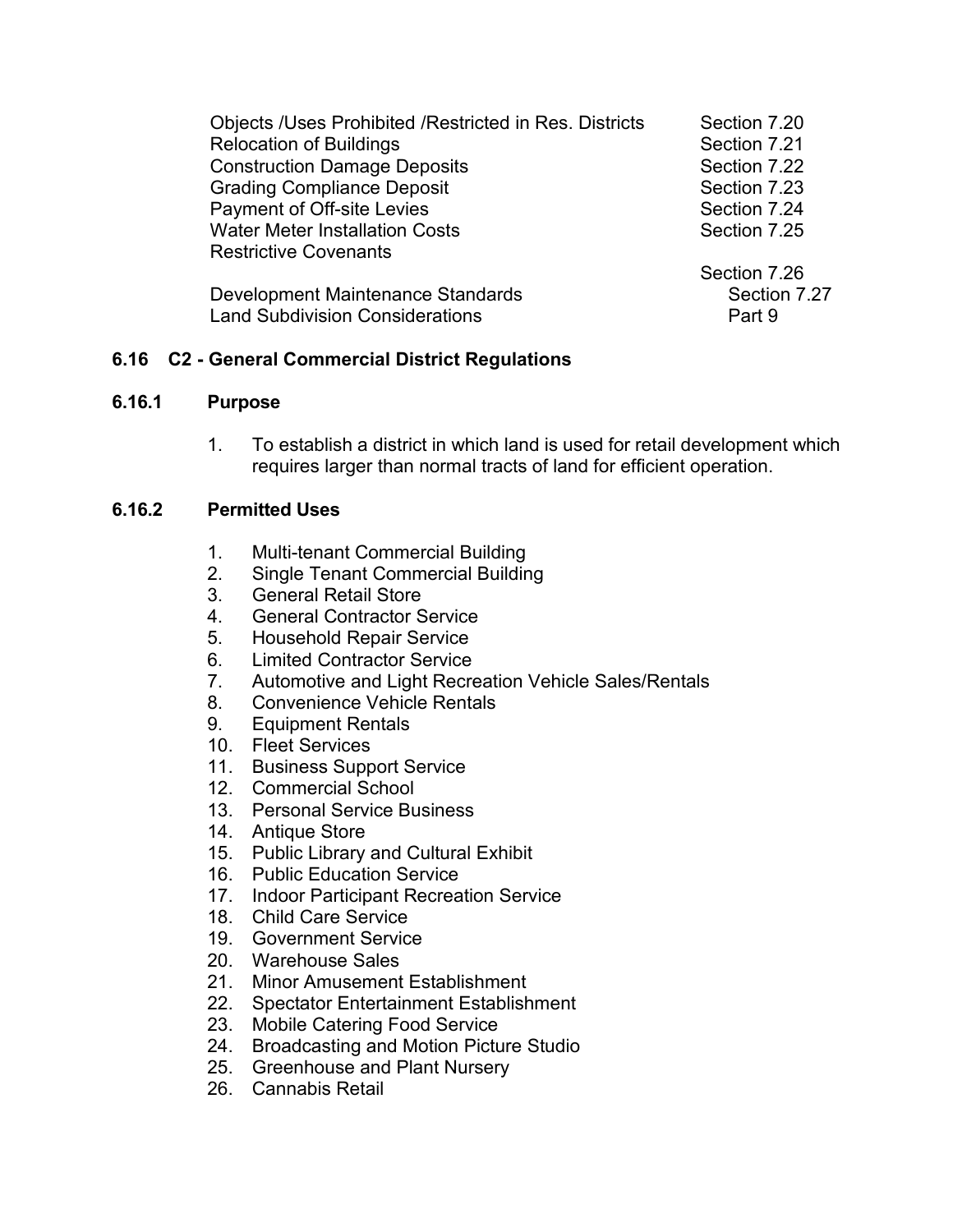| Objects /Uses Prohibited /Restricted in Res. Districts | Section 7.20 |
|--------------------------------------------------------|--------------|
| <b>Relocation of Buildings</b>                         | Section 7.21 |
| <b>Construction Damage Deposits</b>                    | Section 7.22 |
| <b>Grading Compliance Deposit</b>                      | Section 7.23 |
| Payment of Off-site Levies                             | Section 7.24 |
| <b>Water Meter Installation Costs</b>                  | Section 7.25 |
| <b>Restrictive Covenants</b>                           |              |
|                                                        | Section 7.26 |
| Development Maintenance Standards                      | Section 7.27 |
| <b>Land Subdivision Considerations</b>                 | Part 9       |

## **6.16 C2 - General Commercial District Regulations**

#### **6.16.1 Purpose**

1. To establish a district in which land is used for retail development which requires larger than normal tracts of land for efficient operation.

#### **6.16.2 Permitted Uses**

- 1. Multi-tenant Commercial Building
- 2. Single Tenant Commercial Building
- 3. General Retail Store
- 4. General Contractor Service
- 5. Household Repair Service
- 6. Limited Contractor Service<br>7. Automotive and Light Recre
- Automotive and Light Recreation Vehicle Sales/Rentals
- 8. Convenience Vehicle Rentals
- 9. Equipment Rentals
- 10. Fleet Services
- 11. Business Support Service
- 12. Commercial School
- 13. Personal Service Business
- 14. Antique Store
- 15. Public Library and Cultural Exhibit
- 16. Public Education Service
- 17. Indoor Participant Recreation Service
- 18. Child Care Service
- 19. Government Service
- 20. Warehouse Sales
- 21. Minor Amusement Establishment
- 22. Spectator Entertainment Establishment
- 23. Mobile Catering Food Service
- 24. Broadcasting and Motion Picture Studio
- 25. Greenhouse and Plant Nursery
- 26. Cannabis Retail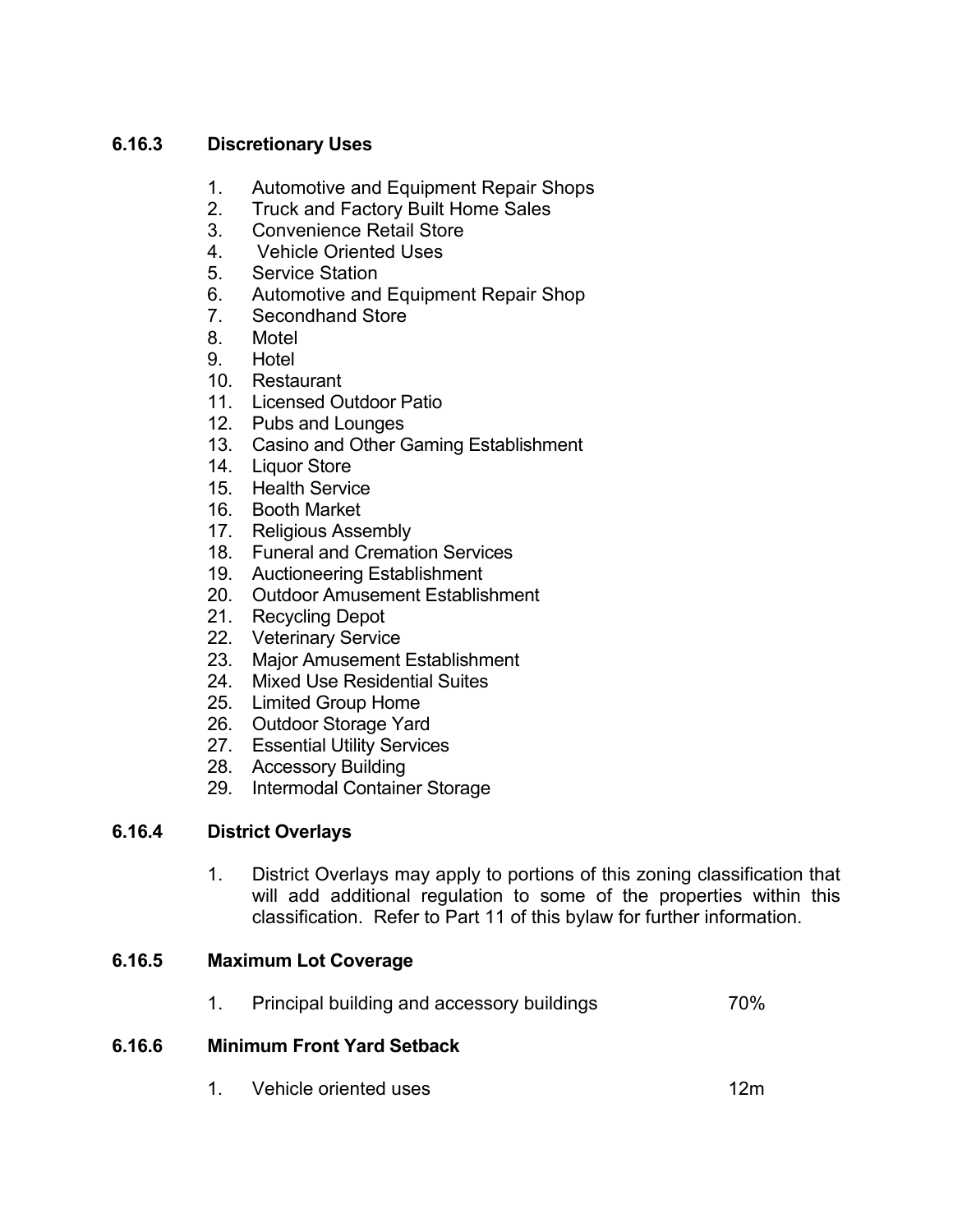## **6.16.3 Discretionary Uses**

- 1. Automotive and Equipment Repair Shops
- 2. Truck and Factory Built Home Sales
- 3. Convenience Retail Store
- 4. Vehicle Oriented Uses
- 5. Service Station
- 6. Automotive and Equipment Repair Shop
- 7. Secondhand Store
- 8. Motel
- 9. Hotel
- 10. Restaurant
- 11. Licensed Outdoor Patio
- 12. Pubs and Lounges
- 13. Casino and Other Gaming Establishment
- 14. Liquor Store
- 15. Health Service
- 16. Booth Market
- 17. Religious Assembly
- 18. Funeral and Cremation Services
- 19. Auctioneering Establishment
- 20. Outdoor Amusement Establishment
- 21. Recycling Depot
- 22. Veterinary Service
- 23. Major Amusement Establishment
- 24. Mixed Use Residential Suites
- 25. Limited Group Home
- 26. Outdoor Storage Yard
- 27. Essential Utility Services
- 28. Accessory Building
- 29. Intermodal Container Storage

## **6.16.4 District Overlays**

1. District Overlays may apply to portions of this zoning classification that will add additional regulation to some of the properties within this classification. Refer to Part 11 of this bylaw for further information.

## **6.16.5 Maximum Lot Coverage**

1. Principal building and accessory buildings 70%

## **6.16.6 Minimum Front Yard Setback**

1. Vehicle oriented uses 12m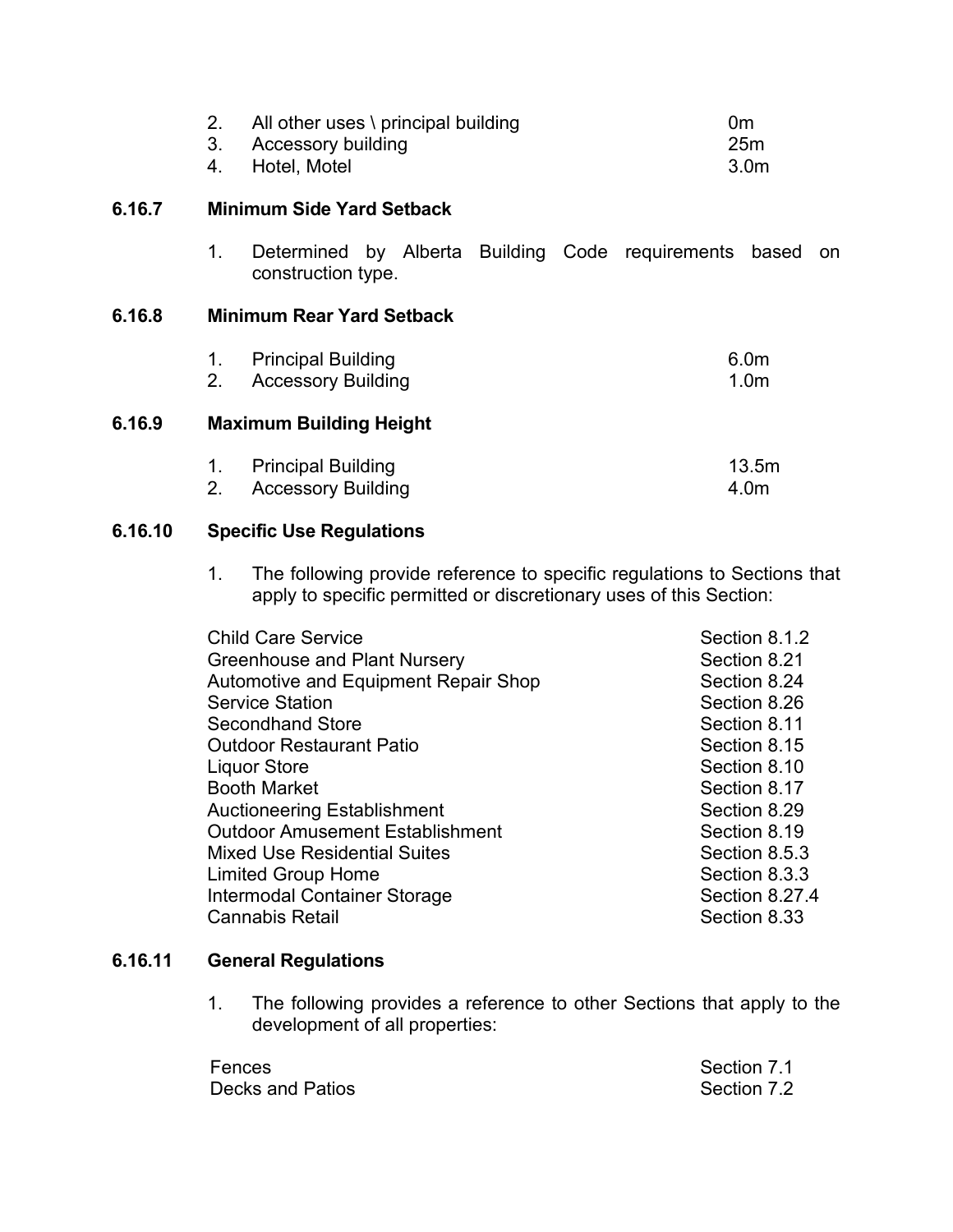|        | 2.<br>3.<br>4. | All other uses \ principal building<br><b>Accessory building</b><br>Hotel, Motel | 0m<br>25m<br>3.0 <sub>m</sub>        |
|--------|----------------|----------------------------------------------------------------------------------|--------------------------------------|
| 6.16.7 |                | <b>Minimum Side Yard Setback</b>                                                 |                                      |
|        | 1.             | Determined by Alberta Building Code requirements based<br>construction type.     | on                                   |
| 6.16.8 |                | <b>Minimum Rear Yard Setback</b>                                                 |                                      |
|        | 1.<br>2.       | <b>Principal Building</b><br><b>Accessory Building</b>                           | 6.0 <sub>m</sub><br>1.0 <sub>m</sub> |
| 6.16.9 |                | <b>Maximum Building Height</b>                                                   |                                      |
|        | 1.<br>2.       | <b>Principal Building</b><br><b>Accessory Building</b>                           | 13.5m<br>4.0m                        |

#### **6.16.10 Specific Use Regulations**

1. The following provide reference to specific regulations to Sections that apply to specific permitted or discretionary uses of this Section:

| <b>Child Care Service</b>              | Section 8.1.2  |
|----------------------------------------|----------------|
| Greenhouse and Plant Nursery           | Section 8.21   |
| Automotive and Equipment Repair Shop   | Section 8.24   |
| <b>Service Station</b>                 | Section 8.26   |
| <b>Secondhand Store</b>                | Section 8.11   |
| <b>Outdoor Restaurant Patio</b>        | Section 8.15   |
| <b>Liquor Store</b>                    | Section 8.10   |
| <b>Booth Market</b>                    | Section 8.17   |
| <b>Auctioneering Establishment</b>     | Section 8.29   |
| <b>Outdoor Amusement Establishment</b> | Section 8.19   |
| <b>Mixed Use Residential Suites</b>    | Section 8.5.3  |
| <b>Limited Group Home</b>              | Section 8.3.3  |
| Intermodal Container Storage           | Section 8.27.4 |
| <b>Cannabis Retail</b>                 | Section 8.33   |

## **6.16.11 General Regulations**

1. The following provides a reference to other Sections that apply to the development of all properties:

| Fences           | Section 7.1 |
|------------------|-------------|
| Decks and Patios | Section 7.2 |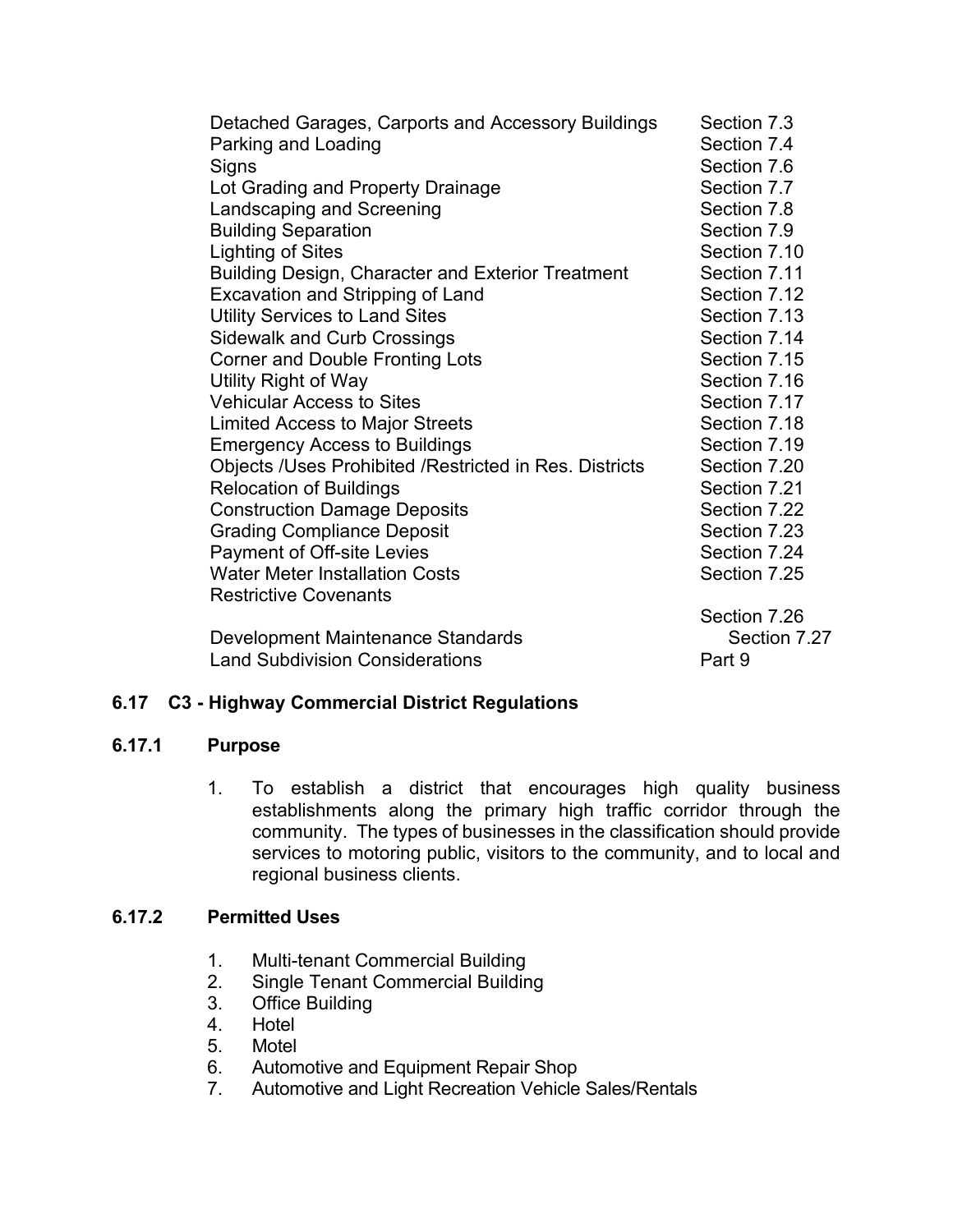| Detached Garages, Carports and Accessory Buildings     | Section 7.3  |
|--------------------------------------------------------|--------------|
| Parking and Loading                                    | Section 7.4  |
| Signs                                                  | Section 7.6  |
| Lot Grading and Property Drainage                      | Section 7.7  |
| Landscaping and Screening                              | Section 7.8  |
| <b>Building Separation</b>                             | Section 7.9  |
| <b>Lighting of Sites</b>                               | Section 7.10 |
| Building Design, Character and Exterior Treatment      | Section 7.11 |
| Excavation and Stripping of Land                       | Section 7.12 |
| <b>Utility Services to Land Sites</b>                  | Section 7.13 |
| <b>Sidewalk and Curb Crossings</b>                     | Section 7.14 |
| <b>Corner and Double Fronting Lots</b>                 | Section 7.15 |
| Utility Right of Way                                   | Section 7.16 |
| <b>Vehicular Access to Sites</b>                       | Section 7.17 |
| <b>Limited Access to Major Streets</b>                 | Section 7.18 |
| <b>Emergency Access to Buildings</b>                   | Section 7.19 |
| Objects /Uses Prohibited /Restricted in Res. Districts | Section 7.20 |
| <b>Relocation of Buildings</b>                         | Section 7.21 |
| <b>Construction Damage Deposits</b>                    | Section 7.22 |
| <b>Grading Compliance Deposit</b>                      | Section 7.23 |
| Payment of Off-site Levies                             | Section 7.24 |
| <b>Water Meter Installation Costs</b>                  | Section 7.25 |
| <b>Restrictive Covenants</b>                           |              |
|                                                        | Section 7.26 |
| Development Maintenance Standards                      | Section 7.27 |
| <b>Land Subdivision Considerations</b>                 | Part 9       |

#### **6.17 C3 - Highway Commercial District Regulations**

#### **6.17.1 Purpose**

1. To establish a district that encourages high quality business establishments along the primary high traffic corridor through the community. The types of businesses in the classification should provide services to motoring public, visitors to the community, and to local and regional business clients.

#### **6.17.2 Permitted Uses**

- 1. Multi-tenant Commercial Building
- 2. Single Tenant Commercial Building
- 3. Office Building
- 4. Hotel
- 5. Motel
- 6. Automotive and Equipment Repair Shop
- 7. Automotive and Light Recreation Vehicle Sales/Rentals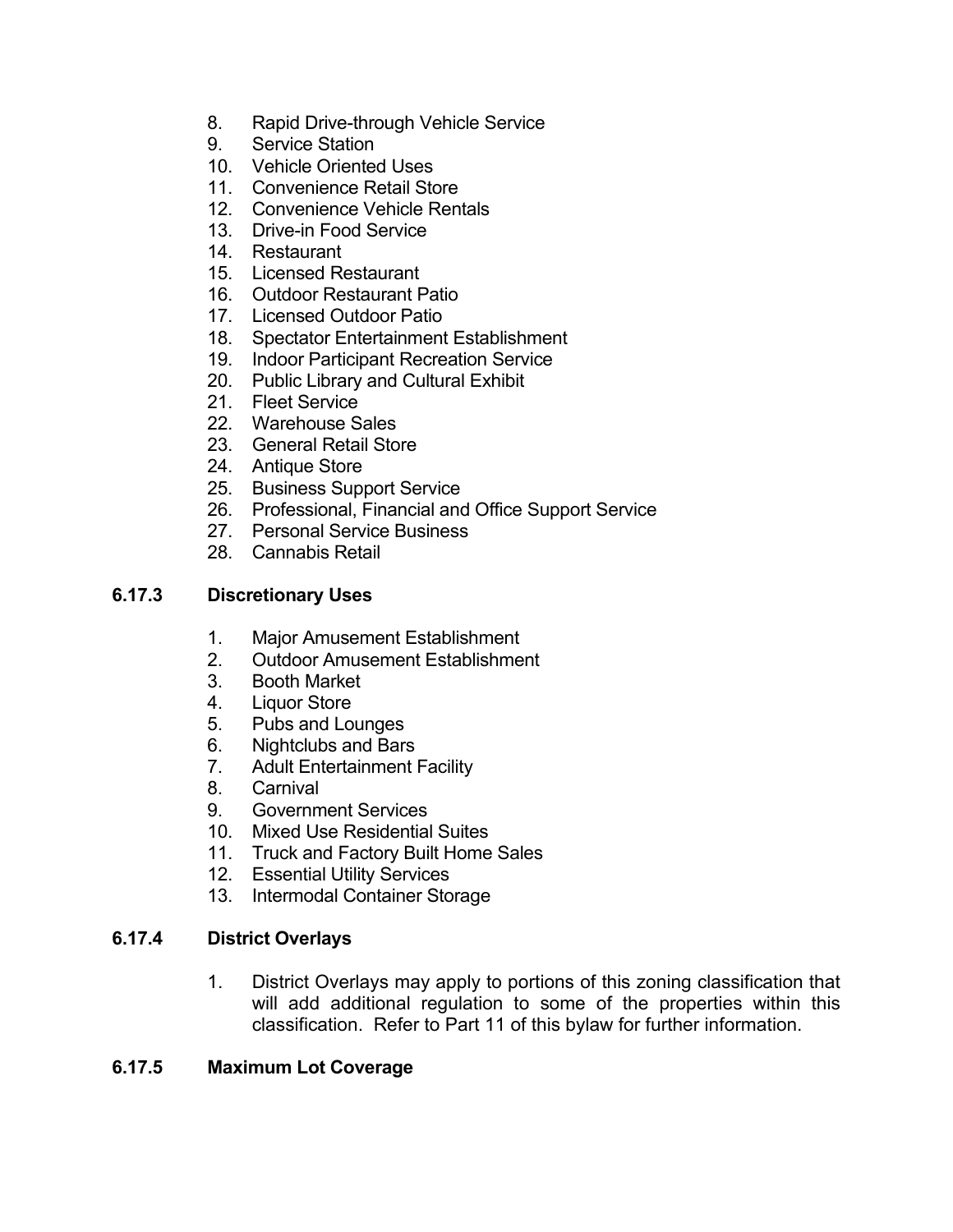- 8. Rapid Drive-through Vehicle Service
- 9. Service Station
- 10. Vehicle Oriented Uses
- 11. Convenience Retail Store
- 12. Convenience Vehicle Rentals
- 13. Drive-in Food Service
- 14. Restaurant
- 15. Licensed Restaurant
- 16. Outdoor Restaurant Patio
- 17. Licensed Outdoor Patio
- 18. Spectator Entertainment Establishment
- 19. Indoor Participant Recreation Service
- 20. Public Library and Cultural Exhibit
- 21. Fleet Service
- 22. Warehouse Sales
- 23. General Retail Store
- 24. Antique Store
- 25. Business Support Service
- 26. Professional, Financial and Office Support Service
- 27. Personal Service Business
- 28. Cannabis Retail

#### **6.17.3 Discretionary Uses**

- 1. Major Amusement Establishment
- 2. Outdoor Amusement Establishment
- 3. Booth Market
- 4. Liquor Store
- 5. Pubs and Lounges
- 6. Nightclubs and Bars
- 7. Adult Entertainment Facility
- 8. Carnival
- 9. Government Services
- 10. Mixed Use Residential Suites
- 11. Truck and Factory Built Home Sales
- 12. Essential Utility Services
- 13. Intermodal Container Storage

#### **6.17.4 District Overlays**

1. District Overlays may apply to portions of this zoning classification that will add additional regulation to some of the properties within this classification. Refer to Part 11 of this bylaw for further information.

#### **6.17.5 Maximum Lot Coverage**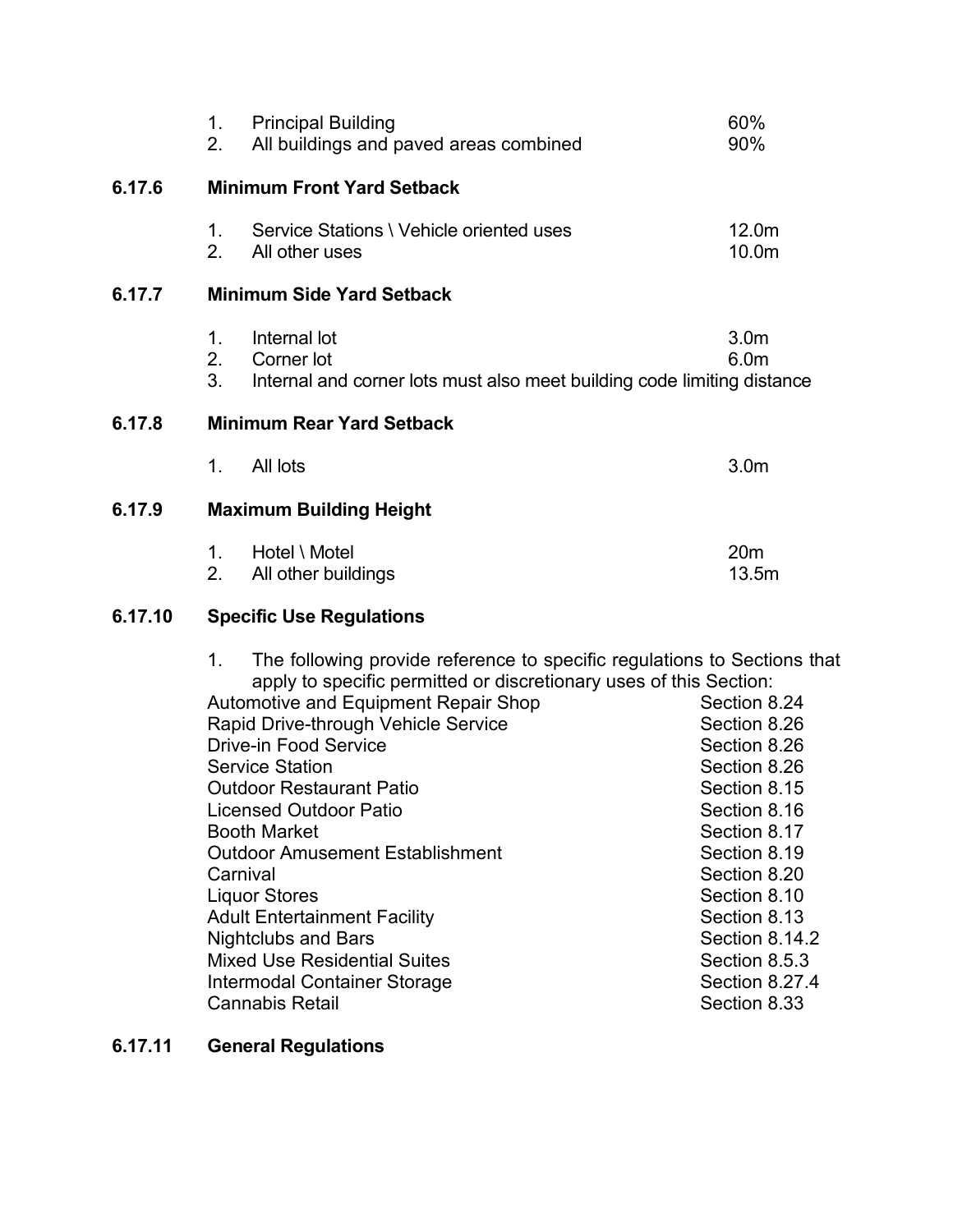|                                            | 1.<br>2.                         | <b>Principal Building</b><br>All buildings and paved areas combined                                                                                                                                                                                                                                                                                                                                                                                                                                                                                                                                                                           | 60%<br>90%                                                                                                                                                                                                                                        |
|--------------------------------------------|----------------------------------|-----------------------------------------------------------------------------------------------------------------------------------------------------------------------------------------------------------------------------------------------------------------------------------------------------------------------------------------------------------------------------------------------------------------------------------------------------------------------------------------------------------------------------------------------------------------------------------------------------------------------------------------------|---------------------------------------------------------------------------------------------------------------------------------------------------------------------------------------------------------------------------------------------------|
| 6.17.6                                     |                                  | <b>Minimum Front Yard Setback</b>                                                                                                                                                                                                                                                                                                                                                                                                                                                                                                                                                                                                             |                                                                                                                                                                                                                                                   |
|                                            | 1.<br>2 <sup>1</sup>             | Service Stations \ Vehicle oriented uses<br>All other uses                                                                                                                                                                                                                                                                                                                                                                                                                                                                                                                                                                                    | 12.0m<br>10.0m                                                                                                                                                                                                                                    |
| 6.17.7                                     |                                  | <b>Minimum Side Yard Setback</b>                                                                                                                                                                                                                                                                                                                                                                                                                                                                                                                                                                                                              |                                                                                                                                                                                                                                                   |
|                                            | 1.<br>2.<br>3 <sub>1</sub>       | Internal lot<br>Corner lot<br>Internal and corner lots must also meet building code limiting distance                                                                                                                                                                                                                                                                                                                                                                                                                                                                                                                                         | 3.0 <sub>m</sub><br>6.0m                                                                                                                                                                                                                          |
| 6.17.8                                     | <b>Minimum Rear Yard Setback</b> |                                                                                                                                                                                                                                                                                                                                                                                                                                                                                                                                                                                                                                               |                                                                                                                                                                                                                                                   |
|                                            | 1 <sub>1</sub>                   | All lots                                                                                                                                                                                                                                                                                                                                                                                                                                                                                                                                                                                                                                      | 3.0 <sub>m</sub>                                                                                                                                                                                                                                  |
| 6.17.9                                     | <b>Maximum Building Height</b>   |                                                                                                                                                                                                                                                                                                                                                                                                                                                                                                                                                                                                                                               |                                                                                                                                                                                                                                                   |
|                                            | 1.<br>2.                         | Hotel \ Motel<br>All other buildings                                                                                                                                                                                                                                                                                                                                                                                                                                                                                                                                                                                                          | 20 <sub>m</sub><br>13.5m                                                                                                                                                                                                                          |
| 6.17.10<br><b>Specific Use Regulations</b> |                                  |                                                                                                                                                                                                                                                                                                                                                                                                                                                                                                                                                                                                                                               |                                                                                                                                                                                                                                                   |
|                                            | 1.                               | The following provide reference to specific regulations to Sections that<br>apply to specific permitted or discretionary uses of this Section:<br>Automotive and Equipment Repair Shop<br>Rapid Drive-through Vehicle Service<br><b>Drive-in Food Service</b><br><b>Service Station</b><br><b>Outdoor Restaurant Patio</b><br><b>Licensed Outdoor Patio</b><br><b>Booth Market</b><br><b>Outdoor Amusement Establishment</b><br>Carnival<br><b>Liquor Stores</b><br><b>Adult Entertainment Facility</b><br><b>Nightclubs and Bars</b><br><b>Mixed Use Residential Suites</b><br><b>Intermodal Container Storage</b><br><b>Cannabis Retail</b> | Section 8.24<br>Section 8.26<br>Section 8.26<br>Section 8.26<br>Section 8.15<br>Section 8.16<br>Section 8.17<br>Section 8.19<br>Section 8.20<br>Section 8.10<br>Section 8.13<br>Section 8.14.2<br>Section 8.5.3<br>Section 8.27.4<br>Section 8.33 |

# **6.17.11 General Regulations**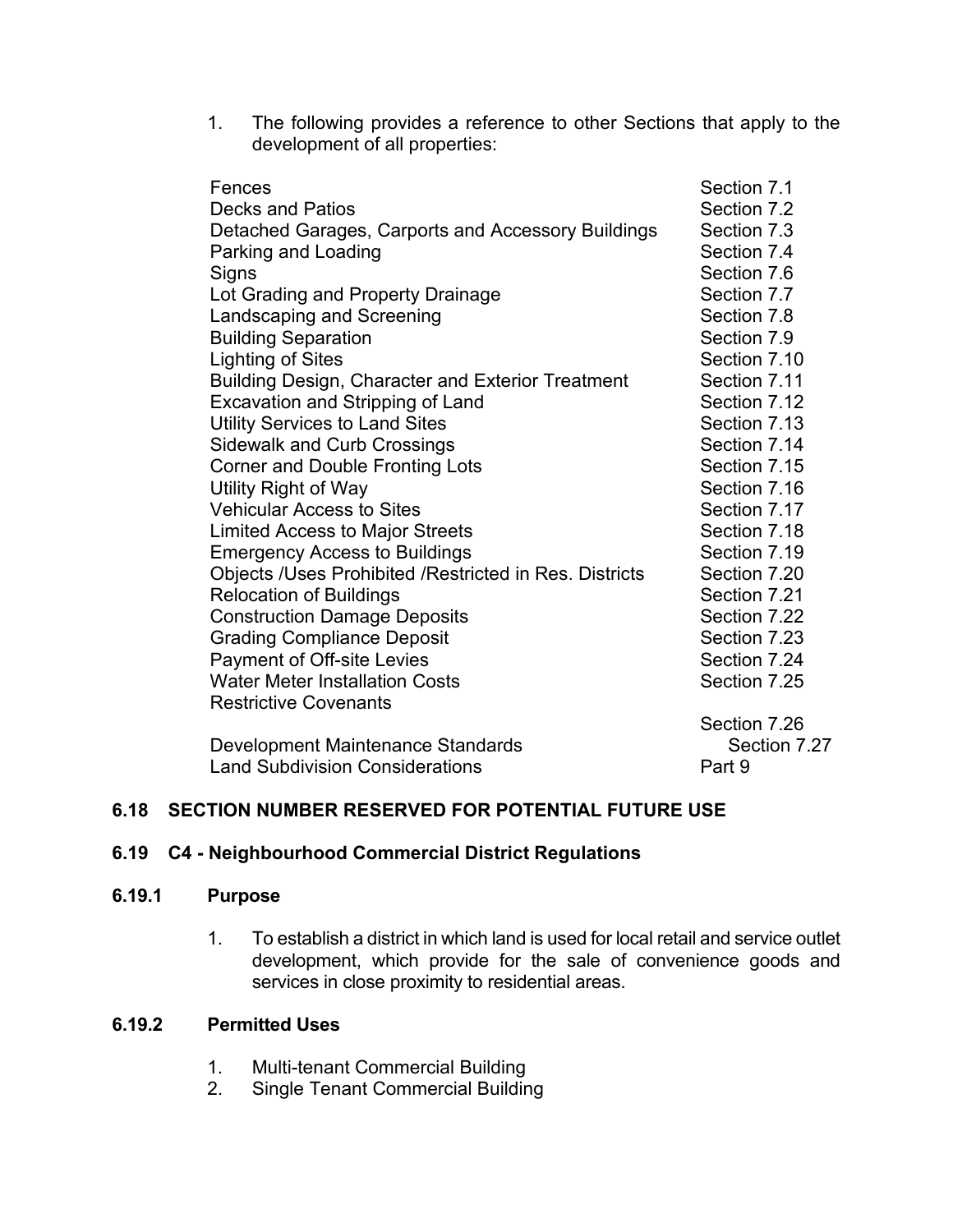1. The following provides a reference to other Sections that apply to the development of all properties:

| Fences                                                   | Section 7.1  |
|----------------------------------------------------------|--------------|
| <b>Decks and Patios</b>                                  | Section 7.2  |
| Detached Garages, Carports and Accessory Buildings       | Section 7.3  |
| Parking and Loading                                      | Section 7.4  |
| Signs                                                    | Section 7.6  |
| Lot Grading and Property Drainage                        | Section 7.7  |
| Landscaping and Screening                                | Section 7.8  |
| <b>Building Separation</b>                               | Section 7.9  |
| <b>Lighting of Sites</b>                                 | Section 7.10 |
| <b>Building Design, Character and Exterior Treatment</b> | Section 7.11 |
| Excavation and Stripping of Land                         | Section 7.12 |
| <b>Utility Services to Land Sites</b>                    | Section 7.13 |
| <b>Sidewalk and Curb Crossings</b>                       | Section 7.14 |
| <b>Corner and Double Fronting Lots</b>                   | Section 7.15 |
| Utility Right of Way                                     | Section 7.16 |
| <b>Vehicular Access to Sites</b>                         | Section 7.17 |
| <b>Limited Access to Major Streets</b>                   | Section 7.18 |
| <b>Emergency Access to Buildings</b>                     | Section 7.19 |
| Objects /Uses Prohibited /Restricted in Res. Districts   | Section 7.20 |
| <b>Relocation of Buildings</b>                           | Section 7.21 |
| <b>Construction Damage Deposits</b>                      | Section 7.22 |
| <b>Grading Compliance Deposit</b>                        | Section 7.23 |
| Payment of Off-site Levies                               | Section 7.24 |
| <b>Water Meter Installation Costs</b>                    | Section 7.25 |
| <b>Restrictive Covenants</b>                             |              |
|                                                          | Section 7.26 |
| Development Maintenance Standards                        | Section 7.27 |
| <b>Land Subdivision Considerations</b>                   | Part 9       |

#### **6.18 SECTION NUMBER RESERVED FOR POTENTIAL FUTURE USE**

#### **6.19 C4 - Neighbourhood Commercial District Regulations**

#### **6.19.1 Purpose**

1. To establish a district in which land is used for local retail and service outlet development, which provide for the sale of convenience goods and services in close proximity to residential areas.

#### **6.19.2 Permitted Uses**

- 1. Multi-tenant Commercial Building
- 2. Single Tenant Commercial Building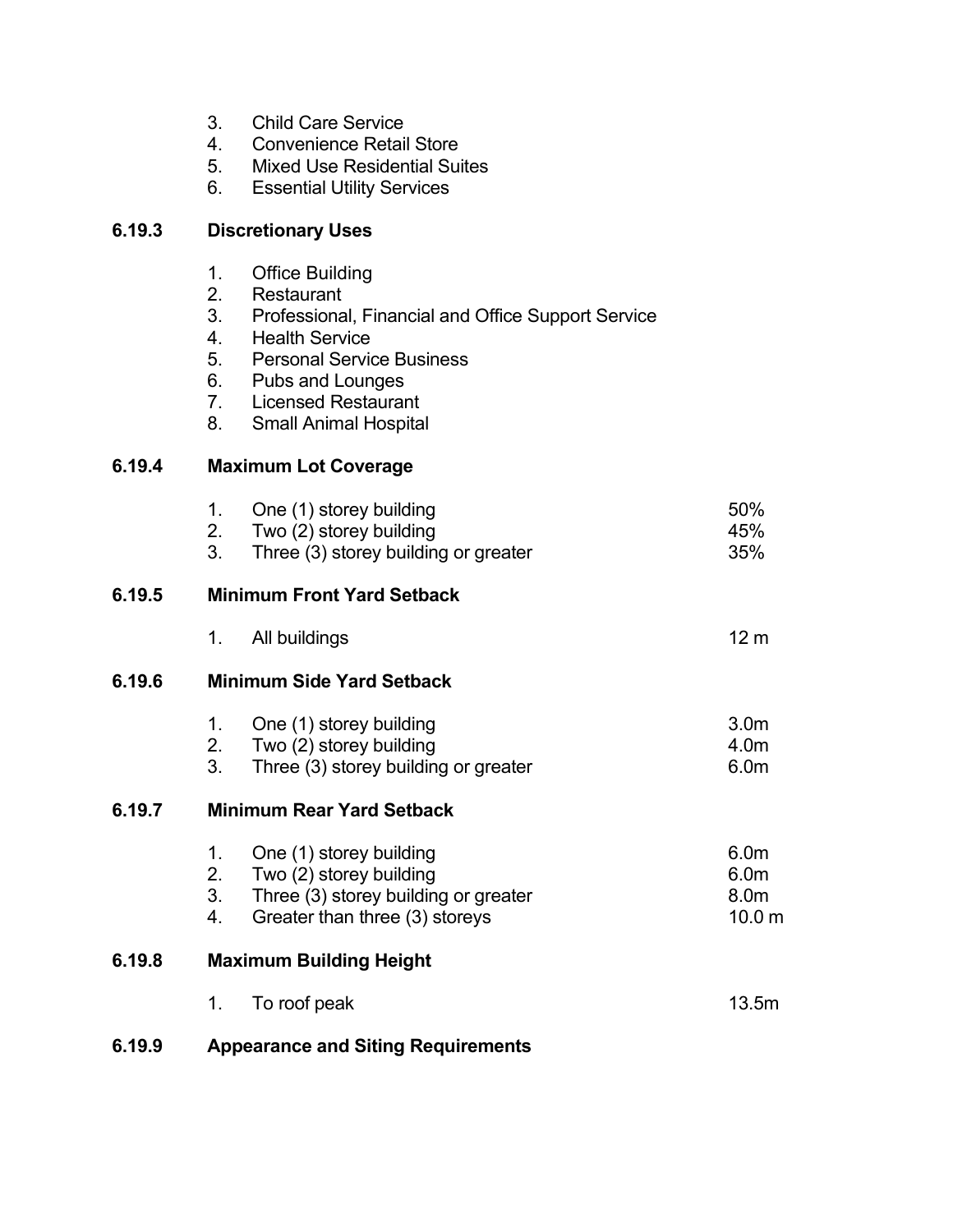- 3. Child Care Service
- 4. Convenience Retail Store
- 5. Mixed Use Residential Suites
- 6. Essential Utility Services

## **6.19.3 Discretionary Uses**

- 1. Office Building<br>2. Restaurant
- **Restaurant**
- 3. Professional, Financial and Office Support Service
- 4. Health Service
- 5. Personal Service Business
- 6. Pubs and Lounges
- 7. Licensed Restaurant
- 8. Small Animal Hospital

## **6.19.4 Maximum Lot Coverage**

| 6.19.5<br><b>Minimum Front Yard Setback</b><br>All buildings<br>1.<br>6.19.6<br><b>Minimum Side Yard Setback</b><br>One (1) storey building<br>1.<br>2. Two (2) storey building<br>3 <sub>1</sub><br>Three (3) storey building or greater<br>6.19.7<br><b>Minimum Rear Yard Setback</b><br>One (1) storey building<br>1.<br>2.<br>Two (2) storey building<br>3 <sub>1</sub><br>Three (3) storey building or greater<br>Greater than three (3) storeys<br>4.<br>6.19.8<br><b>Maximum Building Height</b> | 50%<br>45%<br>35%                                                             |
|---------------------------------------------------------------------------------------------------------------------------------------------------------------------------------------------------------------------------------------------------------------------------------------------------------------------------------------------------------------------------------------------------------------------------------------------------------------------------------------------------------|-------------------------------------------------------------------------------|
|                                                                                                                                                                                                                                                                                                                                                                                                                                                                                                         |                                                                               |
|                                                                                                                                                                                                                                                                                                                                                                                                                                                                                                         | 12 <sub>m</sub>                                                               |
|                                                                                                                                                                                                                                                                                                                                                                                                                                                                                                         |                                                                               |
|                                                                                                                                                                                                                                                                                                                                                                                                                                                                                                         | 3.0 <sub>m</sub><br>4.0m<br>6.0 <sub>m</sub>                                  |
|                                                                                                                                                                                                                                                                                                                                                                                                                                                                                                         |                                                                               |
|                                                                                                                                                                                                                                                                                                                                                                                                                                                                                                         | 6.0 <sub>m</sub><br>6.0 <sub>m</sub><br>8.0 <sub>m</sub><br>10.0 <sub>m</sub> |
|                                                                                                                                                                                                                                                                                                                                                                                                                                                                                                         |                                                                               |
| To roof peak<br>1.                                                                                                                                                                                                                                                                                                                                                                                                                                                                                      | 13.5m                                                                         |

## **6.19.9 Appearance and Siting Requirements**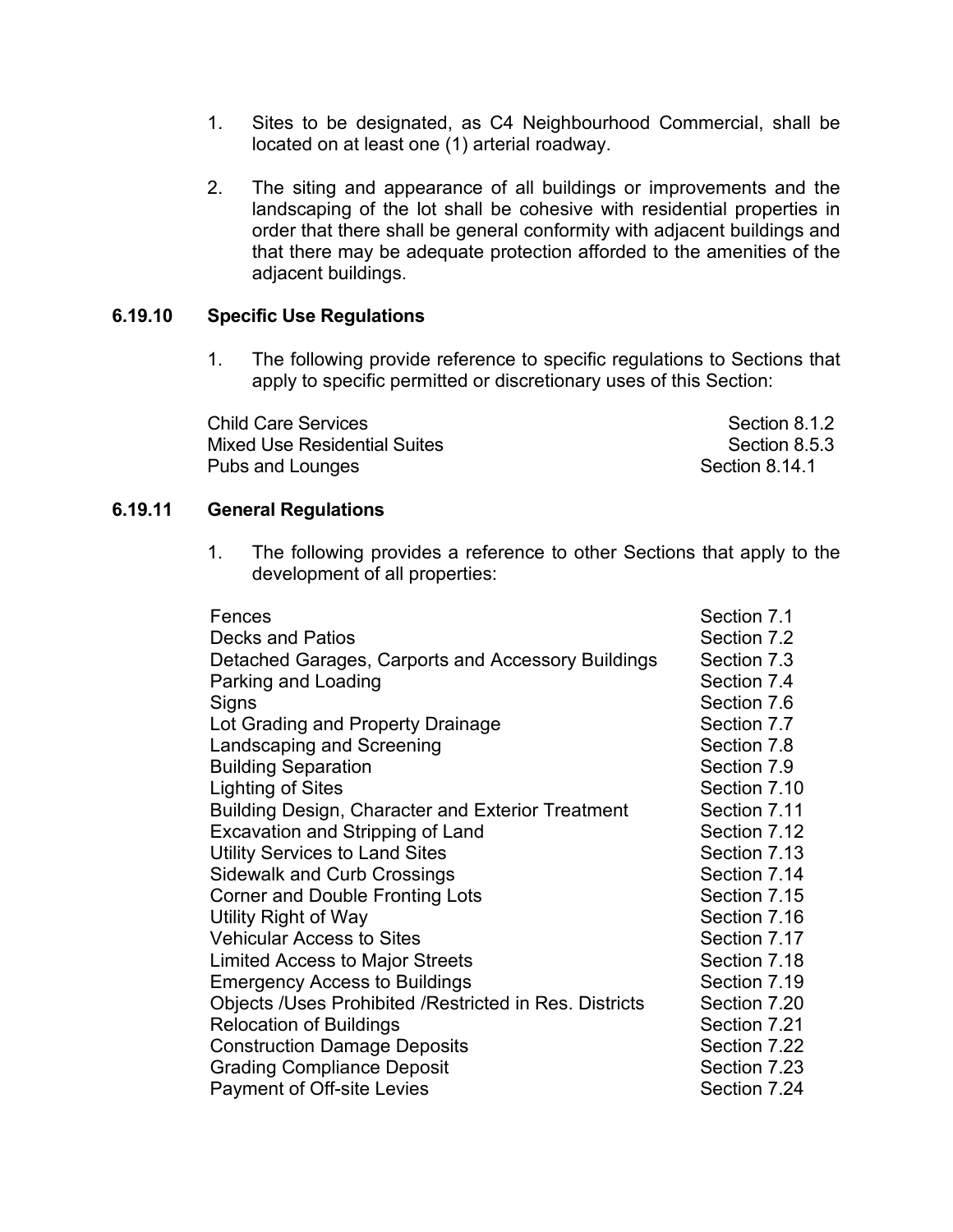- 1. Sites to be designated, as C4 Neighbourhood Commercial, shall be located on at least one (1) arterial roadway.
- 2. The siting and appearance of all buildings or improvements and the landscaping of the lot shall be cohesive with residential properties in order that there shall be general conformity with adjacent buildings and that there may be adequate protection afforded to the amenities of the adjacent buildings.

#### **6.19.10 Specific Use Regulations**

1. The following provide reference to specific regulations to Sections that apply to specific permitted or discretionary uses of this Section:

Child Care Services **Section 8.1.2** Section 8.1.2 Mixed Use Residential Suites **Section 8.5.3** Section 8.5.3 Pubs and Lounges **Section 8.14.1** 

#### **6.19.11 General Regulations**

1. The following provides a reference to other Sections that apply to the development of all properties:

| Fences                                                 | Section 7.1  |
|--------------------------------------------------------|--------------|
| <b>Decks and Patios</b>                                | Section 7.2  |
| Detached Garages, Carports and Accessory Buildings     | Section 7.3  |
| Parking and Loading                                    | Section 7.4  |
| Signs                                                  | Section 7.6  |
| Lot Grading and Property Drainage                      | Section 7.7  |
| Landscaping and Screening                              | Section 7.8  |
| <b>Building Separation</b>                             | Section 7.9  |
| Lighting of Sites                                      | Section 7.10 |
| Building Design, Character and Exterior Treatment      | Section 7.11 |
| <b>Excavation and Stripping of Land</b>                | Section 7.12 |
| <b>Utility Services to Land Sites</b>                  | Section 7.13 |
| <b>Sidewalk and Curb Crossings</b>                     | Section 7.14 |
| <b>Corner and Double Fronting Lots</b>                 | Section 7.15 |
| Utility Right of Way                                   | Section 7.16 |
| <b>Vehicular Access to Sites</b>                       | Section 7.17 |
| Limited Access to Major Streets                        | Section 7.18 |
| <b>Emergency Access to Buildings</b>                   | Section 7.19 |
| Objects /Uses Prohibited /Restricted in Res. Districts | Section 7.20 |
| <b>Relocation of Buildings</b>                         | Section 7.21 |
| <b>Construction Damage Deposits</b>                    | Section 7.22 |
| <b>Grading Compliance Deposit</b>                      | Section 7.23 |
| Payment of Off-site Levies                             | Section 7.24 |
|                                                        |              |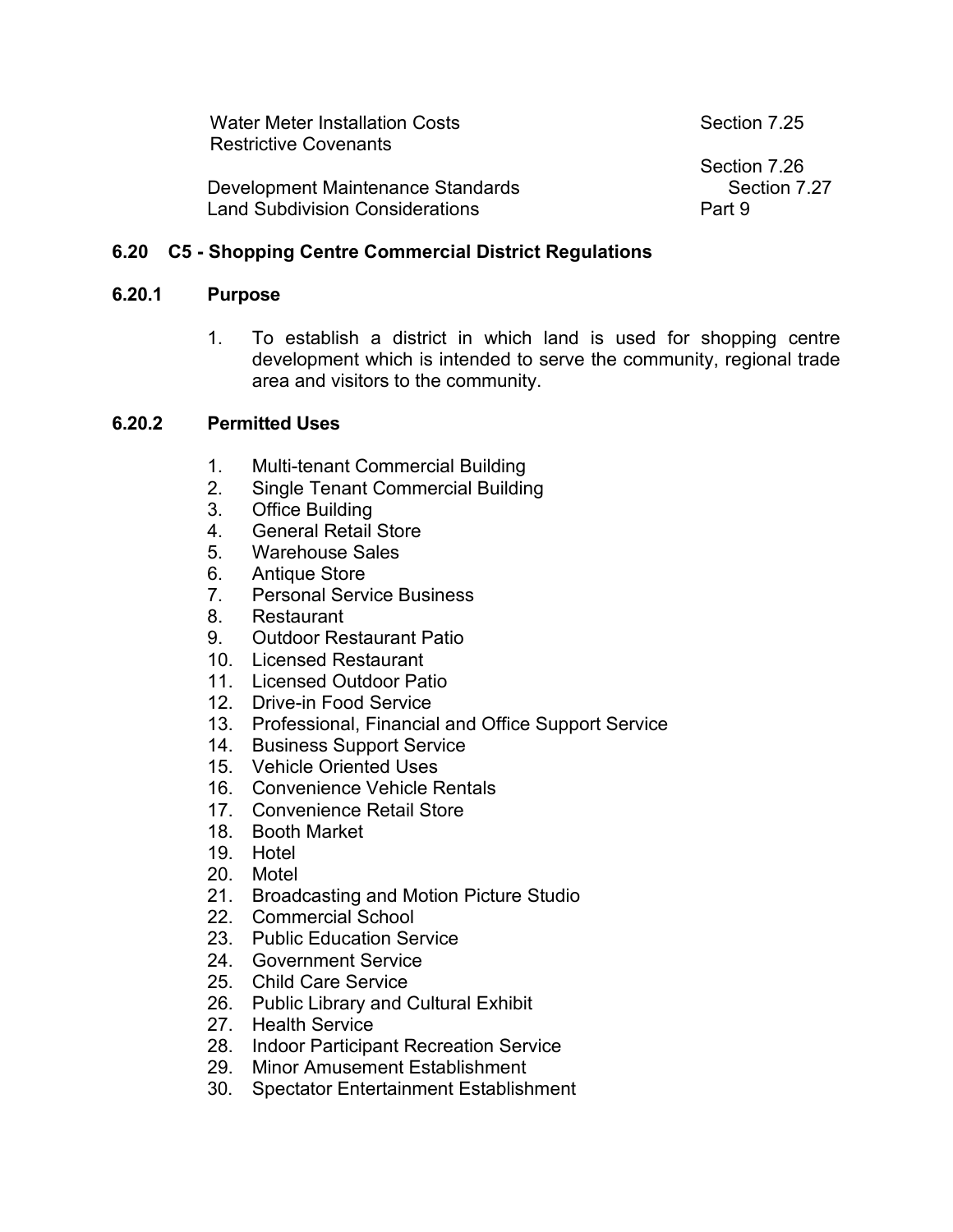| Water Meter Installation Costs<br><b>Restrictive Covenants</b>              | Section 7.25                           |
|-----------------------------------------------------------------------------|----------------------------------------|
| Development Maintenance Standards<br><b>Land Subdivision Considerations</b> | Section 7.26<br>Section 7.27<br>Part 9 |

#### **6.20 C5 - Shopping Centre Commercial District Regulations**

#### **6.20.1 Purpose**

1. To establish a district in which land is used for shopping centre development which is intended to serve the community, regional trade area and visitors to the community.

#### **6.20.2 Permitted Uses**

- 1. Multi-tenant Commercial Building
- 2. Single Tenant Commercial Building
- 3. Office Building
- 4. General Retail Store
- 5. Warehouse Sales
- 6. Antique Store
- 7. Personal Service Business
- 8. Restaurant
- 9. Outdoor Restaurant Patio
- 10. Licensed Restaurant
- 11. Licensed Outdoor Patio
- 12. Drive-in Food Service
- 13. Professional, Financial and Office Support Service
- 14. Business Support Service
- 15. Vehicle Oriented Uses
- 16. Convenience Vehicle Rentals
- 17. Convenience Retail Store
- 18. Booth Market
- 19. Hotel
- 20. Motel
- 21. Broadcasting and Motion Picture Studio
- 22. Commercial School
- 23. Public Education Service
- 24. Government Service
- 25. Child Care Service
- 26. Public Library and Cultural Exhibit
- 27. Health Service
- 28. Indoor Participant Recreation Service
- 29. Minor Amusement Establishment
- 30. Spectator Entertainment Establishment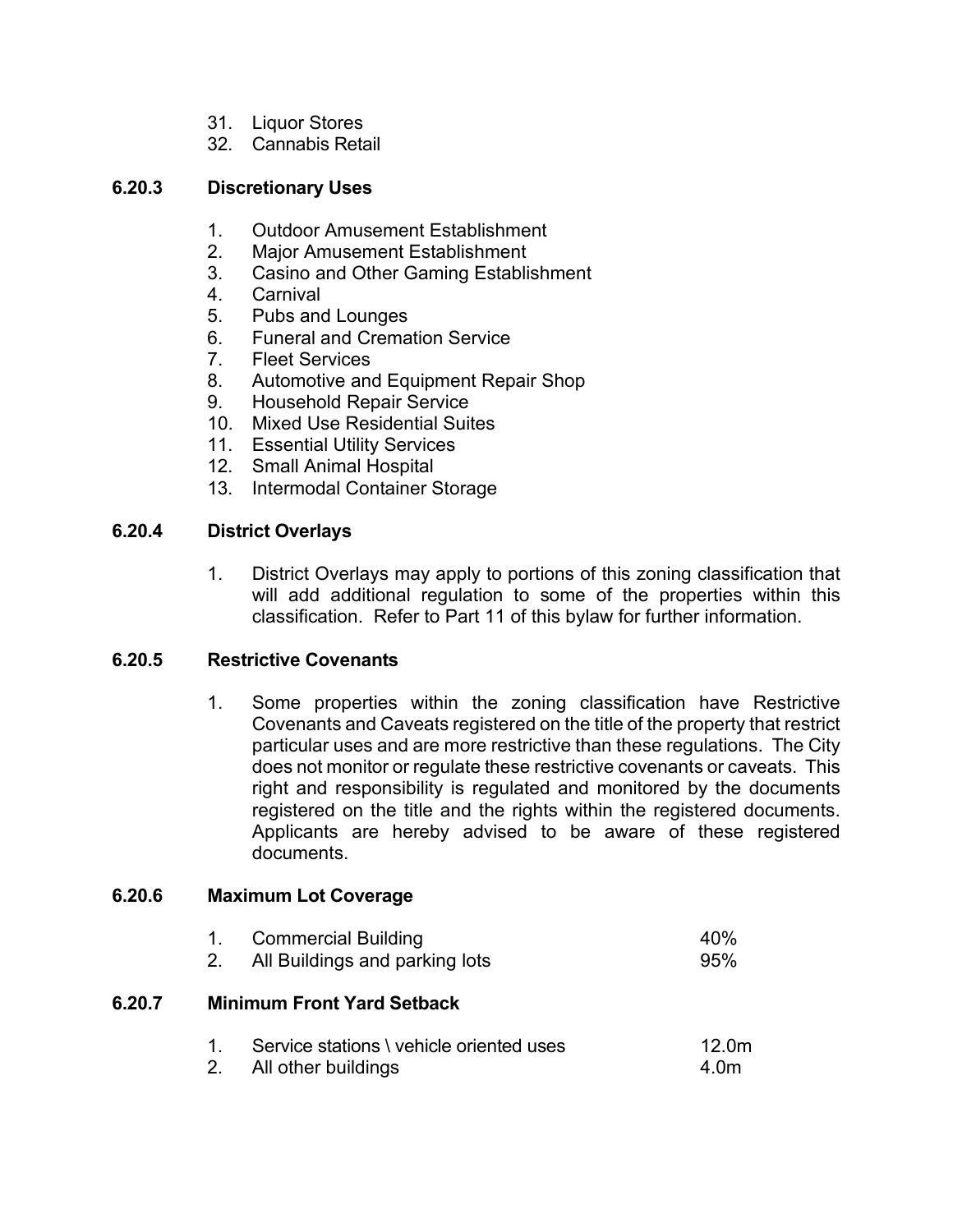- 31. Liquor Stores
- 32. Cannabis Retail

#### **6.20.3 Discretionary Uses**

- 1. Outdoor Amusement Establishment
- 2. Major Amusement Establishment
- 3. Casino and Other Gaming Establishment
- 4. Carnival
- 5. Pubs and Lounges
- 6. Funeral and Cremation Service
- 7. Fleet Services
- 8. Automotive and Equipment Repair Shop
- 9. Household Repair Service
- 10. Mixed Use Residential Suites
- 11. Essential Utility Services
- 12. Small Animal Hospital
- 13. Intermodal Container Storage

#### **6.20.4 District Overlays**

1. District Overlays may apply to portions of this zoning classification that will add additional regulation to some of the properties within this classification. Refer to Part 11 of this bylaw for further information.

#### **6.20.5 Restrictive Covenants**

1. Some properties within the zoning classification have Restrictive Covenants and Caveats registered on the title of the property that restrict particular uses and are more restrictive than these regulations. The City does not monitor or regulate these restrictive covenants or caveats. This right and responsibility is regulated and monitored by the documents registered on the title and the rights within the registered documents. Applicants are hereby advised to be aware of these registered documents.

#### **6.20.6 Maximum Lot Coverage**

|        | 1.                                | <b>Commercial Building</b><br>2. All Buildings and parking lots | 40%<br>95%    |
|--------|-----------------------------------|-----------------------------------------------------------------|---------------|
| 6.20.7 | <b>Minimum Front Yard Setback</b> |                                                                 |               |
|        | 2.                                | Service stations \ vehicle oriented uses<br>All other buildings | 12.0m<br>4.0m |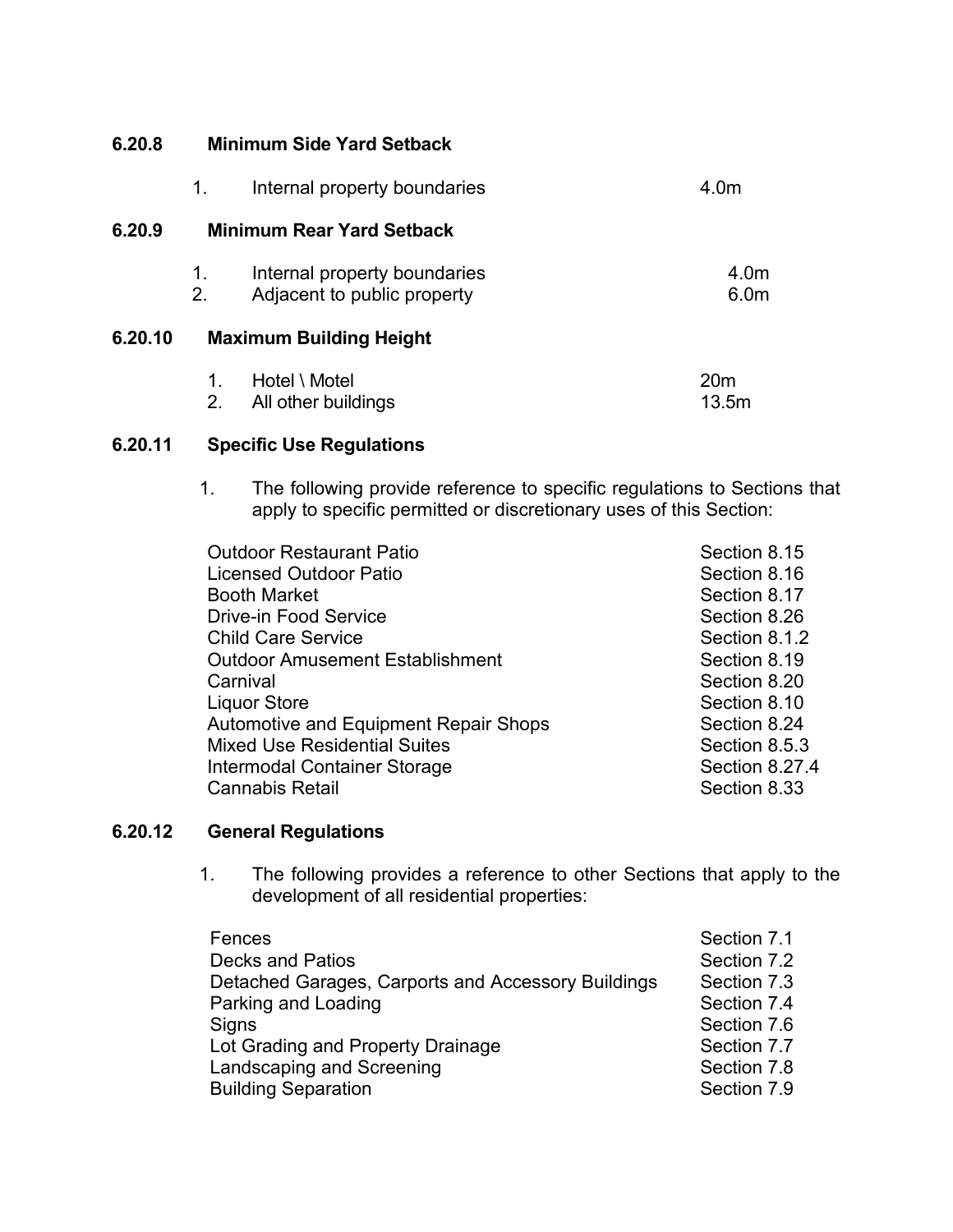#### **6.20.8 Minimum Side Yard Setback**

|         | 1.       | Internal property boundaries                                | 4.0m                     |
|---------|----------|-------------------------------------------------------------|--------------------------|
| 6.20.9  |          | <b>Minimum Rear Yard Setback</b>                            |                          |
|         | 1.<br>2. | Internal property boundaries<br>Adjacent to public property | 4.0m<br>6.0 <sub>m</sub> |
| 6.20.10 |          | <b>Maximum Building Height</b>                              |                          |
|         |          | Hotel \ Motel                                               |                          |

2. All other buildings and the control of the 13.5m

#### **6.20.11 Specific Use Regulations**

1. The following provide reference to specific regulations to Sections that apply to specific permitted or discretionary uses of this Section:

| <b>Outdoor Restaurant Patio</b>              | Section 8.15   |
|----------------------------------------------|----------------|
| <b>Licensed Outdoor Patio</b>                | Section 8.16   |
| <b>Booth Market</b>                          | Section 8.17   |
| <b>Drive-in Food Service</b>                 | Section 8.26   |
| <b>Child Care Service</b>                    | Section 8.1.2  |
| <b>Outdoor Amusement Establishment</b>       | Section 8.19   |
| Carnival                                     | Section 8.20   |
| <b>Liquor Store</b>                          | Section 8.10   |
| <b>Automotive and Equipment Repair Shops</b> | Section 8.24   |
| <b>Mixed Use Residential Suites</b>          | Section 8.5.3  |
| Intermodal Container Storage                 | Section 8.27.4 |
| <b>Cannabis Retail</b>                       | Section 8.33   |
|                                              |                |

#### **6.20.12 General Regulations**

1. The following provides a reference to other Sections that apply to the development of all residential properties:

| Fences                                             | Section 7.1 |
|----------------------------------------------------|-------------|
| <b>Decks and Patios</b>                            | Section 7.2 |
| Detached Garages, Carports and Accessory Buildings | Section 7.3 |
| Parking and Loading                                | Section 7.4 |
| Signs                                              | Section 7.6 |
| Lot Grading and Property Drainage                  | Section 7.7 |
| Landscaping and Screening                          | Section 7.8 |
| <b>Building Separation</b>                         | Section 7.9 |
|                                                    |             |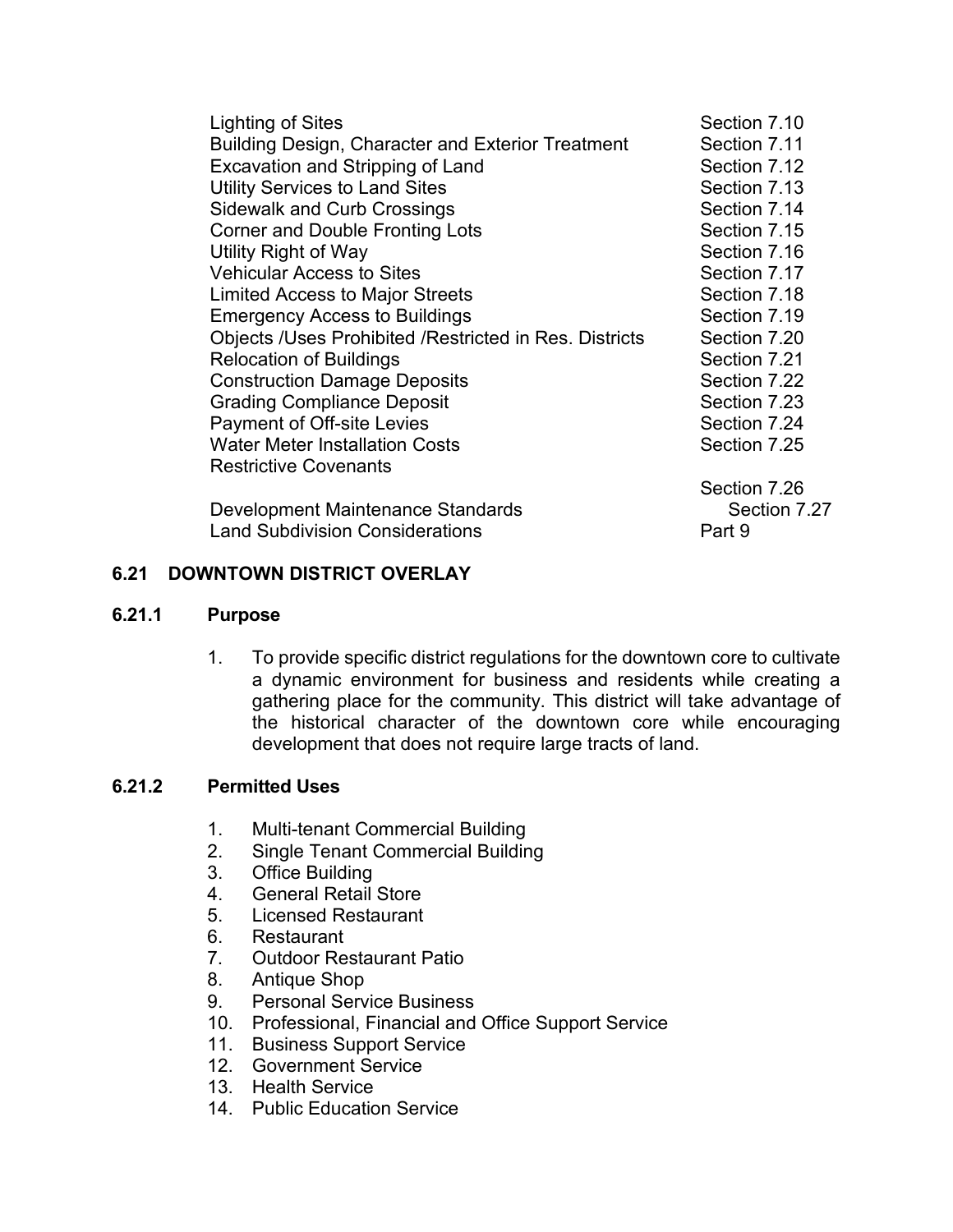| Lighting of Sites                                        | Section 7.10 |
|----------------------------------------------------------|--------------|
| <b>Building Design, Character and Exterior Treatment</b> | Section 7.11 |
| Excavation and Stripping of Land                         | Section 7.12 |
| <b>Utility Services to Land Sites</b>                    | Section 7.13 |
| <b>Sidewalk and Curb Crossings</b>                       | Section 7.14 |
| <b>Corner and Double Fronting Lots</b>                   | Section 7.15 |
| Utility Right of Way                                     | Section 7.16 |
| <b>Vehicular Access to Sites</b>                         | Section 7.17 |
| <b>Limited Access to Major Streets</b>                   | Section 7.18 |
| <b>Emergency Access to Buildings</b>                     | Section 7.19 |
| Objects /Uses Prohibited /Restricted in Res. Districts   | Section 7.20 |
| <b>Relocation of Buildings</b>                           | Section 7.21 |
| <b>Construction Damage Deposits</b>                      | Section 7.22 |
| <b>Grading Compliance Deposit</b>                        | Section 7.23 |
| <b>Payment of Off-site Levies</b>                        | Section 7.24 |
| <b>Water Meter Installation Costs</b>                    | Section 7.25 |
| <b>Restrictive Covenants</b>                             |              |
|                                                          | Section 7.26 |
| Development Maintenance Standards                        | Section 7.27 |
| <b>Land Subdivision Considerations</b>                   | Part 9       |

#### **6.21 DOWNTOWN DISTRICT OVERLAY**

#### **6.21.1 Purpose**

1. To provide specific district regulations for the downtown core to cultivate a dynamic environment for business and residents while creating a gathering place for the community. This district will take advantage of the historical character of the downtown core while encouraging development that does not require large tracts of land.

## **6.21.2 Permitted Uses**

- 1. Multi-tenant Commercial Building
- 2. Single Tenant Commercial Building
- 3. Office Building
- 4. General Retail Store
- 5. Licensed Restaurant
- 6. Restaurant
- 7. Outdoor Restaurant Patio
- 8. Antique Shop
- 9. Personal Service Business
- 10. Professional, Financial and Office Support Service
- 11. Business Support Service
- 12. Government Service
- 13. Health Service
- 14. Public Education Service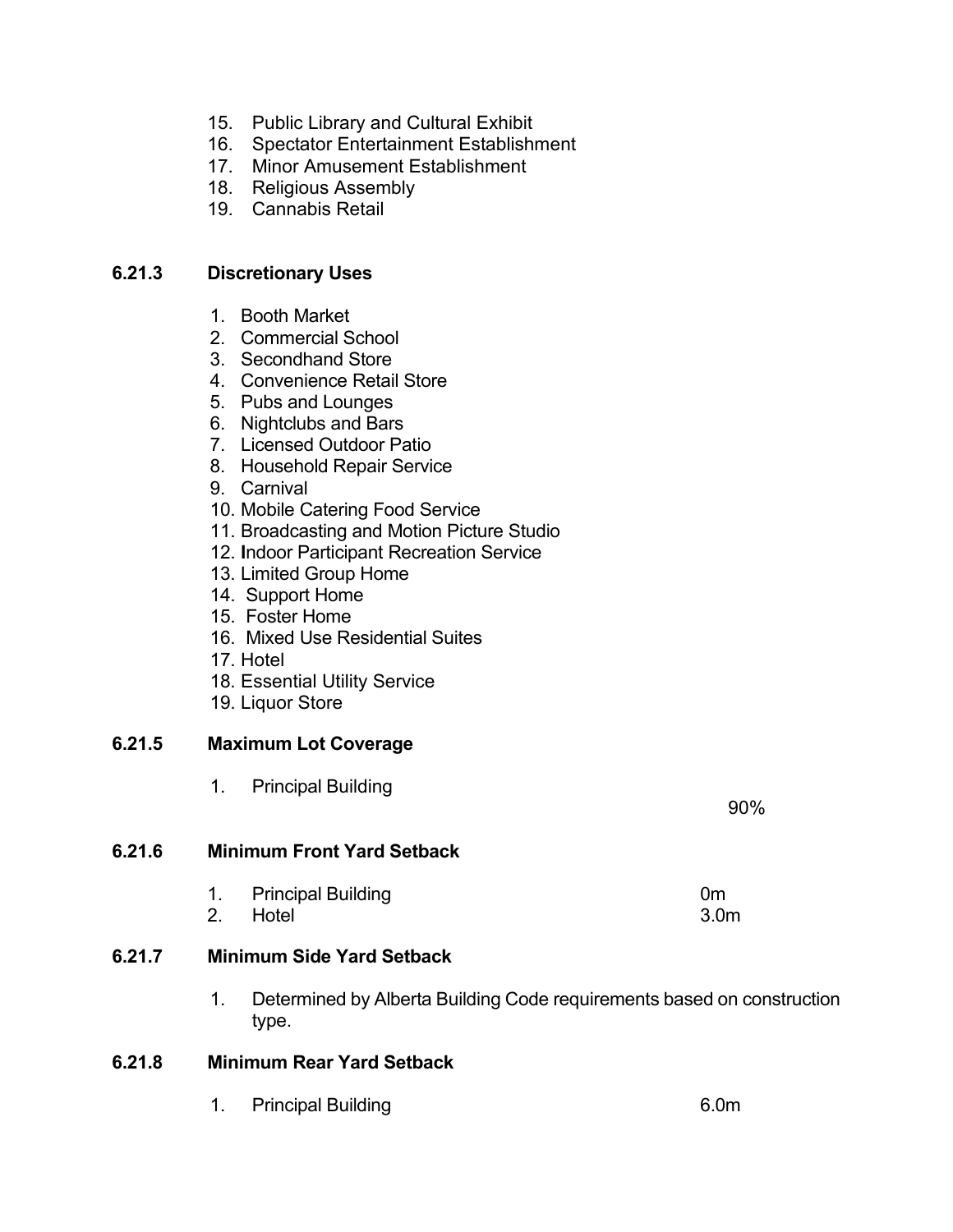- 15. Public Library and Cultural Exhibit
- 16. Spectator Entertainment Establishment
- 17. Minor Amusement Establishment
- 18. Religious Assembly
- 19. Cannabis Retail

#### **6.21.3 Discretionary Uses**

- 1. Booth Market
- 2. Commercial School
- 3. Secondhand Store
- 4. Convenience Retail Store
- 5. Pubs and Lounges
- 6. Nightclubs and Bars
- 7. Licensed Outdoor Patio
- 8. Household Repair Service
- 9. Carnival
- 10. Mobile Catering Food Service
- 11. Broadcasting and Motion Picture Studio
- 12. **I**ndoor Participant Recreation Service
- 13. Limited Group Home
- 14. Support Home
- 15. Foster Home
- 16. Mixed Use Residential Suites
- 17. Hotel
- 18. Essential Utility Service
- 19. Liquor Store

#### **6.21.5 Maximum Lot Coverage**

1. Principal Building

#### **6.21.6 Minimum Front Yard Setback**

1. Principal Building **1. Community 1. Community** 1. Community 1. Community 1. Community 1. Community 1. Community 1. Om 2. Hotel 3.0m

#### **6.21.7 Minimum Side Yard Setback**

1. Determined by Alberta Building Code requirements based on construction type.

#### **6.21.8 Minimum Rear Yard Setback**

1. Principal Building 6.0m

90%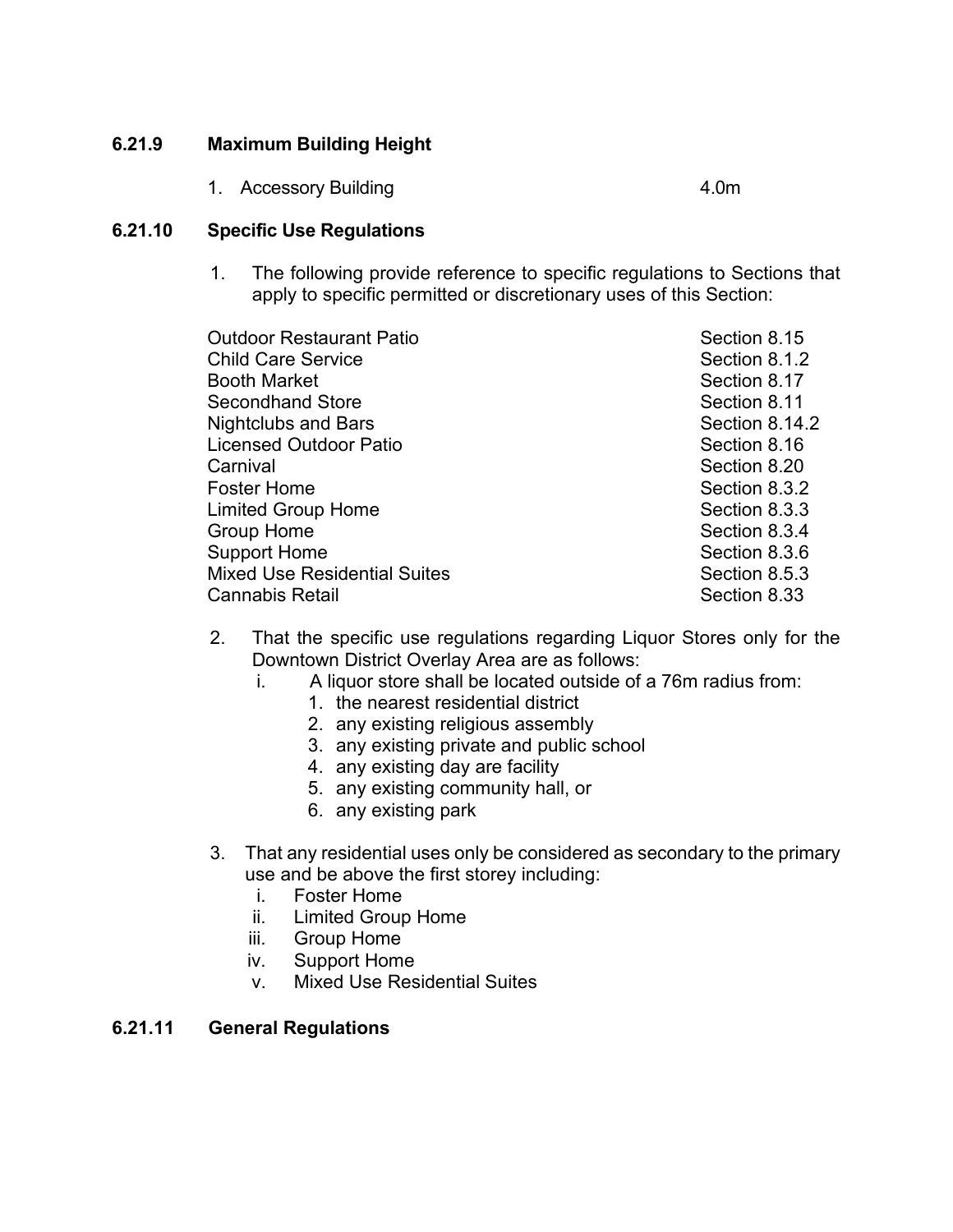## **6.21.9 Maximum Building Height**

1. Accessory Building **4.0m** 

#### **6.21.10 Specific Use Regulations**

1. The following provide reference to specific regulations to Sections that apply to specific permitted or discretionary uses of this Section:

| <b>Outdoor Restaurant Patio</b>     | Section 8.15   |
|-------------------------------------|----------------|
| <b>Child Care Service</b>           | Section 8.1.2  |
| Booth Market                        | Section 8.17   |
| Secondhand Store                    | Section 8.11   |
| <b>Nightclubs and Bars</b>          | Section 8.14.2 |
| Licensed Outdoor Patio              | Section 8.16   |
| Carnival                            | Section 8.20   |
| Foster Home                         | Section 8.3.2  |
| <b>Limited Group Home</b>           | Section 8.3.3  |
| <b>Group Home</b>                   | Section 8.3.4  |
| <b>Support Home</b>                 | Section 8.3.6  |
| <b>Mixed Use Residential Suites</b> | Section 8.5.3  |
| Cannabis Retail                     | Section 8.33   |
|                                     |                |

- 2. That the specific use regulations regarding Liquor Stores only for the Downtown District Overlay Area are as follows:
	- i. A liquor store shall be located outside of a 76m radius from:
		- 1. the nearest residential district
		- 2. any existing religious assembly
		- 3. any existing private and public school
		- 4. any existing day are facility
		- 5. any existing community hall, or
		- 6. any existing park
- 3. That any residential uses only be considered as secondary to the primary use and be above the first storey including:
	- i. Foster Home
	- ii. Limited Group Home
	- iii. Group Home
	- iv. Support Home
	- v. Mixed Use Residential Suites

#### **6.21.11 General Regulations**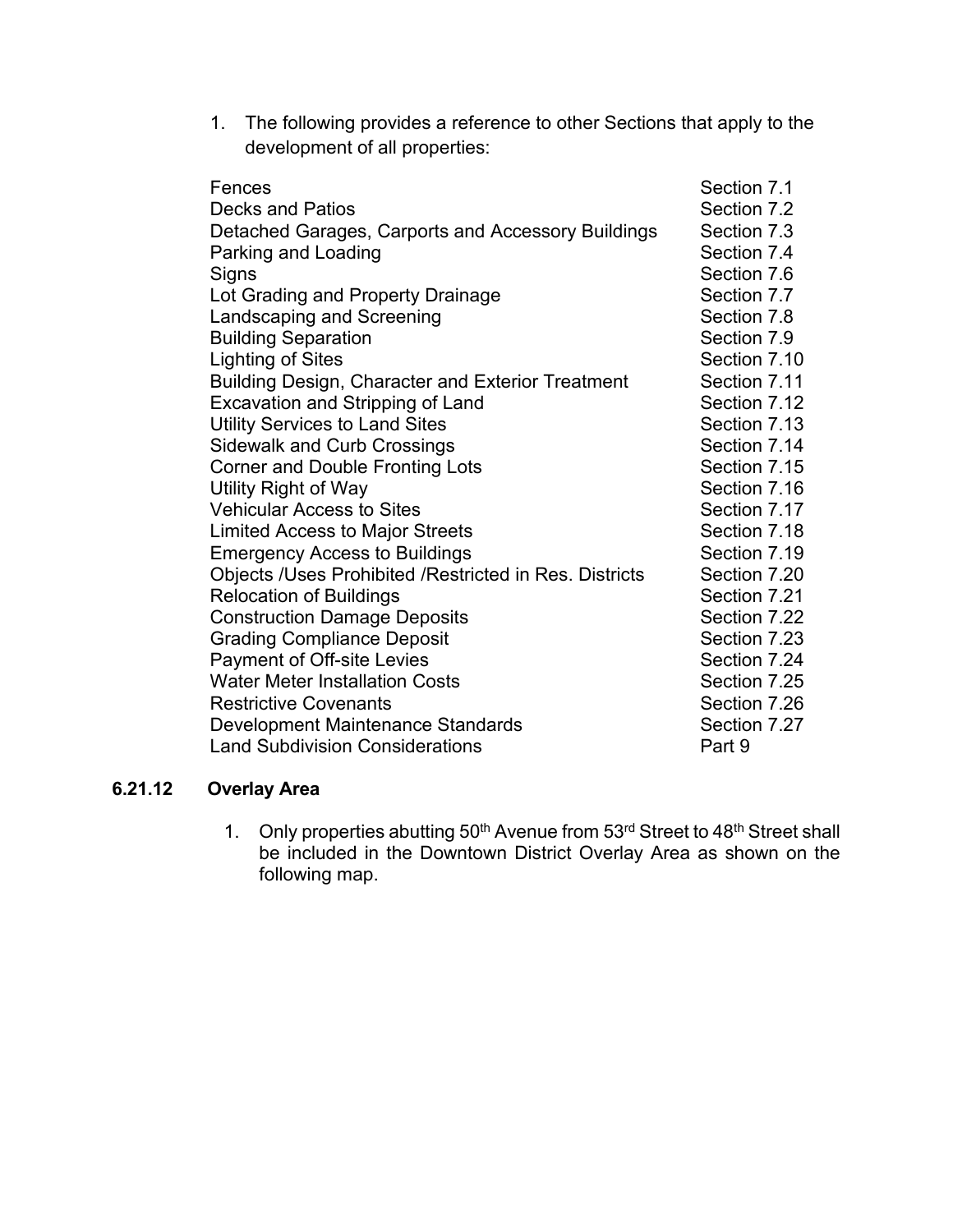1. The following provides a reference to other Sections that apply to the development of all properties:

| Fences                                                 | Section 7.1  |
|--------------------------------------------------------|--------------|
| <b>Decks and Patios</b>                                | Section 7.2  |
| Detached Garages, Carports and Accessory Buildings     | Section 7.3  |
| Parking and Loading                                    | Section 7.4  |
| Signs                                                  | Section 7.6  |
| Lot Grading and Property Drainage                      | Section 7.7  |
| Landscaping and Screening                              | Section 7.8  |
| <b>Building Separation</b>                             | Section 7.9  |
| <b>Lighting of Sites</b>                               | Section 7.10 |
| Building Design, Character and Exterior Treatment      | Section 7.11 |
| <b>Excavation and Stripping of Land</b>                | Section 7.12 |
| <b>Utility Services to Land Sites</b>                  | Section 7.13 |
| <b>Sidewalk and Curb Crossings</b>                     | Section 7.14 |
| <b>Corner and Double Fronting Lots</b>                 | Section 7.15 |
| Utility Right of Way                                   | Section 7.16 |
| <b>Vehicular Access to Sites</b>                       | Section 7.17 |
| Limited Access to Major Streets                        | Section 7.18 |
| <b>Emergency Access to Buildings</b>                   | Section 7.19 |
| Objects /Uses Prohibited /Restricted in Res. Districts | Section 7.20 |
| <b>Relocation of Buildings</b>                         | Section 7.21 |
| <b>Construction Damage Deposits</b>                    | Section 7.22 |
| <b>Grading Compliance Deposit</b>                      | Section 7.23 |
| Payment of Off-site Levies                             | Section 7.24 |
| <b>Water Meter Installation Costs</b>                  | Section 7.25 |
| <b>Restrictive Covenants</b>                           | Section 7.26 |
| Development Maintenance Standards                      | Section 7.27 |
| <b>Land Subdivision Considerations</b>                 | Part 9       |
|                                                        |              |

## **6.21.12 Overlay Area**

1. Only properties abutting  $50<sup>th</sup>$  Avenue from  $53<sup>rd</sup>$  Street to 48<sup>th</sup> Street shall be included in the Downtown District Overlay Area as shown on the following map.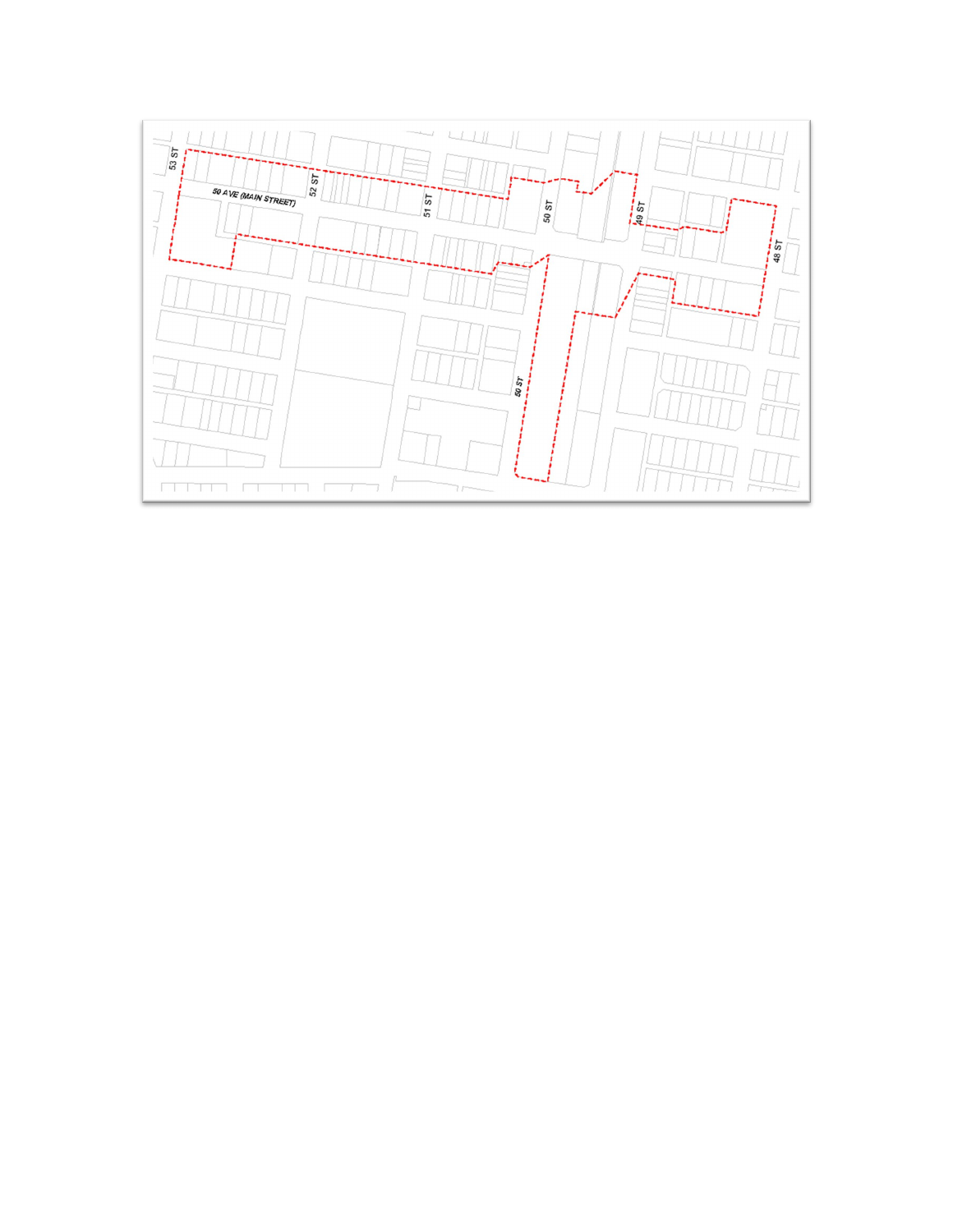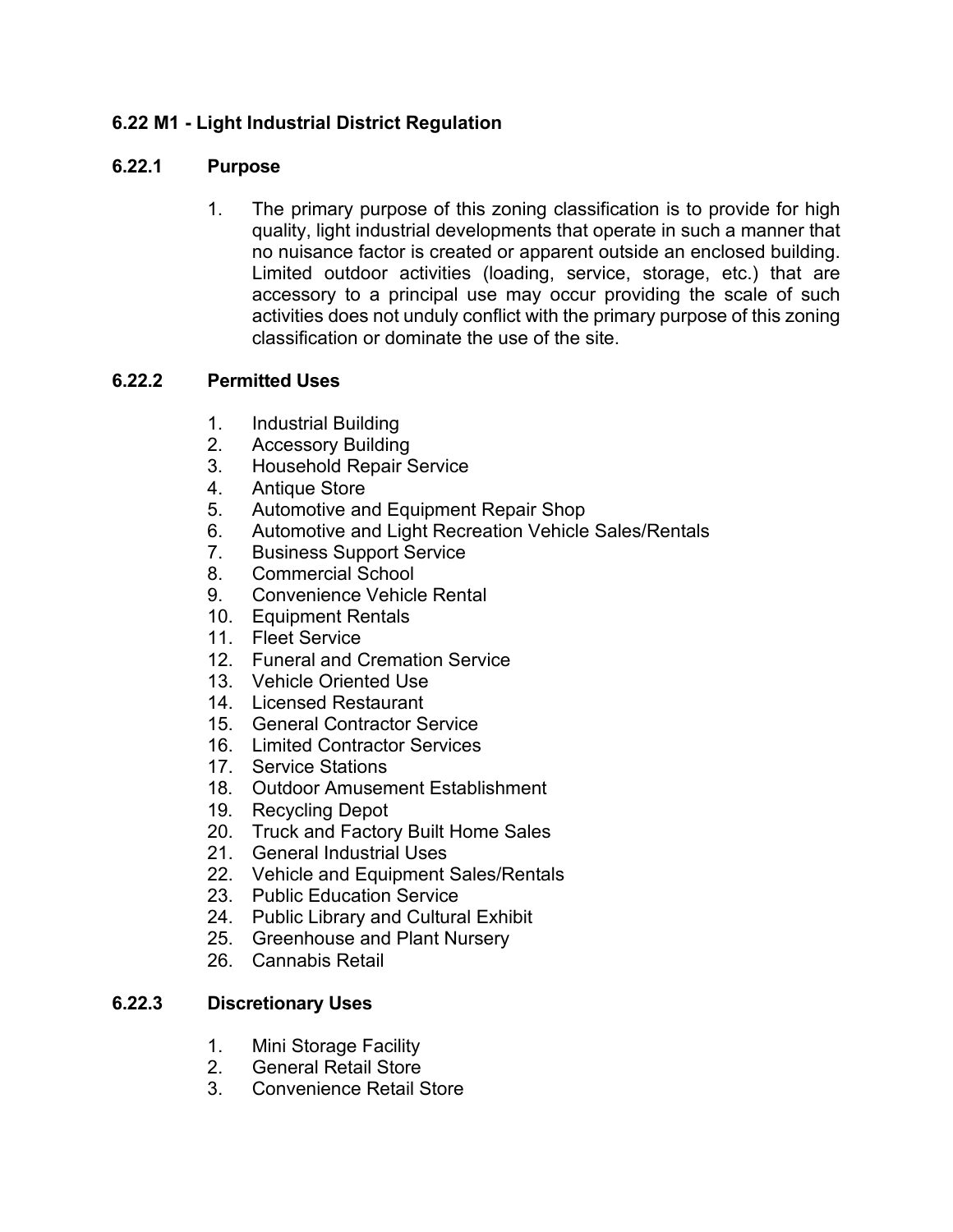## **6.22 M1 - Light Industrial District Regulation**

## **6.22.1 Purpose**

1. The primary purpose of this zoning classification is to provide for high quality, light industrial developments that operate in such a manner that no nuisance factor is created or apparent outside an enclosed building. Limited outdoor activities (loading, service, storage, etc.) that are accessory to a principal use may occur providing the scale of such activities does not unduly conflict with the primary purpose of this zoning classification or dominate the use of the site.

## **6.22.2 Permitted Uses**

- 1. Industrial Building
- 2. Accessory Building
- 3. Household Repair Service
- 4. Antique Store
- 5. Automotive and Equipment Repair Shop
- 6. Automotive and Light Recreation Vehicle Sales/Rentals
- 7. Business Support Service
- 8. Commercial School
- 9. Convenience Vehicle Rental
- 10. Equipment Rentals
- 11. Fleet Service
- 12. Funeral and Cremation Service
- 13. Vehicle Oriented Use
- 14. Licensed Restaurant
- 15. General Contractor Service
- 16. Limited Contractor Services
- 17. Service Stations
- 18. Outdoor Amusement Establishment
- 19. Recycling Depot
- 20. Truck and Factory Built Home Sales
- 21. General Industrial Uses
- 22. Vehicle and Equipment Sales/Rentals
- 23. Public Education Service
- 24. Public Library and Cultural Exhibit
- 25. Greenhouse and Plant Nursery
- 26. Cannabis Retail

## **6.22.3 Discretionary Uses**

- 1. Mini Storage Facility
- 2. General Retail Store
- 3. Convenience Retail Store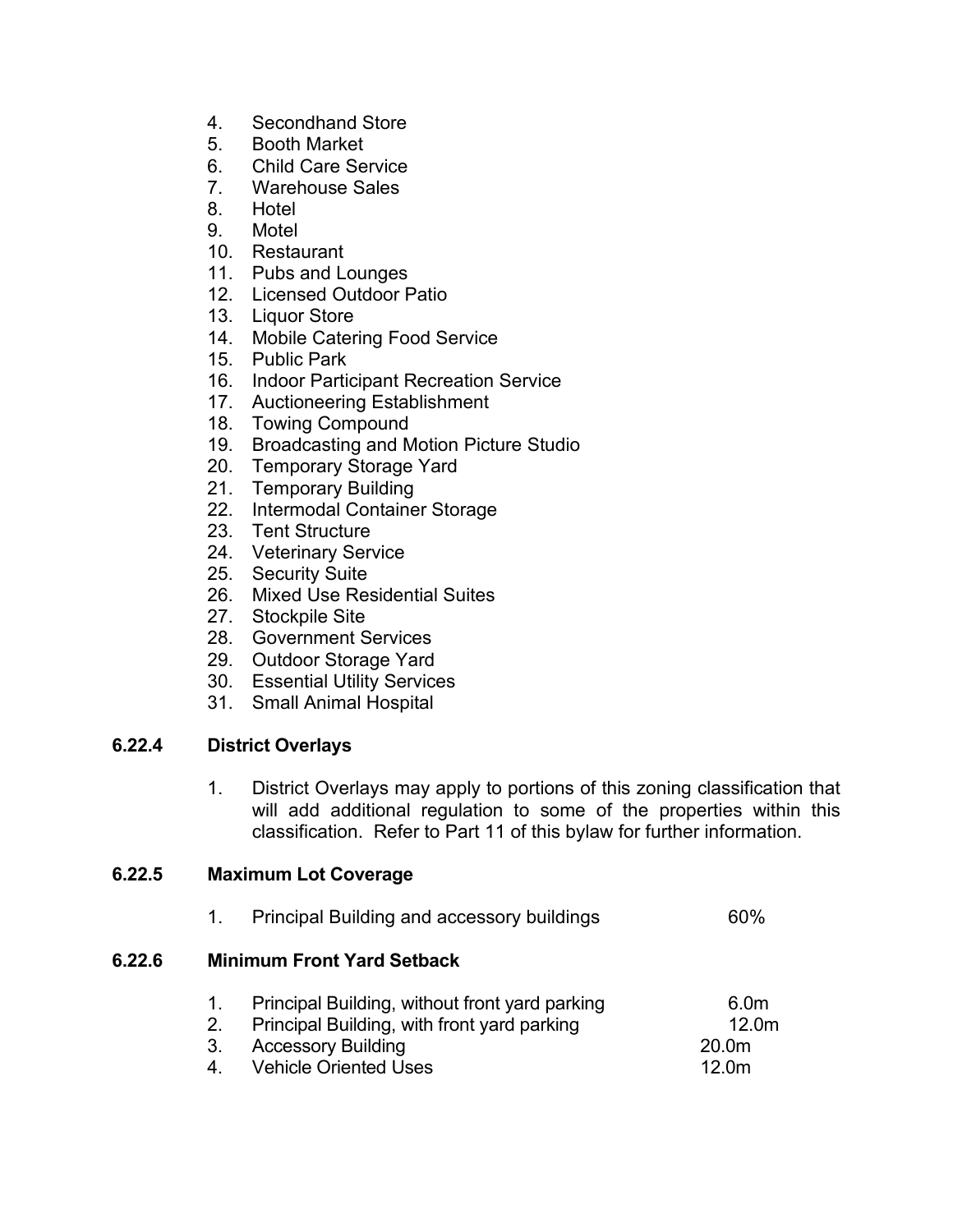- 4. Secondhand Store
- 5. Booth Market
- 6. Child Care Service
- 7. Warehouse Sales
- 8. Hotel
- 9. Motel
- 10. Restaurant
- 11. Pubs and Lounges
- 12. Licensed Outdoor Patio
- 13. Liquor Store
- 14. Mobile Catering Food Service
- 15. Public Park
- 16. Indoor Participant Recreation Service
- 17. Auctioneering Establishment
- 18. Towing Compound
- 19. Broadcasting and Motion Picture Studio
- 20. Temporary Storage Yard
- 21. Temporary Building
- 22. Intermodal Container Storage
- 23. Tent Structure
- 24. Veterinary Service
- 25. Security Suite
- 26. Mixed Use Residential Suites
- 27. Stockpile Site
- 28. Government Services
- 29. Outdoor Storage Yard
- 30. Essential Utility Services
- 31. Small Animal Hospital

## **6.22.4 District Overlays**

**6.22.6 Minimum Front Yard Setback**

1. District Overlays may apply to portions of this zoning classification that will add additional regulation to some of the properties within this classification. Refer to Part 11 of this bylaw for further information.

#### **6.22.5 Maximum Lot Coverage**

| 1.            | <b>Principal Building and accessory buildings</b>                                                                                                          | 60%                                                                             |
|---------------|------------------------------------------------------------------------------------------------------------------------------------------------------------|---------------------------------------------------------------------------------|
|               | <b>Minimum Front Yard Setback</b>                                                                                                                          |                                                                                 |
| 2.<br>3.<br>4 | Principal Building, without front yard parking<br>Principal Building, with front yard parking<br><b>Accessory Building</b><br><b>Vehicle Oriented Uses</b> | 6.0 <sub>m</sub><br>12.0 <sub>m</sub><br>20.0 <sub>m</sub><br>12.0 <sub>m</sub> |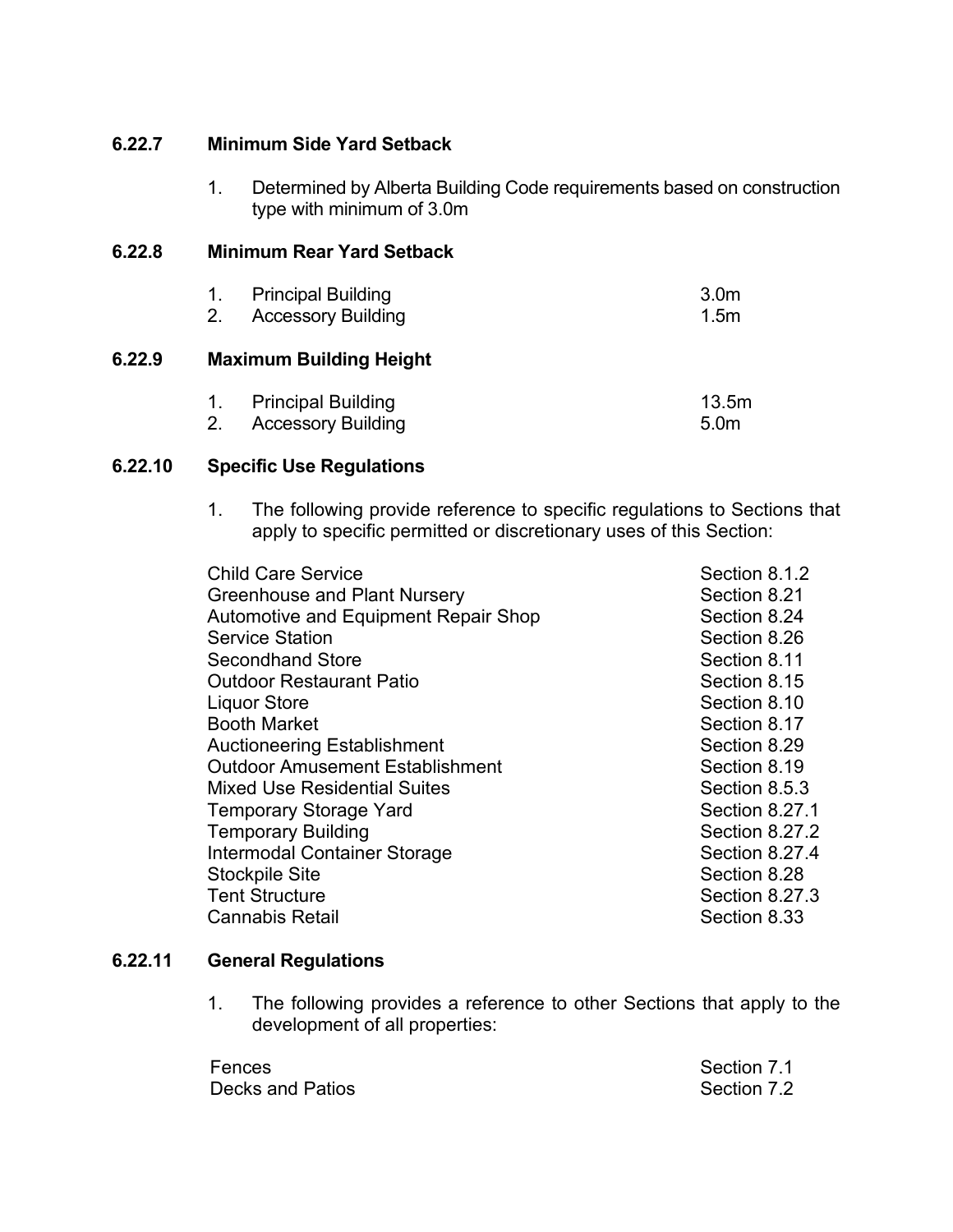#### **6.22.7 Minimum Side Yard Setback**

1. Determined by Alberta Building Code requirements based on construction type with minimum of 3.0m

## **6.22.8 Minimum Rear Yard Setback**

| 2. | <b>Principal Building</b><br><b>Accessory Building</b> | 3.0 <sub>m</sub><br>1.5 <sub>m</sub> |
|----|--------------------------------------------------------|--------------------------------------|
|    | <b>Maximum Building Height</b>                         |                                      |
|    | <b>Principal Building</b><br><b>Accessory Building</b> | 13.5m<br>5.0 <sub>m</sub>            |

#### **6.22.10 Specific Use Regulations**

**6.22.9 Maximum Building Height**

1. The following provide reference to specific regulations to Sections that apply to specific permitted or discretionary uses of this Section:

| <b>Child Care Service</b>                   | Section 8.1.2  |
|---------------------------------------------|----------------|
| Greenhouse and Plant Nursery                | Section 8.21   |
| <b>Automotive and Equipment Repair Shop</b> | Section 8.24   |
| <b>Service Station</b>                      | Section 8.26   |
| <b>Secondhand Store</b>                     | Section 8.11   |
| <b>Outdoor Restaurant Patio</b>             | Section 8.15   |
| <b>Liquor Store</b>                         | Section 8.10   |
| <b>Booth Market</b>                         | Section 8.17   |
| <b>Auctioneering Establishment</b>          | Section 8.29   |
| <b>Outdoor Amusement Establishment</b>      | Section 8.19   |
| <b>Mixed Use Residential Suites</b>         | Section 8.5.3  |
| <b>Temporary Storage Yard</b>               | Section 8.27.1 |
| <b>Temporary Building</b>                   | Section 8.27.2 |
| Intermodal Container Storage                | Section 8.27.4 |
| <b>Stockpile Site</b>                       | Section 8.28   |
| <b>Tent Structure</b>                       | Section 8.27.3 |
| <b>Cannabis Retail</b>                      | Section 8.33   |
|                                             |                |

## **6.22.11 General Regulations**

1. The following provides a reference to other Sections that apply to the development of all properties:

| Fences           | Section 7.1 |
|------------------|-------------|
| Decks and Patios | Section 7.2 |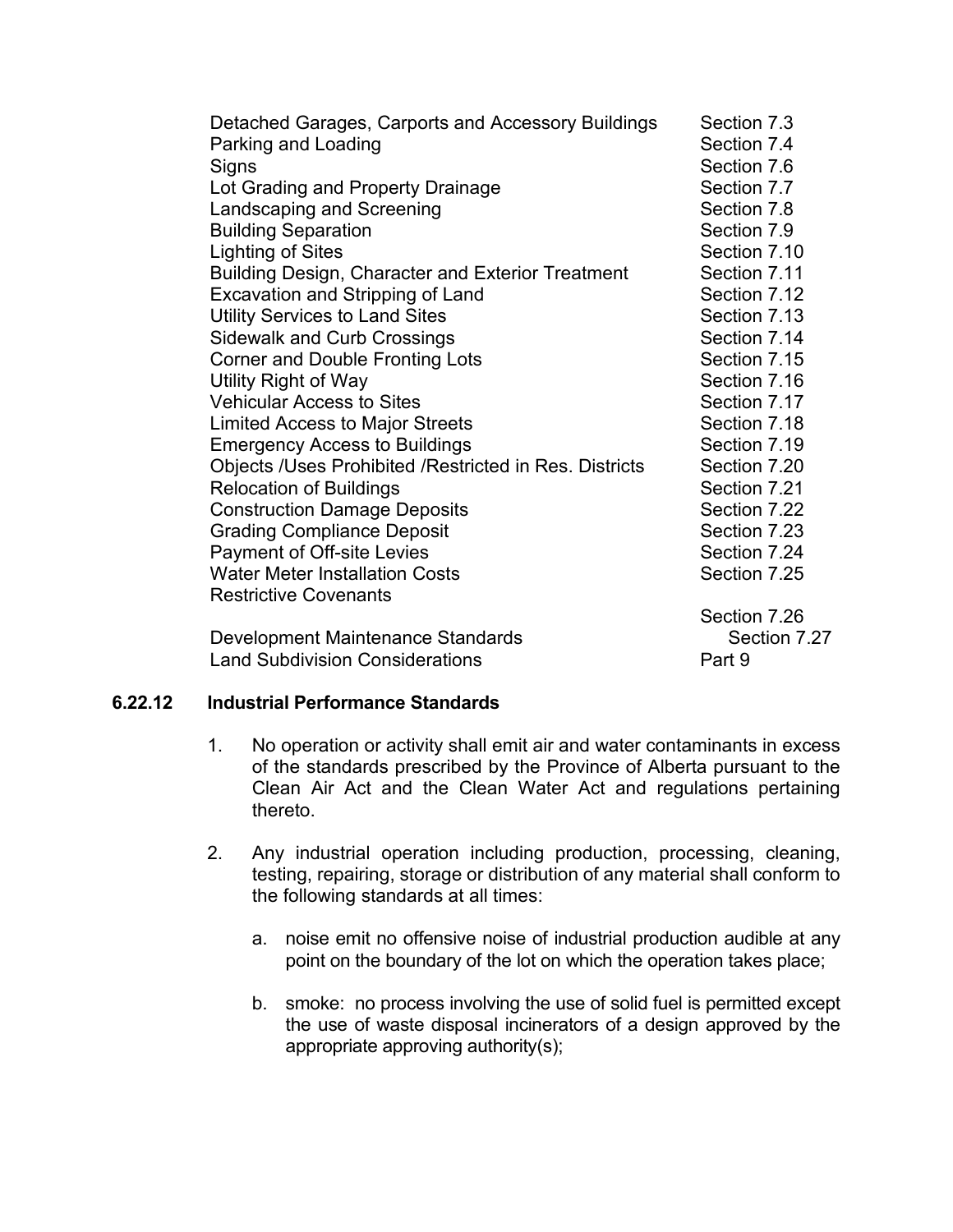| Detached Garages, Carports and Accessory Buildings     | Section 7.3  |
|--------------------------------------------------------|--------------|
| Parking and Loading                                    | Section 7.4  |
| Signs                                                  | Section 7.6  |
| Lot Grading and Property Drainage                      | Section 7.7  |
| Landscaping and Screening                              | Section 7.8  |
| <b>Building Separation</b>                             | Section 7.9  |
| <b>Lighting of Sites</b>                               | Section 7.10 |
| Building Design, Character and Exterior Treatment      | Section 7.11 |
| Excavation and Stripping of Land                       | Section 7.12 |
| <b>Utility Services to Land Sites</b>                  | Section 7.13 |
| <b>Sidewalk and Curb Crossings</b>                     | Section 7.14 |
| <b>Corner and Double Fronting Lots</b>                 | Section 7.15 |
| Utility Right of Way                                   | Section 7.16 |
| <b>Vehicular Access to Sites</b>                       | Section 7.17 |
| <b>Limited Access to Major Streets</b>                 | Section 7.18 |
| <b>Emergency Access to Buildings</b>                   | Section 7.19 |
| Objects /Uses Prohibited /Restricted in Res. Districts | Section 7.20 |
| <b>Relocation of Buildings</b>                         | Section 7.21 |
| <b>Construction Damage Deposits</b>                    | Section 7.22 |
| <b>Grading Compliance Deposit</b>                      | Section 7.23 |
| Payment of Off-site Levies                             | Section 7.24 |
| <b>Water Meter Installation Costs</b>                  | Section 7.25 |
| <b>Restrictive Covenants</b>                           |              |
|                                                        | Section 7.26 |
| Development Maintenance Standards                      | Section 7.27 |
| <b>Land Subdivision Considerations</b>                 | Part 9       |

#### **6.22.12 Industrial Performance Standards**

- 1. No operation or activity shall emit air and water contaminants in excess of the standards prescribed by the Province of Alberta pursuant to the Clean Air Act and the Clean Water Act and regulations pertaining thereto.
- 2. Any industrial operation including production, processing, cleaning, testing, repairing, storage or distribution of any material shall conform to the following standards at all times:
	- a. noise emit no offensive noise of industrial production audible at any point on the boundary of the lot on which the operation takes place;
	- b. smoke: no process involving the use of solid fuel is permitted except the use of waste disposal incinerators of a design approved by the appropriate approving authority(s);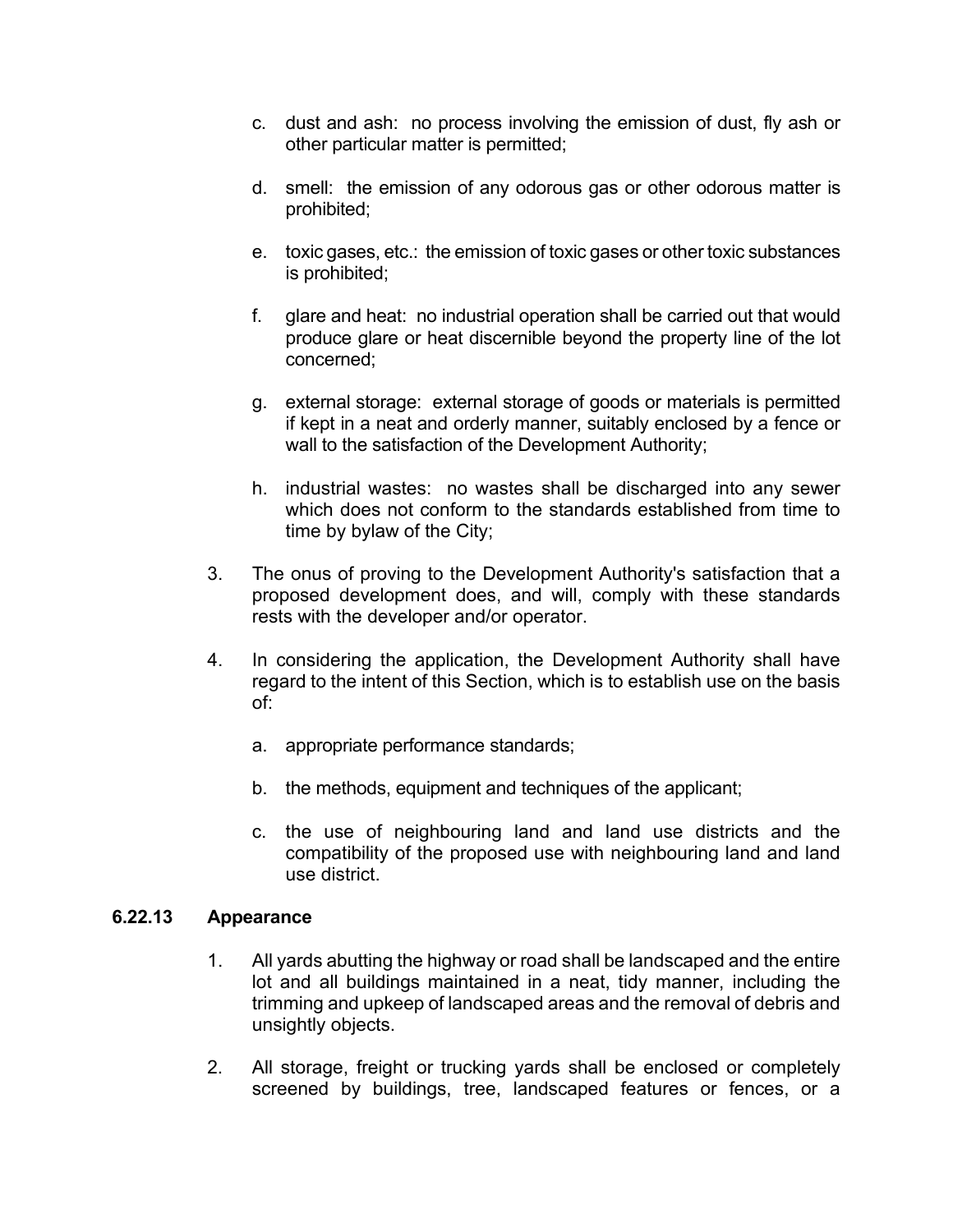- c. dust and ash: no process involving the emission of dust, fly ash or other particular matter is permitted;
- d. smell: the emission of any odorous gas or other odorous matter is prohibited;
- e. toxic gases, etc.: the emission of toxic gases or other toxic substances is prohibited;
- f. glare and heat: no industrial operation shall be carried out that would produce glare or heat discernible beyond the property line of the lot concerned;
- g. external storage: external storage of goods or materials is permitted if kept in a neat and orderly manner, suitably enclosed by a fence or wall to the satisfaction of the Development Authority;
- h. industrial wastes: no wastes shall be discharged into any sewer which does not conform to the standards established from time to time by bylaw of the City;
- 3. The onus of proving to the Development Authority's satisfaction that a proposed development does, and will, comply with these standards rests with the developer and/or operator.
- 4. In considering the application, the Development Authority shall have regard to the intent of this Section, which is to establish use on the basis of:
	- a. appropriate performance standards;
	- b. the methods, equipment and techniques of the applicant;
	- c. the use of neighbouring land and land use districts and the compatibility of the proposed use with neighbouring land and land use district.

#### **6.22.13 Appearance**

- 1. All yards abutting the highway or road shall be landscaped and the entire lot and all buildings maintained in a neat, tidy manner, including the trimming and upkeep of landscaped areas and the removal of debris and unsightly objects.
- 2. All storage, freight or trucking yards shall be enclosed or completely screened by buildings, tree, landscaped features or fences, or a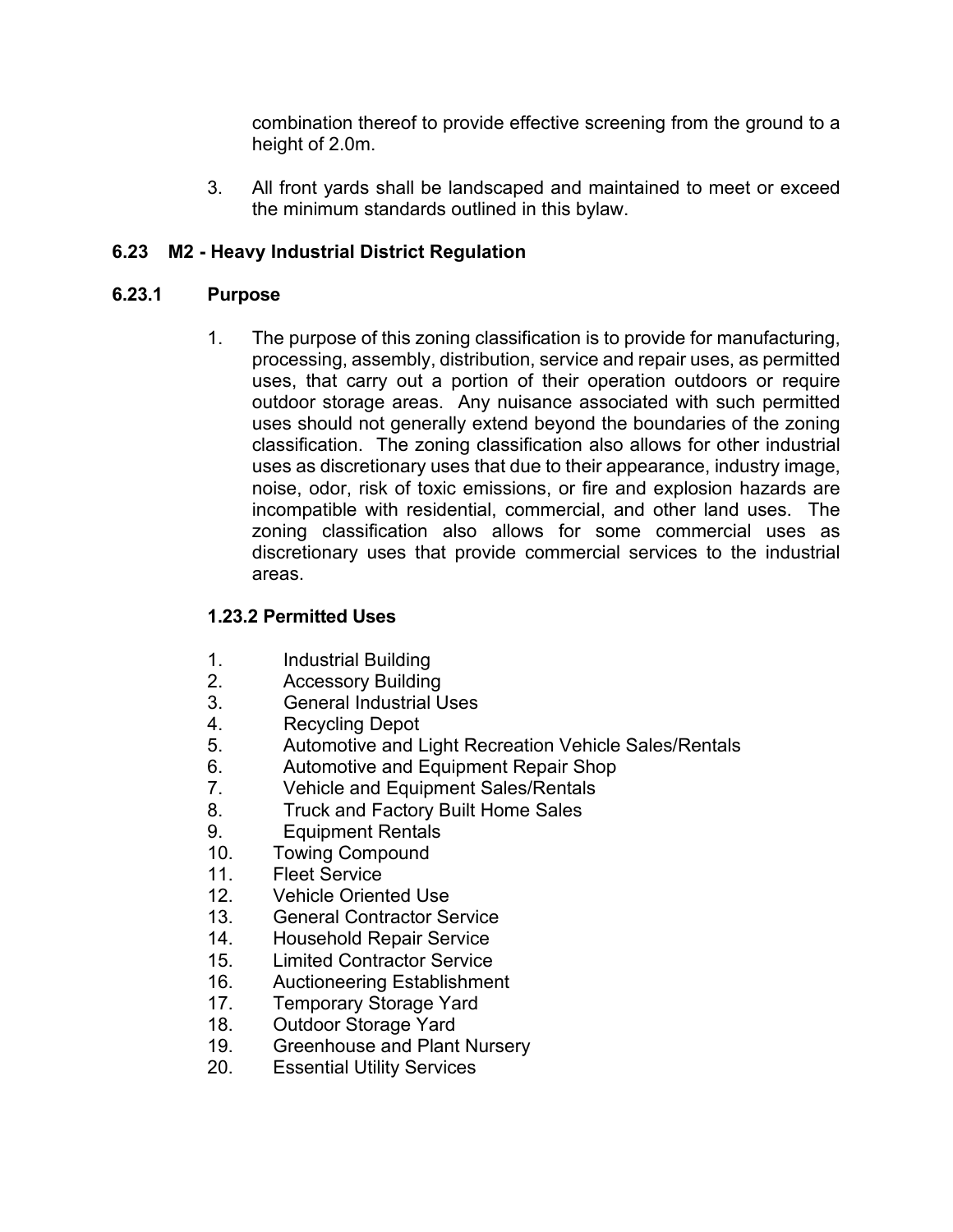combination thereof to provide effective screening from the ground to a height of 2.0m.

3. All front yards shall be landscaped and maintained to meet or exceed the minimum standards outlined in this bylaw.

## **6.23 M2 - Heavy Industrial District Regulation**

## **6.23.1 Purpose**

1. The purpose of this zoning classification is to provide for manufacturing, processing, assembly, distribution, service and repair uses, as permitted uses, that carry out a portion of their operation outdoors or require outdoor storage areas. Any nuisance associated with such permitted uses should not generally extend beyond the boundaries of the zoning classification. The zoning classification also allows for other industrial uses as discretionary uses that due to their appearance, industry image, noise, odor, risk of toxic emissions, or fire and explosion hazards are incompatible with residential, commercial, and other land uses. The zoning classification also allows for some commercial uses as discretionary uses that provide commercial services to the industrial areas.

## **1.23.2 Permitted Uses**

- 1. Industrial Building
- 2. Accessory Building
- 3. General Industrial Uses
- 4. Recycling Depot
- 5. Automotive and Light Recreation Vehicle Sales/Rentals
- 6. Automotive and Equipment Repair Shop<br>7. Vehicle and Equipment Sales/Rentals
- Vehicle and Equipment Sales/Rentals
- 8. Truck and Factory Built Home Sales
- 9. Equipment Rentals
- 10. Towing Compound
- 11. Fleet Service
- 12. Vehicle Oriented Use
- 13. General Contractor Service
- 14. Household Repair Service<br>15. Limited Contractor Service
- **Limited Contractor Service**
- 16. Auctioneering Establishment
- 17. Temporary Storage Yard
- 18. Outdoor Storage Yard
- 19. Greenhouse and Plant Nursery
- 20. Essential Utility Services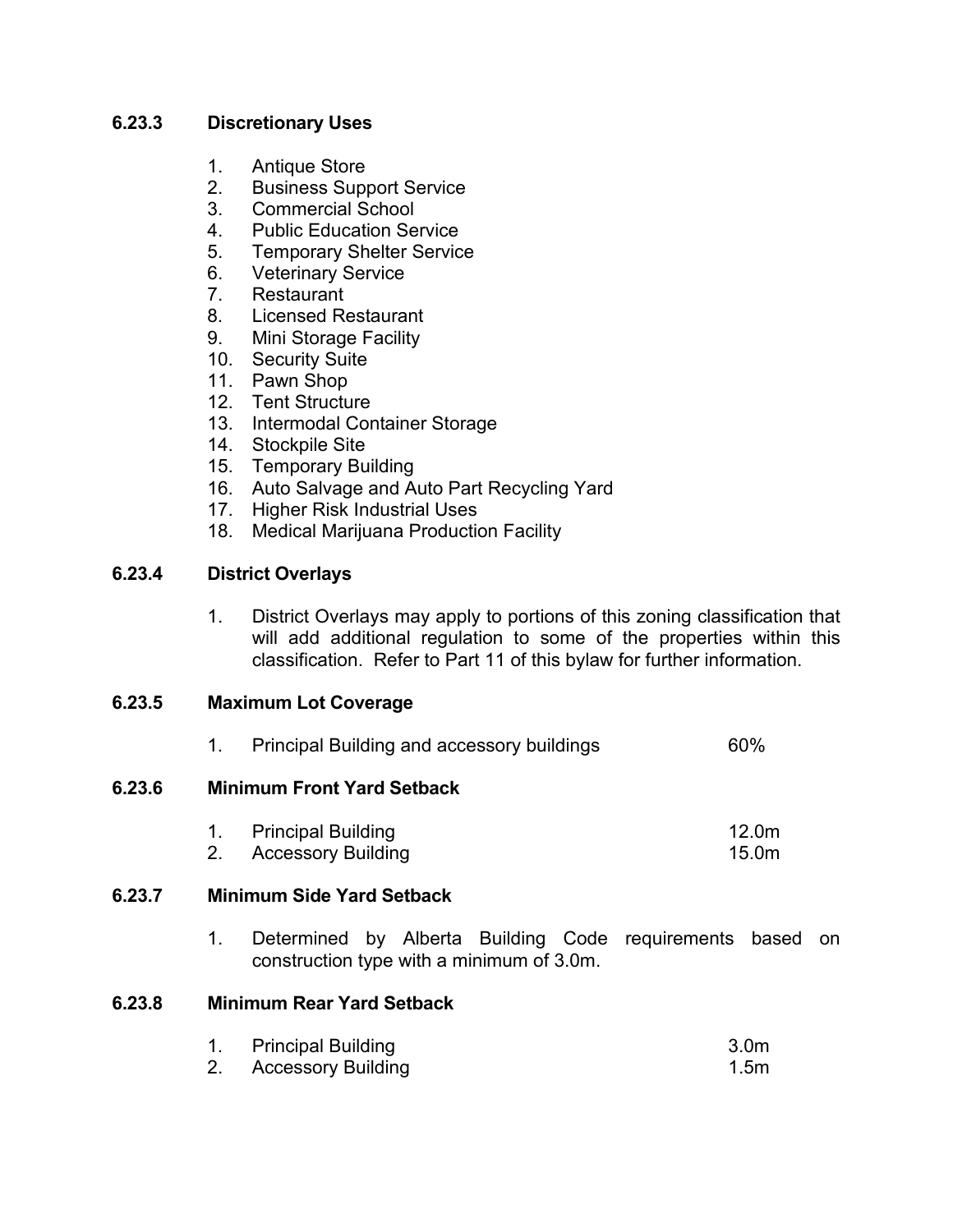## **6.23.3 Discretionary Uses**

- 1. Antique Store
- 2. Business Support Service
- 3. Commercial School
- 4. Public Education Service
- 5. Temporary Shelter Service
- 6. Veterinary Service
- 7. Restaurant
- 8. Licensed Restaurant
- 9. Mini Storage Facility
- 10. Security Suite
- 11. Pawn Shop
- 12. Tent Structure
- 13. Intermodal Container Storage
- 14. Stockpile Site
- 15. Temporary Building
- 16. Auto Salvage and Auto Part Recycling Yard
- 17. Higher Risk Industrial Uses
- 18. Medical Marijuana Production Facility

## **6.23.4 District Overlays**

1. District Overlays may apply to portions of this zoning classification that will add additional regulation to some of the properties within this classification. Refer to Part 11 of this bylaw for further information.

#### **6.23.5 Maximum Lot Coverage**

|        |    | <b>Principal Building and accessory buildings</b>                                                      | 60%                        |  |
|--------|----|--------------------------------------------------------------------------------------------------------|----------------------------|--|
| 6.23.6 |    | <b>Minimum Front Yard Setback</b>                                                                      |                            |  |
|        | 2. | <b>Principal Building</b><br><b>Accessory Building</b>                                                 | 12.0 <sub>m</sub><br>15.0m |  |
| 6.23.7 |    | <b>Minimum Side Yard Setback</b>                                                                       |                            |  |
|        | 1. | Determined by Alberta Building Code requirements based on<br>construction type with a minimum of 3.0m. |                            |  |
| 6.23.8 |    | <b>Minimum Rear Yard Setback</b>                                                                       |                            |  |

## **6.23.8 Minimum Rear Yard Setback**

|    | <b>Principal Building</b> | 3.0 <sub>m</sub> |
|----|---------------------------|------------------|
| 2. | Accessory Building        | 1.5 <sub>m</sub> |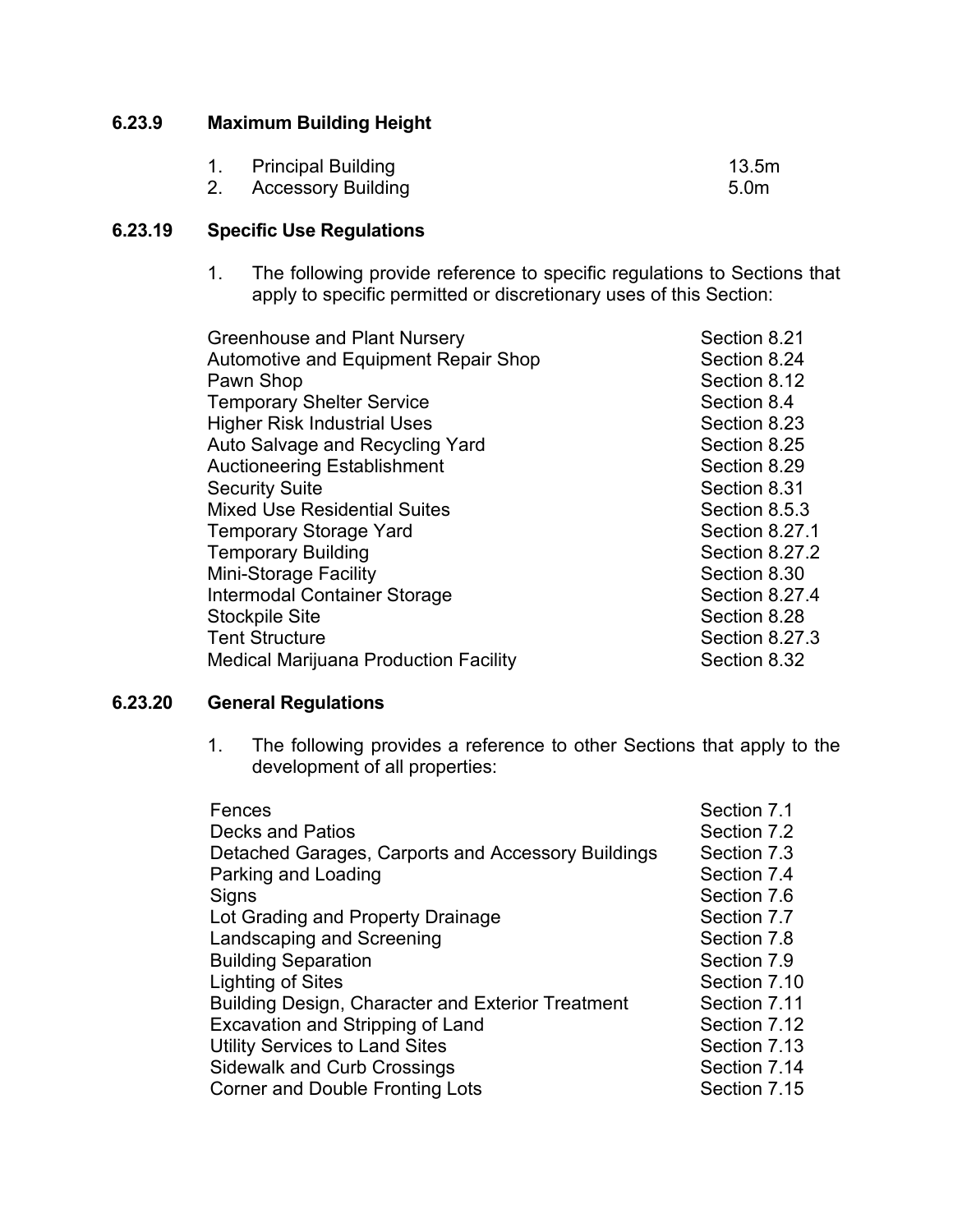## **6.23.9 Maximum Building Height**

| 1. Principal Building | 13.5m |
|-----------------------|-------|
| 2. Accessory Building | 5.0m  |

## **6.23.19 Specific Use Regulations**

1. The following provide reference to specific regulations to Sections that apply to specific permitted or discretionary uses of this Section:

| <b>Greenhouse and Plant Nursery</b>          | Section 8.21          |
|----------------------------------------------|-----------------------|
| Automotive and Equipment Repair Shop         | Section 8.24          |
| Pawn Shop                                    | Section 8.12          |
| <b>Temporary Shelter Service</b>             | Section 8.4           |
| <b>Higher Risk Industrial Uses</b>           | Section 8.23          |
| Auto Salvage and Recycling Yard              | Section 8.25          |
| <b>Auctioneering Establishment</b>           | Section 8.29          |
| <b>Security Suite</b>                        | Section 8.31          |
| <b>Mixed Use Residential Suites</b>          | Section 8.5.3         |
| <b>Temporary Storage Yard</b>                | Section 8.27.1        |
| <b>Temporary Building</b>                    | Section 8.27.2        |
| <b>Mini-Storage Facility</b>                 | Section 8.30          |
| Intermodal Container Storage                 | Section 8.27.4        |
| <b>Stockpile Site</b>                        | Section 8.28          |
| <b>Tent Structure</b>                        | <b>Section 8.27.3</b> |
| <b>Medical Marijuana Production Facility</b> | Section 8.32          |
|                                              |                       |

## **6.23.20 General Regulations**

1. The following provides a reference to other Sections that apply to the development of all properties:

| Fences                                             | Section 7.1  |
|----------------------------------------------------|--------------|
| Decks and Patios                                   | Section 7.2  |
| Detached Garages, Carports and Accessory Buildings | Section 7.3  |
| Parking and Loading                                | Section 7.4  |
| Signs                                              | Section 7.6  |
| Lot Grading and Property Drainage                  | Section 7.7  |
| Landscaping and Screening                          | Section 7.8  |
| <b>Building Separation</b>                         | Section 7.9  |
| Lighting of Sites                                  | Section 7.10 |
| Building Design, Character and Exterior Treatment  | Section 7.11 |
| <b>Excavation and Stripping of Land</b>            | Section 7.12 |
| <b>Utility Services to Land Sites</b>              | Section 7.13 |
| <b>Sidewalk and Curb Crossings</b>                 | Section 7.14 |
| Corner and Double Fronting Lots                    | Section 7.15 |
|                                                    |              |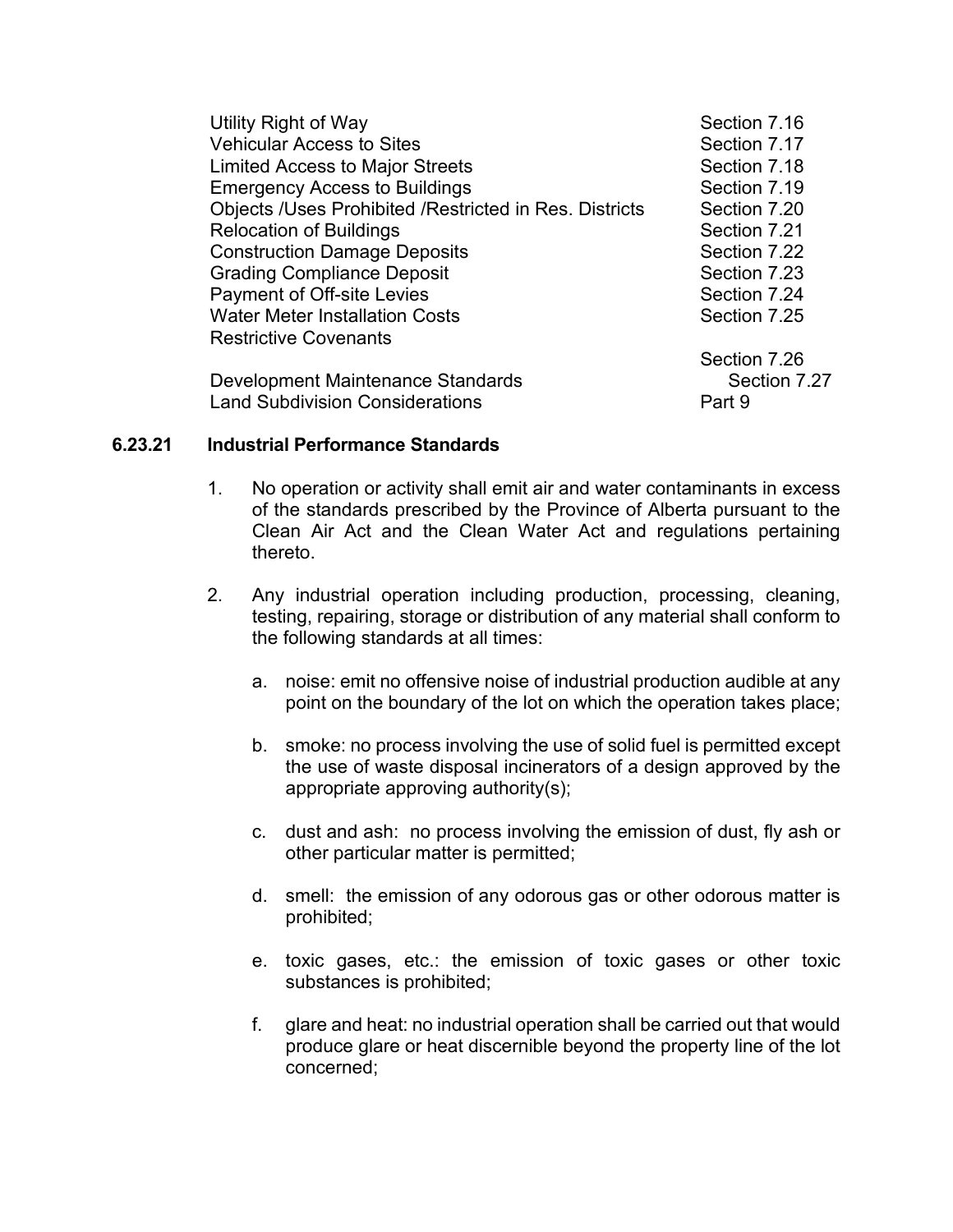| Utility Right of Way                                          | Section 7.16 |
|---------------------------------------------------------------|--------------|
| <b>Vehicular Access to Sites</b>                              | Section 7.17 |
| <b>Limited Access to Major Streets</b>                        | Section 7.18 |
| <b>Emergency Access to Buildings</b>                          | Section 7.19 |
| <b>Objects /Uses Prohibited /Restricted in Res. Districts</b> | Section 7.20 |
| <b>Relocation of Buildings</b>                                | Section 7.21 |
| <b>Construction Damage Deposits</b>                           | Section 7.22 |
| <b>Grading Compliance Deposit</b>                             | Section 7.23 |
| Payment of Off-site Levies                                    | Section 7.24 |
| <b>Water Meter Installation Costs</b>                         | Section 7.25 |
| <b>Restrictive Covenants</b>                                  |              |
|                                                               | Section 7.26 |
| Development Maintenance Standards                             | Section 7.27 |
| <b>Land Subdivision Considerations</b>                        | Part 9       |

#### **6.23.21 Industrial Performance Standards**

- 1. No operation or activity shall emit air and water contaminants in excess of the standards prescribed by the Province of Alberta pursuant to the Clean Air Act and the Clean Water Act and regulations pertaining thereto.
- 2. Any industrial operation including production, processing, cleaning, testing, repairing, storage or distribution of any material shall conform to the following standards at all times:
	- a. noise: emit no offensive noise of industrial production audible at any point on the boundary of the lot on which the operation takes place;
	- b. smoke: no process involving the use of solid fuel is permitted except the use of waste disposal incinerators of a design approved by the appropriate approving authority(s);
	- c. dust and ash: no process involving the emission of dust, fly ash or other particular matter is permitted;
	- d. smell: the emission of any odorous gas or other odorous matter is prohibited;
	- e. toxic gases, etc.: the emission of toxic gases or other toxic substances is prohibited;
	- f. glare and heat: no industrial operation shall be carried out that would produce glare or heat discernible beyond the property line of the lot concerned;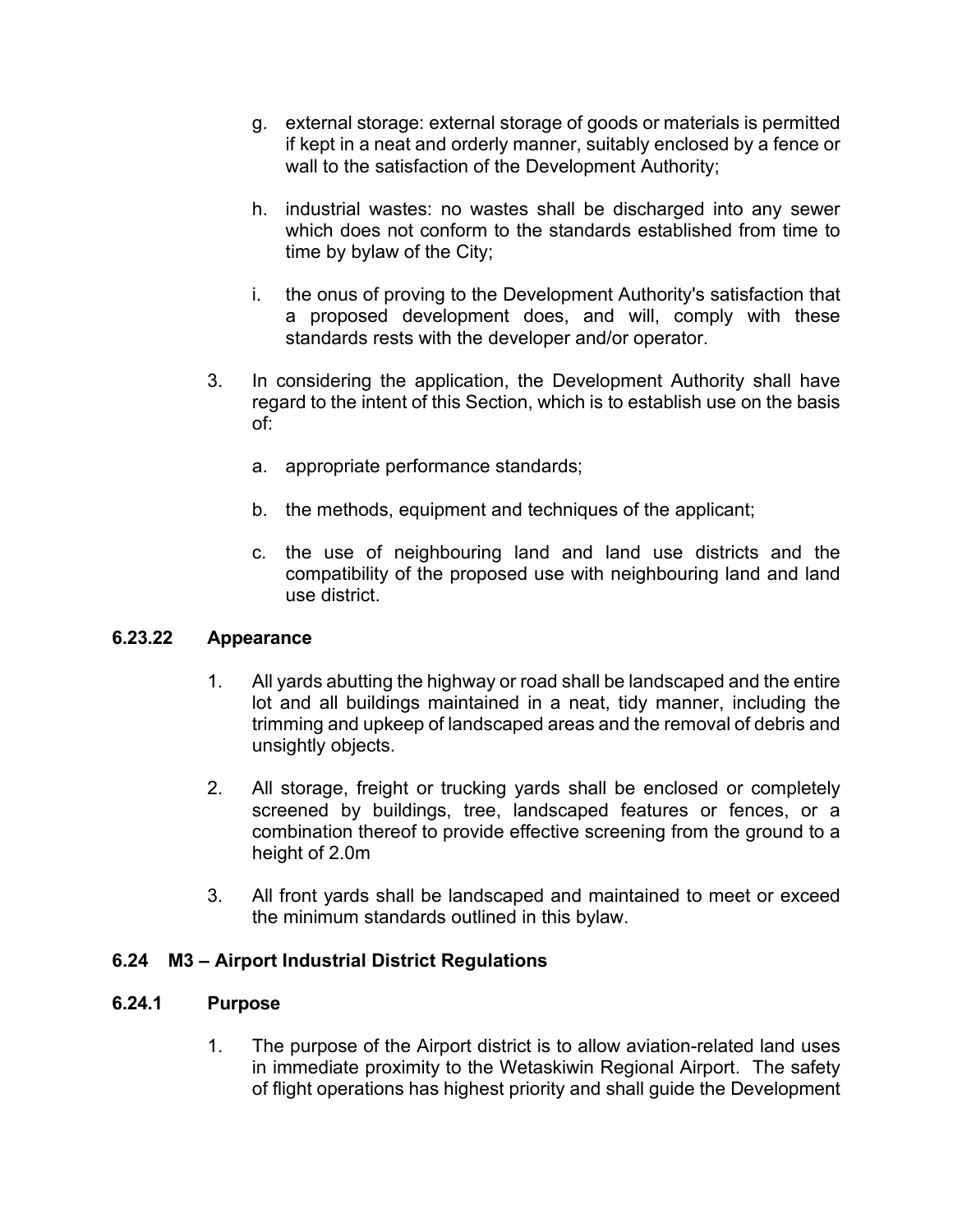- g. external storage: external storage of goods or materials is permitted if kept in a neat and orderly manner, suitably enclosed by a fence or wall to the satisfaction of the Development Authority;
- h. industrial wastes: no wastes shall be discharged into any sewer which does not conform to the standards established from time to time by bylaw of the City;
- i. the onus of proving to the Development Authority's satisfaction that a proposed development does, and will, comply with these standards rests with the developer and/or operator.
- 3. In considering the application, the Development Authority shall have regard to the intent of this Section, which is to establish use on the basis of:
	- a. appropriate performance standards;
	- b. the methods, equipment and techniques of the applicant;
	- c. the use of neighbouring land and land use districts and the compatibility of the proposed use with neighbouring land and land use district.

#### **6.23.22 Appearance**

- 1. All yards abutting the highway or road shall be landscaped and the entire lot and all buildings maintained in a neat, tidy manner, including the trimming and upkeep of landscaped areas and the removal of debris and unsightly objects.
- 2. All storage, freight or trucking yards shall be enclosed or completely screened by buildings, tree, landscaped features or fences, or a combination thereof to provide effective screening from the ground to a height of 2.0m
- 3. All front yards shall be landscaped and maintained to meet or exceed the minimum standards outlined in this bylaw.

## **6.24 M3 – Airport Industrial District Regulations**

#### **6.24.1 Purpose**

1. The purpose of the Airport district is to allow aviation-related land uses in immediate proximity to the Wetaskiwin Regional Airport. The safety of flight operations has highest priority and shall guide the Development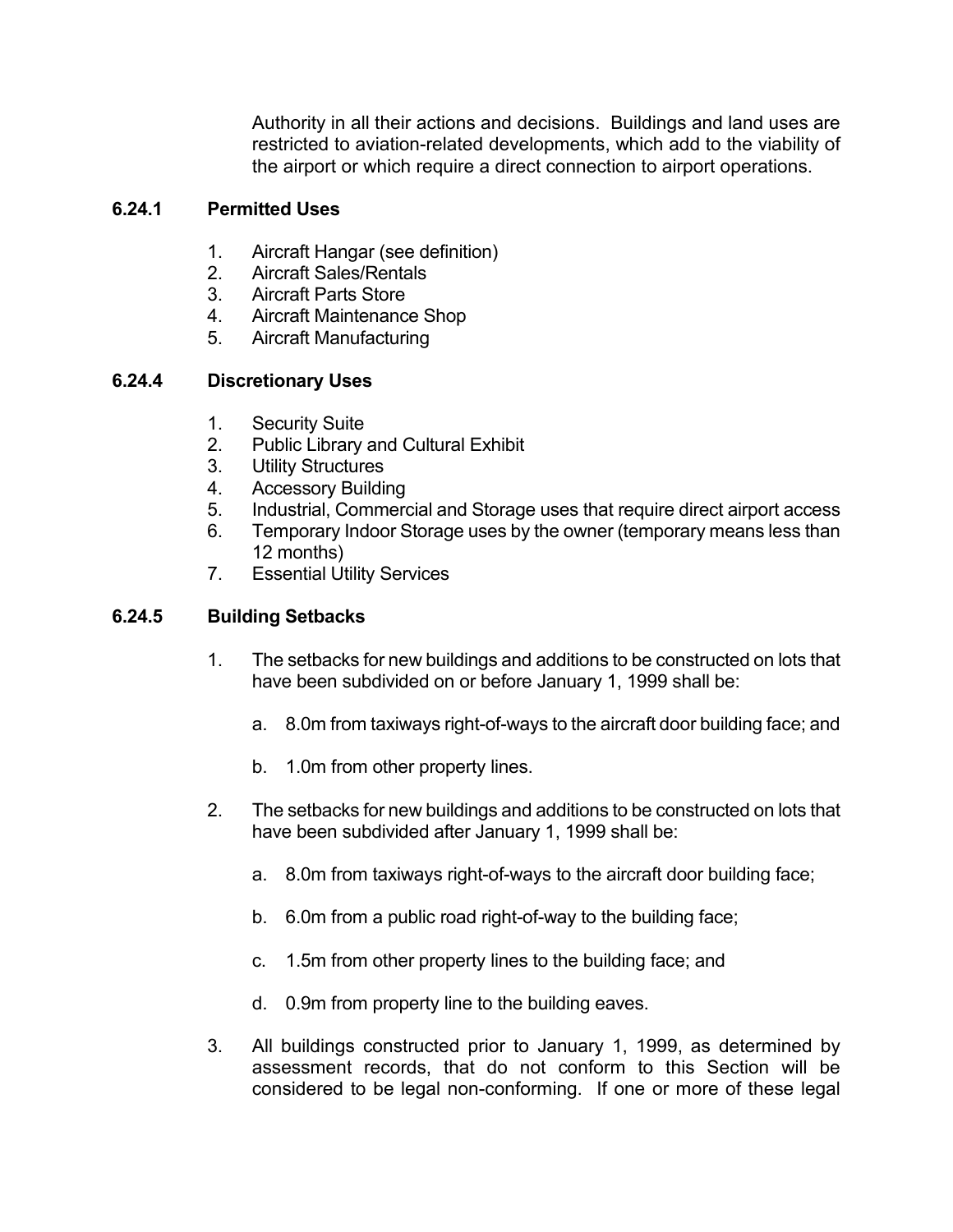Authority in all their actions and decisions. Buildings and land uses are restricted to aviation-related developments, which add to the viability of the airport or which require a direct connection to airport operations.

# **6.24.1 Permitted Uses**

- 1. Aircraft Hangar (see definition)
- 2. Aircraft Sales/Rentals
- 3. Aircraft Parts Store
- 4. Aircraft Maintenance Shop
- 5. Aircraft Manufacturing

# **6.24.4 Discretionary Uses**

- 1. Security Suite
- 2. Public Library and Cultural Exhibit
- 3. Utility Structures
- 4. Accessory Building
- 5. Industrial, Commercial and Storage uses that require direct airport access
- 6. Temporary Indoor Storage uses by the owner (temporary means less than 12 months)
- 7. Essential Utility Services

# **6.24.5 Building Setbacks**

- 1. The setbacks for new buildings and additions to be constructed on lots that have been subdivided on or before January 1, 1999 shall be:
	- a. 8.0m from taxiways right-of-ways to the aircraft door building face; and
	- b. 1.0m from other property lines.
- 2. The setbacks for new buildings and additions to be constructed on lots that have been subdivided after January 1, 1999 shall be:
	- a. 8.0m from taxiways right-of-ways to the aircraft door building face;
	- b. 6.0m from a public road right-of-way to the building face;
	- c. 1.5m from other property lines to the building face; and
	- d. 0.9m from property line to the building eaves.
- 3. All buildings constructed prior to January 1, 1999, as determined by assessment records, that do not conform to this Section will be considered to be legal non-conforming. If one or more of these legal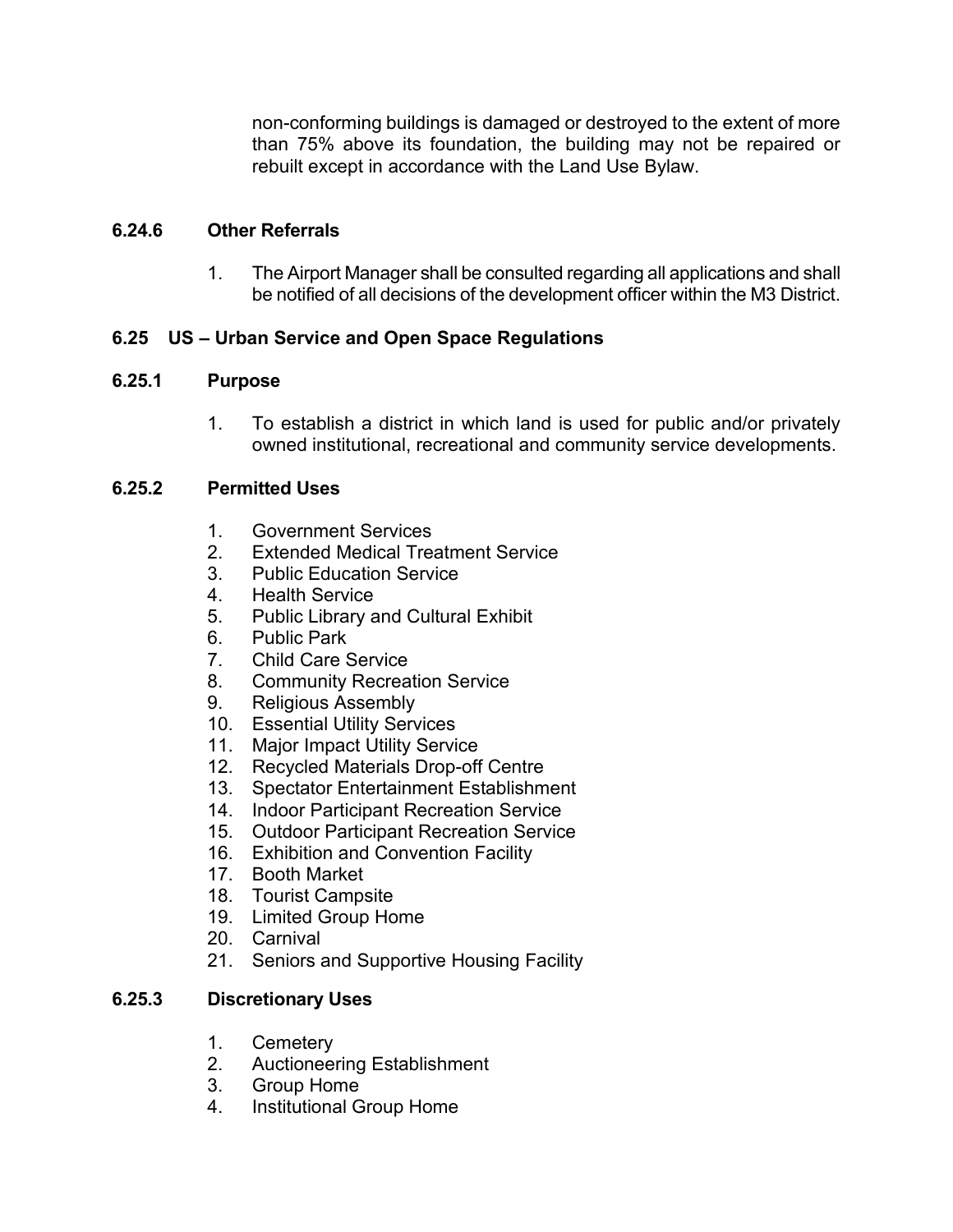non-conforming buildings is damaged or destroyed to the extent of more than 75% above its foundation, the building may not be repaired or rebuilt except in accordance with the Land Use Bylaw.

## **6.24.6 Other Referrals**

1. The Airport Manager shall be consulted regarding all applications and shall be notified of all decisions of the development officer within the M3 District.

# **6.25 US – Urban Service and Open Space Regulations**

#### **6.25.1 Purpose**

1. To establish a district in which land is used for public and/or privately owned institutional, recreational and community service developments.

#### **6.25.2 Permitted Uses**

- 1. Government Services
- 2. Extended Medical Treatment Service
- 3. Public Education Service
- 4. Health Service
- 5. Public Library and Cultural Exhibit
- 6. Public Park
- 7. Child Care Service
- 8. Community Recreation Service
- 9. Religious Assembly
- 10. Essential Utility Services
- 11. Major Impact Utility Service
- 12. Recycled Materials Drop-off Centre
- 13. Spectator Entertainment Establishment
- 14. Indoor Participant Recreation Service
- 15. Outdoor Participant Recreation Service
- 16. Exhibition and Convention Facility
- 17. Booth Market
- 18. Tourist Campsite
- 19. Limited Group Home
- 20. Carnival
- 21. Seniors and Supportive Housing Facility

#### **6.25.3 Discretionary Uses**

- 1. Cemetery
- 2. Auctioneering Establishment
- 3. Group Home
- 4. Institutional Group Home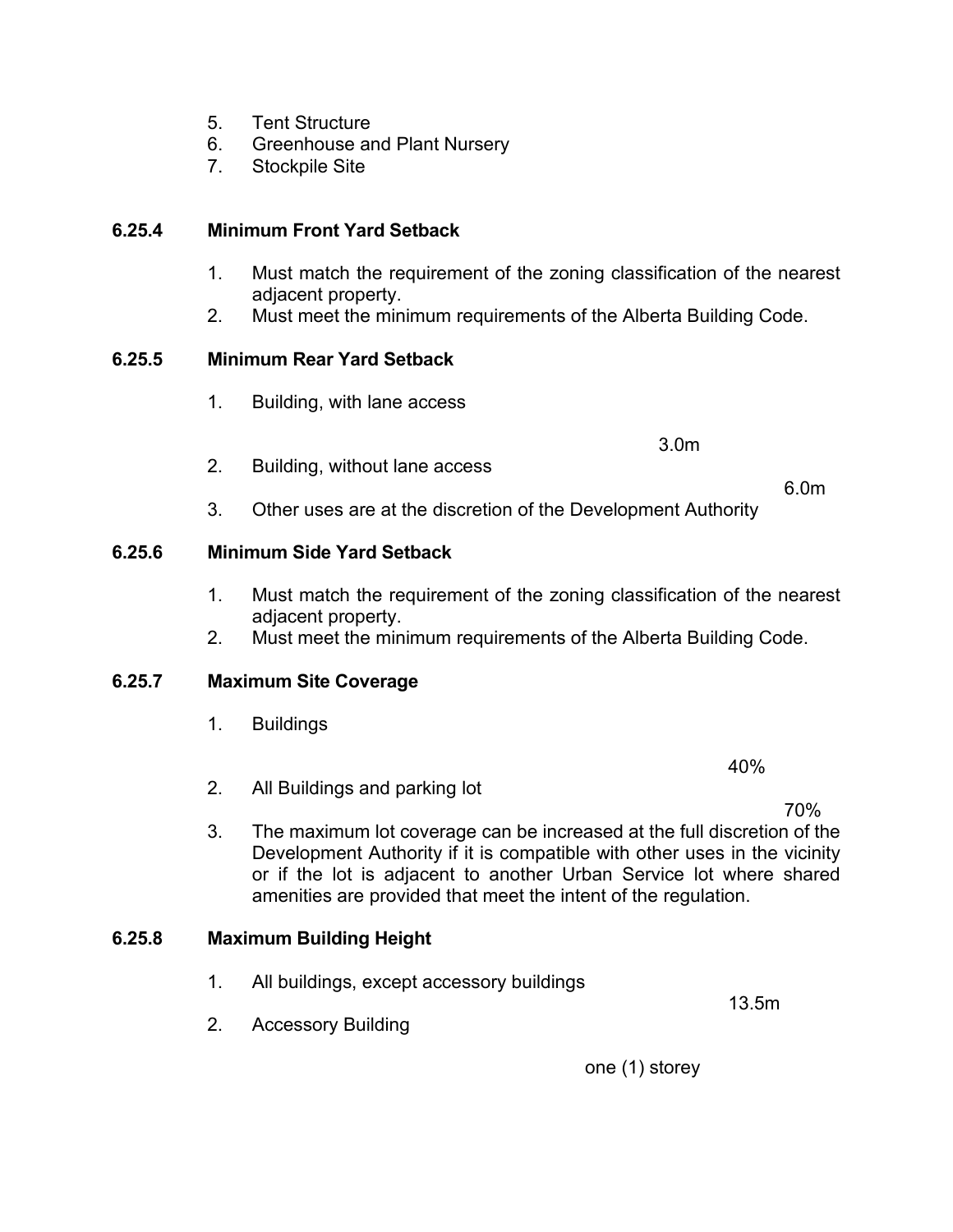- 5. Tent Structure
- 6. Greenhouse and Plant Nursery
- 7. Stockpile Site

## **6.25.4 Minimum Front Yard Setback**

- 1. Must match the requirement of the zoning classification of the nearest adjacent property.
- 2. Must meet the minimum requirements of the Alberta Building Code.

#### **6.25.5 Minimum Rear Yard Setback**

1. Building, with lane access

3.0m

2. Building, without lane access

6.0m

40%

13.5m

70%

3. Other uses are at the discretion of the Development Authority

#### **6.25.6 Minimum Side Yard Setback**

- 1. Must match the requirement of the zoning classification of the nearest adjacent property.
- 2. Must meet the minimum requirements of the Alberta Building Code.

#### **6.25.7 Maximum Site Coverage**

1. Buildings

2. All Buildings and parking lot

3. The maximum lot coverage can be increased at the full discretion of the Development Authority if it is compatible with other uses in the vicinity or if the lot is adjacent to another Urban Service lot where shared amenities are provided that meet the intent of the regulation.

#### **6.25.8 Maximum Building Height**

- 1. All buildings, except accessory buildings
- 2. Accessory Building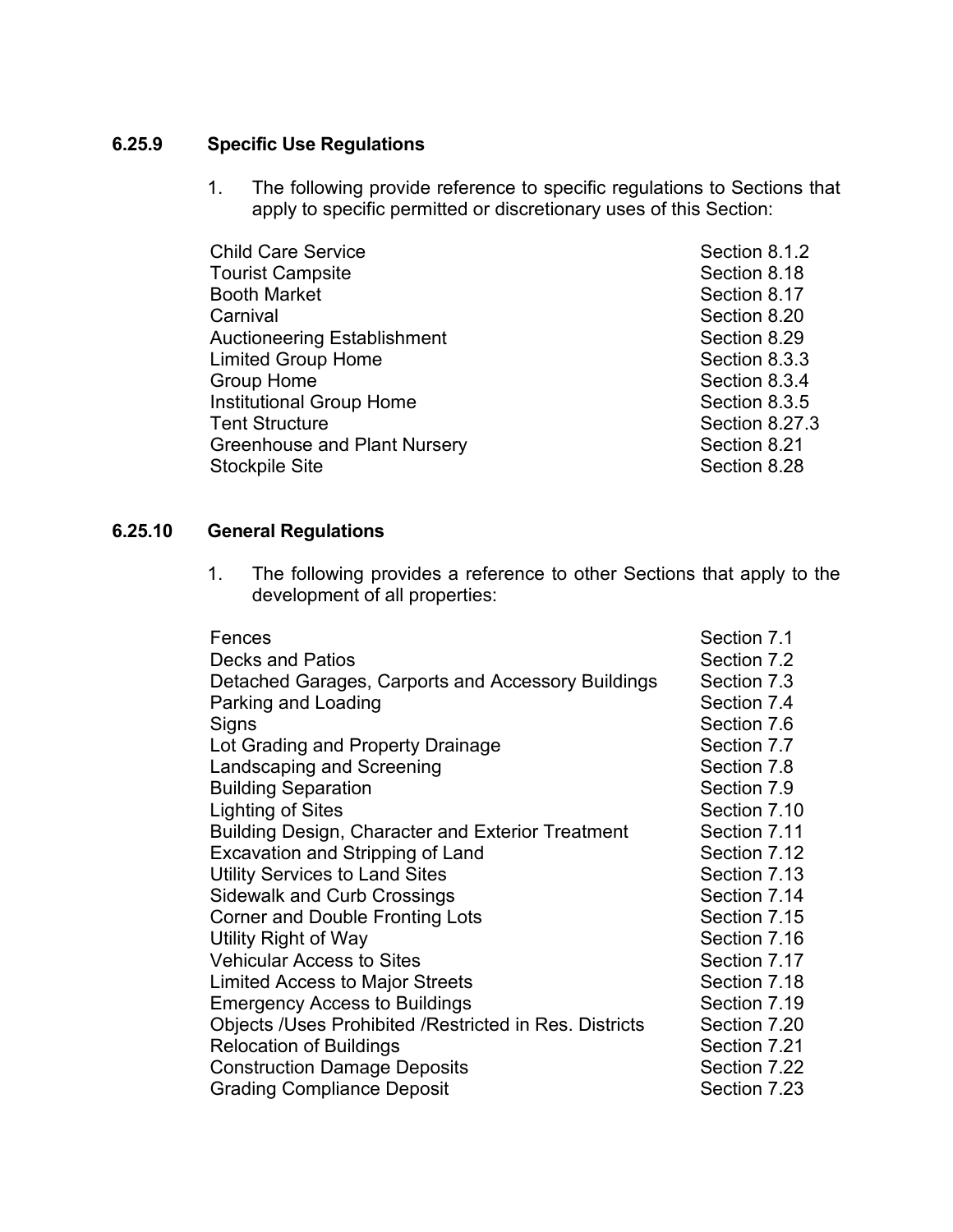# **6.25.9 Specific Use Regulations**

1. The following provide reference to specific regulations to Sections that apply to specific permitted or discretionary uses of this Section:

| <b>Child Care Service</b>       | Section 8.1.2  |
|---------------------------------|----------------|
| <b>Tourist Campsite</b>         | Section 8.18   |
| <b>Booth Market</b>             | Section 8.17   |
| Carnival                        | Section 8.20   |
| Auctioneering Establishment     | Section 8.29   |
| <b>Limited Group Home</b>       | Section 8.3.3  |
| <b>Group Home</b>               | Section 8.3.4  |
| <b>Institutional Group Home</b> | Section 8.3.5  |
| <b>Tent Structure</b>           | Section 8.27.3 |
| Greenhouse and Plant Nursery    | Section 8.21   |
| Stockpile Site                  | Section 8.28   |
|                                 |                |

#### **6.25.10 General Regulations**

1. The following provides a reference to other Sections that apply to the development of all properties:

| Fences                                                 | Section 7.1  |
|--------------------------------------------------------|--------------|
| <b>Decks and Patios</b>                                | Section 7.2  |
| Detached Garages, Carports and Accessory Buildings     | Section 7.3  |
| Parking and Loading                                    | Section 7.4  |
| Signs                                                  | Section 7.6  |
| Lot Grading and Property Drainage                      | Section 7.7  |
| Landscaping and Screening                              | Section 7.8  |
| <b>Building Separation</b>                             | Section 7.9  |
| Lighting of Sites                                      | Section 7.10 |
| Building Design, Character and Exterior Treatment      | Section 7.11 |
| Excavation and Stripping of Land                       | Section 7.12 |
| <b>Utility Services to Land Sites</b>                  | Section 7.13 |
| <b>Sidewalk and Curb Crossings</b>                     | Section 7.14 |
| Corner and Double Fronting Lots                        | Section 7.15 |
| Utility Right of Way                                   | Section 7.16 |
| <b>Vehicular Access to Sites</b>                       | Section 7.17 |
| <b>Limited Access to Major Streets</b>                 | Section 7.18 |
| <b>Emergency Access to Buildings</b>                   | Section 7.19 |
| Objects /Uses Prohibited /Restricted in Res. Districts | Section 7.20 |
| <b>Relocation of Buildings</b>                         | Section 7.21 |
| <b>Construction Damage Deposits</b>                    | Section 7.22 |
| <b>Grading Compliance Deposit</b>                      | Section 7.23 |
|                                                        |              |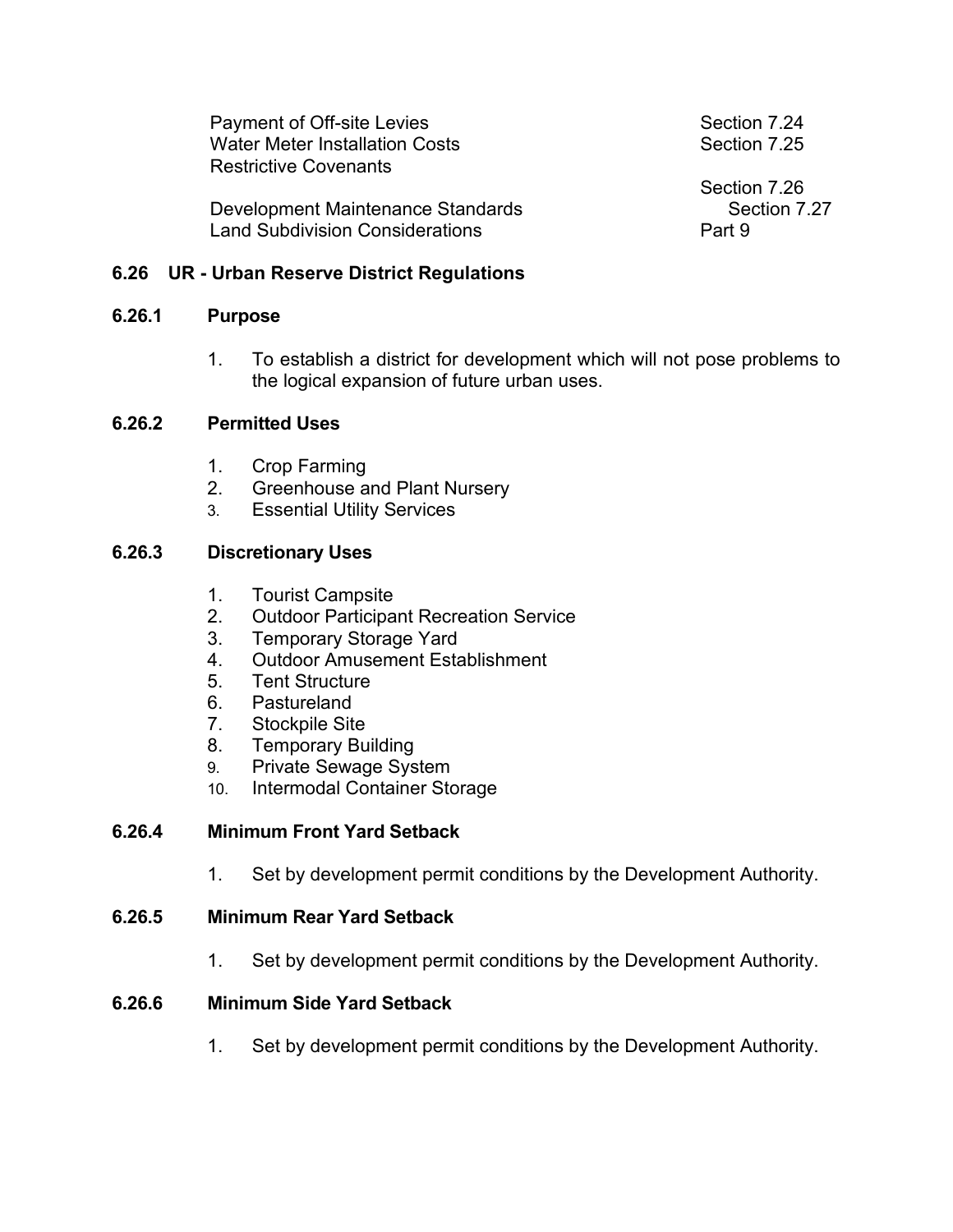| Payment of Off-site Levies             | Section 7.24 |
|----------------------------------------|--------------|
| <b>Water Meter Installation Costs</b>  | Section 7.25 |
| <b>Restrictive Covenants</b>           |              |
|                                        | Section 7.26 |
| Development Maintenance Standards      | Section 7.27 |
|                                        | Part 9       |
| <b>Land Subdivision Considerations</b> |              |

### **6.26 UR - Urban Reserve District Regulations**

#### **6.26.1 Purpose**

1. To establish a district for development which will not pose problems to the logical expansion of future urban uses.

#### **6.26.2 Permitted Uses**

- 1. Crop Farming
- 2. Greenhouse and Plant Nursery
- 3. Essential Utility Services

## **6.26.3 Discretionary Uses**

- 1. Tourist Campsite
- 2. Outdoor Participant Recreation Service
- 3. Temporary Storage Yard
- 4. Outdoor Amusement Establishment
- 5. Tent Structure
- 6. Pastureland
- 7. Stockpile Site
- 8. Temporary Building
- 9. Private Sewage System
- 10. Intermodal Container Storage

### **6.26.4 Minimum Front Yard Setback**

1. Set by development permit conditions by the Development Authority.

#### **6.26.5 Minimum Rear Yard Setback**

1. Set by development permit conditions by the Development Authority.

### **6.26.6 Minimum Side Yard Setback**

1. Set by development permit conditions by the Development Authority.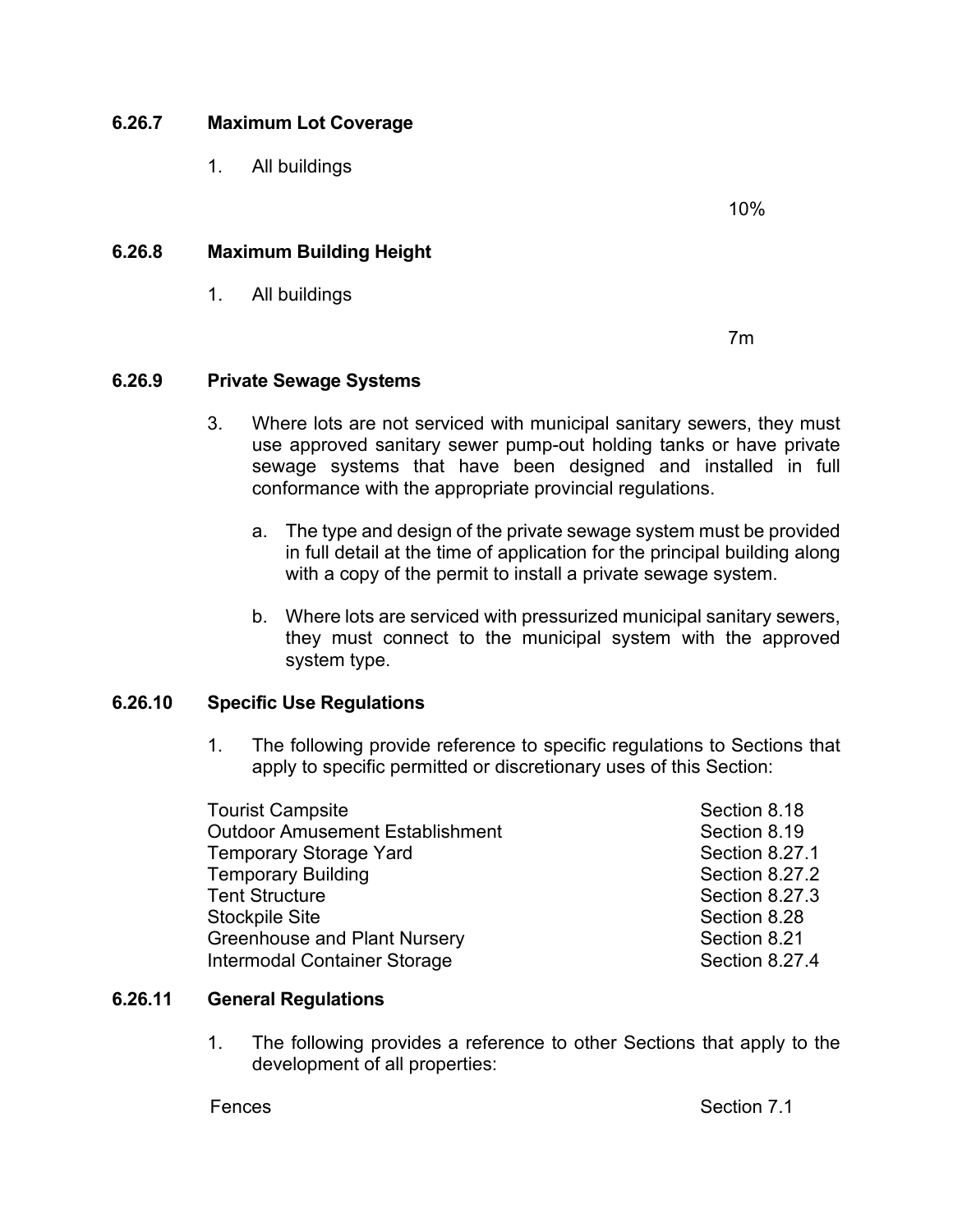## **6.26.7 Maximum Lot Coverage**

1. All buildings

10%

### **6.26.8 Maximum Building Height**

1. All buildings

7m

#### **6.26.9 Private Sewage Systems**

- 3. Where lots are not serviced with municipal sanitary sewers, they must use approved sanitary sewer pump-out holding tanks or have private sewage systems that have been designed and installed in full conformance with the appropriate provincial regulations.
	- a. The type and design of the private sewage system must be provided in full detail at the time of application for the principal building along with a copy of the permit to install a private sewage system.
	- b. Where lots are serviced with pressurized municipal sanitary sewers, they must connect to the municipal system with the approved system type.

#### **6.26.10 Specific Use Regulations**

1. The following provide reference to specific regulations to Sections that apply to specific permitted or discretionary uses of this Section:

| <b>Tourist Campsite</b>                | Section 8.18   |
|----------------------------------------|----------------|
| <b>Outdoor Amusement Establishment</b> | Section 8.19   |
| <b>Temporary Storage Yard</b>          | Section 8.27.1 |
| <b>Temporary Building</b>              | Section 8.27.2 |
| <b>Tent Structure</b>                  | Section 8.27.3 |
| <b>Stockpile Site</b>                  | Section 8.28   |
| <b>Greenhouse and Plant Nursery</b>    | Section 8.21   |
| Intermodal Container Storage           | Section 8.27.4 |

#### **6.26.11 General Regulations**

1. The following provides a reference to other Sections that apply to the development of all properties: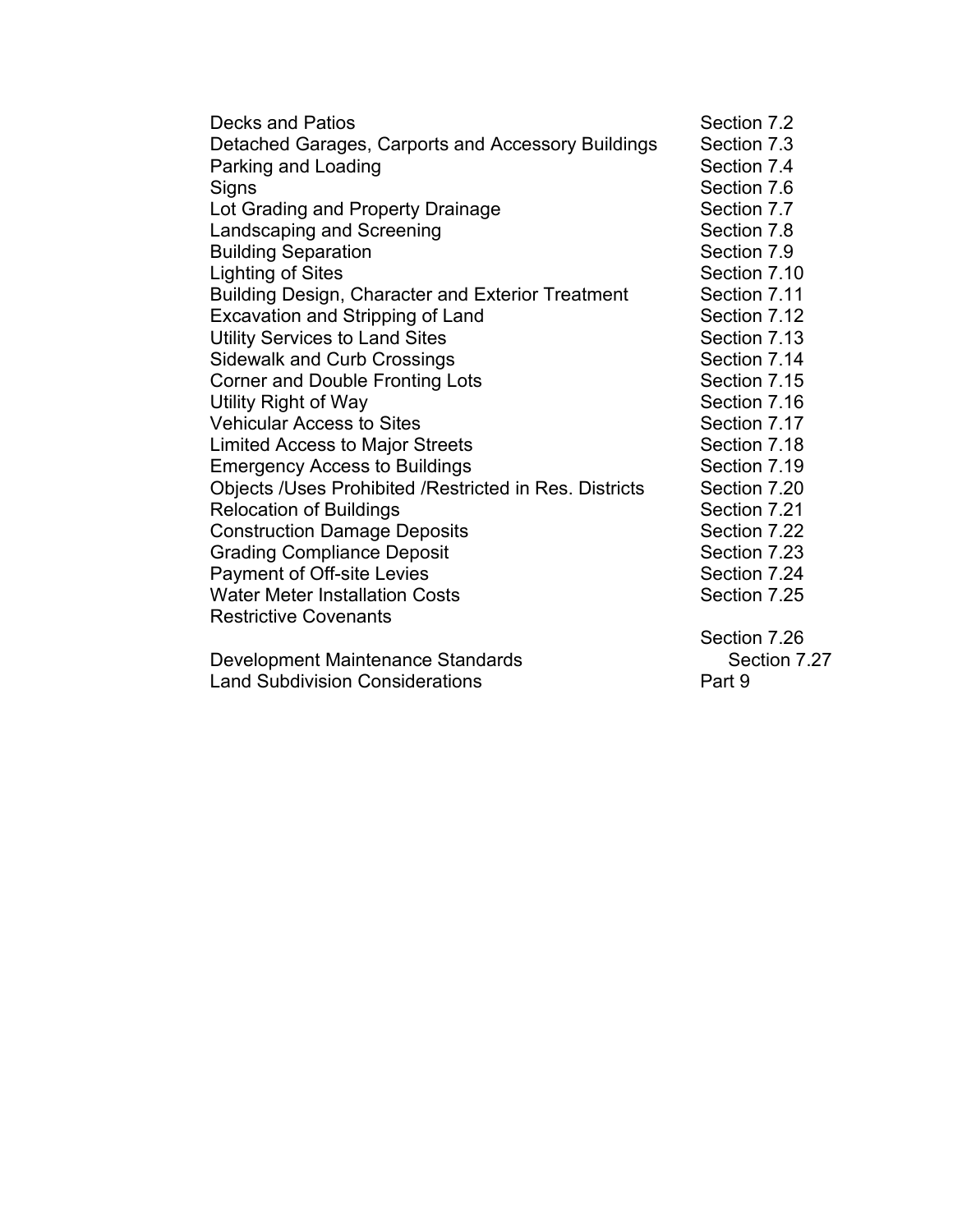| Section 7.2  |
|--------------|
| Section 7.3  |
| Section 7.4  |
| Section 7.6  |
| Section 7.7  |
| Section 7.8  |
| Section 7.9  |
| Section 7.10 |
| Section 7.11 |
| Section 7.12 |
| Section 7.13 |
| Section 7.14 |
| Section 7.15 |
| Section 7.16 |
| Section 7.17 |
| Section 7.18 |
| Section 7.19 |
| Section 7.20 |
| Section 7.21 |
| Section 7.22 |
| Section 7.23 |
| Section 7.24 |
| Section 7.25 |
|              |
| Section 7.26 |
| Section 7.27 |
| Part 9       |
|              |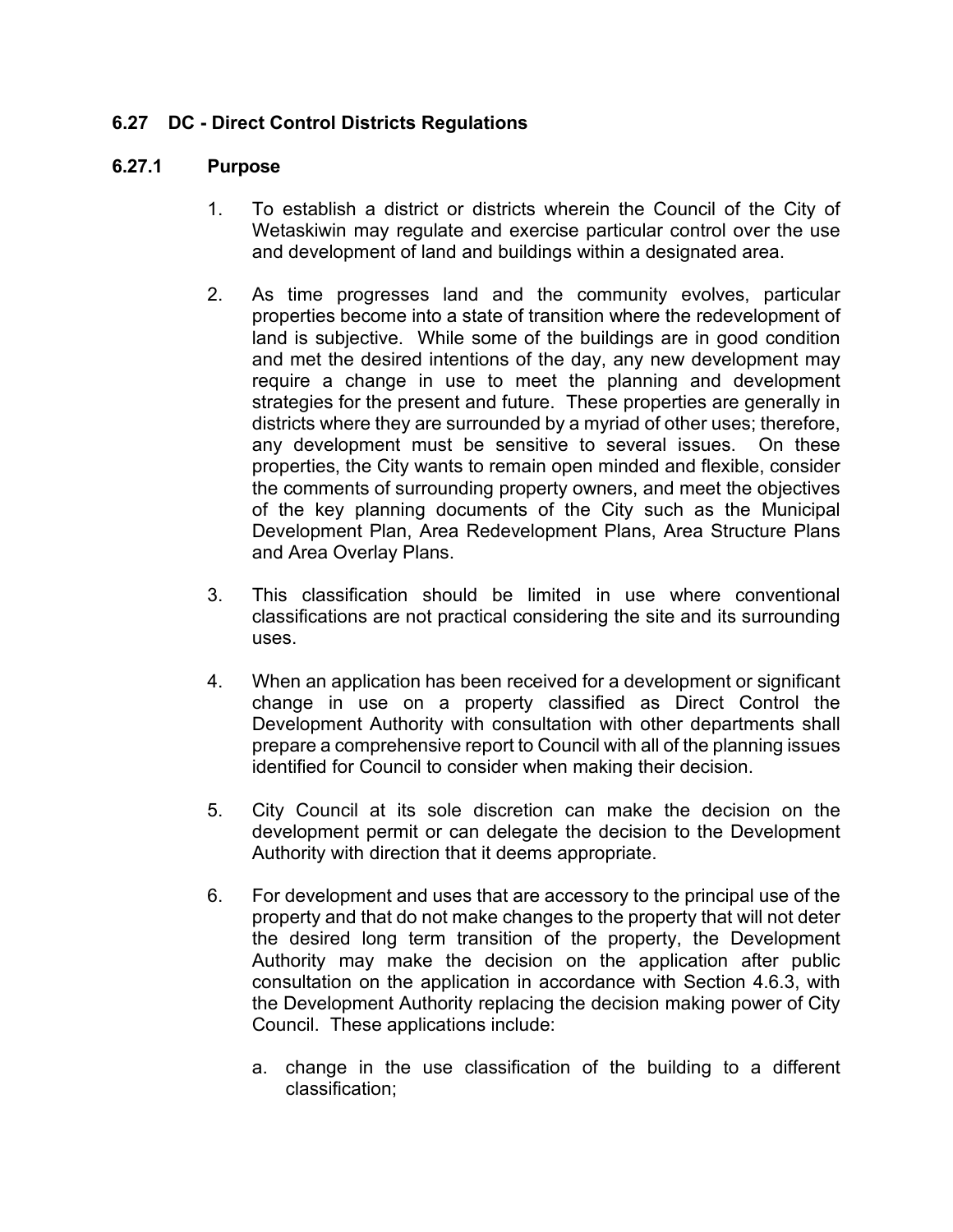# **6.27 DC - Direct Control Districts Regulations**

#### **6.27.1 Purpose**

- 1. To establish a district or districts wherein the Council of the City of Wetaskiwin may regulate and exercise particular control over the use and development of land and buildings within a designated area.
- 2. As time progresses land and the community evolves, particular properties become into a state of transition where the redevelopment of land is subjective. While some of the buildings are in good condition and met the desired intentions of the day, any new development may require a change in use to meet the planning and development strategies for the present and future. These properties are generally in districts where they are surrounded by a myriad of other uses; therefore, any development must be sensitive to several issues. On these properties, the City wants to remain open minded and flexible, consider the comments of surrounding property owners, and meet the objectives of the key planning documents of the City such as the Municipal Development Plan, Area Redevelopment Plans, Area Structure Plans and Area Overlay Plans.
- 3. This classification should be limited in use where conventional classifications are not practical considering the site and its surrounding uses.
- 4. When an application has been received for a development or significant change in use on a property classified as Direct Control the Development Authority with consultation with other departments shall prepare a comprehensive report to Council with all of the planning issues identified for Council to consider when making their decision.
- 5. City Council at its sole discretion can make the decision on the development permit or can delegate the decision to the Development Authority with direction that it deems appropriate.
- 6. For development and uses that are accessory to the principal use of the property and that do not make changes to the property that will not deter the desired long term transition of the property, the Development Authority may make the decision on the application after public consultation on the application in accordance with Section 4.6.3, with the Development Authority replacing the decision making power of City Council. These applications include:
	- a. change in the use classification of the building to a different classification;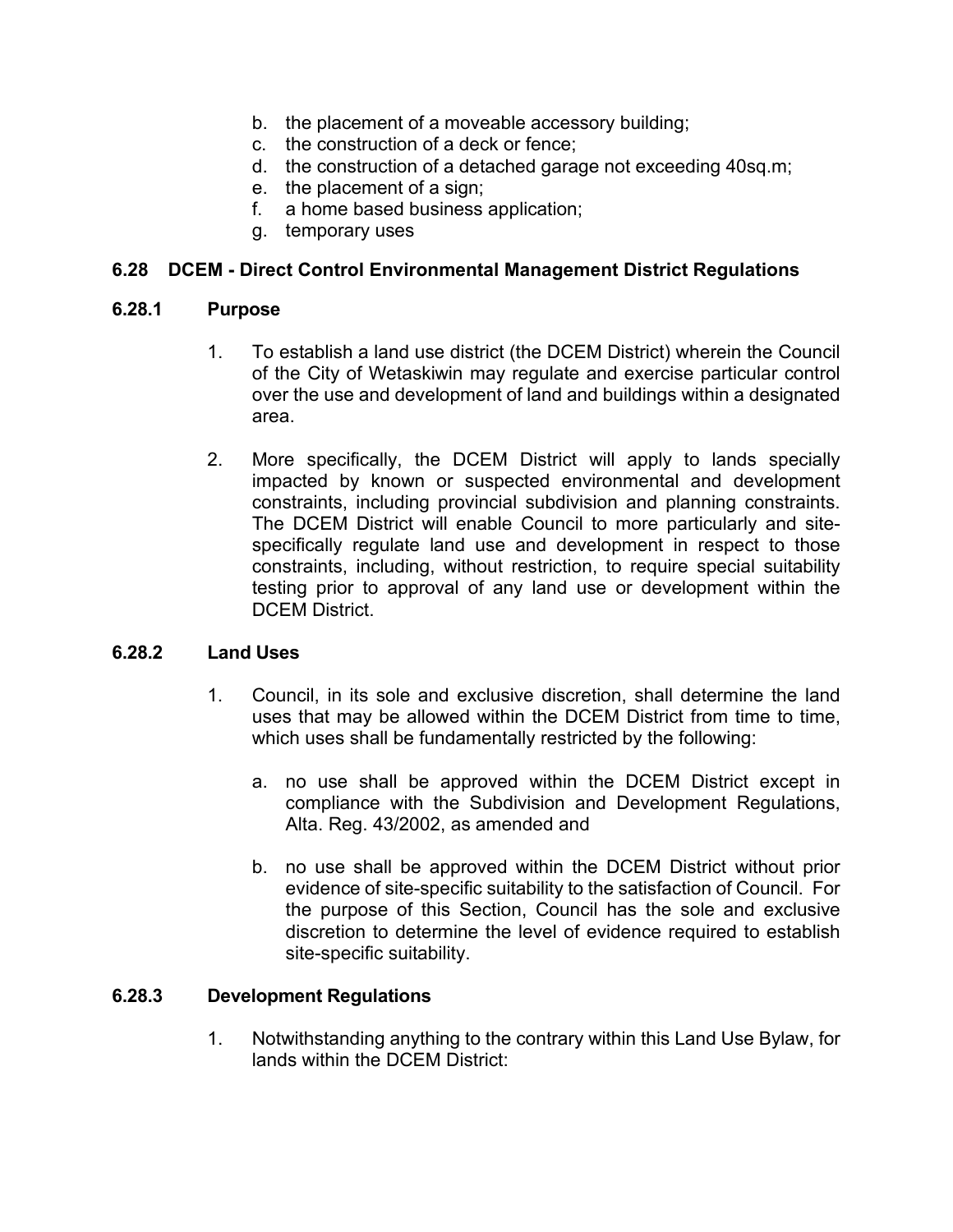- b. the placement of a moveable accessory building;
- c. the construction of a deck or fence;
- d. the construction of a detached garage not exceeding 40sq.m;
- e. the placement of a sign;
- f. a home based business application;
- g. temporary uses

### **6.28 DCEM - Direct Control Environmental Management District Regulations**

#### **6.28.1 Purpose**

- 1. To establish a land use district (the DCEM District) wherein the Council of the City of Wetaskiwin may regulate and exercise particular control over the use and development of land and buildings within a designated area.
- 2. More specifically, the DCEM District will apply to lands specially impacted by known or suspected environmental and development constraints, including provincial subdivision and planning constraints. The DCEM District will enable Council to more particularly and sitespecifically regulate land use and development in respect to those constraints, including, without restriction, to require special suitability testing prior to approval of any land use or development within the DCEM District.

#### **6.28.2 Land Uses**

- 1. Council, in its sole and exclusive discretion, shall determine the land uses that may be allowed within the DCEM District from time to time, which uses shall be fundamentally restricted by the following:
	- a. no use shall be approved within the DCEM District except in compliance with the Subdivision and Development Regulations, Alta. Reg. 43/2002, as amended and
	- b. no use shall be approved within the DCEM District without prior evidence of site-specific suitability to the satisfaction of Council. For the purpose of this Section, Council has the sole and exclusive discretion to determine the level of evidence required to establish site-specific suitability.

#### **6.28.3 Development Regulations**

1. Notwithstanding anything to the contrary within this Land Use Bylaw, for lands within the DCEM District: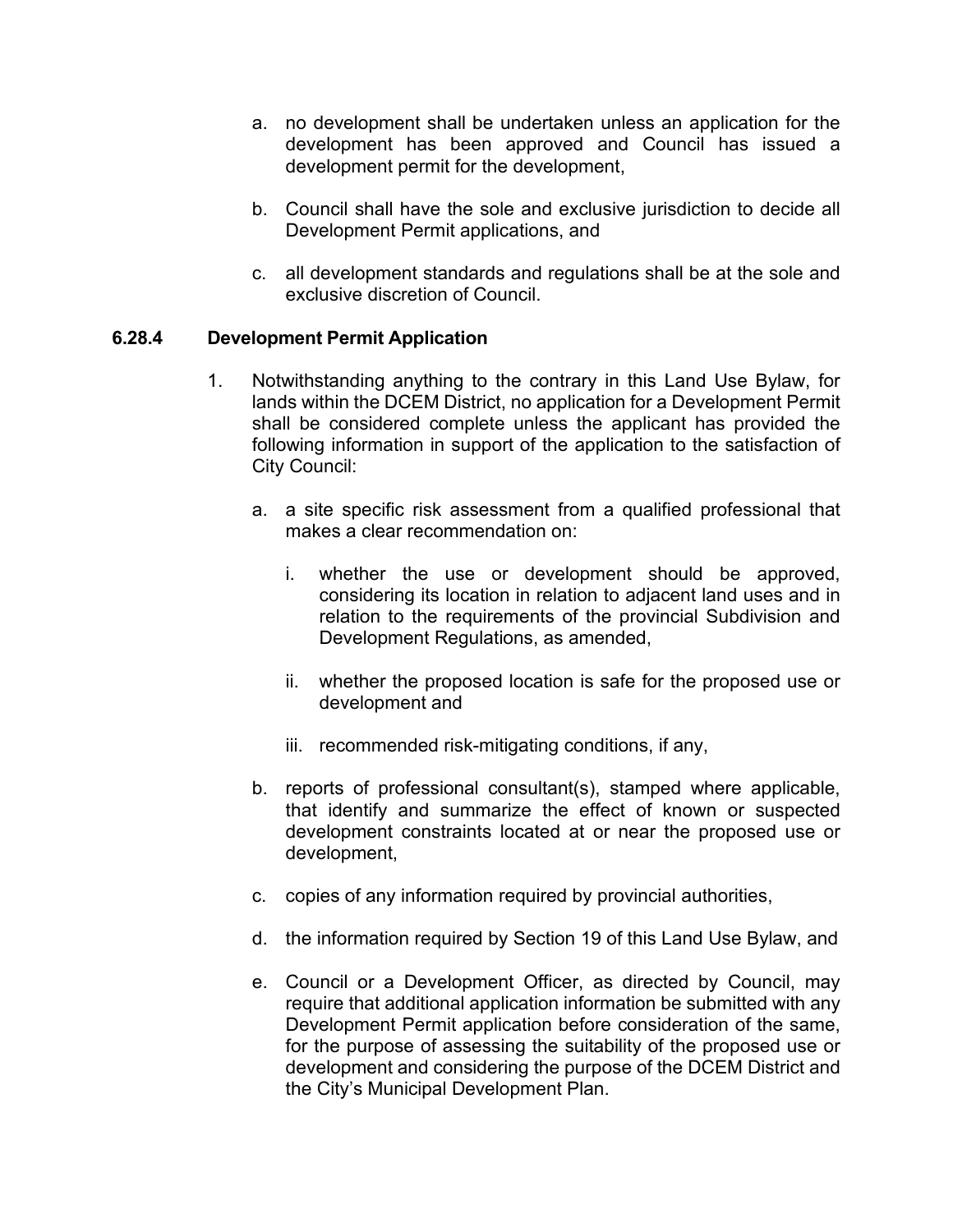- a. no development shall be undertaken unless an application for the development has been approved and Council has issued a development permit for the development,
- b. Council shall have the sole and exclusive jurisdiction to decide all Development Permit applications, and
- c. all development standards and regulations shall be at the sole and exclusive discretion of Council.

## **6.28.4 Development Permit Application**

- 1. Notwithstanding anything to the contrary in this Land Use Bylaw, for lands within the DCEM District, no application for a Development Permit shall be considered complete unless the applicant has provided the following information in support of the application to the satisfaction of City Council:
	- a. a site specific risk assessment from a qualified professional that makes a clear recommendation on:
		- i. whether the use or development should be approved, considering its location in relation to adjacent land uses and in relation to the requirements of the provincial Subdivision and Development Regulations, as amended,
		- ii. whether the proposed location is safe for the proposed use or development and
		- iii. recommended risk-mitigating conditions, if any,
	- b. reports of professional consultant(s), stamped where applicable, that identify and summarize the effect of known or suspected development constraints located at or near the proposed use or development,
	- c. copies of any information required by provincial authorities,
	- d. the information required by Section 19 of this Land Use Bylaw, and
	- e. Council or a Development Officer, as directed by Council, may require that additional application information be submitted with any Development Permit application before consideration of the same, for the purpose of assessing the suitability of the proposed use or development and considering the purpose of the DCEM District and the City's Municipal Development Plan.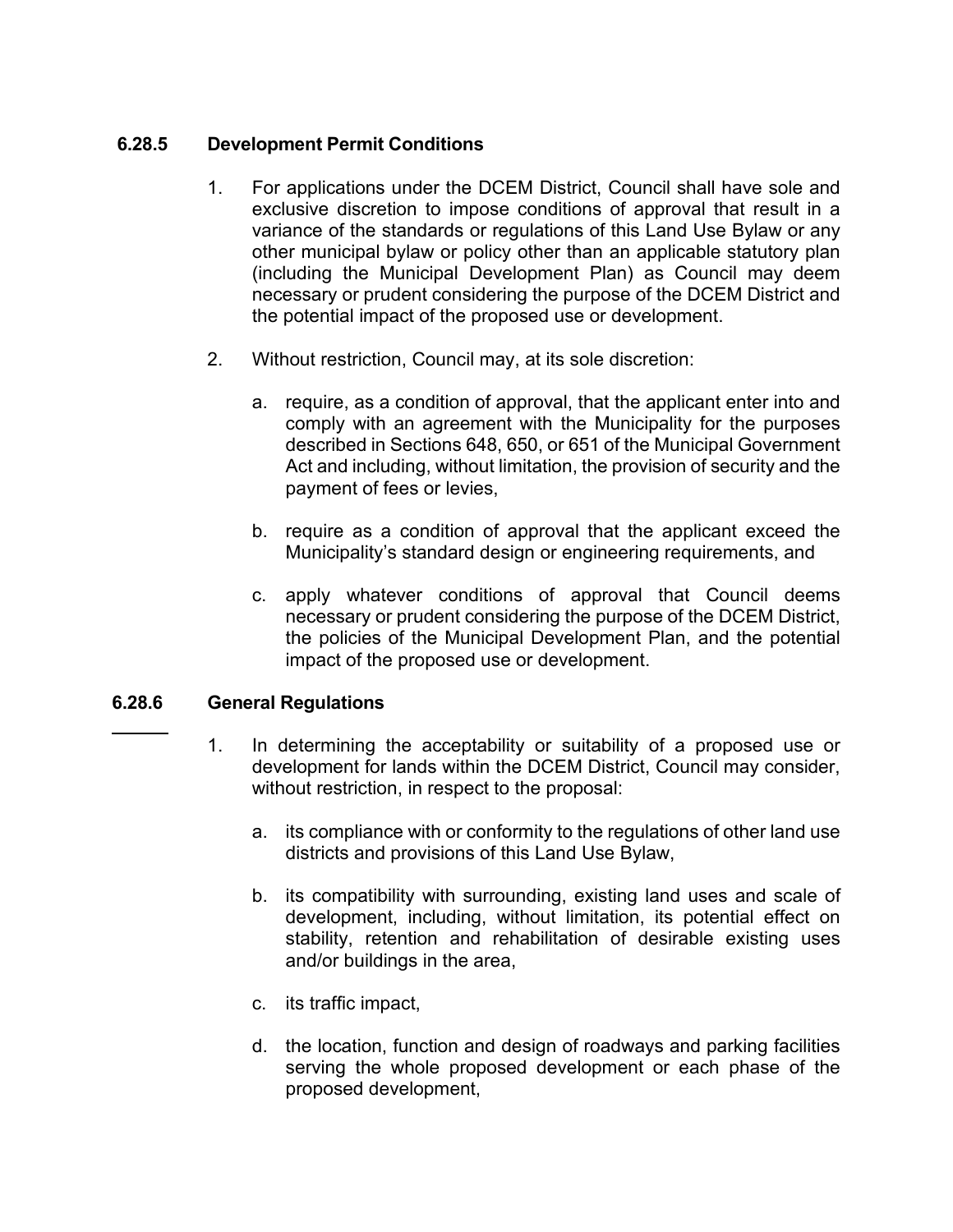# **6.28.5 Development Permit Conditions**

- 1. For applications under the DCEM District, Council shall have sole and exclusive discretion to impose conditions of approval that result in a variance of the standards or regulations of this Land Use Bylaw or any other municipal bylaw or policy other than an applicable statutory plan (including the Municipal Development Plan) as Council may deem necessary or prudent considering the purpose of the DCEM District and the potential impact of the proposed use or development.
- 2. Without restriction, Council may, at its sole discretion:
	- a. require, as a condition of approval, that the applicant enter into and comply with an agreement with the Municipality for the purposes described in Sections 648, 650, or 651 of the Municipal Government Act and including, without limitation, the provision of security and the payment of fees or levies,
	- b. require as a condition of approval that the applicant exceed the Municipality's standard design or engineering requirements, and
	- c. apply whatever conditions of approval that Council deems necessary or prudent considering the purpose of the DCEM District, the policies of the Municipal Development Plan, and the potential impact of the proposed use or development.

#### **6.28.6 General Regulations**

- 1. In determining the acceptability or suitability of a proposed use or development for lands within the DCEM District, Council may consider, without restriction, in respect to the proposal:
	- a. its compliance with or conformity to the regulations of other land use districts and provisions of this Land Use Bylaw,
	- b. its compatibility with surrounding, existing land uses and scale of development, including, without limitation, its potential effect on stability, retention and rehabilitation of desirable existing uses and/or buildings in the area,
	- c. its traffic impact,
	- d. the location, function and design of roadways and parking facilities serving the whole proposed development or each phase of the proposed development,